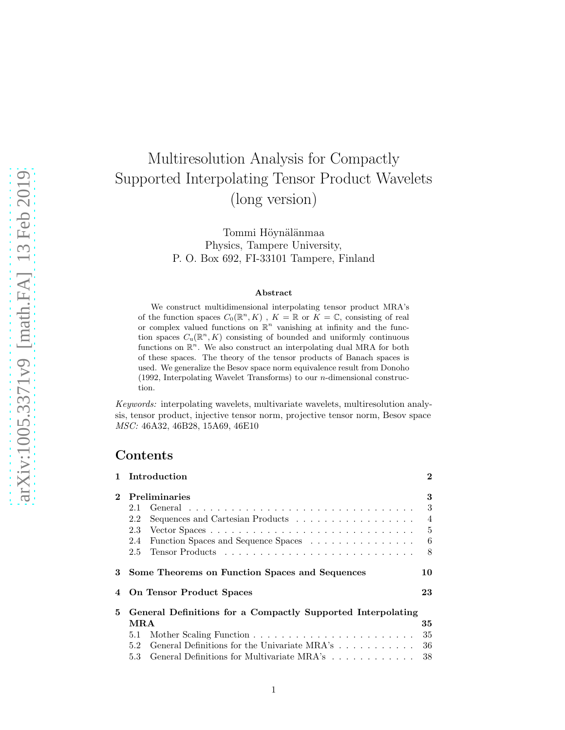# Multiresolution Analysis for Compactly Supported Interpolating Tensor Product Wavelets (long version)

Tommi Höynälänmaa Physics, Tampere University, P. O. Box 692, FI-33101 Tampere, Finland

#### Abstract

We construct multidimensional interpolating tensor product MRA's of the function spaces  $C_0(\mathbb{R}^n, K)$ ,  $K = \mathbb{R}$  or  $\tilde{K} = \mathbb{C}$ , consisting of real or complex valued functions on  $\mathbb{R}^n$  vanishing at infinity and the function spaces  $C_u(\mathbb{R}^n, K)$  consisting of bounded and uniformly continuous functions on  $\mathbb{R}^n$ . We also construct an interpolating dual MRA for both of these spaces. The theory of the tensor products of Banach spaces is used. We generalize the Besov space norm equivalence result from Donoho (1992, Interpolating Wavelet Transforms) to our  $n$ -dimensional construction.

Keywords: interpolating wavelets, multivariate wavelets, multiresolution analysis, tensor product, injective tensor norm, projective tensor norm, Besov space MSC: 46A32, 46B28, 15A69, 46E10

### Contents

| $\mathbf{1}$ | Introduction                                                                        | $\bf{2}$       |  |  |  |  |
|--------------|-------------------------------------------------------------------------------------|----------------|--|--|--|--|
| $\mathbf{2}$ | <b>Preliminaries</b>                                                                |                |  |  |  |  |
|              | 2.1                                                                                 | 3              |  |  |  |  |
|              | Sequences and Cartesian Products $\ldots \ldots \ldots \ldots \ldots \ldots$<br>2.2 | $\overline{4}$ |  |  |  |  |
|              | 2.3                                                                                 | $\frac{5}{2}$  |  |  |  |  |
|              | Function Spaces and Sequence Spaces<br>2.4                                          | 6              |  |  |  |  |
|              | 2.5                                                                                 | 8              |  |  |  |  |
| 3            | Some Theorems on Function Spaces and Sequences                                      | 10             |  |  |  |  |
|              | 4 On Tensor Product Spaces                                                          | 23             |  |  |  |  |
| 5.           | General Definitions for a Compactly Supported Interpolating                         |                |  |  |  |  |
|              | MRA                                                                                 | 35             |  |  |  |  |
|              | 5.1                                                                                 | 35             |  |  |  |  |
|              | General Definitions for the Univariate MRA's<br>5.2                                 | 36             |  |  |  |  |
|              | General Definitions for Multivariate MRA's<br>5.3                                   | 38             |  |  |  |  |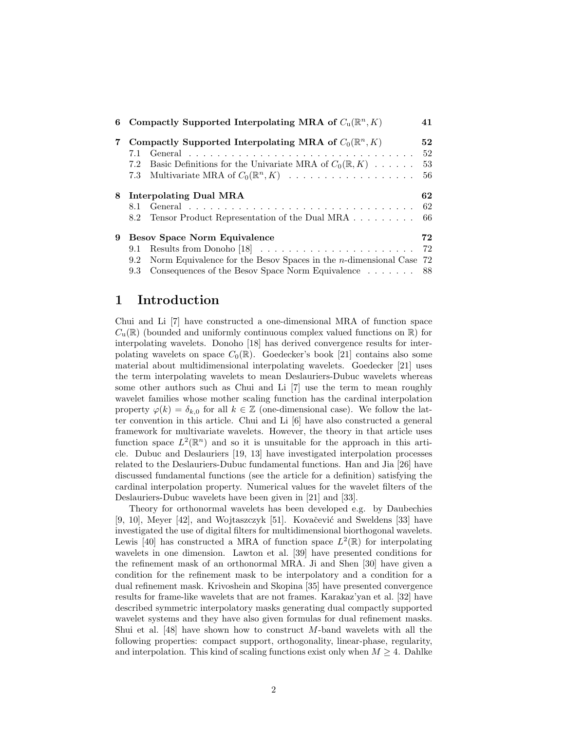| 6 |                                                                 | Compactly Supported Interpolating MRA of $C_u(\mathbb{R}^n, K)$       | 41  |  |  |
|---|-----------------------------------------------------------------|-----------------------------------------------------------------------|-----|--|--|
| 7 | Compactly Supported Interpolating MRA of $C_0(\mathbb{R}^n, K)$ |                                                                       |     |  |  |
|   | 7.1                                                             |                                                                       | 52  |  |  |
|   | 7.2                                                             | Basic Definitions for the Univariate MRA of $C_0(\mathbb{R}, K)$      | 53  |  |  |
|   | 7.3                                                             |                                                                       | 56  |  |  |
|   | 8 Interpolating Dual MRA                                        |                                                                       |     |  |  |
|   | 8.1                                                             |                                                                       | 62  |  |  |
|   | 8.2                                                             | Tensor Product Representation of the Dual MRA                         | -66 |  |  |
| 9 | <b>Besov Space Norm Equivalence</b>                             |                                                                       |     |  |  |
|   | 9.1                                                             |                                                                       | 72  |  |  |
|   | 9.2                                                             | Norm Equivalence for the Besov Spaces in the $n$ -dimensional Case 72 |     |  |  |
|   | 9.3                                                             | Consequences of the Besov Space Norm Equivalence 88                   |     |  |  |

### 1 Introduction

Chui and Li [7] have constructed a one-dimensional MRA of function space  $C_{\mathbf{u}}(\mathbb{R})$  (bounded and uniformly continuous complex valued functions on  $\mathbb{R}$ ) for interpolating wavelets. Donoho [18] has derived convergence results for interpolating wavelets on space  $C_0(\mathbb{R})$ . Goedecker's book [21] contains also some material about multidimensional interpolating wavelets. Goedecker [21] uses the term interpolating wavelets to mean Deslauriers-Dubuc wavelets whereas some other authors such as Chui and Li [7] use the term to mean roughly wavelet families whose mother scaling function has the cardinal interpolation property  $\varphi(k) = \delta_{k,0}$  for all  $k \in \mathbb{Z}$  (one-dimensional case). We follow the latter convention in this article. Chui and Li [6] have also constructed a general framework for multivariate wavelets. However, the theory in that article uses function space  $L^2(\mathbb{R}^n)$  and so it is unsuitable for the approach in this article. Dubuc and Deslauriers [19, 13] have investigated interpolation processes related to the Deslauriers-Dubuc fundamental functions. Han and Jia [26] have discussed fundamental functions (see the article for a definition) satisfying the cardinal interpolation property. Numerical values for the wavelet filters of the Deslauriers-Dubuc wavelets have been given in [21] and [33].

Theory for orthonormal wavelets has been developed e.g. by Daubechies [9, 10], Meyer  $[42]$ , and Wojtaszczyk [51]. Kovačević and Sweldens [33] have investigated the use of digital filters for multidimensional biorthogonal wavelets. Lewis [40] has constructed a MRA of function space  $L^2(\mathbb{R})$  for interpolating wavelets in one dimension. Lawton et al. [39] have presented conditions for the refinement mask of an orthonormal MRA. Ji and Shen [30] have given a condition for the refinement mask to be interpolatory and a condition for a dual refinement mask. Krivoshein and Skopina [35] have presented convergence results for frame-like wavelets that are not frames. Karakaz'yan et al. [32] have described symmetric interpolatory masks generating dual compactly supported wavelet systems and they have also given formulas for dual refinement masks. Shui et al.  $[48]$  have shown how to construct M-band wavelets with all the following properties: compact support, orthogonality, linear-phase, regularity, and interpolation. This kind of scaling functions exist only when  $M \geq 4$ . Dahlke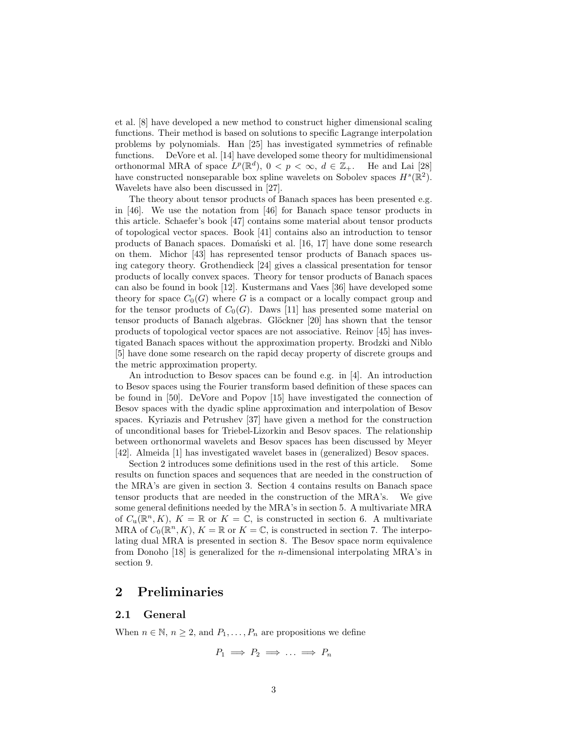et al. [8] have developed a new method to construct higher dimensional scaling functions. Their method is based on solutions to specific Lagrange interpolation problems by polynomials. Han [25] has investigated symmetries of refinable functions. DeVore et al. [14] have developed some theory for multidimensional orthonormal MRA of space  $L^p(\mathbb{R}^d)$ ,  $0 < p < \infty$ ,  $d \in \mathbb{Z}_+$ . He and Lai [28] have constructed nonseparable box spline wavelets on Sobolev spaces  $H^s(\mathbb{R}^2)$ . Wavelets have also been discussed in [27].

The theory about tensor products of Banach spaces has been presented e.g. in [46]. We use the notation from [46] for Banach space tensor products in this article. Schaefer's book [47] contains some material about tensor products of topological vector spaces. Book [41] contains also an introduction to tensor products of Banach spaces. Domański et al. [16, 17] have done some research on them. Michor [43] has represented tensor products of Banach spaces using category theory. Grothendieck [24] gives a classical presentation for tensor products of locally convex spaces. Theory for tensor products of Banach spaces can also be found in book [12]. Kustermans and Vaes [36] have developed some theory for space  $C_0(G)$  where G is a compact or a locally compact group and for the tensor products of  $C_0(G)$ . Daws [11] has presented some material on tensor products of Banach algebras. Glöckner [20] has shown that the tensor products of topological vector spaces are not associative. Reinov [45] has investigated Banach spaces without the approximation property. Brodzki and Niblo [5] have done some research on the rapid decay property of discrete groups and the metric approximation property.

An introduction to Besov spaces can be found e.g. in [4]. An introduction to Besov spaces using the Fourier transform based definition of these spaces can be found in [50]. DeVore and Popov [15] have investigated the connection of Besov spaces with the dyadic spline approximation and interpolation of Besov spaces. Kyriazis and Petrushev [37] have given a method for the construction of unconditional bases for Triebel-Lizorkin and Besov spaces. The relationship between orthonormal wavelets and Besov spaces has been discussed by Meyer [42]. Almeida [1] has investigated wavelet bases in (generalized) Besov spaces.

Section 2 introduces some definitions used in the rest of this article. Some results on function spaces and sequences that are needed in the construction of the MRA's are given in section 3. Section 4 contains results on Banach space tensor products that are needed in the construction of the MRA's. We give some general definitions needed by the MRA's in section 5. A multivariate MRA of  $C_u(\mathbb{R}^n, K)$ ,  $K = \mathbb{R}$  or  $K = \mathbb{C}$ , is constructed in section 6. A multivariate MRA of  $C_0(\mathbb{R}^n, K)$ ,  $K = \mathbb{R}$  or  $K = \mathbb{C}$ , is constructed in section 7. The interpolating dual MRA is presented in section 8. The Besov space norm equivalence from Donoho  $[18]$  is generalized for the *n*-dimensional interpolating MRA's in section 9.

### 2 Preliminaries

#### 2.1 General

When  $n \in \mathbb{N}$ ,  $n \geq 2$ , and  $P_1, \ldots, P_n$  are propositions we define

$$
P_1 \implies P_2 \implies \ldots \implies P_n
$$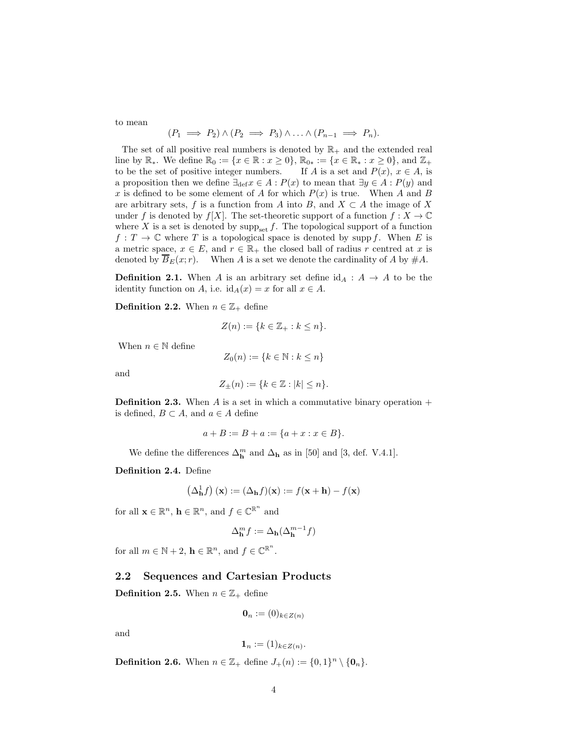to mean

$$
(P_1 \implies P_2) \land (P_2 \implies P_3) \land \ldots \land (P_{n-1} \implies P_n).
$$

The set of all positive real numbers is denoted by  $\mathbb{R}_+$  and the extended real line by  $\mathbb{R}_*$ . We define  $\mathbb{R}_0 := \{x \in \mathbb{R} : x \ge 0\}$ ,  $\mathbb{R}_{0*} := \{x \in \mathbb{R}_* : x \ge 0\}$ , and  $\mathbb{Z}_+$  to be the set of positive integer numbers. If A is a set and  $P(x)$ ,  $x \in A$ , is to be the set of positive integer numbers. a proposition then we define  $\exists_{\text{def}} x \in A : P(x)$  to mean that  $\exists y \in A : P(y)$  and x is defined to be some element of A for which  $P(x)$  is true. When A and B are arbitrary sets, f is a function from A into B, and  $X \subset A$  the image of X under f is denoted by  $f[X]$ . The set-theoretic support of a function  $f: X \to \mathbb{C}$ where X is a set is denoted by  $\text{supp}_{\text{set}} f$ . The topological support of a function  $f: T \to \mathbb{C}$  where T is a topological space is denoted by supp f. When E is a metric space,  $x \in E$ , and  $r \in \mathbb{R}_+$  the closed ball of radius r centred at x is denoted by  $\overline{B}_E(x; r)$ . When A is a set we denote the cardinality of A by  $\#A$ .

**Definition 2.1.** When A is an arbitrary set define  $id_A : A \rightarrow A$  to be the identity function on A, i.e.  $id_A(x) = x$  for all  $x \in A$ .

**Definition 2.2.** When  $n \in \mathbb{Z}_+$  define

$$
Z(n) := \{ k \in \mathbb{Z}_+ : k \le n \}.
$$

When  $n \in \mathbb{N}$  define

$$
Z_0(n) := \{k \in \mathbb{N} : k \le n\}
$$

and

$$
Z_{\pm}(n) := \{k \in \mathbb{Z} : |k| \le n\}.
$$

**Definition 2.3.** When A is a set in which a commutative binary operation  $+$ is defined,  $B \subset A$ , and  $a \in A$  define

$$
a + B := B + a := \{a + x : x \in B\}.
$$

We define the differences  $\Delta_{\mathbf{h}}^{m}$  and  $\Delta_{\mathbf{h}}$  as in [50] and [3, def. V.4.1].

Definition 2.4. Define

$$
\left(\Delta^1_{\mathbf{h}}f\right)(\mathbf{x}):=\left(\Delta_{\mathbf{h}}f\right)(\mathbf{x}):=f(\mathbf{x}+\mathbf{h})-f(\mathbf{x})
$$

for all  $\mathbf{x} \in \mathbb{R}^n$ ,  $\mathbf{h} \in \mathbb{R}^n$ , and  $f \in \mathbb{C}^{\mathbb{R}^n}$  and

$$
\Delta_{\mathbf{h}}^{m} f := \Delta_{\mathbf{h}}(\Delta_{\mathbf{h}}^{m-1} f)
$$

for all  $m \in \mathbb{N} + 2$ ,  $\mathbf{h} \in \mathbb{R}^n$ , and  $f \in \mathbb{C}^{\mathbb{R}^n}$ .

#### 2.2 Sequences and Cartesian Products

**Definition 2.5.** When  $n \in \mathbb{Z}_+$  define

$$
\mathbf{0}_n := (0)_{k \in Z(n)}
$$

and

$$
\mathbf{1}_n := (1)_{k \in Z(n)}.
$$

**Definition 2.6.** When  $n \in \mathbb{Z}_+$  define  $J_+(n) := \{0,1\}^n \setminus \{\mathbf{0}_n\}.$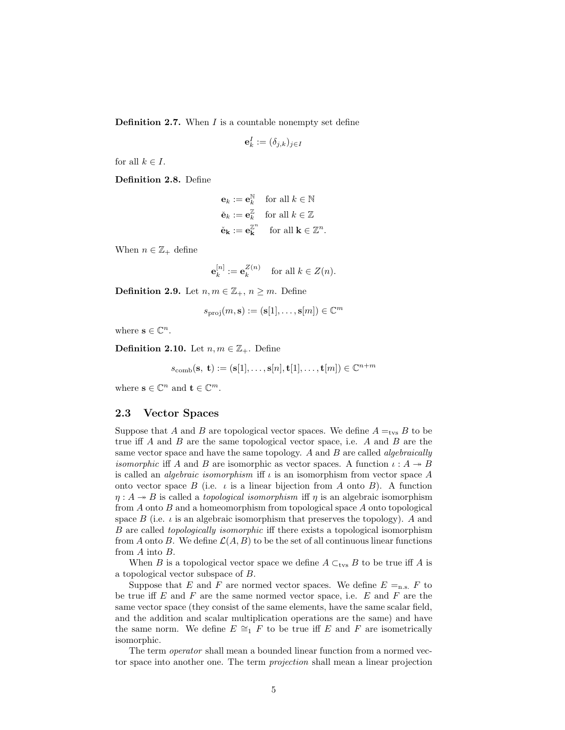**Definition 2.7.** When  $I$  is a countable nonempty set define

$$
\mathbf{e}_k^I := (\delta_{j,k})_{j \in I}
$$

for all  $k \in I$ .

Definition 2.8. Define

$$
\mathbf{e}_k := \mathbf{e}_k^{\mathbb{N}} \quad \text{for all } k \in \mathbb{N}
$$

$$
\check{\mathbf{e}}_k := \mathbf{e}_k^{\mathbb{Z}} \quad \text{for all } k \in \mathbb{Z}
$$

$$
\check{\mathbf{e}}_k := \mathbf{e}_k^{\mathbb{Z}^n} \quad \text{for all } k \in \mathbb{Z}^n.
$$

When  $n \in \mathbb{Z}_+$  define

$$
\mathbf{e}_k^{[n]} := \mathbf{e}_k^{Z(n)} \quad \text{for all } k \in Z(n).
$$

**Definition 2.9.** Let  $n, m \in \mathbb{Z}_+, n \geq m$ . Define

$$
s_{\text{proj}}(m, \mathbf{s}) := (\mathbf{s}[1], \dots, \mathbf{s}[m]) \in \mathbb{C}^m
$$

where  $\mathbf{s} \in \mathbb{C}^n$ .

**Definition 2.10.** Let  $n, m \in \mathbb{Z}_+$ . Define

$$
s_{\text{comb}}(\mathbf{s},\ \mathbf{t}) := (\mathbf{s}[1], \dots, \mathbf{s}[n], \mathbf{t}[1], \dots, \mathbf{t}[m]) \in \mathbb{C}^{n+m}
$$

where  $\mathbf{s} \in \mathbb{C}^n$  and  $\mathbf{t} \in \mathbb{C}^m$ .

#### 2.3 Vector Spaces

Suppose that A and B are topological vector spaces. We define  $A =_{\text{tvs}} B$  to be true iff A and B are the same topological vector space, i.e. A and B are the same vector space and have the same topology. A and  $B$  are called *algebraically isomorphic* iff A and B are isomorphic as vector spaces. A function  $\iota: A \rightarrow B$ is called an *algebraic isomorphism* iff  $\iota$  is an isomorphism from vector space A onto vector space  $B$  (i.e.  $\iota$  is a linear bijection from A onto B). A function  $\eta: A \rightarrow B$  is called a *topological isomorphism* if  $\eta$  is an algebraic isomorphism from A onto B and a homeomorphism from topological space A onto topological space  $B$  (i.e.  $\iota$  is an algebraic isomorphism that preserves the topology). A and B are called topologically isomorphic iff there exists a topological isomorphism from A onto B. We define  $\mathcal{L}(A, B)$  to be the set of all continuous linear functions from A into B.

When B is a topological vector space we define  $A \subset_{\text{tvs}} B$  to be true iff A is a topological vector subspace of B.

Suppose that E and F are normed vector spaces. We define  $E =_{n.s.} F$  to be true iff  $E$  and  $F$  are the same normed vector space, i.e.  $E$  and  $F$  are the same vector space (they consist of the same elements, have the same scalar field, and the addition and scalar multiplication operations are the same) and have the same norm. We define  $E \cong_1 F$  to be true iff E and F are isometrically isomorphic.

The term operator shall mean a bounded linear function from a normed vector space into another one. The term projection shall mean a linear projection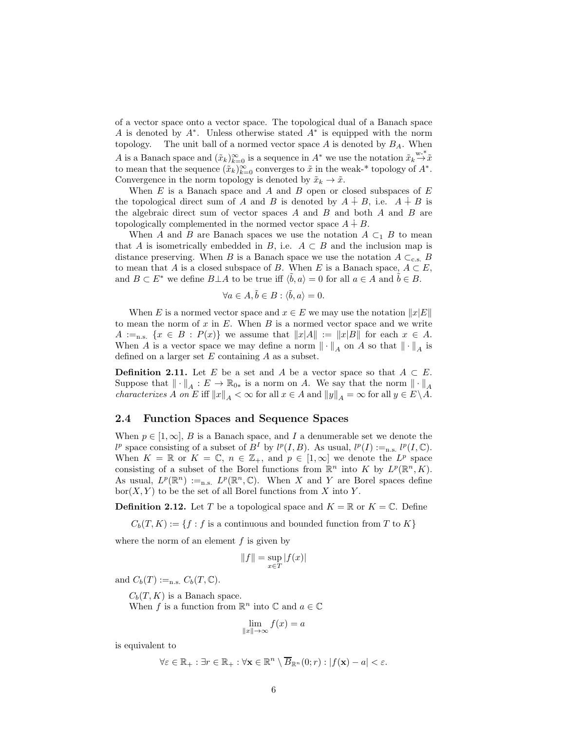of a vector space onto a vector space. The topological dual of a Banach space A is denoted by A<sup>∗</sup> . Unless otherwise stated A<sup>∗</sup> is equipped with the norm topology. The unit ball of a normed vector space  $A$  is denoted by  $B_A$ . When A is a Banach space and  $(\tilde{x}_k)_{k=0}^{\infty}$  is a sequence in  $A^*$  we use the notation  $\tilde{x}_k \stackrel{\text{w-*}}{\rightarrow} \tilde{x}$ to mean that the sequence  $(\tilde{x}_k)_{k=0}^{\infty}$  converges to  $\tilde{x}$  in the weak-\* topology of  $A^*$ . Convergence in the norm topology is denoted by  $\tilde{x}_k \to \tilde{x}$ .

When  $E$  is a Banach space and  $A$  and  $B$  open or closed subspaces of  $E$ the topological direct sum of A and B is denoted by  $A \dot{+} B$ , i.e.  $A \dot{+} B$  is the algebraic direct sum of vector spaces  $A$  and  $B$  and both  $A$  and  $B$  are topologically complemented in the normed vector space  $A \dot{+} B$ .

When A and B are Banach spaces we use the notation  $A \subset_1 B$  to mean that A is isometrically embedded in B, i.e.  $A \subset B$  and the inclusion map is distance preserving. When B is a Banach space we use the notation  $A \subset_{c.s.} B$ to mean that A is a closed subspace of B. When E is a Banach space,  $A \subset E$ , and  $B \subset E^*$  we define  $B \perp A$  to be true iff  $\langle \tilde{b}, a \rangle = 0$  for all  $a \in A$  and  $\tilde{b} \in B$ .

$$
\forall a \in A, \tilde{b} \in B : \langle \tilde{b}, a \rangle = 0.
$$

When E is a normed vector space and  $x \in E$  we may use the notation  $||x|E||$ to mean the norm of  $x$  in  $E$ . When  $B$  is a normed vector space and we write  $A :=_{n.s.} \{x \in B : P(x)\}\$  we assume that  $||x|A|| := ||x|B||$  for each  $x \in A$ . When A is a vector space we may define a norm  $\|\cdot\|_A$  on A so that  $\|\cdot\|_A$  is defined on a larger set  $E$  containing  $A$  as a subset.

**Definition 2.11.** Let E be a set and A be a vector space so that  $A \subset E$ . Suppose that  $\|\cdot\|_A : E \to \mathbb{R}_{0*}$  is a norm on A. We say that the norm  $\|\cdot\|_A$ *characterizes* A on E iff  $||x||_A < \infty$  for all  $x \in A$  and  $||y||_A = \infty$  for all  $y \in E \setminus A$ .

#### 2.4 Function Spaces and Sequence Spaces

When  $p \in [1,\infty], B$  is a Banach space, and I a denumerable set we denote the  $l^p$  space consisting of a subset of  $B^I$  by  $l^p(I, B)$ . As usual,  $l^p(I) :=_{n.s.} l^p(I, \mathbb{C})$ . When  $K = \mathbb{R}$  or  $K = \mathbb{C}$ ,  $n \in \mathbb{Z}_+$ , and  $p \in [1, \infty]$  we denote the  $L^p$  space consisting of a subset of the Borel functions from  $\mathbb{R}^n$  into K by  $L^p(\mathbb{R}^n, K)$ . As usual,  $L^p(\mathbb{R}^n) :=_{n.s.} L^p(\mathbb{R}^n, \mathbb{C})$ . When X and Y are Borel spaces define  $\text{bor}(X, Y)$  to be the set of all Borel functions from X into Y.

**Definition 2.12.** Let T be a topological space and  $K = \mathbb{R}$  or  $K = \mathbb{C}$ . Define

 $C_b(T, K) := \{f : f$  is a continuous and bounded function from T to K}

where the norm of an element  $f$  is given by

$$
||f|| = \sup_{x \in T} |f(x)|
$$

and  $C_b(T) :=_{n.s.} C_b(T, \mathbb{C}).$ 

 $C_b(T, K)$  is a Banach space.

When  $f$  is a function from  $\mathbb{R}^n$  into  $\mathbb{C}$  and  $a \in \mathbb{C}$ 

$$
\lim_{\|x\| \to \infty} f(x) = a
$$

is equivalent to

$$
\forall \varepsilon \in \mathbb{R}_+ : \exists r \in \mathbb{R}_+ : \forall \mathbf{x} \in \mathbb{R}^n \setminus \overline{B}_{\mathbb{R}^n}(0; r) : |f(\mathbf{x}) - a| < \varepsilon.
$$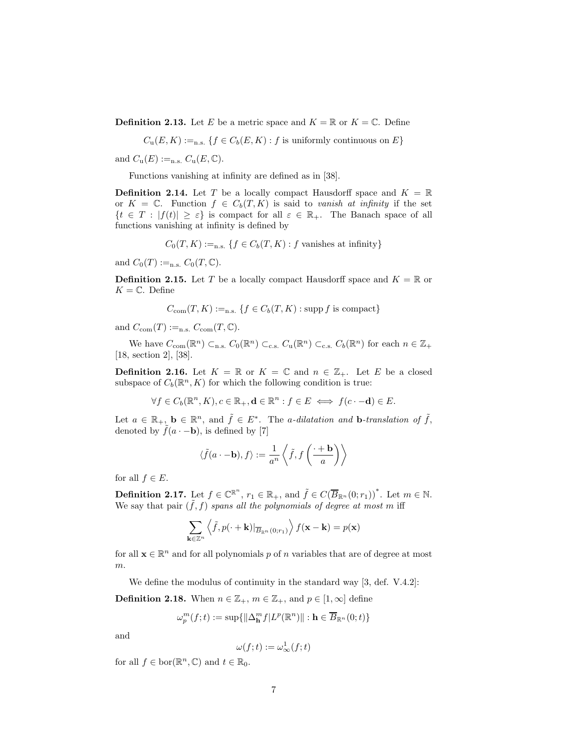**Definition 2.13.** Let E be a metric space and  $K = \mathbb{R}$  or  $K = \mathbb{C}$ . Define

 $C_u(E, K) :=_{n.s.} \{f \in C_b(E, K) : f \text{ is uniformly continuous on } E\}$ 

and  $C_{\mathbf{u}}(E) :=_{\text{n.s.}} C_{\mathbf{u}}(E, \mathbb{C}).$ 

Functions vanishing at infinity are defined as in [38].

**Definition 2.14.** Let T be a locally compact Hausdorff space and  $K = \mathbb{R}$ or  $K = \mathbb{C}$ . Function  $f \in C_b(T, K)$  is said to vanish at infinity if the set  ${t \in T : |f(t)| \geq \varepsilon}$  is compact for all  $\varepsilon \in \mathbb{R}_+$ . The Banach space of all functions vanishing at infinity is defined by

$$
C_0(T, K) :=_{n.s.} \{ f \in C_b(T, K) : f \text{ vanishes at infinity} \}
$$

and  $C_0(T) :=_{n.s.} C_0(T, \mathbb{C}).$ 

**Definition 2.15.** Let T be a locally compact Hausdorff space and  $K = \mathbb{R}$  or  $K = \mathbb{C}$ . Define

$$
C_{\text{com}}(T, K) :=_{n.s.} \{ f \in C_b(T, K) : \text{supp } f \text{ is compact} \}
$$

and  $C_{\text{com}}(T) :=_{\text{n.s.}} C_{\text{com}}(T, \mathbb{C}).$ 

We have  $C_{\text{com}}(\mathbb{R}^n) \subset_{\text{n.s.}} C_0(\mathbb{R}^n) \subset_{\text{c.s.}} C_{\text{u}}(\mathbb{R}^n) \subset_{\text{c.s.}} C_b(\mathbb{R}^n)$  for each  $n \in \mathbb{Z}_+$ [18, section 2], [38].

**Definition 2.16.** Let  $K = \mathbb{R}$  or  $K = \mathbb{C}$  and  $n \in \mathbb{Z}_+$ . Let E be a closed subspace of  $C_b(\mathbb{R}^n, K)$  for which the following condition is true:

 $\forall f \in C_b(\mathbb{R}^n, K), c \in \mathbb{R}_+, \mathbf{d} \in \mathbb{R}^n : f \in E \iff f(c \cdot -\mathbf{d}) \in E.$ 

Let  $a \in \mathbb{R}_+$ ,  $\mathbf{b} \in \mathbb{R}^n$ , and  $\tilde{f} \in E^*$ . The *a*-dilatation and **b**-translation of  $\tilde{f}$ , denoted by  $\tilde{f}(a \cdot -b)$ , is defined by [7]

$$
\langle \tilde{f}(a \cdot -\mathbf{b}), f \rangle := \frac{1}{a^n} \left\langle \tilde{f}, f\left(\frac{\cdot + \mathbf{b}}{a}\right) \right\rangle
$$

for all  $f \in E$ .

**Definition 2.17.** Let  $f \in \mathbb{C}^{\mathbb{R}^n}$ ,  $r_1 \in \mathbb{R}_+$ , and  $\tilde{f} \in C(\overline{B}_{\mathbb{R}^n}(0;r_1))^*$ . Let  $m \in \mathbb{N}$ . We say that pair  $(\tilde{f}, f)$  spans all the polynomials of degree at most m iff

$$
\sum_{\mathbf{k}\in\mathbb{Z}^n} \left\langle \tilde{f}, p(\cdot + \mathbf{k})|_{\overline{B}_{\mathbb{R}^n}(0;r_1)} \right\rangle f(\mathbf{x} - \mathbf{k}) = p(\mathbf{x})
$$

for all  $\mathbf{x} \in \mathbb{R}^n$  and for all polynomials  $p$  of  $n$  variables that are of degree at most  $m$ .

We define the modulus of continuity in the standard way [3, def. V.4.2]:

**Definition 2.18.** When  $n \in \mathbb{Z}_+$ ,  $m \in \mathbb{Z}_+$ , and  $p \in [1,\infty]$  define

$$
\omega_p^m(f;t) := \sup \{ ||\Delta_{\mathbf{h}}^m f| L^p(\mathbb{R}^n) || : \mathbf{h} \in \overline{B}_{\mathbb{R}^n}(0;t) \}
$$

and

$$
\omega(f;t) := \omega^1_\infty(f;t)
$$

for all  $f \in \text{bor}(\mathbb{R}^n, \mathbb{C})$  and  $t \in \mathbb{R}_0$ .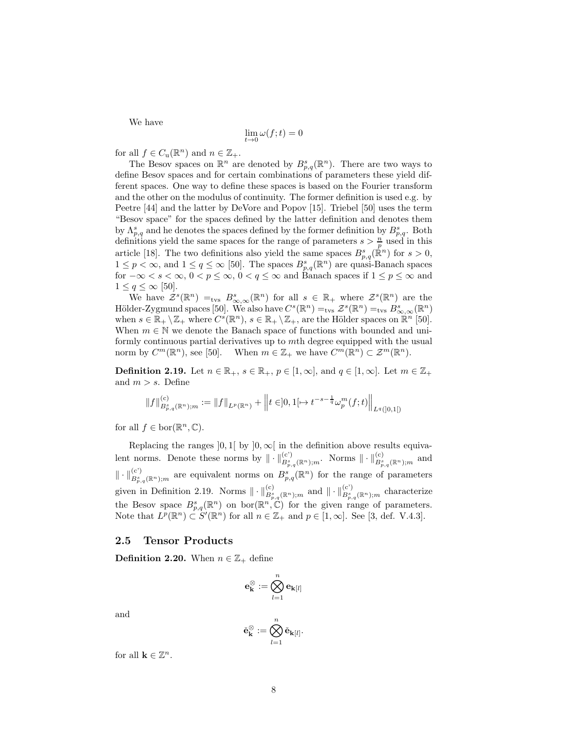We have

$$
\lim_{t \to 0} \omega(f; t) = 0
$$

for all  $f \in C_u(\mathbb{R}^n)$  and  $n \in \mathbb{Z}_+$ .

The Besov spaces on  $\mathbb{R}^n$  are denoted by  $B_{p,q}^s(\mathbb{R}^n)$ . There are two ways to define Besov spaces and for certain combinations of parameters these yield different spaces. One way to define these spaces is based on the Fourier transform and the other on the modulus of continuity. The former definition is used e.g. by Peetre [44] and the latter by DeVore and Popov [15]. Triebel [50] uses the term "Besov space" for the spaces defined by the latter definition and denotes them by  $\Lambda_{p,q}^s$  and he denotes the spaces defined by the former definition by  $B_{p,q}^s$ . Both definitions yield the same spaces for the range of parameters  $s > \frac{n}{p}$  used in this article [18]. The two definitions also yield the same spaces  $B_{p,q}^s(\mathbb{R}^n)$  for  $s > 0$ ,  $1 \leq p < \infty$ , and  $1 \leq q \leq \infty$  [50]. The spaces  $B_{p,q}^{s}(\mathbb{R}^n)$  are quasi-Banach spaces for  $-\infty < s < \infty$ ,  $0 < p \le \infty$ ,  $0 < q \le \infty$  and Banach spaces if  $1 \le p \le \infty$  and  $1 \leq q \leq \infty$  [50].

We have  $\mathcal{Z}^s(\mathbb{R}^n) =_{\text{tvs}} B^s_{\infty,\infty}(\mathbb{R}^n)$  for all  $s \in \mathbb{R}_+$  where  $\mathcal{Z}^s(\mathbb{R}^n)$  are the Hölder-Zygmund spaces [50]. We also have  $C^{s}(\mathbb{R}^{n}) =_{\text{tvs}} \mathcal{Z}^{s}(\mathbb{R}^{n}) =_{\text{tvs}} B^{s}_{\infty,\infty}(\mathbb{R}^{n})$ when  $s \in \mathbb{R}_+ \setminus \mathbb{Z}_+$  where  $C^s(\mathbb{R}^n)$ ,  $s \in \mathbb{R}_+ \setminus \mathbb{Z}_+$ , are the Hölder spaces on  $\mathbb{R}^n$  [50]. When  $m \in \mathbb{N}$  we denote the Banach space of functions with bounded and uniformly continuous partial derivatives up to mth degree equipped with the usual norm by  $C^m(\mathbb{R}^n)$ , see [50]. When  $m \in \mathbb{Z}_+$  we have  $C^m(\mathbb{R}^n) \subset \mathcal{Z}^m(\mathbb{R}^n)$ .

**Definition 2.19.** Let  $n \in \mathbb{R}_+$ ,  $s \in \mathbb{R}_+$ ,  $p \in [1,\infty]$ , and  $q \in [1,\infty]$ . Let  $m \in \mathbb{Z}_+$ and  $m > s$ . Define

$$
\|f\|_{B^{s}_{p,q}(\mathbb{R}^{n});m}^{(c)}:=\|f\|_{L^{p}(\mathbb{R}^{n})}+\left\|t\in]0,1[\mapsto t^{-s-\frac{1}{q}}\omega_{p}^{m}(f;t)\right\|_{L^{q}([0,1[)}
$$

for all  $f \in \text{bor}(\mathbb{R}^n, \mathbb{C})$ .

Replacing the ranges  $]0,1[$  by  $]0,\infty[$  in the definition above results equivalent norms. Denote these norms by  $\|\cdot\|_{B^s_{p,q}(\mathbb{R}^n);m}^{(c)}$ . Norms  $\|\cdot\|_{B^s_{p,q}(\mathbb{R}^n);m}^{(c)}$  and  $\|\cdot\|_{B^s_{p,q}(\mathbb{R}^n);m}^{(c)}$  are equivalent norms on  $B^s_{p,q}(\mathbb{R}^n)$  for the range of parameters given in Definition 2.19. Norms  $\|\cdot\|_{B^s_{p,q}(\mathbb{R}^n);m}^{(c)}$  and  $\|\cdot\|_{B^s_{p,q}(\mathbb{R}^n);m}^{(c)}$  characterize the Besov space  $B_{p,q}^s(\mathbb{R}^n)$  on bor $(\mathbb{R}^n, \mathbb{C})$  for the given range of parameters. Note that  $L^p(\mathbb{R}^n) \subset S'(\mathbb{R}^n)$  for all  $n \in \mathbb{Z}_+$  and  $p \in [1,\infty]$ . See [3, def. V.4.3].

#### 2.5 Tensor Products

**Definition 2.20.** When  $n \in \mathbb{Z}_+$  define

$$
\mathbf{e}_{\mathbf{k}}^{\otimes}:=\bigotimes_{l=1}^{n}\mathbf{e}_{\mathbf{k}[l]}
$$

and

$$
\check{\mathbf{e}}_{\mathbf{k}}^{\otimes} := \bigotimes_{l=1}^{n} \check{\mathbf{e}}_{\mathbf{k}[l]}.
$$

for all  $\mathbf{k} \in \mathbb{Z}^n$ .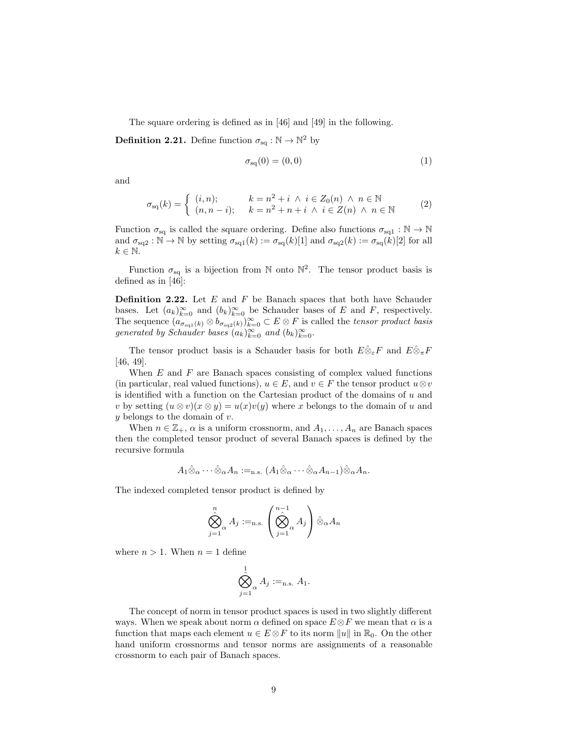The square ordering is defined as in [46] and [49] in the following.

**Definition 2.21.** Define function  $\sigma_{\text{sq}} : \mathbb{N} \to \mathbb{N}^2$  by

$$
\sigma_{\text{sq}}(0) = (0,0) \tag{1}
$$

and

$$
\sigma_{\text{sq}}(k) = \begin{cases} (i, n); & k = n^2 + i \land i \in Z_0(n) \land n \in \mathbb{N} \\ (n, n - i); & k = n^2 + n + i \land i \in Z(n) \land n \in \mathbb{N} \end{cases} \tag{2}
$$

Function  $\sigma_{sq}$  is called the square ordering. Define also functions  $\sigma_{sq1}: \mathbb{N} \to \mathbb{N}$ and  $\sigma_{\text{sq}_2}: \mathbb{N} \to \mathbb{N}$  by setting  $\sigma_{\text{sq}_1}(k) := \sigma_{\text{sq}_1}(k)[1]$  and  $\sigma_{\text{sq}_2}(k) := \sigma_{\text{sq}_1}(k)[2]$  for all  $k \in \mathbb{N}$ .

Function  $\sigma_{\text{sq}}$  is a bijection from N onto  $\mathbb{N}^2$ . The tensor product basis is defined as in [46]:

**Definition 2.22.** Let  $E$  and  $F$  be Banach spaces that both have Schauder bases. Let  $(a_k)_{k=0}^{\infty}$  and  $(b_k)_{k=0}^{\infty}$  be Schauder bases of E and F, respectively. The sequence  $(a_{\sigma_{\text{sq1}}(k)} \otimes b_{\sigma_{\text{sq2}}(k)})_{k=0}^{\infty} \subset E \otimes F$  is called the *tensor product basis* generated by Schauder bases  $(a_k)_{k=0}^{\infty}$  and  $(b_k)_{k=0}^{\infty}$ .

The tensor product basis is a Schauder basis for both  $E\hat{\otimes}_{\varepsilon}F$  and  $E\hat{\otimes}_{\pi}F$ [46, 49].

When  $E$  and  $F$  are Banach spaces consisting of complex valued functions (in particular, real valued functions),  $u \in E$ , and  $v \in F$  the tensor product  $u \otimes v$ is identified with a function on the Cartesian product of the domains of  $u$  and v by setting  $(u \otimes v)(x \otimes y) = u(x)v(y)$  where x belongs to the domain of u and  $y$  belongs to the domain of  $v$ .

When  $n \in \mathbb{Z}_+$ ,  $\alpha$  is a uniform crossnorm, and  $A_1, \ldots, A_n$  are Banach spaces then the completed tensor product of several Banach spaces is defined by the recursive formula

$$
A_1\hat{\otimes}_{\alpha}\cdots\hat{\otimes}_{\alpha}A_n:=_{\text{n.s.}}(A_1\hat{\otimes}_{\alpha}\cdots\hat{\otimes}_{\alpha}A_{n-1})\hat{\otimes}_{\alpha}A_n.
$$

The indexed completed tensor product is defined by

$$
\bigotimes_{j=1}^{n} A_{j} :=_{\text{n.s.}} \left( \bigotimes_{j=1}^{n-1} A_{j} \right) \hat{\otimes}_{\alpha} A_{n}
$$

where  $n > 1$ . When  $n = 1$  define

$$
\bigotimes_{j=1}^1 A_j :=_{\text{n.s.}} A_1.
$$

The concept of norm in tensor product spaces is used in two slightly different ways. When we speak about norm  $\alpha$  defined on space  $E \otimes F$  we mean that  $\alpha$  is a function that maps each element  $u \in E \otimes F$  to its norm  $||u||$  in  $\mathbb{R}_0$ . On the other hand uniform crossnorms and tensor norms are assignments of a reasonable crossnorm to each pair of Banach spaces.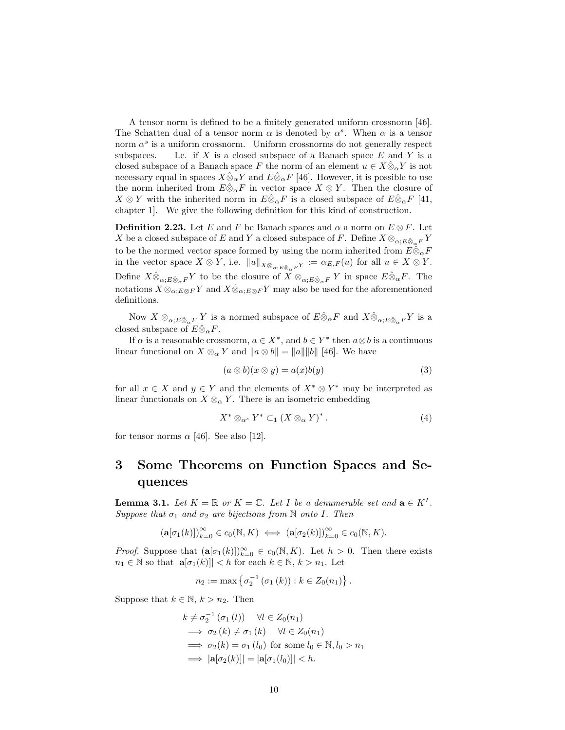A tensor norm is defined to be a finitely generated uniform crossnorm [46]. The Schatten dual of a tensor norm  $\alpha$  is denoted by  $\alpha^s$ . When  $\alpha$  is a tensor norm  $\alpha^s$  is a uniform crossnorm. Uniform crossnorms do not generally respect subspaces. I.e. if X is a closed subspace of a Banach space E and Y is a closed subspace of a Banach space F the norm of an element  $u \in X \hat{\otimes}_{\alpha} Y$  is not necessary equal in spaces  $X\hat{\otimes}_{\alpha}Y$  and  $E\hat{\otimes}_{\alpha}F$  [46]. However, it is possible to use the norm inherited from  $E \hat{\otimes}_{\alpha} F$  in vector space  $X \otimes Y$ . Then the closure of  $X \otimes Y$  with the inherited norm in  $E \hat{\otimes}_{\alpha} F$  is a closed subspace of  $E \hat{\otimes}_{\alpha} F$  [41, chapter 1]. We give the following definition for this kind of construction.

**Definition 2.23.** Let E and F be Banach spaces and  $\alpha$  a norm on  $E \otimes F$ . Let X be a closed subspace of E and Y a closed subspace of F. Define  $X \otimes_{\alpha: E \hat{\otimes}_{\alpha} F} Y$ to be the normed vector space formed by using the norm inherited from  $E \hat{\otimes}_{\alpha} F$ in the vector space  $X \otimes Y$ , i.e.  $||u||_{X \otimes_{\alpha; E \otimes_{\alpha} F} Y} := \alpha_{E, F}(u)$  for all  $u \in X \otimes Y$ . Define  $X\hat{\otimes}_{\alpha;E\hat{\otimes}_{\alpha}F} Y$  to be the closure of  $X\otimes_{\alpha;E\hat{\otimes}_{\alpha}F} Y$  in space  $E\hat{\otimes}_{\alpha}F$ . The notations  $X \otimes_{\alpha: E \otimes F} Y$  and  $X \hat{\otimes}_{\alpha: E \otimes F} Y$  may also be used for the aforementioned definitions.

Now  $X \otimes_{\alpha; E \hat{\otimes}_{\alpha} F} Y$  is a normed subspace of  $E \hat{\otimes}_{\alpha} F$  and  $X \hat{\otimes}_{\alpha; E \hat{\otimes}_{\alpha} F} Y$  is a closed subspace of  $E\hat{\otimes}_{\alpha}F$ .

If  $\alpha$  is a reasonable crossnorm,  $a \in X^*$ , and  $b \in Y^*$  then  $a \otimes b$  is a continuous linear functional on  $X \otimes_{\alpha} Y$  and  $||a \otimes b|| = ||a|| ||b||$  [46]. We have

$$
(a \otimes b)(x \otimes y) = a(x)b(y) \tag{3}
$$

for all  $x \in X$  and  $y \in Y$  and the elements of  $X^* \otimes Y^*$  may be interpreted as linear functionals on  $X \otimes_{\alpha} Y$ . There is an isometric embedding

$$
X^* \otimes_{\alpha^s} Y^* \subset_1 (X \otimes_{\alpha} Y)^*.
$$
 (4)

for tensor norms  $\alpha$  [46]. See also [12].

### 3 Some Theorems on Function Spaces and Sequences

**Lemma 3.1.** Let  $K = \mathbb{R}$  or  $K = \mathbb{C}$ . Let I be a denumerable set and  $\mathbf{a} \in K^I$ . Suppose that  $\sigma_1$  and  $\sigma_2$  are bijections from N onto I. Then

$$
(\mathbf{a}[\sigma_1(k)])_{k=0}^{\infty} \in c_0(\mathbb{N}, K) \iff (\mathbf{a}[\sigma_2(k)])_{k=0}^{\infty} \in c_0(\mathbb{N}, K).
$$

*Proof.* Suppose that  $(\mathbf{a}[\sigma_1(k)])_{k=0}^{\infty} \in c_0(\mathbb{N}, K)$ . Let  $h > 0$ . Then there exists  $n_1 \in \mathbb{N}$  so that  $|\mathbf{a}[\sigma_1(k)]| < h$  for each  $k \in \mathbb{N}$ ,  $k > n_1$ . Let

$$
n_2 := \max \left\{ \sigma_2^{-1} \left( \sigma_1 \left( k \right) \right) : k \in Z_0(n_1) \right\}.
$$

Suppose that  $k \in \mathbb{N}$ ,  $k > n_2$ . Then

$$
k \neq \sigma_2^{-1} (\sigma_1 (l)) \quad \forall l \in Z_0(n_1)
$$
  
\n
$$
\implies \sigma_2 (k) \neq \sigma_1 (k) \quad \forall l \in Z_0(n_1)
$$
  
\n
$$
\implies \sigma_2 (k) = \sigma_1 (l_0) \text{ for some } l_0 \in \mathbb{N}, l_0 > n_1
$$
  
\n
$$
\implies |\mathbf{a}[\sigma_2(k)]| = |\mathbf{a}[\sigma_1 (l_0)]| < h.
$$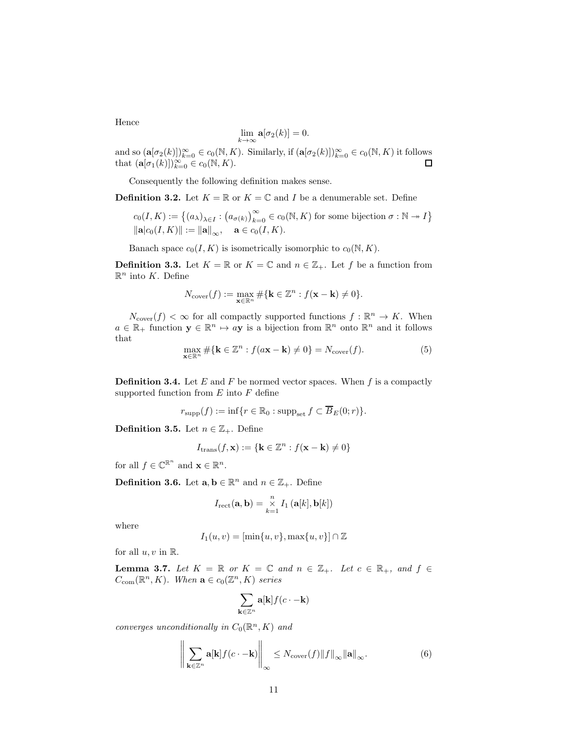Hence

$$
\lim_{k \to \infty} \mathbf{a}[\sigma_2(k)] = 0.
$$

and so  $(\mathbf{a}[\sigma_2(k)])_{k=0}^{\infty} \in c_0(\mathbb{N}, K)$ . Similarly, if  $(\mathbf{a}[\sigma_2(k)])_{k=0}^{\infty} \in c_0(\mathbb{N}, K)$  it follows that  $(\mathbf{a}[\sigma_1(k)])_{k=0}^{\infty} \in c_0(\mathbb{N}, K)$ .

Consequently the following definition makes sense.

**Definition 3.2.** Let  $K = \mathbb{R}$  or  $K = \mathbb{C}$  and I be a denumerable set. Define

$$
c_0(I, K) := \left\{ (a_{\lambda})_{\lambda \in I} : (a_{\sigma(k)})_{k=0}^{\infty} \in c_0(\mathbb{N}, K) \text{ for some bijection } \sigma : \mathbb{N} \to I \right\}
$$
  

$$
\|\mathbf{a}|c_0(I, K)\| := \|\mathbf{a}\|_{\infty}, \quad \mathbf{a} \in c_0(I, K).
$$

Banach space  $c_0(I, K)$  is isometrically isomorphic to  $c_0(N, K)$ .

**Definition 3.3.** Let  $K = \mathbb{R}$  or  $K = \mathbb{C}$  and  $n \in \mathbb{Z}_+$ . Let f be a function from  $\mathbb{R}^n$  into K. Define

$$
N_{\mathrm{cover}}(f) := \max_{\mathbf{x} \in \mathbb{R}^n} \# \{ \mathbf{k} \in \mathbb{Z}^n : f(\mathbf{x} - \mathbf{k}) \neq 0 \}.
$$

 $N_{\text{cover}}(f) < \infty$  for all compactly supported functions  $f : \mathbb{R}^n \to K$ . When  $a \in \mathbb{R}_+$  function  $\mathbf{y} \in \mathbb{R}^n \mapsto a\mathbf{y}$  is a bijection from  $\mathbb{R}^n$  onto  $\mathbb{R}^n$  and it follows that

$$
\max_{\mathbf{x} \in \mathbb{R}^n} \# \{ \mathbf{k} \in \mathbb{Z}^n : f(a\mathbf{x} - \mathbf{k}) \neq 0 \} = N_{\text{cover}}(f). \tag{5}
$$

**Definition 3.4.** Let E and F be normed vector spaces. When f is a compactly supported function from  $E$  into  $F$  define

$$
r_{\text{supp}}(f) := \inf \{ r \in \mathbb{R}_0 : \text{supp}_{\text{set}} f \subset \overline{B}_E(0; r) \}.
$$

**Definition 3.5.** Let  $n \in \mathbb{Z}_+$ . Define

$$
I_{\text{trans}}(f, \mathbf{x}) := \{ \mathbf{k} \in \mathbb{Z}^n : f(\mathbf{x} - \mathbf{k}) \neq 0 \}
$$

for all  $f \in \mathbb{C}^{\mathbb{R}^n}$  and  $\mathbf{x} \in \mathbb{R}^n$ .

**Definition 3.6.** Let  $\mathbf{a}, \mathbf{b} \in \mathbb{R}^n$  and  $n \in \mathbb{Z}_+$ . Define

$$
I_{\text{rect}}(\mathbf{a}, \mathbf{b}) = \underset{k=1}{\overset{n}{\times}} I_1(\mathbf{a}[k], \mathbf{b}[k])
$$

where

$$
I_1(u,v)=[\min\{u,v\},\max\{u,v\}]\cap\mathbb{Z}
$$

for all  $u, v$  in  $\mathbb{R}$ .

**Lemma 3.7.** Let  $K = \mathbb{R}$  or  $K = \mathbb{C}$  and  $n \in \mathbb{Z}_+$ . Let  $c \in \mathbb{R}_+$ , and  $f \in$  $C_{\text{com}}(\mathbb{R}^n, K)$ . When  $\mathbf{a} \in c_0(\mathbb{Z}^n, K)$  series

$$
\sum_{\mathbf{k}\in\mathbb{Z}^n}\mathbf{a}[\mathbf{k}]f(c\cdot-\mathbf{k})
$$

converges unconditionally in  $C_0(\mathbb{R}^n, K)$  and

$$
\left\| \sum_{\mathbf{k} \in \mathbb{Z}^n} \mathbf{a}[\mathbf{k}] f(c \cdot - \mathbf{k}) \right\|_{\infty} \leq N_{\text{cover}}(f) \|f\|_{\infty} \|\mathbf{a}\|_{\infty}.
$$
 (6)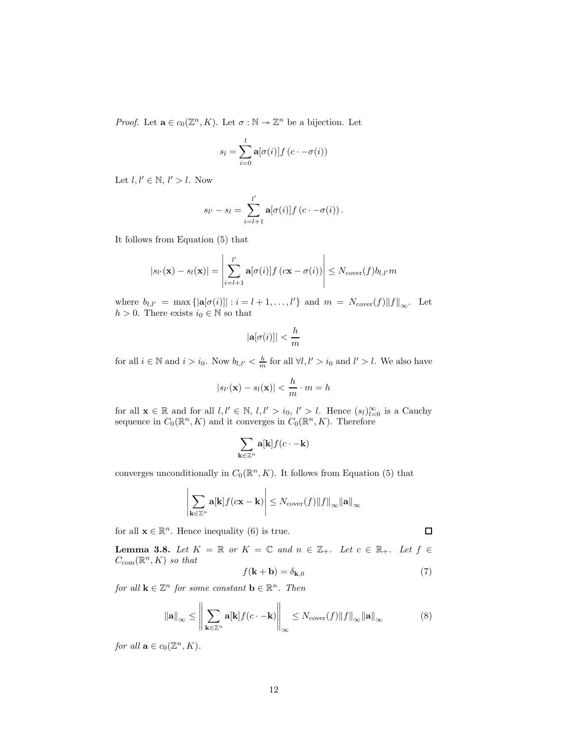*Proof.* Let  $\mathbf{a} \in c_0(\mathbb{Z}^n, K)$ . Let  $\sigma : \mathbb{N} \to \mathbb{Z}^n$  be a bijection. Let

$$
s_l = \sum_{i=0}^{l} \mathbf{a}[\sigma(i)] f(c \cdot -\sigma(i))
$$

Let  $l, l' \in \mathbb{N}, l' > l$ . Now

$$
s_{l'}-s_l=\sum_{i=l+1}^{l'}\mathbf{a}[\sigma(i)]f\left(c\cdot-\sigma(i)\right).
$$

It follows from Equation (5) that

$$
|s_{l'}(\mathbf{x}) - s_l(\mathbf{x})| = \left| \sum_{i=l+1}^{l'} \mathbf{a}[\sigma(i)] f(c\mathbf{x} - \sigma(i)) \right| \leq N_{\text{cover}}(f) b_{l,l'} m
$$

where  $b_{l,l'} = \max\{|\mathbf{a}[\sigma(i)]| : i = l+1,\ldots,l'\}$  and  $m = N_{\text{cover}}(f)||f||_{\infty}$ . Let  $h > 0$ . There exists  $i_0 \in \mathbb{N}$  so that

$$
|\mathbf{a}[\sigma(i)]| < \frac{h}{m}
$$

for all  $i \in \mathbb{N}$  and  $i > i_0$ . Now  $b_{l,l'} < \frac{h}{m}$  for all  $\forall l, l' > i_0$  and  $l' > l$ . We also have

$$
|s_{l'}(\mathbf{x}) - s_l(\mathbf{x})| < \frac{h}{m} \cdot m = h
$$

for all  $\mathbf{x} \in \mathbb{R}$  and for all  $l, l' \in \mathbb{N}$ ,  $l, l' > i_0$ ,  $l' > l$ . Hence  $(s_l)_{l=0}^{\infty}$  is a Cauchy sequence in  $C_0(\mathbb{R}^n, K)$  and it converges in  $C_0(\mathbb{R}^n, K)$ . Therefore

$$
\sum_{\mathbf{k}\in\mathbb{Z}^n}\mathbf{a}[\mathbf{k}]f(c\cdot-\mathbf{k})
$$

converges unconditionally in  $C_0(\mathbb{R}^n, K)$ . It follows from Equation (5) that

$$
\left|\sum_{\mathbf{k}\in\mathbb{Z}^n}\mathbf{a}[\mathbf{k}]f(c\mathbf{x}-\mathbf{k})\right|\leq N_{\mathrm{cover}}(f)\|f\|_{\infty}\|\mathbf{a}\|_{\infty}
$$

for all  $\mathbf{x} \in \mathbb{R}^n$ . Hence inequality (6) is true.

**Lemma 3.8.** Let  $K = \mathbb{R}$  or  $K = \mathbb{C}$  and  $n \in \mathbb{Z}_+$ . Let  $c \in \mathbb{R}_+$ . Let  $f \in$  $C_{\text{com}}(\mathbb{R}^n, K)$  so that

$$
f(\mathbf{k} + \mathbf{b}) = \delta_{\mathbf{k},0} \tag{7}
$$

for all  $\mathbf{k} \in \mathbb{Z}^n$  for some constant  $\mathbf{b} \in \mathbb{R}^n$ . Then

$$
\|\mathbf{a}\|_{\infty} \le \left\| \sum_{\mathbf{k} \in \mathbb{Z}^n} \mathbf{a}[\mathbf{k}] f(c \cdot -\mathbf{k}) \right\|_{\infty} \le N_{\text{cover}}(f) \|f\|_{\infty} \|\mathbf{a}\|_{\infty}
$$
 (8)

for all  $\mathbf{a} \in c_0(\mathbb{Z}^n, K)$ .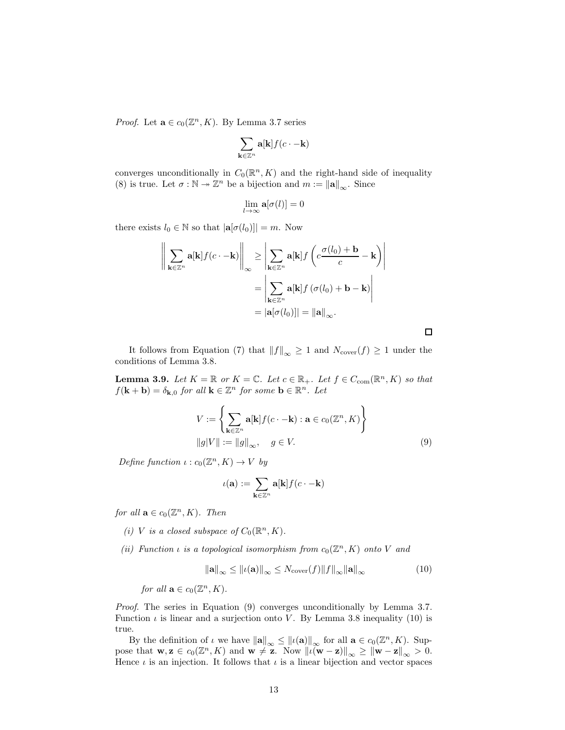*Proof.* Let  $\mathbf{a} \in c_0(\mathbb{Z}^n, K)$ . By Lemma 3.7 series

$$
\sum_{\mathbf{k}\in\mathbb{Z}^n}\mathbf{a}[\mathbf{k}]f(c\cdot-\mathbf{k})
$$

converges unconditionally in  $C_0(\mathbb{R}^n, K)$  and the right-hand side of inequality (8) is true. Let  $\sigma : \mathbb{N} \to \mathbb{Z}^n$  be a bijection and  $m := ||\mathbf{a}||_{\infty}$ . Since

$$
\lim_{l \to \infty} \mathbf{a}[\sigma(l)] = 0
$$

there exists  $l_0 \in \mathbb{N}$  so that  $|\mathbf{a}[\sigma(l_0)]| = m$ . Now

$$
\left\| \sum_{\mathbf{k} \in \mathbb{Z}^n} \mathbf{a}[\mathbf{k}] f(c \cdot -\mathbf{k}) \right\|_{\infty} \ge \left| \sum_{\mathbf{k} \in \mathbb{Z}^n} \mathbf{a}[\mathbf{k}] f\left(c \frac{\sigma(l_0) + \mathbf{b}}{c} - \mathbf{k}\right) \right|
$$

$$
= \left| \sum_{\mathbf{k} \in \mathbb{Z}^n} \mathbf{a}[\mathbf{k}] f\left(\sigma(l_0) + \mathbf{b} - \mathbf{k}\right) \right|
$$

$$
= |\mathbf{a}[\sigma(l_0)]| = ||\mathbf{a}||_{\infty}.
$$

It follows from Equation (7) that  $||f||_{\infty} \geq 1$  and  $N_{\text{cover}}(f) \geq 1$  under the conditions of Lemma 3.8.

**Lemma 3.9.** Let  $K = \mathbb{R}$  or  $K = \mathbb{C}$ . Let  $c \in \mathbb{R}_+$ . Let  $f \in C_{com}(\mathbb{R}^n, K)$  so that  $f(\mathbf{k} + \mathbf{b}) = \delta_{\mathbf{k},0}$  for all  $\mathbf{k} \in \mathbb{Z}^n$  for some  $\mathbf{b} \in \mathbb{R}^n$ . Let

$$
V := \left\{ \sum_{\mathbf{k} \in \mathbb{Z}^n} \mathbf{a}[\mathbf{k}] f(c \cdot -\mathbf{k}) : \mathbf{a} \in c_0(\mathbb{Z}^n, K) \right\}
$$
  
 
$$
||g|V|| := ||g||_{\infty}, \quad g \in V.
$$
 (9)

Define function  $\iota : c_0(\mathbb{Z}^n, K) \to V$  by

$$
\iota(\mathbf{a}) := \sum_{\mathbf{k} \in \mathbb{Z}^n} \mathbf{a}[\mathbf{k}] f(c \cdot -\mathbf{k})
$$

for all  $\mathbf{a} \in c_0(\mathbb{Z}^n, K)$ . Then

- (i) V is a closed subspace of  $C_0(\mathbb{R}^n, K)$ .
- (ii) Function  $\iota$  is a topological isomorphism from  $c_0(\mathbb{Z}^n, K)$  onto V and

$$
\|\mathbf{a}\|_{\infty} \leq \|\iota(\mathbf{a})\|_{\infty} \leq N_{\text{cover}}(f) \|f\|_{\infty} \|\mathbf{a}\|_{\infty}
$$
 (10)

for all  $\mathbf{a} \in c_0(\mathbb{Z}^n, K)$ .

Proof. The series in Equation (9) converges unconditionally by Lemma 3.7. Function  $\iota$  is linear and a surjection onto V. By Lemma 3.8 inequality (10) is true.

By the definition of  $\iota$  we have  $\|\mathbf{a}\|_{\infty} \leq ||\iota(\mathbf{a})||_{\infty}$  for all  $\mathbf{a} \in c_0(\mathbb{Z}^n, K)$ . Suppose that  $\mathbf{w}, \mathbf{z} \in c_0(\mathbb{Z}^n, K)$  and  $\mathbf{w} \neq \mathbf{z}$ . Now  $\|\iota(\mathbf{w} - \mathbf{z})\|_{\infty} \geq \|\mathbf{w} - \mathbf{z}\|_{\infty} > 0$ . Hence  $\iota$  is an injection. It follows that  $\iota$  is a linear bijection and vector spaces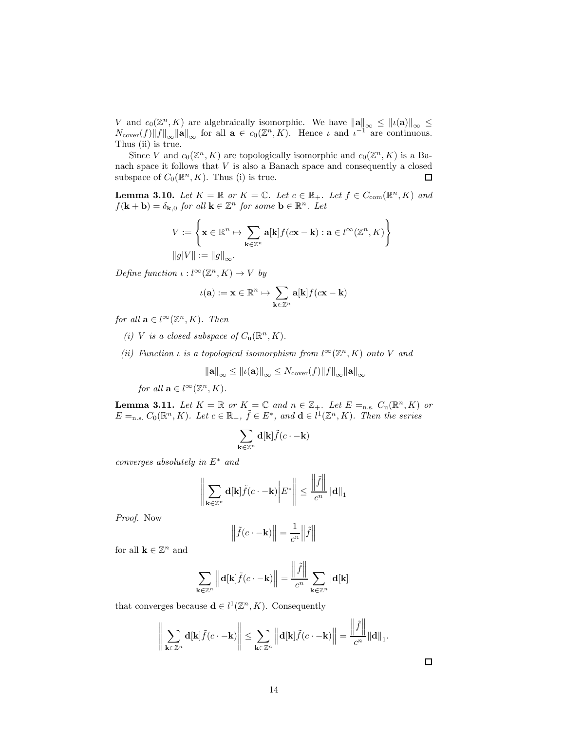V and  $c_0(\mathbb{Z}^n, K)$  are algebraically isomorphic. We have  $\|\mathbf{a}\|_{\infty} \leq ||\iota(\mathbf{a})||_{\infty} \leq$  $N_{\text{cover}}(f) ||f||_{\infty} ||\mathbf{a}||_{\infty}$  for all  $\mathbf{a} \in c_0(\mathbb{Z}^n, K)$ . Hence  $\iota$  and  $\iota^{-1}$  are continuous. Thus (ii) is true.

Since V and  $c_0(\mathbb{Z}^n, K)$  are topologically isomorphic and  $c_0(\mathbb{Z}^n, K)$  is a Banach space it follows that  $V$  is also a Banach space and consequently a closed subspace of  $C_0(\mathbb{R}^n, K)$ . Thus (i) is true.  $\Box$ 

**Lemma 3.10.** Let  $K = \mathbb{R}$  or  $K = \mathbb{C}$ . Let  $c \in \mathbb{R}_+$ . Let  $f \in C_{com}(\mathbb{R}^n, K)$  and  $f(\mathbf{k} + \mathbf{b}) = \delta_{\mathbf{k},0}$  for all  $\mathbf{k} \in \mathbb{Z}^n$  for some  $\mathbf{b} \in \mathbb{R}^n$ . Let

$$
V := \left\{ \mathbf{x} \in \mathbb{R}^n \mapsto \sum_{\mathbf{k} \in \mathbb{Z}^n} \mathbf{a}[\mathbf{k}] f(c\mathbf{x} - \mathbf{k}) : \mathbf{a} \in l^{\infty}(\mathbb{Z}^n, K) \right\}
$$

$$
||g|V|| := ||g||_{\infty}.
$$

Define function  $\iota: l^{\infty}(\mathbb{Z}^n, K) \to V$  by

$$
\iota(\mathbf{a}) := \mathbf{x} \in \mathbb{R}^n \mapsto \sum_{\mathbf{k} \in \mathbb{Z}^n} \mathbf{a}[\mathbf{k}] f(c\mathbf{x} - \mathbf{k})
$$

for all  $\mathbf{a} \in l^{\infty}(\mathbb{Z}^n, K)$ . Then

(i) V is a closed subspace of  $C_u(\mathbb{R}^n, K)$ .

(ii) Function  $\iota$  is a topological isomorphism from  $l^{\infty}(\mathbb{Z}^n, K)$  onto V and

$$
\|\mathbf{a}\|_{\infty} \leq \|\iota(\mathbf{a})\|_{\infty} \leq N_{\text{cover}}(f) \|f\|_{\infty} \|\mathbf{a}\|_{\infty}
$$

for all  $\mathbf{a} \in l^{\infty}(\mathbb{Z}^n, K)$ .

**Lemma 3.11.** Let  $K = \mathbb{R}$  or  $K = \mathbb{C}$  and  $n \in \mathbb{Z}_+$ . Let  $E =_{n.s.} C_u(\mathbb{R}^n, K)$  or  $E =_{n.s.} C_0(\mathbb{R}^n, K)$ . Let  $c \in \mathbb{R}_+$ ,  $\tilde{f} \in E^*$ , and  $\mathbf{d} \in l^1(\mathbb{Z}^n, K)$ . Then the series

$$
\sum_{\mathbf{k}\in\mathbb{Z}^n}\mathbf{d}[\mathbf{k}]\tilde{f}(c\cdot-\mathbf{k})
$$

converges absolutely in  $E^*$  and

$$
\left\| \sum_{\mathbf{k} \in \mathbb{Z}^n} \mathbf{d}[\mathbf{k}] \tilde{f}(c \cdot -\mathbf{k}) \middle| E^* \right\| \le \frac{\left\| \tilde{f} \right\|}{c^n} \|\mathbf{d}\|_1
$$

Proof. Now

$$
\left\|\tilde{f}(c \cdot -\mathbf{k})\right\| = \frac{1}{c^n} \left\|\tilde{f}\right\|
$$

for all  $\mathbf{k} \in \mathbb{Z}^n$  and

$$
\sum_{\mathbf{k}\in\mathbb{Z}^n}\left\|\mathbf{d}[\mathbf{k}]\tilde{f}(c\cdot-\mathbf{k})\right\|=\frac{\left\|\tilde{f}\right\|}{c^n}\sum_{\mathbf{k}\in\mathbb{Z}^n}|\mathbf{d}[\mathbf{k}]|
$$

that converges because  $\mathbf{d} \in l^1(\mathbb{Z}^n, K)$ . Consequently

$$
\Bigg\|\sum_{\mathbf k\in\mathbb Z^n} \mathbf d[\mathbf k]\tilde f(c\cdot-\mathbf k)\Bigg\|\leq \sum_{\mathbf k\in\mathbb Z^n} \Big\|\mathbf d[\mathbf k]\tilde f(c\cdot-\mathbf k)\Big\|=\frac{\left\|\tilde f\right\|}{c^n}\|\mathbf d\|_1.
$$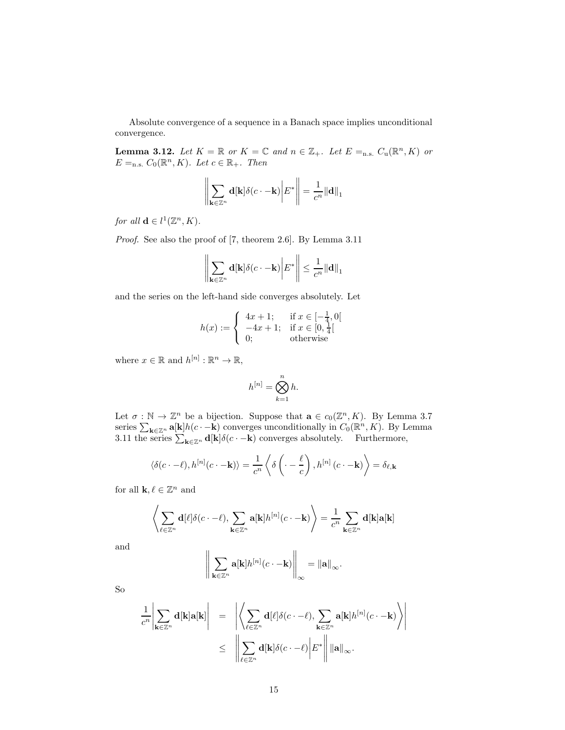Absolute convergence of a sequence in a Banach space implies unconditional convergence.

**Lemma 3.12.** Let  $K = \mathbb{R}$  or  $K = \mathbb{C}$  and  $n \in \mathbb{Z}_+$ . Let  $E =_{n.s.} C_u(\mathbb{R}^n, K)$  or  $E =_{n.s.} C_0(\mathbb{R}^n, K)$ . Let  $c \in \mathbb{R}_+$ . Then

$$
\left\| \sum_{\mathbf{k} \in \mathbb{Z}^n} \mathbf{d}[\mathbf{k}] \delta(c \cdot -\mathbf{k}) \right| E^* \right\| = \frac{1}{c^n} ||\mathbf{d}||_1
$$

for all  $\mathbf{d} \in l^1(\mathbb{Z}^n, K)$ .

Proof. See also the proof of [7, theorem 2.6]. By Lemma 3.11

$$
\left\| \sum_{\mathbf{k} \in \mathbb{Z}^n} \mathbf{d}[\mathbf{k}] \delta(c \cdot -\mathbf{k}) \middle| E^* \right\| \le \frac{1}{c^n} ||\mathbf{d}||_1
$$

and the series on the left-hand side converges absolutely. Let

$$
h(x) := \begin{cases} 4x + 1; & \text{if } x \in [-\frac{1}{4}, 0[\\ -4x + 1; & \text{if } x \in [0, \frac{1}{4}[\\ 0; & \text{otherwise} \end{cases}
$$

where  $x \in \mathbb{R}$  and  $h^{[n]} : \mathbb{R}^n \to \mathbb{R}$ ,

$$
h^{[n]} = \bigotimes_{k=1}^{n} h.
$$

Let  $\sigma : \mathbb{N} \to \mathbb{Z}^n$  be a bijection. Suppose that  $\mathbf{a} \in c_0(\mathbb{Z}^n, K)$ . By Lemma 3.7 series  $\sum_{\mathbf{k}\in\mathbb{Z}^n}$  a[k] $h(c-\mathbf{k})$  converges unconditionally in  $C_0(\mathbb{R}^n, K)$ . By Lemma 3.11 the series  $\sum_{\mathbf{k}\in\mathbb{Z}^n} \mathbf{d}[\mathbf{k}] \delta(c\cdot -\mathbf{k})$  converges absolutely. Furthermore,

$$
\langle \delta(c \cdot - \ell), h^{[n]}(c \cdot - \mathbf{k}) \rangle = \frac{1}{c^n} \left\langle \delta \left( \cdot - \frac{\ell}{c} \right), h^{[n]}(c \cdot - \mathbf{k}) \right\rangle = \delta_{\ell, \mathbf{k}}
$$

for all  $\mathbf{k}, \ell \in \mathbb{Z}^n$  and

$$
\left\langle \sum_{\ell \in \mathbb{Z}^n} \mathbf{d}[\ell] \delta(c \cdot -\ell), \sum_{\mathbf{k} \in \mathbb{Z}^n} \mathbf{a}[\mathbf{k}] h^{[n]}(c \cdot -\mathbf{k}) \right\rangle = \frac{1}{c^n} \sum_{\mathbf{k} \in \mathbb{Z}^n} \mathbf{d}[\mathbf{k}] \mathbf{a}[\mathbf{k}]
$$

and

$$
\Bigg\|\sum_{\mathbf{k}\in\mathbb{Z}^n}\mathbf{a}[\mathbf{k}]h^{[n]}(c\cdot-\mathbf{k})\Bigg\|_\infty=\|\mathbf{a}\|_\infty.
$$

So

$$
\frac{1}{c^n} \left| \sum_{\mathbf{k} \in \mathbb{Z}^n} \mathbf{d}[\mathbf{k}] \mathbf{a}[\mathbf{k}] \right| = \left| \left\langle \sum_{\ell \in \mathbb{Z}^n} \mathbf{d}[\ell] \delta(c \cdot -\ell), \sum_{\mathbf{k} \in \mathbb{Z}^n} \mathbf{a}[\mathbf{k}] h^{[n]}(c \cdot -\mathbf{k}) \right\rangle \right|
$$
  

$$
\leq \left| \left| \sum_{\ell \in \mathbb{Z}^n} \mathbf{d}[\mathbf{k}] \delta(c \cdot -\ell) \right| E^* \right| ||\mathbf{a}||_{\infty}.
$$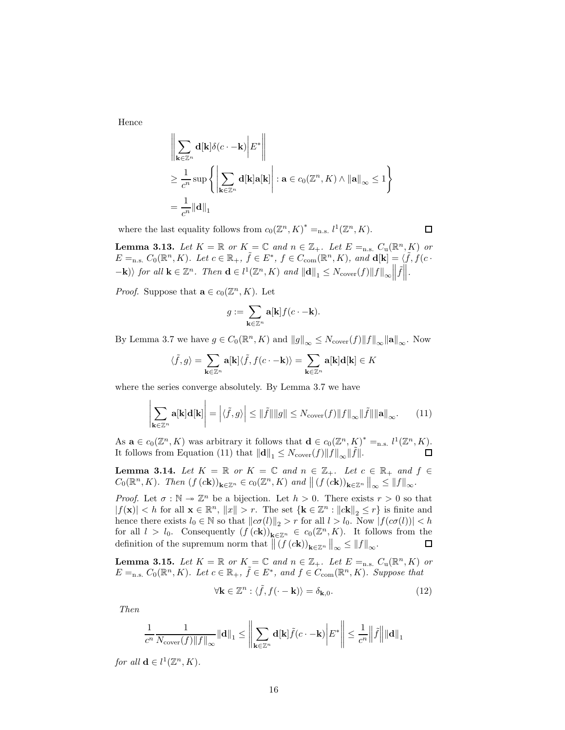Hence

$$
\left\| \sum_{\mathbf{k} \in \mathbb{Z}^n} \mathbf{d}[\mathbf{k}] \delta(c \cdot -\mathbf{k}) \middle| E^* \right\|
$$
  
\n
$$
\geq \frac{1}{c^n} \sup \left\{ \left| \sum_{\mathbf{k} \in \mathbb{Z}^n} \mathbf{d}[\mathbf{k}] \mathbf{a}[\mathbf{k}] \right| : \mathbf{a} \in c_0(\mathbb{Z}^n, K) \wedge ||\mathbf{a}||_{\infty} \leq 1 \right\}
$$
  
\n
$$
= \frac{1}{c^n} ||\mathbf{d}||_1
$$

where the last equality follows from  $c_0(\mathbb{Z}^n, K)^* =_{n.s.} l^1(\mathbb{Z}^n, K)$ .

**Lemma 3.13.** Let  $K = \mathbb{R}$  or  $K = \mathbb{C}$  and  $n \in \mathbb{Z}_+$ . Let  $E =_{n.s.} C_u(\mathbb{R}^n, K)$  or  $E =_{\text{n.s.}} C_0(\mathbb{R}^n, K)$ . Let  $c \in \mathbb{R}_+$ ,  $\tilde{f} \in E^*$ ,  $f \in C_{\text{com}}(\mathbb{R}^n, K)$ , and  $d[k] = \langle \tilde{f}, f(c \cdot \tilde{f}) \rangle$  $-\mathbf{k}$ ) for all  $\mathbf{k} \in \mathbb{Z}^n$ . Then  $\mathbf{d} \in l^1(\mathbb{Z}^n, K)$  and  $||\mathbf{d}||_1 \leq N_{\text{cover}}(f)||f||_{\infty} ||\tilde{f}||$ .

*Proof.* Suppose that  $\mathbf{a} \in c_0(\mathbb{Z}^n, K)$ . Let

$$
g:=\sum_{\mathbf{k}\in\mathbb{Z}^n}\mathbf{a}[\mathbf{k}]f(c\cdot-\mathbf{k}).
$$

By Lemma 3.7 we have  $g \in C_0(\mathbb{R}^n, K)$  and  $||g||_{\infty} \leq N_{\text{cover}}(f)||f||_{\infty} ||\mathbf{a}||_{\infty}$ . Now

$$
\langle \tilde{f},g\rangle=\sum_{\mathbf{k}\in\mathbb{Z}^n}\mathbf{a}[\mathbf{k}]\langle \tilde{f},f(c\cdot-\mathbf{k})\rangle=\sum_{\mathbf{k}\in\mathbb{Z}^n}\mathbf{a}[\mathbf{k}]\mathbf{d}[\mathbf{k}]\in K
$$

where the series converge absolutely. By Lemma 3.7 we have

$$
\left|\sum_{\mathbf{k}\in\mathbb{Z}^n}\mathbf{a}[\mathbf{k}]\mathbf{d}[\mathbf{k}]\right| = \left|\langle\tilde{f},g\rangle\right| \le \|\tilde{f}\|\|g\| \le N_{\text{cover}}(f)\|f\|_{\infty}\|\tilde{f}\|\|\mathbf{a}\|_{\infty}.\tag{11}
$$

As  $\mathbf{a} \in c_0(\mathbb{Z}^n, K)$  was arbitrary it follows that  $\mathbf{d} \in c_0(\mathbb{Z}^n, K)^* =_{\text{n.s.}} l^1(\mathbb{Z}^n, K)$ . It follows from Equation (11) that  $\|\mathbf{d}\|_1 \leq N_{\text{cover}}(f) \|\tilde{f}\|_{\infty} \|\tilde{f}\|.$  $\Box$ 

**Lemma 3.14.** Let  $K = \mathbb{R}$  or  $K = \mathbb{C}$  and  $n \in \mathbb{Z}_+$ . Let  $c \in \mathbb{R}_+$  and  $f \in$  $C_0(\mathbb{R}^n, K)$ . Then  $(f(c\mathbf{k}))_{\mathbf{k}\in\mathbb{Z}^n} \in c_0(\mathbb{Z}^n, K)$  and  $|| (f(c\mathbf{k}))_{\mathbf{k}\in\mathbb{Z}^n}||_{\infty} \leq ||f||_{\infty}$ .

*Proof.* Let  $\sigma : \mathbb{N} \to \mathbb{Z}^n$  be a bijection. Let  $h > 0$ . There exists  $r > 0$  so that  $|f(\mathbf{x})| < h$  for all  $\mathbf{x} \in \mathbb{R}^n$ ,  $||x|| > r$ . The set  $\{\mathbf{k} \in \mathbb{Z}^n : ||c\mathbf{k}||_2 \le r\}$  is finite and hence there exists  $l_0 \in \mathbb{N}$  so that  $\|c\sigma(l)\|_2 > r$  for all  $l > l_0$ . Now  $|f(c\sigma(l))| < h$ for all  $l > l_0$ . Consequently  $(f(c\mathbf{k}))_{\mathbf{k}\in\mathbb{Z}^n} \in c_0(\mathbb{Z}^n, K)$ . It follows from the definition of the supremum norm that  $\left\| (f(c\mathbf{k}))_{\mathbf{k}\in\mathbb{Z}^n} \right\|_{\infty} \leq \|f\|_{\infty}$ .  $\Box$ 

**Lemma 3.15.** Let  $K = \mathbb{R}$  or  $K = \mathbb{C}$  and  $n \in \mathbb{Z}_+$ . Let  $E =_{n.s.} C_u(\mathbb{R}^n, K)$  or  $E =_{n.s.} C_0(\mathbb{R}^n, K)$ . Let  $c \in \mathbb{R}_+$ ,  $\tilde{f} \in E^*$ , and  $f \in C_{com}(\mathbb{R}^n, K)$ . Suppose that

$$
\forall \mathbf{k} \in \mathbb{Z}^n : \langle \tilde{f}, f(\cdot - \mathbf{k}) \rangle = \delta_{\mathbf{k},0}.
$$
 (12)

Then

$$
\frac{1}{c^n} \frac{1}{N_{\text{cover}}(f) \|f\|_{\infty}} \|\mathbf{d}\|_1 \le \left\| \sum_{\mathbf{k} \in \mathbb{Z}^n} \mathbf{d}[\mathbf{k}] \tilde{f}(c \cdot -\mathbf{k}) \right| E^* \right\| \le \frac{1}{c^n} \left\| \tilde{f} \right\| \|\mathbf{d}\|_1
$$

for all  $\mathbf{d} \in l^1(\mathbb{Z}^n, K)$ .

 $\mathbf{r}$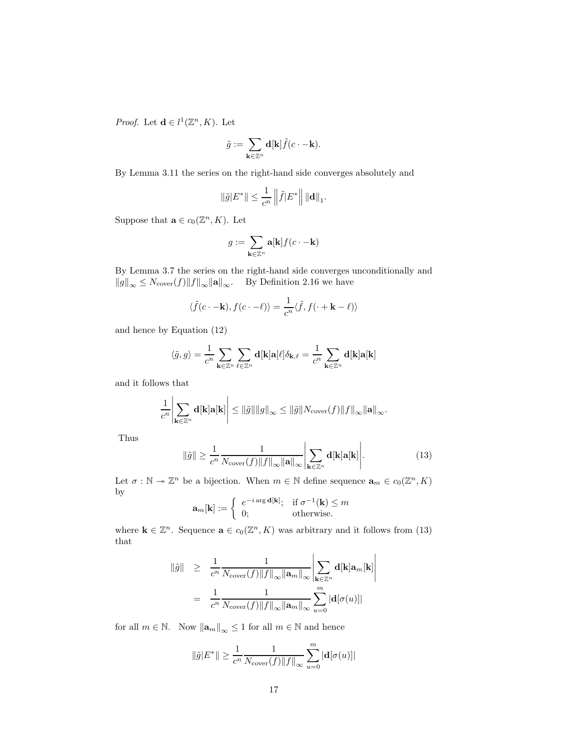*Proof.* Let  $\mathbf{d} \in l^1(\mathbb{Z}^n, K)$ . Let

$$
\tilde g:=\sum_{{\mathbf{k}}\in\mathbb Z^n} {\mathbf{d}}[{\mathbf{k}}] \tilde f(c\cdot -{\mathbf{k}}).
$$

By Lemma 3.11 the series on the right-hand side converges absolutely and

$$
\|\tilde{g}|E^*\| \le \frac{1}{c^n} \left\| \tilde{f}|E^*\right\| \|{\bf d}\|_1.
$$

Suppose that  $\mathbf{a} \in c_0(\mathbb{Z}^n, K)$ . Let

$$
g:=\sum_{\mathbf{k}\in\mathbb{Z}^n}\mathbf{a}[\mathbf{k}]f(c\cdot-\mathbf{k})
$$

By Lemma 3.7 the series on the right-hand side converges unconditionally and  $\|\mathcal{G}\|_{\infty} \leq N_{\text{cover}}(f) \|f\|_{\infty} \|\mathbf{a}\|_{\infty}$ . By Definition 2.16 we have

$$
\langle \tilde{f}(c \cdot -\mathbf{k}), f(c \cdot -\ell) \rangle = \frac{1}{c^n} \langle \tilde{f}, f(\cdot + \mathbf{k} - \ell) \rangle
$$

and hence by Equation (12)

$$
\langle \tilde{g}, g \rangle = \frac{1}{c^n} \sum_{\mathbf{k} \in \mathbb{Z}^n} \sum_{\ell \in \mathbb{Z}^n} \mathbf{d}[\mathbf{k}] \mathbf{a}[\ell] \delta_{\mathbf{k}, \ell} = \frac{1}{c^n} \sum_{\mathbf{k} \in \mathbb{Z}^n} \mathbf{d}[\mathbf{k}] \mathbf{a}[\mathbf{k}]
$$

and it follows that

$$
\frac{1}{c^n}\left|\sum_{\mathbf{k}\in\mathbb{Z}^n}\mathbf{d}[\mathbf{k}]\mathbf{a}[\mathbf{k}]\right|\leq \|\tilde{g}\|\|g\|_\infty\leq \|\tilde{g}\|N_{\mathrm{cover}}(f)\|f\|_\infty\|\mathbf{a}\|_\infty.
$$

Thus

$$
\|\tilde{g}\| \ge \frac{1}{c^n} \frac{1}{N_{\text{cover}}(f) \|f\|_{\infty} \|\mathbf{a}\|_{\infty}} \left| \sum_{\mathbf{k} \in \mathbb{Z}^n} \mathbf{d}[\mathbf{k}] \mathbf{a}[\mathbf{k}] \right|.
$$
 (13)

Let  $\sigma : \mathbb{N} \to \mathbb{Z}^n$  be a bijection. When  $m \in \mathbb{N}$  define sequence  $\mathbf{a}_m \in c_0(\mathbb{Z}^n, K)$ by

$$
\mathbf{a}_m[\mathbf{k}] := \left\{ \begin{array}{ll} e^{-i\arg \mathbf{d}[\mathbf{k}]}; & \text{if } \sigma^{-1}(\mathbf{k}) \leq m \\ 0; & \text{otherwise.} \end{array} \right.
$$

where  $\mathbf{k} \in \mathbb{Z}^n$ . Sequence  $\mathbf{a} \in c_0(\mathbb{Z}^n, K)$  was arbitrary and it follows from (13) that

$$
\begin{array}{rcl} \|\tilde{g}\| & \geq & \displaystyle \frac{1}{c^n}\frac{1}{N_{\mathrm{cover}}(f)\|f\|_{\infty}\|\mathbf{a}_m\|_{\infty}}\left|\sum_{\mathbf{k}\in\mathbb{Z}^n}\mathbf{d}[\mathbf{k}]\mathbf{a}_m[\mathbf{k}]\right| \\ & = & \displaystyle \frac{1}{c^n}\frac{1}{N_{\mathrm{cover}}(f)\|f\|_{\infty}\|\mathbf{a}_m\|_{\infty}}\sum_{u=0}^m|\mathbf{d}[\sigma(u)]| \end{array}
$$

for all  $m \in \mathbb{N}$ . Now  $\|\mathbf{a}_m\|_{\infty} \leq 1$  for all  $m \in \mathbb{N}$  and hence

$$
\|\tilde{g}|E^*\| \geq \frac{1}{c^n} \frac{1}{N_{\text{cover}}(f)\|f\|_{\infty}} \sum_{u=0}^m |\mathbf{d}[\sigma(u)]|
$$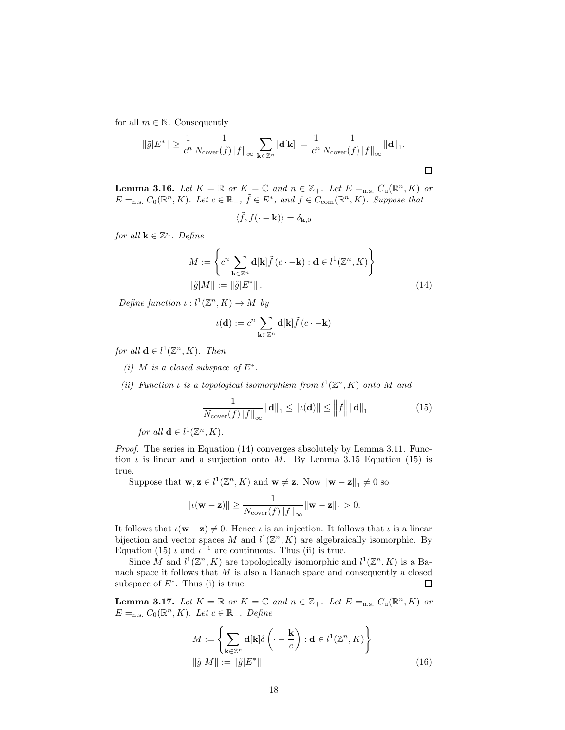for all  $m \in \mathbb{N}$ . Consequently

$$
\|\tilde{g}|E^*\| \ge \frac{1}{c^n} \frac{1}{N_{\text{cover}}(f) \|f\|_{\infty}} \sum_{\mathbf{k} \in \mathbb{Z}^n} |\mathbf{d}[\mathbf{k}]| = \frac{1}{c^n} \frac{1}{N_{\text{cover}}(f) \|f\|_{\infty}} \|\mathbf{d}\|_1.
$$

**Lemma 3.16.** Let  $K = \mathbb{R}$  or  $K = \mathbb{C}$  and  $n \in \mathbb{Z}_+$ . Let  $E =_{n.s.} C_u(\mathbb{R}^n, K)$  or  $E =_{n.s.} C_0(\mathbb{R}^n, K)$ . Let  $c \in \mathbb{R}_+$ ,  $\tilde{f} \in E^*$ , and  $f \in C_{com}(\mathbb{R}^n, K)$ . Suppose that

$$
\langle \tilde{f}, f(\cdot - \mathbf{k}) \rangle = \delta_{\mathbf{k},0}
$$

for all  $\mathbf{k} \in \mathbb{Z}^n$ . Define

$$
M := \left\{ c^n \sum_{\mathbf{k} \in \mathbb{Z}^n} \mathbf{d}[\mathbf{k}] \tilde{f} (c \cdot -\mathbf{k}) : \mathbf{d} \in l^1(\mathbb{Z}^n, K) \right\}
$$

$$
\|\tilde{g}|M\| := \|\tilde{g}|E^*\|.
$$
(14)

Define function  $\iota: l^1(\mathbb{Z}^n, K) \to M$  by

$$
\iota({\bf d}):=c^n\sum_{{\bf k}\in\mathbb Z^n}{\bf d}[{\bf k}]\tilde f\left(c\cdot-{\bf k}\right)
$$

for all  $\mathbf{d} \in l^1(\mathbb{Z}^n, K)$ . Then

(i) M is a closed subspace of  $E^*$ .

(ii) Function  $\iota$  is a topological isomorphism from  $l^1(\mathbb{Z}^n, K)$  onto M and

$$
\frac{1}{N_{\text{cover}}(f) \|f\|_{\infty}} \|d\|_{1} \leq \|u(d)\| \leq \left\|\tilde{f}\right\| \|d\|_{1}
$$
 (15)

for all  $\mathbf{d} \in l^1(\mathbb{Z}^n, K)$ .

Proof. The series in Equation (14) converges absolutely by Lemma 3.11. Function  $\iota$  is linear and a surjection onto M. By Lemma 3.15 Equation (15) is true.

Suppose that  $\mathbf{w}, \mathbf{z} \in l^1(\mathbb{Z}^n, K)$  and  $\mathbf{w} \neq \mathbf{z}$ . Now  $\|\mathbf{w} - \mathbf{z}\|_1 \neq 0$  so

$$
\|\iota(\mathbf{w} - \mathbf{z})\| \ge \frac{1}{N_{\text{cover}}(f) \|f\|_{\infty}} \|\mathbf{w} - \mathbf{z}\|_{1} > 0.
$$

It follows that  $\iota(\mathbf{w} - \mathbf{z}) \neq 0$ . Hence  $\iota$  is an injection. It follows that  $\iota$  is a linear bijection and vector spaces M and  $l^1(\mathbb{Z}^n, K)$  are algebraically isomorphic. By Equation (15)  $\iota$  and  $\iota^{-1}$  are continuous. Thus (ii) is true.

Since M and  $l^1(\mathbb{Z}^n, K)$  are topologically isomorphic and  $l^1(\mathbb{Z}^n, K)$  is a Banach space it follows that  $M$  is also a Banach space and consequently a closed subspace of  $E^*$ . Thus (i) is true.  $\Box$ 

**Lemma 3.17.** Let  $K = \mathbb{R}$  or  $K = \mathbb{C}$  and  $n \in \mathbb{Z}_+$ . Let  $E =_{n.s.} C_u(\mathbb{R}^n, K)$  or  $E =_{n.s.} C_0(\mathbb{R}^n, K)$ . Let  $c \in \mathbb{R}_+$ . Define

$$
M := \left\{ \sum_{\mathbf{k} \in \mathbb{Z}^n} \mathbf{d}[\mathbf{k}] \delta \left( \cdot - \frac{\mathbf{k}}{c} \right) : \mathbf{d} \in l^1(\mathbb{Z}^n, K) \right\}
$$

$$
\|\tilde{g}|M\| := \|\tilde{g}|E^*\|
$$
(16)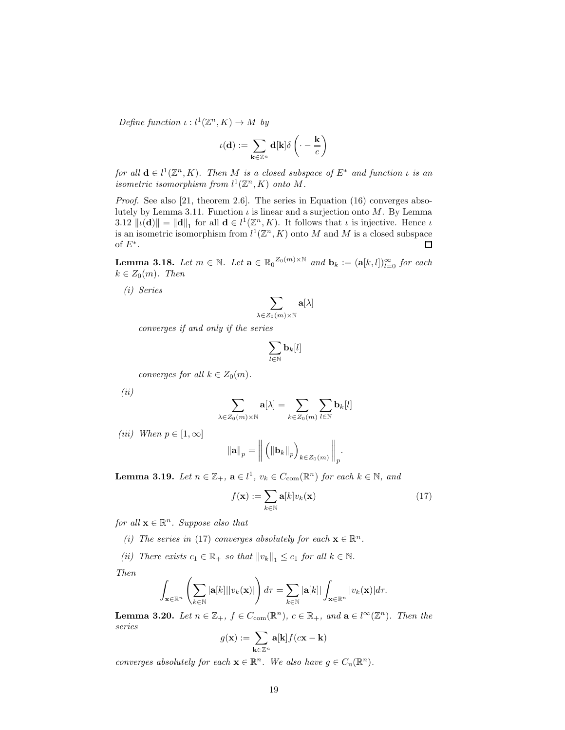Define function  $\iota: l^1(\mathbb{Z}^n, K) \to M$  by

$$
\iota({\bf d}):=\sum_{{\bf k}\in\mathbb Z^n} {\bf d}[{\bf k}]\delta\left(\cdot-\frac{{\bf k}}{c}\right)
$$

for all  $\mathbf{d} \in l^1(\mathbb{Z}^n, K)$ . Then M is a closed subspace of  $E^*$  and function  $\iota$  is an isometric isomorphism from  $l^1(\mathbb{Z}^n, K)$  onto M.

Proof. See also [21, theorem 2.6]. The series in Equation (16) converges absolutely by Lemma 3.11. Function  $\iota$  is linear and a surjection onto  $M$ . By Lemma 3.12  $\|\iota(\mathbf{d})\| = \|\mathbf{d}\|_1$  for all  $\mathbf{d} \in l^1(\mathbb{Z}^n, K)$ . It follows that  $\iota$  is injective. Hence  $\iota$ is an isometric isomorphism from  $l^1(\mathbb{Z}^n, K)$  onto M and M is a closed subspace of  $E^*$ .  $\Box$ 

**Lemma 3.18.** Let  $m \in \mathbb{N}$ . Let  $\mathbf{a} \in \mathbb{R}_0^{\mathbb{Z}_0(m)\times\mathbb{N}}$  and  $\mathbf{b}_k := (\mathbf{a}[k,l])_{l=0}^{\infty}$  for each  $k \in Z_0(m)$ . Then

(i) Series

$$
\sum_{\lambda\in Z_0(m)\times\mathbb{N}}{\bf a}[\lambda]
$$

converges if and only if the series

$$
\sum_{l\in\mathbb{N}}\mathbf{b}_k[l]
$$

converges for all  $k \in Z_0(m)$ .

(ii)

$$
\sum_{\lambda \in Z_0(m) \times \mathbb{N}} \mathbf{a}[\lambda] = \sum_{k \in Z_0(m)} \sum_{l \in \mathbb{N}} \mathbf{b}_k[l]
$$

(iii) When  $p \in [1,\infty]$ 

$$
\|\mathbf{a}\|_{p} = \left\| \left( \left\| \mathbf{b}_{k} \right\|_{p} \right)_{k \in Z_{0}(m)} \right\|_{p}.
$$

**Lemma 3.19.** Let  $n \in \mathbb{Z}_+$ ,  $\mathbf{a} \in l^1$ ,  $v_k \in C_{com}(\mathbb{R}^n)$  for each  $k \in \mathbb{N}$ , and

$$
f(\mathbf{x}) := \sum_{k \in \mathbb{N}} \mathbf{a}[k] v_k(\mathbf{x}) \tag{17}
$$

for all  $\mathbf{x} \in \mathbb{R}^n$ . Suppose also that

- (i) The series in (17) converges absolutely for each  $\mathbf{x} \in \mathbb{R}^n$ .
- (ii) There exists  $c_1 \in \mathbb{R}_+$  so that  $||v_k||_1 \leq c_1$  for all  $k \in \mathbb{N}$ .

Then

$$
\int_{\mathbf{x}\in\mathbb{R}^n}\left(\sum_{k\in\mathbb{N}}|\mathbf{a}[k]||v_k(\mathbf{x})|\right)d\tau = \sum_{k\in\mathbb{N}}|\mathbf{a}[k]|\int_{\mathbf{x}\in\mathbb{R}^n}|v_k(\mathbf{x})|d\tau.
$$

**Lemma 3.20.** Let  $n \in \mathbb{Z}_+$ ,  $f \in C_{com}(\mathbb{R}^n)$ ,  $c \in \mathbb{R}_+$ , and  $\mathbf{a} \in l^{\infty}(\mathbb{Z}^n)$ . Then the series

$$
g(\mathbf{x}) := \sum_{\mathbf{k} \in \mathbb{Z}^n} \mathbf{a}[\mathbf{k}] f(c\mathbf{x} - \mathbf{k})
$$

converges absolutely for each  $\mathbf{x} \in \mathbb{R}^n$ . We also have  $g \in C_u(\mathbb{R}^n)$ .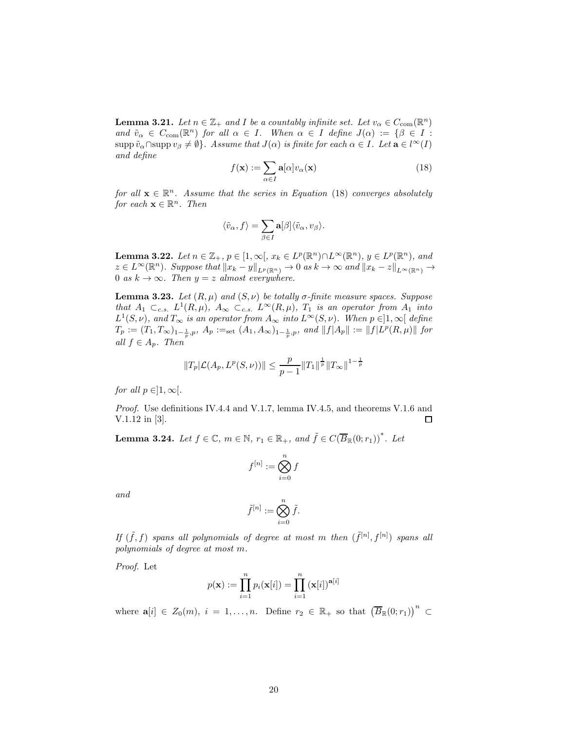**Lemma 3.21.** Let  $n \in \mathbb{Z}_+$  and I be a countably infinite set. Let  $v_\alpha \in C_{\text{com}}(\mathbb{R}^n)$ and  $\tilde{v}_{\alpha} \in C_{com}(\mathbb{R}^n)$  for all  $\alpha \in I$ . When  $\alpha \in I$  define  $J(\alpha) := \{\beta \in I :$ supp  $\tilde{v}_\alpha \cap \text{supp } v_\beta \neq \emptyset$ . Assume that  $J(\alpha)$  is finite for each  $\alpha \in I$ . Let  $\mathbf{a} \in l^\infty(I)$ and define

$$
f(\mathbf{x}) := \sum_{\alpha \in I} \mathbf{a}[\alpha] v_{\alpha}(\mathbf{x}) \tag{18}
$$

for all  $\mathbf{x} \in \mathbb{R}^n$ . Assume that the series in Equation (18) converges absolutely for each  $\mathbf{x} \in \mathbb{R}^n$ . Then

$$
\langle \tilde{v}_\alpha,f\rangle=\sum_{\beta\in I}{\bf a}[\beta]\langle \tilde{v}_\alpha,v_\beta\rangle.
$$

**Lemma 3.22.** Let  $n \in \mathbb{Z}_+$ ,  $p \in [1,\infty[$ ,  $x_k \in L^p(\mathbb{R}^n) \cap L^\infty(\mathbb{R}^n)$ ,  $y \in L^p(\mathbb{R}^n)$ , and  $z \in L^{\infty}(\mathbb{R}^n)$ . Suppose that  $||x_k - y||_{L^p(\mathbb{R}^n)} \to 0$  as  $k \to \infty$  and  $||x_k - z||_{L^{\infty}(\mathbb{R}^n)} \to$ 0 as  $k \to \infty$ . Then  $y = z$  almost everywhere.

**Lemma 3.23.** Let  $(R, \mu)$  and  $(S, \nu)$  be totally  $\sigma$ -finite measure spaces. Suppose that  $A_1 \subset_{c.s.} L^1(R,\mu)$ ,  $A_\infty \subset_{c.s.} L^\infty(R,\mu)$ ,  $T_1$  is an operator from  $A_1$  into  $L^1(S,\nu)$ , and  $T_{\infty}$  is an operator from  $A_{\infty}$  into  $L^{\infty}(S,\nu)$ . When  $p \in ]1,\infty[$  define  $T_p := (T_1, T_\infty)_{1-\frac{1}{p},p}, A_p :=_{\text{set}} (A_1, A_\infty)_{1-\frac{1}{p},p}, \text{ and } ||f|A_p|| := ||f|L^p(R, \mu)||$  for all  $f \in A_p$ . Then

$$
||T_p|\mathcal{L}(A_p, L^p(S, \nu))|| \leq \frac{p}{p-1}||T_1||^{\frac{1}{p}}||T_{\infty}||^{1-\frac{1}{p}}
$$

for all  $p \in ]1, \infty[$ .

Proof. Use definitions IV.4.4 and V.1.7, lemma IV.4.5, and theorems V.1.6 and V.1.12 in [3].  $\Box$ 

**Lemma 3.24.** Let  $f \in \mathbb{C}$ ,  $m \in \mathbb{N}$ ,  $r_1 \in \mathbb{R}_+$ , and  $\tilde{f} \in C(\overline{B}_{\mathbb{R}}(0;r_1))$ <sup>\*</sup>. Let

$$
f^{[n]} := \bigotimes_{i=0}^{n} f
$$

and

$$
\tilde{f}^{[n]}:=\bigotimes_{i=0}^n \tilde{f}.
$$

If  $(\tilde{f}, f)$  spans all polynomials of degree at most m then  $(\tilde{f}^{[n]}, f^{[n]})$  spans all polynomials of degree at most m.

Proof. Let

$$
p(\mathbf{x}) := \prod_{i=1}^{n} p_i(\mathbf{x}[i]) = \prod_{i=1}^{n} (\mathbf{x}[i])^{\mathbf{a}[i]}
$$

where  $\mathbf{a}[i] \in Z_0(m), i = 1, \ldots, n$ . Define  $r_2 \in \mathbb{R}_+$  so that  $(\overline{B}_\mathbb{R}(0; r_1))^n \subset$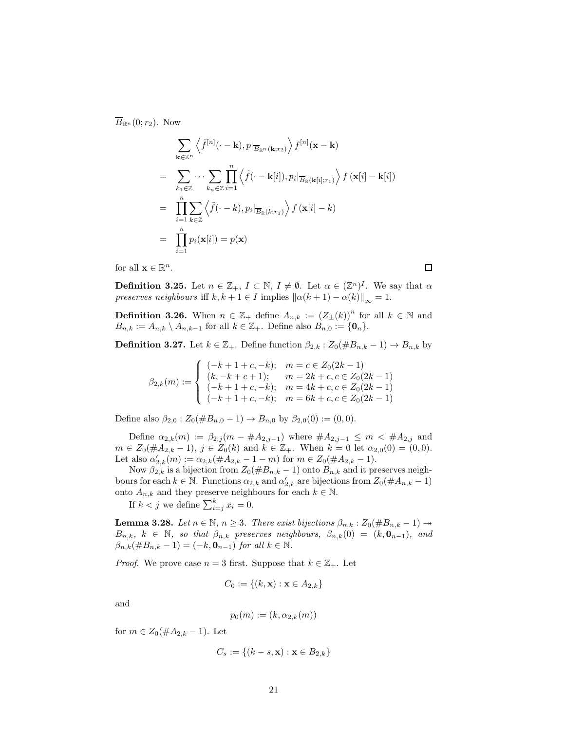$\overline{B}_{\mathbb{R}^n}(0;r_2)$ . Now

$$
\sum_{\mathbf{k}\in\mathbb{Z}^n} \left\langle \tilde{f}^{[n]}(\cdot - \mathbf{k}), p|_{\overline{B}_{\mathbb{R}^n}(\mathbf{k};r_2)} \right\rangle f^{[n]}(\mathbf{x} - \mathbf{k})
$$
\n
$$
= \sum_{k_1\in\mathbb{Z}} \cdots \sum_{k_n\in\mathbb{Z}} \prod_{i=1}^n \left\langle \tilde{f}(\cdot - \mathbf{k}[i]), p_i|_{\overline{B}_{\mathbb{R}}(\mathbf{k}[i];r_1)} \right\rangle f(\mathbf{x}[i] - \mathbf{k}[i])
$$
\n
$$
= \prod_{i=1}^n \sum_{k\in\mathbb{Z}} \left\langle \tilde{f}(\cdot - k), p_i|_{\overline{B}_{\mathbb{R}}(k;r_1)} \right\rangle f(\mathbf{x}[i] - k)
$$
\n
$$
= \prod_{i=1}^n p_i(\mathbf{x}[i]) = p(\mathbf{x})
$$

for all  $\mathbf{x} \in \mathbb{R}^n$ .

 $\Box$ 

**Definition 3.25.** Let  $n \in \mathbb{Z}_+$ ,  $I \subset \mathbb{N}$ ,  $I \neq \emptyset$ . Let  $\alpha \in (\mathbb{Z}^n)^I$ . We say that  $\alpha$ preserves neighbours iff  $k, k + 1 \in I$  implies  $\|\alpha(k + 1) - \alpha(k)\|_{\infty} = 1$ .

**Definition 3.26.** When  $n \in \mathbb{Z}_+$  define  $A_{n,k} := (Z_{\pm}(k))^{n}$  for all  $k \in \mathbb{N}$  and  $B_{n,k} := A_{n,k} \setminus A_{n,k-1}$  for all  $k \in \mathbb{Z}_+$ . Define also  $B_{n,0} := \{0_n\}.$ 

**Definition 3.27.** Let  $k \in \mathbb{Z}_+$ . Define function  $\beta_{2,k} : Z_0(\#B_{n,k}-1) \to B_{n,k}$  by

$$
\beta_{2,k}(m):=\left\{\begin{array}{ll}(-k+1+c,-k); & m=c\in Z_0(2k-1)\\(k,-k+c+1); & m=2k+c,c\in Z_0(2k-1)\\(-k+1+c,-k); & m=4k+c,c\in Z_0(2k-1)\\(-k+1+c,-k); & m=6k+c,c\in Z_0(2k-1)\end{array}\right.
$$

Define also  $\beta_{2,0}$ :  $Z_0(\#B_{n,0}-1) \to B_{n,0}$  by  $\beta_{2,0}(0) := (0,0)$ .

Define  $\alpha_{2,k}(m) := \beta_{2,j}(m - \#A_{2,j-1})$  where  $\#A_{2,j-1} \leq m < \#A_{2,j}$  and  $m \in Z_0(\#A_{2,k}-1), j \in Z_0(k) \text{ and } k \in \mathbb{Z}_+$ . When  $k = 0$  let  $\alpha_{2,0}(0) = (0,0)$ . Let also  $\alpha'_{2,k}(m) := \alpha_{2,k}(\#A_{2,k} - 1 - m)$  for  $m \in Z_0(\#A_{2,k} - 1)$ .

Now  $\beta_{2,k}$  is a bijection from  $Z_0(\#B_{n,k}-1)$  onto  $B_{n,k}$  and it preserves neighbours for each  $k \in \mathbb{N}$ . Functions  $\alpha_{2,k}$  and  $\alpha'_{2,k}$  are bijections from  $Z_0(\#A_{n,k}-1)$ onto  $A_{n,k}$  and they preserve neighbours for each  $k \in \mathbb{N}$ .

If  $k < j$  we define  $\sum_{i=j}^{k} x_i = 0$ .

**Lemma 3.28.** Let  $n \in \mathbb{N}$ ,  $n \geq 3$ . There exist bijections  $\beta_{n,k} : Z_0(\#B_{n,k}-1) \rightarrow$  $B_{n,k}, k \in \mathbb{N}$ , so that  $\beta_{n,k}$  preserves neighbours,  $\beta_{n,k}(0) = (k, \mathbf{0}_{n-1})$ , and  $\beta_{n,k}(\#B_{n,k}-1) = (-k, \mathbf{0}_{n-1})$  for all  $k \in \mathbb{N}$ .

*Proof.* We prove case  $n = 3$  first. Suppose that  $k \in \mathbb{Z}_+$ . Let

$$
C_0 := \{(k, \mathbf{x}) : \mathbf{x} \in A_{2,k}\}
$$

and

$$
p_0(m) := (k, \alpha_{2,k}(m))
$$

for  $m \in Z_0(\#A_{2,k}-1)$ . Let

$$
C_s := \{(k-s, \mathbf{x}) : \mathbf{x} \in B_{2,k}\}\
$$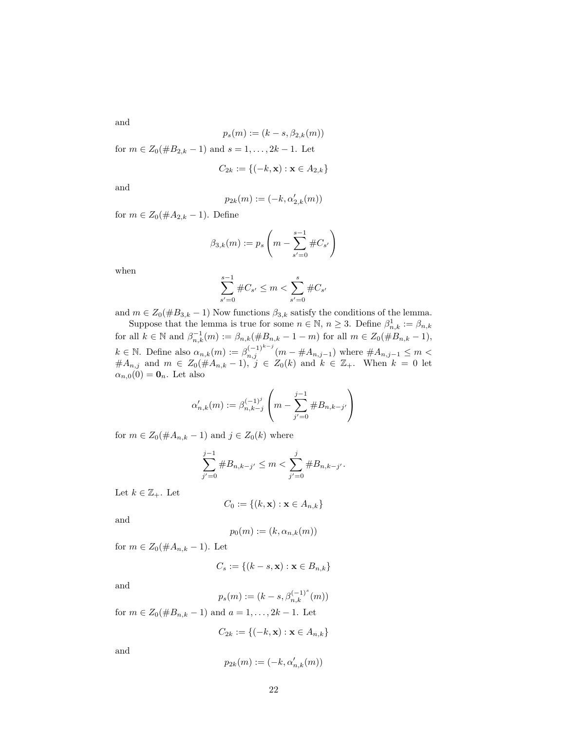and

$$
p_s(m) := (k - s, \beta_{2,k}(m))
$$
  
for  $m \in Z_0(\#B_{2,k} - 1)$  and  $s = 1, ..., 2k - 1$ . Let  

$$
C_{2k} := \{(-k, \mathbf{x}) : \mathbf{x} \in A_{2,k}\}
$$

and

$$
p_{2k}(m):=(-k,\alpha_{2,k}'(m))
$$

for  $m \in Z_0(\#A_{2,k} - 1)$ . Define

$$
\beta_{3,k}(m) := p_s \left( m - \sum_{s'=0}^{s-1} \#C_{s'} \right)
$$

when

$$
\sum_{s'=0}^{s-1} \#C_{s'} \le m < \sum_{s'=0}^{s} \#C_{s'}
$$

and  $m \in Z_0(\#B_{3,k}-1)$  Now functions  $\beta_{3,k}$  satisfy the conditions of the lemma.

Suppose that the lemma is true for some  $n \in \mathbb{N}$ ,  $n \geq 3$ . Define  $\beta_{n,k}^1 := \beta_{n,k}$ for all  $k \in \mathbb{N}$  and  $\beta_{n,k}^{-1}(m) := \beta_{n,k}(\#B_{n,k} - 1 - m)$  for all  $m \in Z_0(\#B_{n,k} - 1)$ ,  $k \in \mathbb{N}$ . Define also  $\alpha_{n,k}(m) := \beta_{n,j}^{(-1)^{k-j}}(m - \#A_{n,j-1})$  where  $\#A_{n,j-1} \leq m$  $#A_{n,j}$  and  $m \in Z_0(\#A_{n,k}-1)$ ,  $j \in Z_0(k)$  and  $k \in \mathbb{Z}_+$ . When  $k = 0$  let  $\alpha_{n,0}(0) = \mathbf{0}_n$ . Let also

$$
\alpha'_{n,k}(m) := \beta_{n,k-j}^{(-1)^j} \left( m - \sum_{j'=0}^{j-1} \#B_{n,k-j'} \right)
$$

for  $m \in Z_0(\#A_{n,k}-1)$  and  $j \in Z_0(k)$  where

$$
\sum_{j'=0}^{j-1} \#B_{n,k-j'} \le m < \sum_{j'=0}^{j} \#B_{n,k-j'}.
$$

Let  $k \in \mathbb{Z}_+$ . Let

$$
C_0 := \{(k, \mathbf{x}) : \mathbf{x} \in A_{n,k}\}\
$$

and

$$
p_0(m) := (k, \alpha_{n,k}(m))
$$

for  $m \in Z_0(\#A_{n,k}-1)$ . Let

$$
C_s := \{(k-s, \mathbf{x}) : \mathbf{x} \in B_{n,k}\}\
$$

and

$$
p_s(m) := (k - s, \beta_{n,k}^{(-1)^s}(m))
$$

for  $m \in Z_0(\#B_{n,k}-1)$  and  $a=1,\ldots,2k-1$ . Let

$$
C_{2k} := \{(-k, \mathbf{x}) : \mathbf{x} \in A_{n,k}\}\
$$

and

$$
p_{2k}(m):=(-k,\alpha_{n,k}'(m))
$$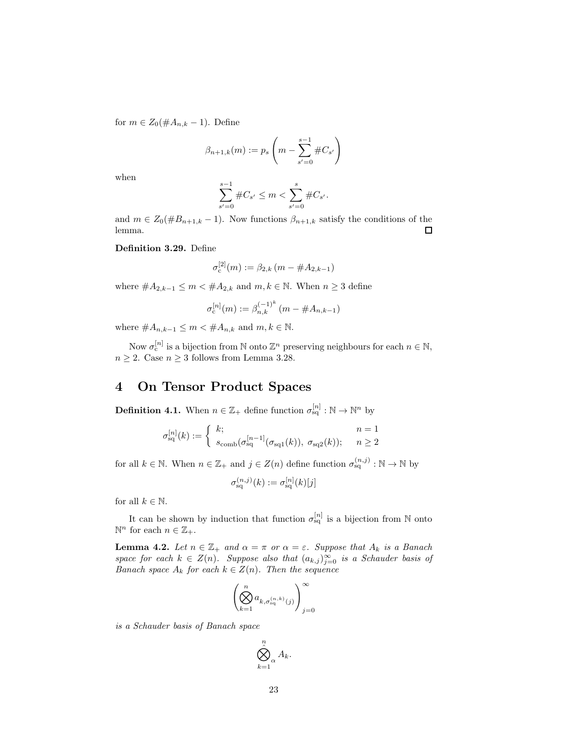for  $m \in Z_0(\#A_{n,k} - 1)$ . Define

$$
\beta_{n+1,k}(m) := p_s \left( m - \sum_{s'=0}^{s-1} \#C_{s'} \right)
$$

when

$$
\sum_{s'=0}^{s-1} \#C_{s'} \le m < \sum_{s'=0}^{s} \#C_{s'}.
$$

and  $m \in Z_0(\#B_{n+1,k}-1)$ . Now functions  $\beta_{n+1,k}$  satisfy the conditions of the lemma. lemma.

Definition 3.29. Define

$$
\sigma_{\rm c}^{[2]}(m) := \beta_{2,k} \left( m - \#A_{2,k-1} \right)
$$

where  $#A_{2,k-1} \leq m < #A_{2,k}$  and  $m, k \in \mathbb{N}$ . When  $n \geq 3$  define

$$
\sigma_c^{[n]}(m) := \beta_{n,k}^{(-1)^k} \left( m - \#A_{n,k-1} \right)
$$

where  $\#A_{n,k-1} \leq m < \#A_{n,k}$  and  $m, k \in \mathbb{N}$ .

Now  $\sigma_{c}^{[n]}$  is a bijection from N onto  $\mathbb{Z}^{n}$  preserving neighbours for each  $n \in \mathbb{N}$ ,  $n \geq 2$ . Case  $n \geq 3$  follows from Lemma 3.28.

### 4 On Tensor Product Spaces

**Definition 4.1.** When  $n \in \mathbb{Z}_+$  define function  $\sigma_{sq}^{[n]} : \mathbb{N} \to \mathbb{N}^n$  by

$$
\sigma_{\text{sq}}^{[n]}(k) := \begin{cases} k; & n = 1\\ \frac{s_{\text{comb}}(\sigma_{\text{sq}}^{[n-1]}(\sigma_{\text{sq}1}(k)), \ \sigma_{\text{sq}2}(k)); & n \ge 2 \end{cases}
$$

for all  $k \in \mathbb{N}$ . When  $n \in \mathbb{Z}_+$  and  $j \in Z(n)$  define function  $\sigma_{sq}^{(n,j)} : \mathbb{N} \to \mathbb{N}$  by

$$
\sigma_{\text{sq}}^{(n,j)}(k) := \sigma_{\text{sq}}^{[n]}(k)[j]
$$

for all  $k \in \mathbb{N}$ .

It can be shown by induction that function  $\sigma_{sq}^{[n]}$  is a bijection from N onto  $\mathbb{N}^n$  for each  $n \in \mathbb{Z}_+$ .

**Lemma 4.2.** Let  $n \in \mathbb{Z}_+$  and  $\alpha = \pi$  or  $\alpha = \varepsilon$ . Suppose that  $A_k$  is a Banach space for each  $k \in Z(n)$ . Suppose also that  $(a_{k,j})_{j=0}^{\infty}$  is a Schauder basis of Banach space  $A_k$  for each  $k \in Z(n)$ . Then the sequence

$$
\left(\bigotimes_{k=1}^n a_{k,\sigma_{\mathrm{sq}}^{(n,k)}(j)}\right)_{j=0}^\infty
$$

is a Schauder basis of Banach space

$$
\bigotimes_{k=1}^n A_k.
$$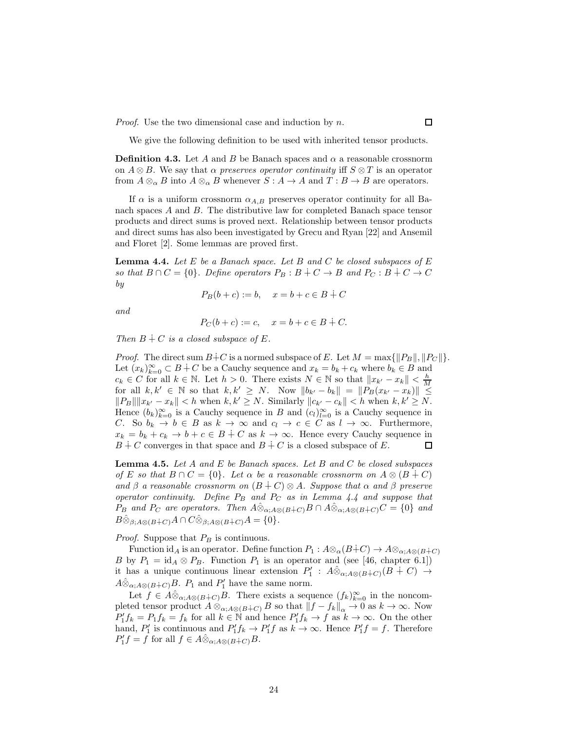*Proof.* Use the two dimensional case and induction by  $n$ .

We give the following definition to be used with inherited tensor products.

**Definition 4.3.** Let A and B be Banach spaces and  $\alpha$  a reasonable crossnorm on  $A \otimes B$ . We say that  $\alpha$  preserves operator continuity iff  $S \otimes T$  is an operator from  $A \otimes_{\alpha} B$  into  $A \otimes_{\alpha} B$  whenever  $S : A \to A$  and  $T : B \to B$  are operators.

If  $\alpha$  is a uniform crossnorm  $\alpha_{A,B}$  preserves operator continuity for all Banach spaces A and B. The distributive law for completed Banach space tensor products and direct sums is proved next. Relationship between tensor products and direct sums has also been investigated by Grecu and Ryan [22] and Ansemil and Floret [2]. Some lemmas are proved first.

**Lemma 4.4.** Let  $E$  be a Banach space. Let  $B$  and  $C$  be closed subspaces of  $E$ so that  $B \cap C = \{0\}$ . Define operators  $P_B : B \dot{+} C \to B$  and  $P_C : B \dot{+} C \to C$ by

$$
P_B(b+c) := b, \quad x = b+c \in B + C
$$

and

$$
P_C(b+c) := c, \quad x = b+c \in B + C.
$$

Then  $B \dotplus C$  is a closed subspace of E.

*Proof.* The direct sum  $B+C$  is a normed subspace of E. Let  $M = \max\{\Vert P_B \Vert, \Vert P_C \Vert\}.$ Let  $(x_k)_{k=0}^{\infty} \subset B+C$  be a Cauchy sequence and  $x_k = b_k + c_k$  where  $b_k \in B$  and  $c_k \in C$  for all  $k \in \mathbb{N}$ . Let  $h > 0$ . There exists  $N \in \mathbb{N}$  so that  $||x_{k'} - x_k|| < \frac{h}{M}$ for all  $k, k' \in \mathbb{N}$  so that  $k, k' \geq N$ . Now  $||b_{k'} - b_k|| = ||P_B(x_{k'} - x_k)|| \leq$  $||P_B|| ||x_{k'} - x_k|| < h$  when  $k, k' \ge N$ . Similarly  $||c_{k'} - c_k|| < h$  when  $k, k' \ge N$ . Hence  $(b_k)_{k=0}^{\infty}$  is a Cauchy sequence in B and  $(c_l)_{l=0}^{\infty}$  is a Cauchy sequence in C. So  $b_k \to b \in B$  as  $k \to \infty$  and  $c_l \to c \in C$  as  $l \to \infty$ . Furthermore,  $x_k = b_k + c_k \rightarrow b + c \in B + C$  as  $k \rightarrow \infty$ . Hence every Cauchy sequence in  $B \dotplus C$  converges in that space and  $B \dotplus C$  is a closed subspace of E.  $B + C$  converges in that space and  $B + C$  is a closed subspace of E.

**Lemma 4.5.** Let A and E be Banach spaces. Let B and C be closed subspaces of E so that  $B \cap C = \{0\}$ . Let  $\alpha$  be a reasonable crossnorm on  $A \otimes (B + C)$ and  $\beta$  a reasonable crossnorm on  $(B + C) \otimes A$ . Suppose that  $\alpha$  and  $\beta$  preserve operator continuity. Define  $P_B$  and  $P_C$  as in Lemma 4.4 and suppose that  $P_B$  and  $P_C$  are operators. Then  $\hat{A} \hat{\otimes}_{\alpha:A\otimes(B+C)} B \cap \hat{A} \hat{\otimes}_{\alpha:A\otimes(B+C)} C = \{0\}$  and  $B\hat{\otimes}_{\beta;A\otimes (B+C)}A\cap C\hat{\otimes}_{\beta;A\otimes (B+C)}A=\{0\}.$ 

*Proof.* Suppose that  $P_B$  is continuous.

Function id<sub>A</sub> is an operator. Define function  $P_1: A \otimes_\alpha (B+C) \to A \otimes_{\alpha;A\otimes (B+C)}$ B by  $P_1 = id_A \otimes P_B$ . Function  $P_1$  is an operator and (see [46, chapter 6.1]) it has a unique continuous linear extension  $P'_1$ :  $A\hat{\otimes}_{\alpha;A\otimes(B+C)}(B+C) \rightarrow$  $A\hat{\otimes}_{\alpha;A\otimes (B+C)}B$ .  $P_1$  and  $P'_1$  have the same norm.

Let  $f \in A\hat{\otimes}_{\alpha, A\otimes (B+C)}B$ . There exists a sequence  $(f_k)_{k=0}^{\infty}$  in the noncompleted tensor product  $A \otimes_{\alpha; A\otimes (B+C)} B$  so that  $||f - f_k||_{\alpha} \to 0$  as  $k \to \infty$ . Now  $P'_1 f_k = P_1 f_k = f_k$  for all  $k \in \mathbb{N}$  and hence  $P'_1 f_k \to f$  as  $k \to \infty$ . On the other hand,  $P'_1$  is continuous and  $P'_1f_k \to P'_1f$  as  $k \to \infty$ . Hence  $P'_1f = f$ . Therefore  $P'_1 f = f$  for all  $f \in A \hat{\otimes}_{\alpha; A \otimes (B \dot{+} C)} B$ .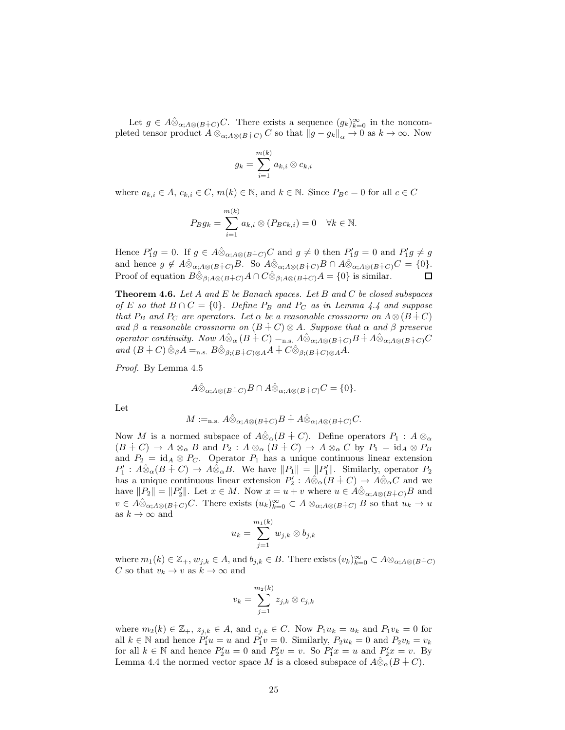Let  $g \in A \hat{\otimes}_{\alpha; A \otimes (B+C)} C$ . There exists a sequence  $(g_k)_{k=0}^{\infty}$  in the noncompleted tensor product  $A \otimes_{\alpha; A \otimes (B+C)} C$  so that  $||g - g_k||_{\alpha} \to 0$  as  $k \to \infty$ . Now

$$
g_k = \sum_{i=1}^{m(k)} a_{k,i} \otimes c_{k,i}
$$

where  $a_{k,i} \in A$ ,  $c_{k,i} \in C$ ,  $m(k) \in \mathbb{N}$ , and  $k \in \mathbb{N}$ . Since  $P_B c = 0$  for all  $c \in C$ 

$$
P_B g_k = \sum_{i=1}^{m(k)} a_{k,i} \otimes (P_B c_{k,i}) = 0 \quad \forall k \in \mathbb{N}.
$$

Hence  $P'_1g = 0$ . If  $g \in A\hat{\otimes}_{\alpha;A\otimes(B+C)}C$  and  $g \neq 0$  then  $P'_1g = 0$  and  $P'_1g \neq g$ and hence  $g \notin A \hat{\otimes}_{\alpha; A \otimes (B+C)} B$ . So  $A \hat{\otimes}_{\alpha; A \otimes (B+C)} B \cap A \hat{\otimes}_{\alpha; A \otimes (B+C)} C = \{0\}.$ <br>Proof of equation  $B \hat{\otimes}_{\alpha, A \otimes (B+C)} A \cap C \hat{\otimes}_{\alpha, A \otimes (B+C)} A = \{0\}$  is similar. Proof of equation  $B\hat{\otimes}_{\beta;A\otimes(B+C)}A \cap C\hat{\otimes}_{\beta;A\otimes(B+C)}A = \{0\}$  is similar.

**Theorem 4.6.** Let A and E be Banach spaces. Let B and C be closed subspaces of E so that  $B \cap C = \{0\}$ . Define  $P_B$  and  $P_C$  as in Lemma 4.4 and suppose that  $P_B$  and  $P_C$  are operators. Let  $\alpha$  be a reasonable crossnorm on  $A \otimes (B + C)$ and  $\beta$  a reasonable crossnorm on  $(B + C) \otimes A$ . Suppose that  $\alpha$  and  $\beta$  preserve operator continuity. Now  $\hat{A\otimes}_{\alpha}(B+C) =$ n.s.  $\hat{A\otimes}_{\alpha;A\otimes(B+C)}B + \hat{A\otimes}_{\alpha;A\otimes(B+C)}C$ and  $(B + C) \hat{\otimes}_{\beta} A =_{n.s.} B \hat{\otimes}_{\beta : (B \dot{+} C) \otimes A} A + C \hat{\otimes}_{\beta : (B \dot{+} C) \otimes A} A$ .

Proof. By Lemma 4.5

$$
A\hat{\otimes}_{\alpha;A\otimes(B+C)}B\cap A\hat{\otimes}_{\alpha;A\otimes(B+C)}C=\{0\}.
$$

Let

$$
M:=_{\text{n.s.}} A \hat{\otimes}_{\alpha;A\otimes (B+C)} B \dotplus A \hat{\otimes}_{\alpha;A\otimes (B+C)} C.
$$

Now M is a normed subspace of  $\hat{A}\hat{\otimes}_{\alpha}(B + C)$ . Define operators  $P_1 : A \otimes_{\alpha} P_2$  $(B + C) \to A \otimes_{\alpha} B$  and  $P_2 : A \otimes_{\alpha} (B + C) \to A \otimes_{\alpha} C$  by  $P_1 = id_A \otimes P_B$ and  $P_2 = id_A \otimes P_C$ . Operator  $P_1$  has a unique continuous linear extension  $P'_1: A\hat{\otimes}_{\alpha}(B+C) \to A\hat{\otimes}_{\alpha}B$ . We have  $||P_1|| = ||P'_1||$ . Similarly, operator  $P_2$ has a unique continuous linear extension  $P'_2$ :  $\hat{A\otimes}_{\alpha}(B+C) \rightarrow \hat{A\otimes}_{\alpha}C$  and we have  $||P_2|| = ||P'_2||$ . Let  $x \in M$ . Now  $x = u + v$  where  $u \in A \hat{\otimes}_{\alpha; A \otimes (B+C)} B$  and  $v \in A\hat{\otimes}_{\alpha;A\otimes(B+C)}C$ . There exists  $(u_k)_{k=0}^{\infty} \subset A\otimes_{\alpha;A\otimes(B+C)}B$  so that  $u_k \to u$ as  $k \to \infty$  and

$$
u_k=\sum_{j=1}^{m_1(k)}w_{j,k}\otimes b_{j,k}
$$

where  $m_1(k) \in \mathbb{Z}_+$ ,  $w_{j,k} \in A$ , and  $b_{j,k} \in B$ . There exists  $(v_k)_{k=0}^{\infty} \subset A \otimes_{\alpha; A \otimes (B+C)}$ C so that  $v_k \to v$  as  $k \to \infty$  and

$$
v_k=\sum_{j=1}^{m_2(k)} z_{j,k}\otimes c_{j,k}
$$

where  $m_2(k) \in \mathbb{Z}_+$ ,  $z_{j,k} \in A$ , and  $c_{j,k} \in C$ . Now  $P_1u_k = u_k$  and  $P_1v_k = 0$  for all  $k \in \mathbb{N}$  and hence  $P'_1u = u$  and  $P'_1v = 0$ . Similarly,  $P_2u_k = 0$  and  $P_2v_k = v_k$ for all  $k \in \mathbb{N}$  and hence  $P'_2u = 0$  and  $P'_2v = v$ . So  $P'_1x = u$  and  $P'_2x = v$ . By Lemma 4.4 the normed vector space M is a closed subspace of  $A\hat{\otimes}_{\alpha}(B + C)$ .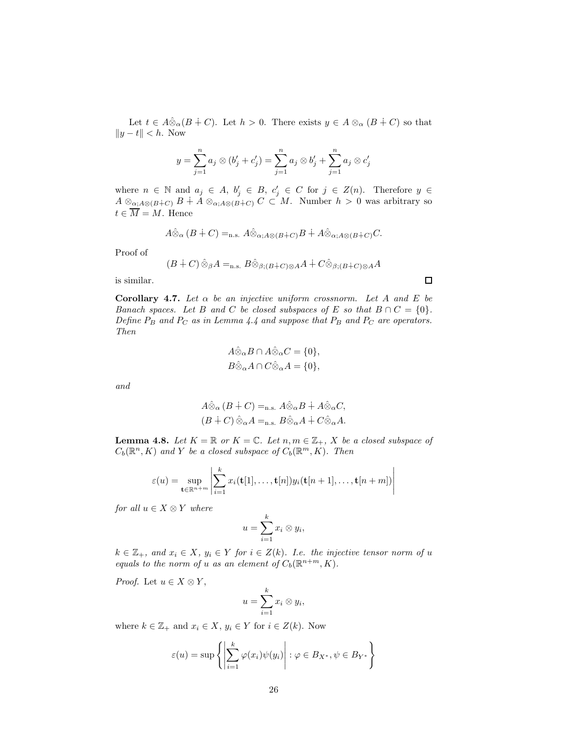Let  $t \in A\hat{\otimes}_{\alpha}(B + C)$ . Let  $h > 0$ . There exists  $y \in A \otimes_{\alpha} (B + C)$  so that  $||y - t|| < h$ . Now

$$
y = \sum_{j=1}^{n} a_j \otimes (b'_j + c'_j) = \sum_{j=1}^{n} a_j \otimes b'_j + \sum_{j=1}^{n} a_j \otimes c'_j
$$

where  $n \in \mathbb{N}$  and  $a_j \in A$ ,  $b'_j \in B$ ,  $c'_j \in C$  for  $j \in Z(n)$ . Therefore  $y \in$  $A \otimes_{\alpha; A\otimes (B+C)} B \dot{+} A \otimes_{\alpha; A\otimes (B+C)} C \subset M$ . Number  $h > 0$  was arbitrary so  $t \in \overline{M} = M$ . Hence

$$
A\hat{\otimes}_{\alpha} (B \dot{+} C) =_{\text{n.s.}} A\hat{\otimes}_{\alpha; A\otimes (B \dot{+} C)} B \dot{+} A\hat{\otimes}_{\alpha; A\otimes (B \dot{+} C)} C.
$$

Proof of

$$
(B + C) \hat{\otimes}_{\beta} A =_{\text{n.s.}} B \hat{\otimes}_{\beta; (B + C) \otimes A} A + C \hat{\otimes}_{\beta; (B + C) \otimes A} A
$$

is similar.

Corollary 4.7. Let  $\alpha$  be an injective uniform crossnorm. Let A and E be Banach spaces. Let B and C be closed subspaces of E so that  $B \cap C = \{0\}.$ Define  $P_B$  and  $P_C$  as in Lemma 4.4 and suppose that  $P_B$  and  $P_C$  are operators. Then

$$
A\hat{\otimes}_{\alpha}B \cap A\hat{\otimes}_{\alpha}C = \{0\},
$$
  

$$
B\hat{\otimes}_{\alpha}A \cap C\hat{\otimes}_{\alpha}A = \{0\},
$$

and

$$
A\hat{\otimes}_{\alpha} (B + C) =_{\text{n.s.}} A\hat{\otimes}_{\alpha} B + A\hat{\otimes}_{\alpha} C,
$$
  

$$
(B + C)\hat{\otimes}_{\alpha} A =_{\text{n.s.}} B\hat{\otimes}_{\alpha} A + C\hat{\otimes}_{\alpha} A.
$$

**Lemma 4.8.** Let  $K = \mathbb{R}$  or  $K = \mathbb{C}$ . Let  $n, m \in \mathbb{Z}_+$ , X be a closed subspace of  $C_b(\mathbb{R}^n, K)$  and Y be a closed subspace of  $C_b(\mathbb{R}^m, K)$ . Then

$$
\varepsilon(u) = \sup_{\mathbf{t} \in \mathbb{R}^{n+m}} \left| \sum_{i=1}^k x_i(\mathbf{t}[1], \dots, \mathbf{t}[n]) y_i(\mathbf{t}[n+1], \dots, \mathbf{t}[n+m]) \right|
$$

for all  $u \in X \otimes Y$  where

$$
u=\sum_{i=1}^k x_i\otimes y_i,
$$

 $k \in \mathbb{Z}_+$ , and  $x_i \in X$ ,  $y_i \in Y$  for  $i \in Z(k)$ . I.e. the injective tensor norm of u equals to the norm of u as an element of  $C_b(\mathbb{R}^{n+m}, K)$ .

*Proof.* Let  $u \in X \otimes Y$ ,

$$
u=\sum_{i=1}^k x_i\otimes y_i,
$$

where  $k \in \mathbb{Z}_+$  and  $x_i \in X$ ,  $y_i \in Y$  for  $i \in Z(k)$ . Now

$$
\varepsilon(u) = \sup \left\{ \left| \sum_{i=1}^{k} \varphi(x_i) \psi(y_i) \right| : \varphi \in B_{X^*}, \psi \in B_{Y^*} \right\}
$$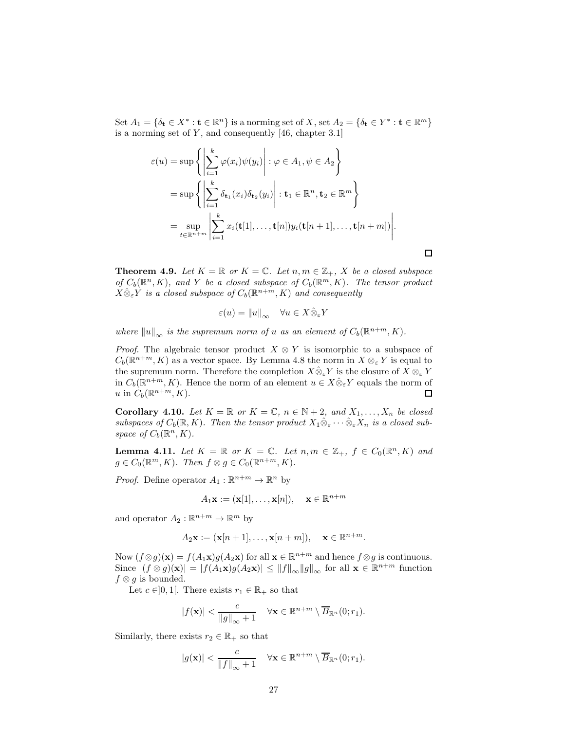Set  $A_1 = \{\delta_\mathbf{t} \in X^* : \mathbf{t} \in \mathbb{R}^n\}$  is a norming set of X, set  $A_2 = \{\delta_\mathbf{t} \in Y^* : \mathbf{t} \in \mathbb{R}^m\}$ is a norming set of  $Y$ , and consequently [46, chapter 3.1]

$$
\varepsilon(u) = \sup \left\{ \left| \sum_{i=1}^{k} \varphi(x_i) \psi(y_i) \right| : \varphi \in A_1, \psi \in A_2 \right\}
$$
  
= 
$$
\sup \left\{ \left| \sum_{i=1}^{k} \delta_{\mathbf{t}_1}(x_i) \delta_{\mathbf{t}_2}(y_i) \right| : \mathbf{t}_1 \in \mathbb{R}^n, \mathbf{t}_2 \in \mathbb{R}^m \right\}
$$
  
= 
$$
\sup_{t \in \mathbb{R}^{n+m}} \left| \sum_{i=1}^{k} x_i(\mathbf{t}[1], \dots, \mathbf{t}[n]) y_i(\mathbf{t}[n+1], \dots, \mathbf{t}[n+m]) \right|.
$$

**Theorem 4.9.** Let  $K = \mathbb{R}$  or  $K = \mathbb{C}$ . Let  $n, m \in \mathbb{Z}_+$ , X be a closed subspace of  $C_b(\mathbb{R}^n, K)$ , and Y be a closed subspace of  $C_b(\mathbb{R}^m, K)$ . The tensor product  $X \hat{\otimes}_{\varepsilon} Y$  is a closed subspace of  $C_b(\mathbb{R}^{n+m}, K)$  and consequently

$$
\varepsilon(u) = ||u||_{\infty} \quad \forall u \in X \hat{\otimes}_{\varepsilon} Y
$$

where  $||u||_{\infty}$  is the supremum norm of u as an element of  $C_b(\mathbb{R}^{n+m}, K)$ .

*Proof.* The algebraic tensor product  $X \otimes Y$  is isomorphic to a subspace of  $C_b(\mathbb{R}^{n+m}, K)$  as a vector space. By Lemma 4.8 the norm in  $X \otimes_{\varepsilon} Y$  is equal to the supremum norm. Therefore the completion  $X\hat{\otimes}_{\varepsilon} Y$  is the closure of  $X\otimes_{\varepsilon} Y$ in  $C_b(\mathbb{R}^{n+m}, K)$ . Hence the norm of an element  $u \in X \hat{\otimes}_{\varepsilon} Y$  equals the norm of u in  $C_b(\mathbb{R}^{n+m}, K)$ .

Corollary 4.10. Let  $K = \mathbb{R}$  or  $K = \mathbb{C}$ ,  $n \in \mathbb{N} + 2$ , and  $X_1, \ldots, X_n$  be closed subspaces of  $C_b(\mathbb{R}, K)$ . Then the tensor product  $X_1 \hat{\otimes}_{\varepsilon} \cdots \hat{\otimes}_{\varepsilon} X_n$  is a closed subspace of  $C_b(\mathbb{R}^n, K)$ .

**Lemma 4.11.** Let  $K = \mathbb{R}$  or  $K = \mathbb{C}$ . Let  $n, m \in \mathbb{Z}_+$ ,  $f \in C_0(\mathbb{R}^n, K)$  and  $g \in C_0(\mathbb{R}^m, K)$ . Then  $f \otimes g \in C_0(\mathbb{R}^{n+m}, K)$ .

*Proof.* Define operator  $A_1 : \mathbb{R}^{n+m} \to \mathbb{R}^n$  by

$$
A_1\mathbf{x} := (\mathbf{x}[1], \dots, \mathbf{x}[n]), \quad \mathbf{x} \in \mathbb{R}^{n+m}
$$

and operator  $A_2 : \mathbb{R}^{n+m} \to \mathbb{R}^m$  by

$$
A_2\mathbf{x} := (\mathbf{x}[n+1], \dots, \mathbf{x}[n+m]), \quad \mathbf{x} \in \mathbb{R}^{n+m}.
$$

Now  $(f \otimes g)(\mathbf{x}) = f(A_1\mathbf{x})g(A_2\mathbf{x})$  for all  $\mathbf{x} \in \mathbb{R}^{n+m}$  and hence  $f \otimes g$  is continuous. Since  $|(f \otimes g)(\mathbf{x})| = |f(A_1 \mathbf{x})g(A_2 \mathbf{x})| \le ||f||_{\infty} ||g||_{\infty}$  for all  $\mathbf{x} \in \mathbb{R}^{n+m}$  function  $f \otimes g$  is bounded.

Let  $c \in ]0,1[$ . There exists  $r_1 \in \mathbb{R}_+$  so that

$$
|f(\mathbf{x})| < \frac{c}{\|g\|_{\infty}+1} \quad \forall \mathbf{x} \in \mathbb{R}^{n+m} \setminus \overline{B}_{\mathbb{R}^n}(0; r_1).
$$

Similarly, there exists  $r_2 \in \mathbb{R}_+$  so that

$$
|g(\mathbf{x})| < \frac{c}{\|f\|_{\infty} + 1} \quad \forall \mathbf{x} \in \mathbb{R}^{n+m} \setminus \overline{B}_{\mathbb{R}^n}(0; r_1).
$$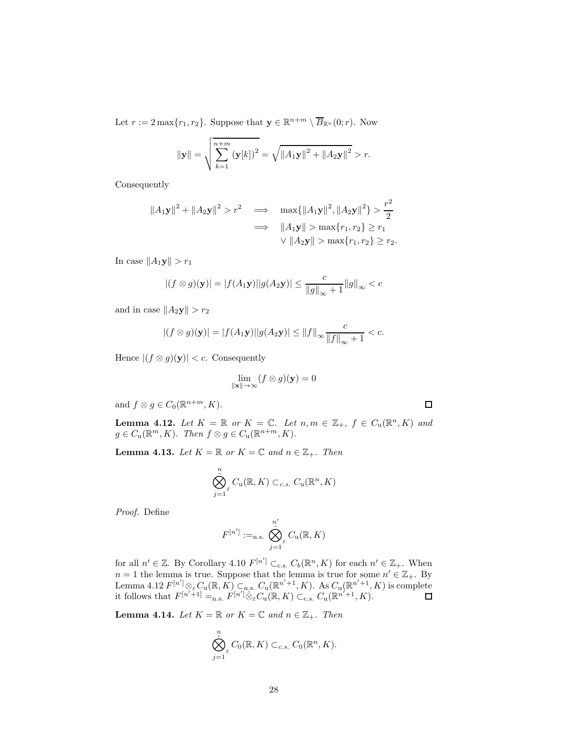Let  $r := 2 \max\{r_1, r_2\}$ . Suppose that  $\mathbf{y} \in \mathbb{R}^{n+m} \setminus \overline{B}_{\mathbb{R}^n}(0; r)$ . Now

$$
\|\mathbf{y}\| = \sqrt{\sum_{k=1}^{n+m} (\mathbf{y}[k])^2} = \sqrt{\|A_1\mathbf{y}\|^2 + \|A_2\mathbf{y}\|^2} > r.
$$

Consequently

$$
||A_1\mathbf{y}||^2 + ||A_2\mathbf{y}||^2 > r^2 \implies \max\{||A_1\mathbf{y}||^2, ||A_2\mathbf{y}||^2\} > \frac{r^2}{2}
$$
  

$$
\implies ||A_1\mathbf{y}|| > \max\{r_1, r_2\} \ge r_1
$$
  

$$
\vee ||A_2\mathbf{y}|| > \max\{r_1, r_2\} \ge r_2.
$$

In case  $||A_1\mathbf{y}|| > r_1$ 

$$
|(f \otimes g)(\mathbf{y})| = |f(A_1\mathbf{y})||g(A_2\mathbf{y})| \le \frac{c}{\|g\|_{\infty} + 1} \|g\|_{\infty} < c
$$

and in case  $||A_2y|| > r_2$ 

$$
|(f \otimes g)(y)| = |f(A_1y)||g(A_2y)| \le ||f||_{\infty} \frac{c}{||f||_{\infty} + 1} < c.
$$

Hence  $|(f \otimes g)(\mathbf{y})| < c$ . Consequently

$$
\lim_{\|\mathbf{x}\| \to \infty} (f \otimes g)(\mathbf{y}) = 0
$$

and  $f \otimes g \in C_0(\mathbb{R}^{n+m}, K)$ .

**Lemma 4.12.** Let  $K = \mathbb{R}$  or  $K = \mathbb{C}$ . Let  $n, m \in \mathbb{Z}_+$ ,  $f \in C_u(\mathbb{R}^n, K)$  and  $g \in C_{\mathbf{u}}(\mathbb{R}^m, K)$ . Then  $f \otimes g \in C_{\mathbf{u}}(\mathbb{R}^{n+m}, K)$ .

**Lemma 4.13.** Let  $K = \mathbb{R}$  or  $K = \mathbb{C}$  and  $n \in \mathbb{Z}_+$ . Then

$$
\bigotimes_{j=1}^{n} C_{\mathrm{u}}(\mathbb{R}, K) \subset_{c.s.} C_{\mathrm{u}}(\mathbb{R}^{n}, K)
$$

Proof. Define

$$
F^{[n']} :=_{\text{n.s.}} \bigotimes_{j=1}^{n'} C_{\text{u}}(\mathbb{R}, K)
$$

for all  $n' \in \mathbb{Z}$ . By Corollary 4.10  $F^{[n']} \subset_{c.s.} C_b(\mathbb{R}^n, K)$  for each  $n' \in \mathbb{Z}_+$ . When  $n = 1$  the lemma is true. Suppose that the lemma is true for some  $n' \in \mathbb{Z}_+$ . By Lemma 4.12  $F^{[n']}_{\infty,\varepsilon}C_u(\mathbb{R},K) \subset_{\mathfrak{n},\mathbb{S}} C_u(\mathbb{R}^{n'+1},K)$ . As  $C_u(\mathbb{R}^{n'+1},K)$  is complete it follows that  $F^{[n'+1]} =_{n.s.} F^{[n']} \hat{\otimes}_{\varepsilon} C_{\mathbf{u}}(\mathbb{R}, K) \subset_{\text{c.s.}} C_{\mathbf{u}}(\mathbb{R}^{n'+1}, K).$ 

**Lemma 4.14.** Let  $K = \mathbb{R}$  or  $K = \mathbb{C}$  and  $n \in \mathbb{Z}_+$ . Then

$$
\bigotimes_{j=1}^n \mathcal{C}_0(\mathbb{R}, K) \subset_{c.s.} C_0(\mathbb{R}^n, K).
$$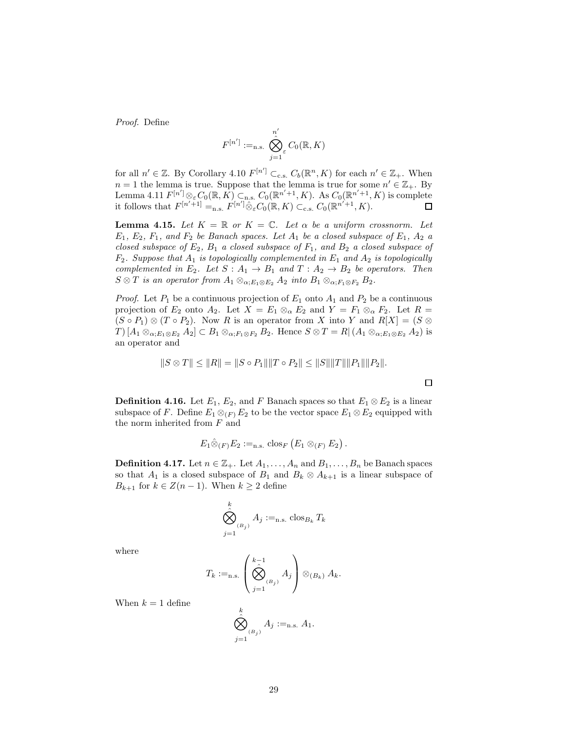Proof. Define

$$
F^{[n']} :=_{\text{n.s.}} \bigotimes_{j=1}^{n'} C_0(\mathbb{R}, K)
$$

for all  $n' \in \mathbb{Z}$ . By Corollary 4.10  $F^{[n']} \subset_{c.s.} C_b(\mathbb{R}^n, K)$  for each  $n' \in \mathbb{Z}_+$ . When  $n = 1$  the lemma is true. Suppose that the lemma is true for some  $n' \in \mathbb{Z}_+$ . By Lemma 4.11  $F^{[n']} \otimes_{\varepsilon} C_0(\mathbb{R}, K) \subset_{n,s} C_0(\mathbb{R}^{n'+1}, K)$ . As  $C_0(\mathbb{R}^{n'+1}, K)$  is complete it follows that  $F^{[n'+1]} =_{n.s.} F^{[n']} \hat{\otimes}_{\varepsilon} C_0(\mathbb{R}, K) \subset_{c.s.} C_0(\mathbb{R}^{n'+1}, K).$ 

**Lemma 4.15.** Let  $K = \mathbb{R}$  or  $K = \mathbb{C}$ . Let  $\alpha$  be a uniform crossnorm. Let  $E_1, E_2, F_1,$  and  $F_2$  be Banach spaces. Let  $A_1$  be a closed subspace of  $E_1, A_2$  a closed subspace of  $E_2$ ,  $B_1$  a closed subspace of  $F_1$ , and  $B_2$  a closed subspace of  $F_2$ . Suppose that  $A_1$  is topologically complemented in  $E_1$  and  $A_2$  is topologically complemented in  $E_2$ . Let  $S : A_1 \rightarrow B_1$  and  $T : A_2 \rightarrow B_2$  be operators. Then  $S \otimes T$  is an operator from  $A_1 \otimes_{\alpha: E_1 \otimes E_2} A_2$  into  $B_1 \otimes_{\alpha: F_1 \otimes F_2} B_2$ .

*Proof.* Let  $P_1$  be a continuous projection of  $E_1$  onto  $A_1$  and  $P_2$  be a continuous projection of  $E_2$  onto  $A_2$ . Let  $X = E_1 \otimes_{\alpha} E_2$  and  $Y = F_1 \otimes_{\alpha} F_2$ . Let  $R =$  $(S \circ P_1) \otimes (T \circ P_2)$ . Now R is an operator from X into Y and  $R[X] = (S \otimes$  $T\left[\mathcal{A}_{1}\otimes_{\alpha;E_{1}\otimes E_{2}}\mathcal{A}_{2}\right]\subset\mathcal{B}_{1}\otimes_{\alpha;F_{1}\otimes F_{2}}\mathcal{B}_{2}.$  Hence  $S\otimes T=\mathcal{R}\left[\mathcal{A}_{1}\otimes_{\alpha;E_{1}\otimes E_{2}}\mathcal{A}_{2}\right]$  is an operator and

$$
||S \otimes T|| \le ||R|| = ||S \circ P_1|| ||T \circ P_2|| \le ||S|| ||T|| ||P_1|| ||P_2||.
$$

**Definition 4.16.** Let  $E_1$ ,  $E_2$ , and F Banach spaces so that  $E_1 \otimes E_2$  is a linear subspace of F. Define  $E_1 \otimes_{F} E_2$  to be the vector space  $E_1 \otimes E_2$  equipped with the norm inherited from F and

$$
E_1 \hat{\otimes}_{(F)} E_2 :=_{n.s.} \text{clos}_F (E_1 \otimes_{(F)} E_2).
$$

**Definition 4.17.** Let  $n \in \mathbb{Z}_+$ . Let  $A_1, \ldots, A_n$  and  $B_1, \ldots, B_n$  be Banach spaces so that  $A_1$  is a closed subspace of  $B_1$  and  $B_k \otimes A_{k+1}$  is a linear subspace of  $B_{k+1}$  for  $k \in \mathbb{Z}(n-1)$ . When  $k \geq 2$  define

$$
\bigotimes_{j=1}^k A_j :=_{\text{n.s.}} \text{clos}_{B_k} T_k
$$

where

$$
T_k :=_{\text{n.s.}} \left( \bigotimes_{j=1}^{k-1} A_j \right) \otimes_{(B_k)} A_k.
$$

When  $k = 1$  define

$$
\bigotimes_{j=1}^k A_j :=_{\text{n.s.}} A_1.
$$

29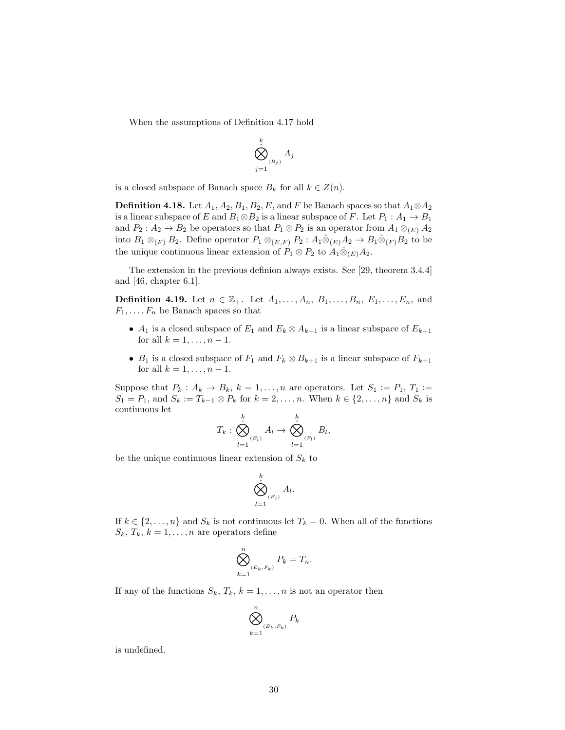When the assumptions of Definition 4.17 hold

$$
\bigotimes_{j=1}^k A_j
$$

is a closed subspace of Banach space  $B_k$  for all  $k \in Z(n)$ .

**Definition 4.18.** Let  $A_1, A_2, B_1, B_2, E$ , and F be Banach spaces so that  $A_1 \otimes A_2$ is a linear subspace of E and  $B_1 \otimes B_2$  is a linear subspace of F. Let  $P_1 : A_1 \rightarrow B_1$ and  $P_2: A_2 \to B_2$  be operators so that  $P_1 \otimes P_2$  is an operator from  $A_1 \otimes_{(E)} A_2$ into  $B_1 \otimes_{(F)} B_2$ . Define operator  $P_1 \otimes_{(E,F)} P_2 : A_1 \hat{\otimes}_{(E)} A_2 \to B_1 \hat{\otimes}_{(F)} B_2$  to be the unique continuous linear extension of  $P_1 \otimes P_2$  to  $A_1 \hat{\otimes}_{(E)} A_2$ .

The extension in the previous definion always exists. See [29, theorem 3.4.4] and [46, chapter 6.1].

**Definition 4.19.** Let  $n \in \mathbb{Z}_+$ . Let  $A_1, ..., A_n, B_1, ..., B_n, E_1, ..., E_n$ , and  $F_1, \ldots, F_n$  be Banach spaces so that

- $A_1$  is a closed subspace of  $E_1$  and  $E_k \otimes A_{k+1}$  is a linear subspace of  $E_{k+1}$ for all  $k = 1, \ldots, n-1$ .
- $B_1$  is a closed subspace of  $F_1$  and  $F_k \otimes B_{k+1}$  is a linear subspace of  $F_{k+1}$ for all  $k = 1, \ldots, n - 1$ .

Suppose that  $P_k: A_k \to B_k$ ,  $k = 1, \ldots, n$  are operators. Let  $S_1 := P_1, T_1 :=$  $S_1 = P_1$ , and  $S_k := T_{k-1} \otimes P_k$  for  $k = 2, \ldots, n$ . When  $k \in \{2, \ldots, n\}$  and  $S_k$  is continuous let

$$
T_k: \bigotimes_{l=1}^k A_l \to \bigotimes_{l=1}^k B_l,
$$

be the unique continuous linear extension of  $S_k$  to

$$
\bigotimes_{l=1}^k A_l.
$$

If  $k \in \{2, ..., n\}$  and  $S_k$  is not continuous let  $T_k = 0$ . When all of the functions  $S_k, T_k, k = 1, \ldots, n$  are operators define

$$
\bigotimes_{k=1}^n_{(E_k, F_k)} P_k = T_n.
$$

If any of the functions  $S_k$ ,  $T_k$ ,  $k = 1, ..., n$  is not an operator then

$$
\bigotimes_{k=1}^n_{(E_k, F_k)} P_k
$$

is undefined.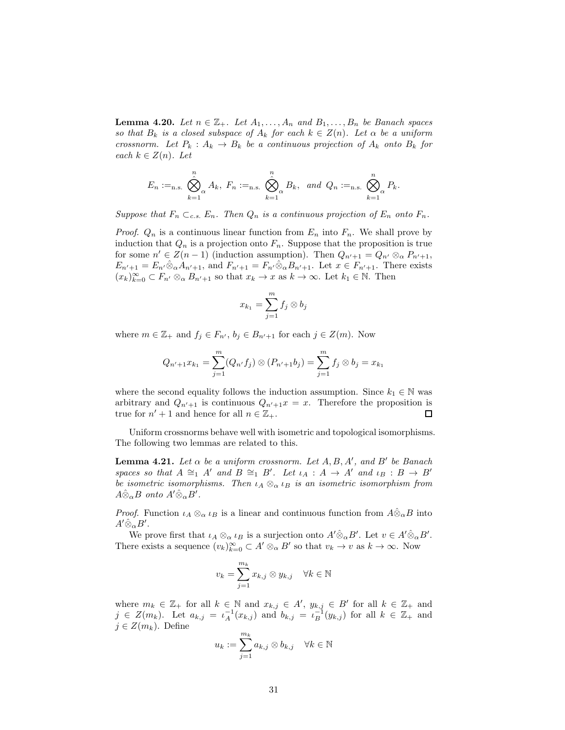**Lemma 4.20.** Let  $n \in \mathbb{Z}_+$ . Let  $A_1, \ldots, A_n$  and  $B_1, \ldots, B_n$  be Banach spaces so that  $B_k$  is a closed subspace of  $A_k$  for each  $k \in Z(n)$ . Let  $\alpha$  be a uniform crossnorm. Let  $P_k: A_k \to B_k$  be a continuous projection of  $A_k$  onto  $B_k$  for each  $k \in Z(n)$ . Let

$$
E_n :=_{\text{n.s.}} \bigotimes_{k=1}^n A_k, \ F_n :=_{\text{n.s.}} \bigotimes_{k=1}^n B_k, \ \text{and } Q_n :=_{\text{n.s.}} \bigotimes_{k=1}^n P_k.
$$

Suppose that  $F_n \subset_{c.s.} E_n$ . Then  $Q_n$  is a continuous projection of  $E_n$  onto  $F_n$ .

*Proof.*  $Q_n$  is a continuous linear function from  $E_n$  into  $F_n$ . We shall prove by induction that  $Q_n$  is a projection onto  $F_n$ . Suppose that the proposition is true for some  $n' \in Z(n-1)$  (induction assumption). Then  $Q_{n'+1} = Q_{n'} \otimes_{\alpha} P_{n'+1}$ ,  $E_{n'+1} = E_{n'} \hat{\otimes}_{\alpha} A_{n'+1}$ , and  $F_{n'+1} = F_{n'} \hat{\otimes}_{\alpha} B_{n'+1}$ . Let  $x \in F_{n'+1}$ . There exists  $(x_k)_{k=0}^{\infty} \subset F_{n'} \otimes_{\alpha} B_{n'+1}$  so that  $x_k \to x$  as  $k \to \infty$ . Let  $k_1 \in \mathbb{N}$ . Then

$$
x_{k_1} = \sum_{j=1}^m f_j \otimes b_j
$$

where  $m \in \mathbb{Z}_+$  and  $f_j \in F_{n'}$ ,  $b_j \in B_{n'+1}$  for each  $j \in Z(m)$ . Now

$$
Q_{n'+1}x_{k_1} = \sum_{j=1}^{m} (Q_{n'}f_j) \otimes (P_{n'+1}b_j) = \sum_{j=1}^{m} f_j \otimes b_j = x_{k_1}
$$

where the second equality follows the induction assumption. Since  $k_1 \in \mathbb{N}$  was arbitrary and  $Q_{n'+1}$  is continuous  $Q_{n'+1}x = x$ . Therefore the proposition is true for  $n' + 1$  and hence for all  $n \in \mathbb{Z}_+$ . 口

Uniform crossnorms behave well with isometric and topological isomorphisms. The following two lemmas are related to this.

**Lemma 4.21.** Let  $\alpha$  be a uniform crossnorm. Let  $A, B, A'$ , and  $B'$  be Banach spaces so that  $A \cong_1 A'$  and  $B \cong_1 B'$ . Let  $\iota_A : A \to A'$  and  $\iota_B : B \to B'$ be isometric isomorphisms. Then  $\iota_A \otimes_\alpha \iota_B$  is an isometric isomorphism from  $A\hat{\otimes}_{\alpha}B$  onto  $A'\hat{\otimes}_{\alpha}B'$ .

*Proof.* Function  $\iota_A \otimes_\alpha \iota_B$  is a linear and continuous function from  $A \hat{\otimes}_\alpha B$  into  $A' \hat{\otimes}_{\alpha} B'.$ 

We prove first that  $\iota_A \otimes_\alpha \iota_B$  is a surjection onto  $A' \hat{\otimes}_\alpha B'$ . Let  $v \in A' \hat{\otimes}_\alpha B'$ . There exists a sequence  $(v_k)_{k=0}^{\infty} \subset A' \otimes_{\alpha} B'$  so that  $v_k \to v$  as  $k \to \infty$ . Now

$$
v_k = \sum_{j=1}^{m_k} x_{k,j} \otimes y_{k,j} \quad \forall k \in \mathbb{N}
$$

where  $m_k \in \mathbb{Z}_+$  for all  $k \in \mathbb{N}$  and  $x_{k,j} \in A'$ ,  $y_{k,j} \in B'$  for all  $k \in \mathbb{Z}_+$  and  $j \in Z(m_k)$ . Let  $a_{k,j} = \iota_A^{-1}(x_{k,j})$  and  $b_{k,j} = \iota_B^{-1}(y_{k,j})$  for all  $k \in \mathbb{Z}_+$  and  $j \in Z(m_k)$ . Define

$$
u_k := \sum_{j=1}^{m_k} a_{k,j} \otimes b_{k,j} \quad \forall k \in \mathbb{N}
$$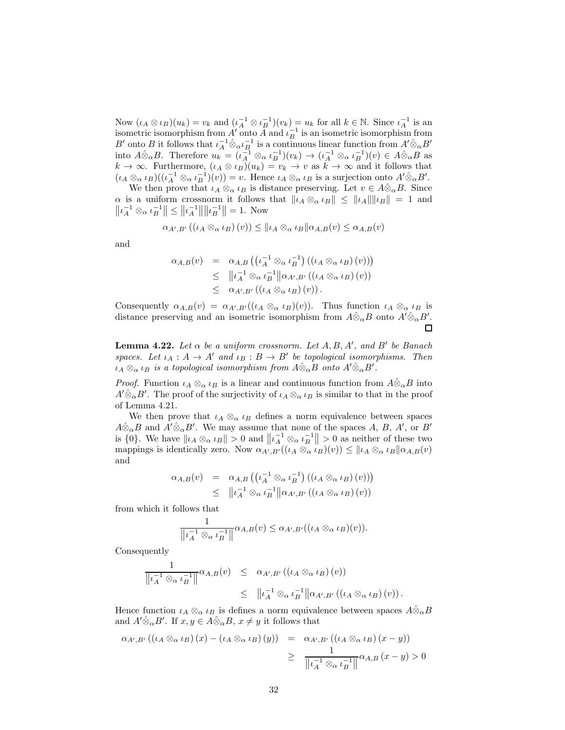Now  $(\iota_A \otimes \iota_B)(u_k) = v_k$  and  $(\iota_A^{-1} \otimes \iota_B^{-1})(v_k) = u_k$  for all  $k \in \mathbb{N}$ . Since  $\iota_A^{-1}$  is an isometric isomorphism from  $A'$  onto  $\overline{A}$  and  $\iota_B^{-1}$  is an isometric isomorphism from B' onto B it follows that  $\iota_A^{-1} \hat{\otimes}_{\alpha} \iota_B^{-1}$  is a continuous linear function from  $A' \hat{\otimes}_{\alpha} B'$ into  $A\hat{\otimes}_{\alpha}B$ . Therefore  $u_k = (\iota_A^{-1} \otimes_{\alpha} \iota_B^{-1})(v_k) \to (\iota_A^{-1} \otimes_{\alpha} \iota_B^{-1})(v) \in A\hat{\otimes}_{\alpha}B$  as  $k \to \infty$ . Furthermore,  $(\iota_A \otimes \iota_B)(u_k) = v_k \to v$  as  $k \to \infty$  and it follows that  $(\iota_A \otimes_\alpha \iota_B)((\iota_A^{-1} \otimes_\alpha \iota_B^{-1})(v)) = v.$  Hence  $\iota_A \otimes_\alpha \iota_B$  is a surjection onto  $A' \hat{\otimes}_\alpha B'$ .

We then prove that  $\iota_A \otimes_\alpha \iota_B$  is distance preserving. Let  $v \in A \hat{\otimes}_{\alpha} B$ . Since  $\alpha$  is a uniform crossnorm it follows that  $\|\iota_A\otimes_\alpha \iota_B\| \le \|\iota_A\| \|\iota_B\| = 1$  and  $||\iota_A^{-1} \otimes_\alpha \iota_B^{-1}|| \le ||\iota_A^{-1}|| ||\iota_B^{-1}|| = 1.$  Now

$$
\alpha_{A',B'}((\iota_A \otimes_{\alpha} \iota_B)(v)) \leq \|\iota_A \otimes_{\alpha} \iota_B\|\alpha_{A,B}(v) \leq \alpha_{A,B}(v)
$$

and

$$
\alpha_{A,B}(v) = \alpha_{A,B}\left(\left(\iota_A^{-1} \otimes_{\alpha} \iota_B^{-1}\right) \left(\left(\iota_A \otimes_{\alpha} \iota_B\right)(v)\right)\right)
$$
  
\n
$$
\leq \quad \left\|\iota_A^{-1} \otimes_{\alpha} \iota_B^{-1}\right\| \alpha_{A',B'}\left(\left(\iota_A \otimes_{\alpha} \iota_B\right)(v)\right)
$$
  
\n
$$
\leq \quad \alpha_{A',B'}\left(\left(\iota_A \otimes_{\alpha} \iota_B\right)(v)\right).
$$

Consequently  $\alpha_{A,B}(v) = \alpha_{A',B'}((\iota_A \otimes_\alpha \iota_B)(v))$ . Thus function  $\iota_A \otimes_\alpha \iota_B$  is distance preserving and an isometric isomorphism from  $A\hat{\otimes}_{\alpha}B$  onto  $A'\hat{\otimes}_{\alpha}B'$ .

**Lemma 4.22.** Let  $\alpha$  be a uniform crossnorm. Let  $A, B, A'$ , and  $B'$  be Banach spaces. Let  $\iota_A : A \to A'$  and  $\iota_B : B \to B'$  be topological isomorphisms. Then  $\iota_A \otimes_\alpha \iota_B$  is a topological isomorphism from  $A\hat{\otimes}_\alpha B$  onto  $A'\hat{\otimes}_\alpha B'$ .

*Proof.* Function  $\iota_A \otimes_\alpha \iota_B$  is a linear and continuous function from  $A\hat{\otimes}_\alpha B$  into  $A' \hat{\otimes}_{\alpha} B'$ . The proof of the surjectivity of  $\iota_A \otimes_{\alpha} \iota_B$  is similar to that in the proof of Lemma 4.21.

We then prove that  $\iota_A \otimes_\alpha \iota_B$  defines a norm equivalence between spaces  $A\hat{\otimes}_{\alpha}B$  and  $A'\hat{\otimes}_{\alpha}B'$ . We may assume that none of the spaces A, B, A', or B' is {0}. We have  $||\iota_A \otimes_\alpha \iota_B|| > 0$  and  $||\iota_A^{-1} \otimes_\alpha \iota_B^{-1}|| > 0$  as neither of these two mappings is identically zero. Now  $\alpha_{A',B'}((\iota_A \otimes_\alpha \iota_B)(v)) \leq ||\iota_A \otimes_\alpha \iota_B||\alpha_{A,B}(v)$ and

$$
\alpha_{A,B}(v) = \alpha_{A,B} \left( \left( \iota_A^{-1} \otimes_{\alpha} \iota_B^{-1} \right) \left( \left( \iota_A \otimes_{\alpha} \iota_B \right) (v) \right) \right) \leq \|\iota_A^{-1} \otimes_{\alpha} \iota_B^{-1}\| \alpha_{A',B'} \left( \left( \iota_A \otimes_{\alpha} \iota_B \right) (v) \right)
$$

from which it follows that

$$
\frac{1}{\left\|\iota_A^{-1}\otimes_\alpha\iota_B^{-1}\right\|} \alpha_{A,B}(v) \leq \alpha_{A',B'}((\iota_A \otimes_\alpha \iota_B)(v)).
$$

Consequently

$$
\frac{1}{\left\|\iota_A^{-1} \otimes_{\alpha} \iota_B^{-1}\right\|} \alpha_{A,B}(v) \leq \alpha_{A',B'} \left( (\iota_A \otimes_{\alpha} \iota_B)(v) \right) \leq \|\iota_A^{-1} \otimes_{\alpha} \iota_B^{-1}\| \alpha_{A',B'} \left( (\iota_A \otimes_{\alpha} \iota_B)(v) \right).
$$

Hence function  $\iota_A \otimes_\alpha \iota_B$  is defines a norm equivalence between spaces  $A\hat{\otimes}_\alpha B$ and  $A' \hat{\otimes}_{\alpha} B'$ . If  $x, y \in A \hat{\otimes}_{\alpha} B$ ,  $x \neq y$  it follows that

$$
\alpha_{A',B'}((\iota_A \otimes_{\alpha} \iota_B)(x) - (\iota_A \otimes_{\alpha} \iota_B)(y)) = \alpha_{A',B'}((\iota_A \otimes_{\alpha} \iota_B)(x-y))
$$
  

$$
\geq \frac{1}{\left\|\iota_A^{-1} \otimes_{\alpha} \iota_B^{-1}\right\|} \alpha_{A,B}(x-y) > 0
$$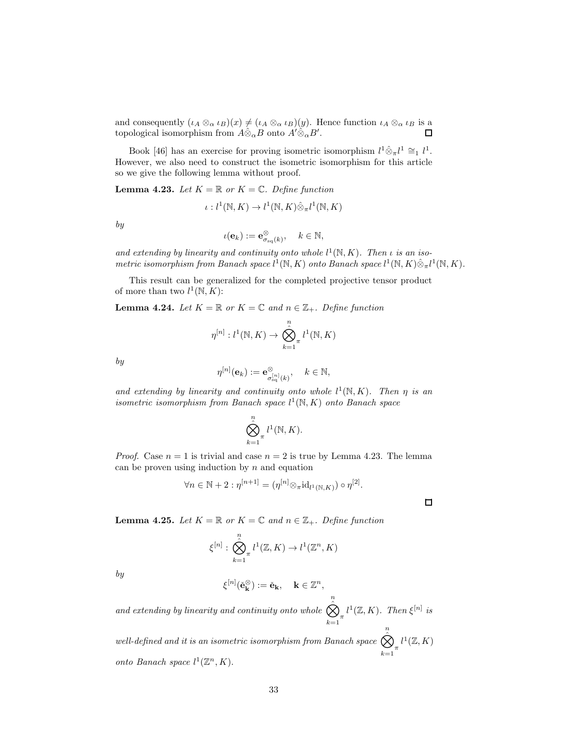and consequently  $(\iota_A \otimes_{\alpha} \iota_B)(x) \neq (\iota_A \otimes_{\alpha} \iota_B)(y)$ . Hence function  $\iota_A \otimes_{\alpha} \iota_B$  is a topological isomorphism from  $A \hat{\otimes}_{\alpha} B$  onto  $A' \hat{\otimes}_{\alpha} B'$ . topological isomorphism from  $A\hat{\otimes}_{\alpha}B$  onto  $A'\hat{\otimes}_{\alpha}B'$ .

Book [46] has an exercise for proving isometric isomorphism  $l^1 \hat{\otimes}_{\pi} l^1 \cong_l l^1$ . However, we also need to construct the isometric isomorphism for this article so we give the following lemma without proof.

**Lemma 4.23.** Let  $K = \mathbb{R}$  or  $K = \mathbb{C}$ . Define function

$$
\iota: l^1(\mathbb{N}, K) \to l^1(\mathbb{N}, K) \hat{\otimes}_{\pi} l^1(\mathbb{N}, K)
$$

by

$$
\iota(\mathbf{e}_k) := \mathbf{e}_{\sigma_{\text{sq}}(k)}^{\otimes}, \quad k \in \mathbb{N},
$$

and extending by linearity and continuity onto whole  $l^1(\mathbb{N}, K)$ . Then  $\iota$  is an isometric isomorphism from Banach space  $l^1(\mathbb{N}, K)$  onto Banach space  $l^1(\mathbb{N}, K)\hat{\otimes}_{\pi} l^1(\mathbb{N}, K)$ .

This result can be generalized for the completed projective tensor product of more than two  $l^1(\mathbb{N}, K)$ :

**Lemma 4.24.** Let  $K = \mathbb{R}$  or  $K = \mathbb{C}$  and  $n \in \mathbb{Z}_+$ . Define function

$$
\eta^{[n]}: l^1(\mathbb{N}, K) \to \bigotimes_{k=1}^n l^1(\mathbb{N}, K)
$$

by

$$
\eta^{[n]}({\bf e}_k):={\bf e}_{\sigma^{[n]}_{\mathrm{sq}}(k)}^{\otimes}, \quad k\in\mathbb{N},
$$

and extending by linearity and continuity onto whole  $l^1(\mathbb{N}, K)$ . Then  $\eta$  is an isometric isomorphism from Banach space  $l^1(\mathbb{N}, K)$  onto Banach space

$$
\bigotimes_{k=1}^n t^1(\mathbb{N},K).
$$

*Proof.* Case  $n = 1$  is trivial and case  $n = 2$  is true by Lemma 4.23. The lemma can be proven using induction by  $n$  and equation

$$
\forall n \in \mathbb{N} + 2 : \eta^{[n+1]} = (\eta^{[n]} \otimes_{\pi} \mathrm{id}_{l^1(\mathbb{N}, K)}) \circ \eta^{[2]}.
$$

 $\Box$ 

**Lemma 4.25.** Let  $K = \mathbb{R}$  or  $K = \mathbb{C}$  and  $n \in \mathbb{Z}_+$ . Define function

$$
\xi^{[n]} : \bigotimes_{k=1}^{n} l^{1}(\mathbb{Z}, K) \to l^{1}(\mathbb{Z}^{n}, K)
$$

by

$$
\xi^{[n]}(\check{\mathbf{e}}_{\mathbf{k}}^{\otimes}) := \check{\mathbf{e}}_{\mathbf{k}}, \quad \mathbf{k} \in \mathbb{Z}^n,
$$

and extending by linearity and continuity onto whole  $\bigotimes^n$  $\sum_{k=1}^{\infty}$  $l^1(\mathbb{Z}, K)$ . Then  $\xi^{[n]}$  is

well-defined and it is an isometric isomorphism from Banach space  $\hat{\hat{\infty}}^n$  $\sum_{k=1}^{\infty}$  $l^1(\mathbb{Z}, K)$ onto Banach space  $l^1(\mathbb{Z}^n, K)$ .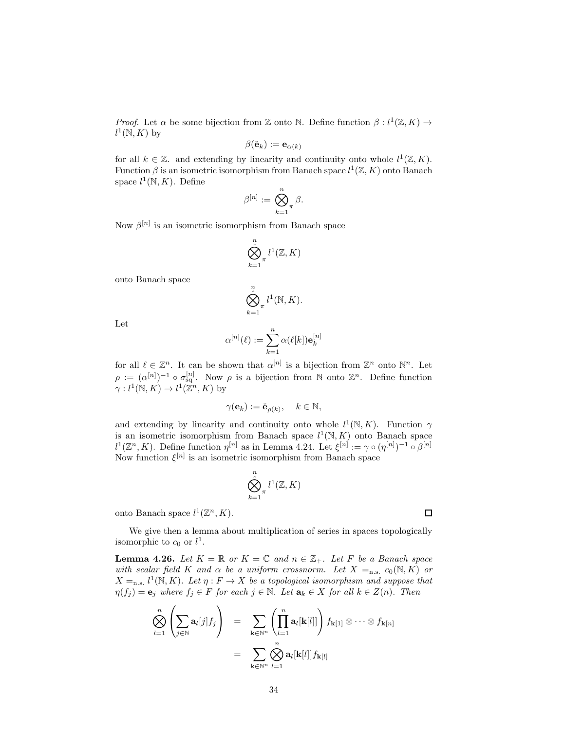*Proof.* Let  $\alpha$  be some bijection from Z onto N. Define function  $\beta: l^1(\mathbb{Z}, K) \to$  $l^1(\mathbb{N}, K)$  by

$$
\beta(\check {\mathbf{e}}_k) := \mathbf{e}_{\alpha(k)}
$$

for all  $k \in \mathbb{Z}$ . and extending by linearity and continuity onto whole  $l^1(\mathbb{Z}, K)$ . Function  $\beta$  is an isometric isomorphism from Banach space  $l^1(\mathbb{Z}, K)$  onto Banach space  $l^1(\mathbb{N}, K)$ . Define

$$
\beta^{[n]}:=\bigotimes_{k=1}^n \beta.
$$

Now  $\beta^{[n]}$  is an isometric isomorphism from Banach space

$$
\bigotimes_{k=1}^n \pi^{l^1}(\mathbb{Z}, K)
$$

onto Banach space

$$
\bigotimes_{k=1}^n \prod_{j=1}^n l^1(\mathbb{N}, K).
$$

Let

$$
\alpha^{[n]}(\ell) := \sum_{k=1}^n \alpha(\ell[k]) \mathbf{e}_k^{[n]}
$$

for all  $\ell \in \mathbb{Z}^n$ . It can be shown that  $\alpha^{[n]}$  is a bijection from  $\mathbb{Z}^n$  onto  $\mathbb{N}^n$ . Let  $\rho := (\alpha^{[n]})^{-1} \circ \sigma_{sq}^{[n]}$ . Now  $\rho$  is a bijection from N onto  $\mathbb{Z}^n$ . Define function  $\gamma: l^1(\mathbb{N}, K) \to l^1(\mathbb{Z}^n, K)$  by

$$
\gamma(\mathbf{e}_k) := \check{\mathbf{e}}_{\rho(k)}, \quad k \in \mathbb{N},
$$

and extending by linearity and continuity onto whole  $l^1(\mathbb{N}, K)$ . Function  $\gamma$ is an isometric isomorphism from Banach space  $l^1(\mathbb{N}, K)$  onto Banach space  $l^1(\mathbb{Z}^n, K)$ . Define function  $\eta^{[n]}$  as in Lemma 4.24. Let  $\xi^{[n]} := \gamma \circ (\eta^{[n]})^{-1} \circ \beta^{[n]}$ Now function  $\xi^{[n]}$  is an isometric isomorphism from Banach space

$$
\bigotimes_{k=1}^n \pi^l({\mathbb Z},K)
$$

onto Banach space  $l^1(\mathbb{Z}^n, K)$ .

We give then a lemma about multiplication of series in spaces topologically isomorphic to  $c_0$  or  $l^1$ .

**Lemma 4.26.** Let  $K = \mathbb{R}$  or  $K = \mathbb{C}$  and  $n \in \mathbb{Z}_+$ . Let F be a Banach space with scalar field K and  $\alpha$  be a uniform crossnorm. Let  $X =_{n.s.} c_0(N, K)$  or  $X =$ n.s.  $l^1(\mathbb{N}, K)$ . Let  $\eta : F \to X$  be a topological isomorphism and suppose that  $\eta(f_j) = \mathbf{e}_j$  where  $f_j \in F$  for each  $j \in \mathbb{N}$ . Let  $\mathbf{a}_k \in X$  for all  $k \in Z(n)$ . Then

$$
\bigotimes_{l=1}^{n} \left( \sum_{j \in \mathbb{N}} \mathbf{a}_{l}[j] f_j \right) = \sum_{\mathbf{k} \in \mathbb{N}^n} \left( \prod_{l=1}^{n} \mathbf{a}_{l}[\mathbf{k}[l]] \right) f_{\mathbf{k}[1]} \otimes \cdots \otimes f_{\mathbf{k}[n]}
$$

$$
= \sum_{\mathbf{k} \in \mathbb{N}^n} \bigotimes_{l=1}^{n} \mathbf{a}_{l}[\mathbf{k}[l]] f_{\mathbf{k}[l]}
$$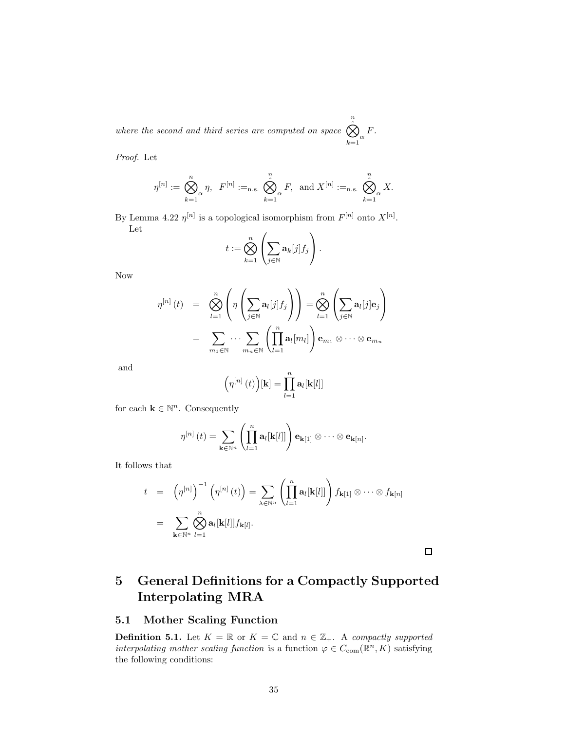where the second and third series are computed on space  $\bigotimes^n$  $\sum_{k=1}^{\infty}$ F.

Proof. Let

$$
\eta^{[n]}:=\bigotimes_{k=1}^n \eta,\ \ F^{[n]}:=_{\text{n.s.}}\ \bigotimes_{k=1}^n \alpha F,\ \ \text{and}\ X^{[n]}:=_{\text{n.s.}}\ \bigotimes_{k=1}^n \alpha X.
$$

By Lemma 4.22  $\eta^{[n]}$  is a topological isomorphism from  $F^{[n]}$  onto  $X^{[n]}$ . Let  $\mathcal{L}$  $\sim$ 

$$
t:=\bigotimes_{k=1}^n\left(\sum_{j\in\mathbb{N}}\mathbf{a}_k[j]f_j\right).
$$

Now

$$
\eta^{[n]}(t) = \bigotimes_{l=1}^{n} \left( \eta \left( \sum_{j \in \mathbb{N}} a_{l}[j] f_{j} \right) \right) = \bigotimes_{l=1}^{n} \left( \sum_{j \in \mathbb{N}} a_{l}[j] e_{j} \right)
$$

$$
= \sum_{m_{1} \in \mathbb{N}} \cdots \sum_{m_{n} \in \mathbb{N}} \left( \prod_{l=1}^{n} a_{l}[m_{l}] \right) e_{m_{1}} \otimes \cdots \otimes e_{m_{n}}
$$

and

$$
\left(\eta^{[n]}\left(t\right)\right)[\mathbf{k}]=\prod_{l=1}^{n}\mathbf{a}_{l}[\mathbf{k}[l]]
$$

for each  $\mathbf{k} \in \mathbb{N}^n$ . Consequently

$$
\eta^{[n]}\left(t\right) = \sum_{\mathbf{k}\in\mathbb{N}^n}\left(\prod_{l=1}^n\mathbf{a}_l[\mathbf{k}[l]]\right)\mathbf{e}_{\mathbf{k}[1]}\otimes\cdots\otimes\mathbf{e}_{\mathbf{k}[n]}.
$$

It follows that

$$
t = \left(\eta^{[n]}\right)^{-1} \left(\eta^{[n]}(t)\right) = \sum_{\lambda \in \mathbb{N}^n} \left(\prod_{l=1}^n \mathbf{a}_l[\mathbf{k}[l]]\right) f_{\mathbf{k}[1]} \otimes \cdots \otimes f_{\mathbf{k}[n]}
$$

$$
= \sum_{\mathbf{k} \in \mathbb{N}^n} \bigotimes_{l=1}^n \mathbf{a}_l[\mathbf{k}[l]] f_{\mathbf{k}[l]}.
$$

 $\Box$ 

## 5 General Definitions for a Compactly Supported Interpolating MRA

#### 5.1 Mother Scaling Function

**Definition 5.1.** Let  $K = \mathbb{R}$  or  $K = \mathbb{C}$  and  $n \in \mathbb{Z}_+$ . A compactly supported interpolating mother scaling function is a function  $\varphi \in C_{com}(\mathbb{R}^n, K)$  satisfying the following conditions: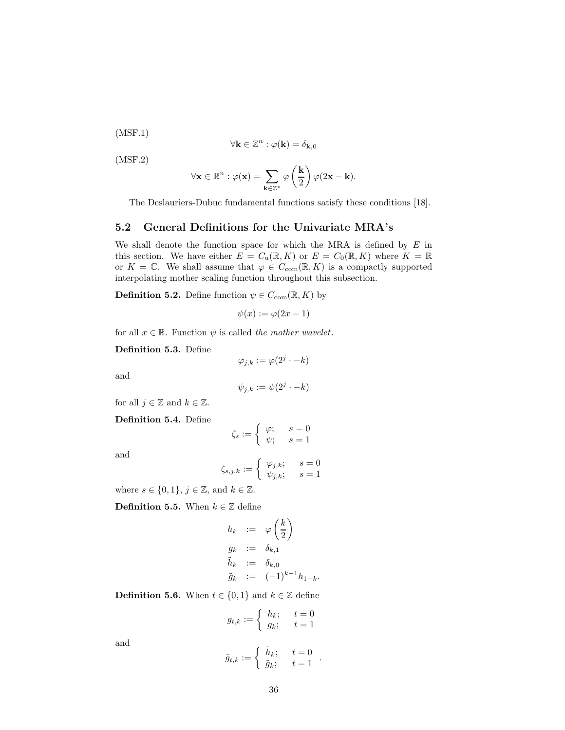(MSF.1)

$$
\forall \mathbf{k} \in \mathbb{Z}^n : \varphi(\mathbf{k}) = \delta_{\mathbf{k},0}
$$

(MSF.2)

$$
\forall \mathbf{x} \in \mathbb{R}^n : \varphi(\mathbf{x}) = \sum_{\mathbf{k} \in \mathbb{Z}^n} \varphi\left(\frac{\mathbf{k}}{2}\right) \varphi(2\mathbf{x} - \mathbf{k}).
$$

The Deslauriers-Dubuc fundamental functions satisfy these conditions [18].

#### 5.2 General Definitions for the Univariate MRA's

We shall denote the function space for which the MRA is defined by  $E$  in this section. We have either  $E = C_u(\mathbb{R}, K)$  or  $E = C_0(\mathbb{R}, K)$  where  $K = \mathbb{R}$ or  $K = \mathbb{C}$ . We shall assume that  $\varphi \in C_{com}(\mathbb{R}, K)$  is a compactly supported interpolating mother scaling function throughout this subsection.

**Definition 5.2.** Define function  $\psi \in C_{com}(\mathbb{R}, K)$  by

$$
\psi(x) := \varphi(2x - 1)
$$

for all  $x \in \mathbb{R}$ . Function  $\psi$  is called the mother wavelet.

Definition 5.3. Define

$$
\varphi_{j,k}:=\varphi(2^j\cdot-k)
$$

and

$$
\psi_{j,k} := \psi(2^j \cdot -k)
$$

for all  $j \in \mathbb{Z}$  and  $k \in \mathbb{Z}$ .

Definition 5.4. Define

$$
\zeta_s := \begin{cases} \varphi; & s = 0 \\ \psi; & s = 1 \end{cases}
$$

and

$$
\zeta_{s,j,k}:=\left\{\begin{array}{ll}\varphi_{j,k};\quad \ \, s=0\\\psi_{j,k};\quad \ \, s=1\end{array}\right.
$$

where  $s \in \{0,1\}, j \in \mathbb{Z}$ , and  $k \in \mathbb{Z}$ .

**Definition 5.5.** When  $k \in \mathbb{Z}$  define

$$
h_k := \varphi\left(\frac{k}{2}\right)
$$
  
\n
$$
g_k := \delta_{k,1}
$$
  
\n
$$
\tilde{h}_k := \delta_{k,0}
$$
  
\n
$$
\tilde{g}_k := (-1)^{k-1} h_{1-k}.
$$

**Definition 5.6.** When  $t \in \{0, 1\}$  and  $k \in \mathbb{Z}$  define

$$
g_{t,k} := \begin{cases} h_k; & t = 0\\ g_k; & t = 1 \end{cases}
$$

and

$$
\tilde{g}_{t,k} := \left\{ \begin{array}{ll} \tilde{h}_k; \quad \ \, t=0 \\ \tilde{g}_k; \quad \ \, t=1 \end{array} \right. .
$$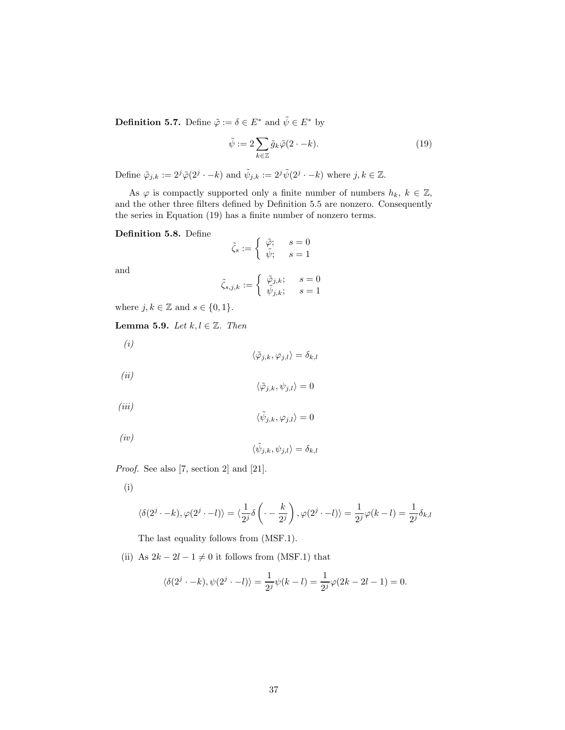**Definition 5.7.** Define  $\tilde{\varphi} := \delta \in E^*$  and  $\tilde{\psi} \in E^*$  by

$$
\tilde{\psi} := 2 \sum_{k \in \mathbb{Z}} \tilde{g}_k \tilde{\varphi}(2 \cdot -k). \tag{19}
$$

Define  $\tilde{\varphi}_{j,k} := 2^j \tilde{\varphi}(2^j \cdot -k)$  and  $\tilde{\psi}_{j,k} := 2^j \tilde{\psi}(2^j \cdot -k)$  where  $j, k \in \mathbb{Z}$ .

As  $\varphi$  is compactly supported only a finite number of numbers  $h_k, k \in \mathbb{Z}$ , and the other three filters defined by Definition 5.5 are nonzero. Consequently the series in Equation (19) has a finite number of nonzero terms.

### Definition 5.8. Define

$$
\tilde{\zeta}_s:=\left\{\begin{array}{ll}\tilde{\varphi};\quad \ \, s=0\\\tilde{\psi};\quad \ \, s=1\end{array}\right.
$$

and

$$
\tilde{\zeta}_{s,j,k}:=\left\{\begin{array}{ll}\tilde{\varphi}_{j,k};\quad \ \, s=0\\\tilde{\psi}_{j,k};\quad \ \, s=1\end{array}\right.
$$

where  $j, k \in \mathbb{Z}$  and  $s \in \{0, 1\}.$ 

Lemma 5.9. Let  $k, l \in \mathbb{Z}$ . Then

(i)  $\langle \tilde{\varphi}_{j,k}, \varphi_{j,l} \rangle = \delta_{k,l}$ (ii)

$$
\langle \tilde{\varphi}_{j,k}, \psi_{j,l} \rangle = 0
$$

 $(iii)$ 

$$
f_{\rm{max}}
$$

$$
\langle \tilde{\psi}_{j,k}, \psi_{j,l} \rangle = \delta_{k,l}
$$

Proof. See also [7, section 2] and [21].

(i)

 $(iv)$ 

$$
\langle \delta(2^{j} \cdot -k), \varphi(2^{j} \cdot -l) \rangle = \langle \frac{1}{2^{j}} \delta\left(\cdot - \frac{k}{2^{j}}\right), \varphi(2^{j} \cdot -l) \rangle = \frac{1}{2^{j}} \varphi(k-l) = \frac{1}{2^{j}} \delta_{k,l}
$$

 $\langle \tilde{\psi}_{j,k}, \varphi_{j,l} \rangle = 0$ 

The last equality follows from (MSF.1).

(ii) As  $2k - 2l - 1 \neq 0$  it follows from (MSF.1) that

$$
\langle \delta(2^{j} - k), \psi(2^{j} - l) \rangle = \frac{1}{2^{j}} \psi(k - l) = \frac{1}{2^{j}} \varphi(2k - 2l - 1) = 0.
$$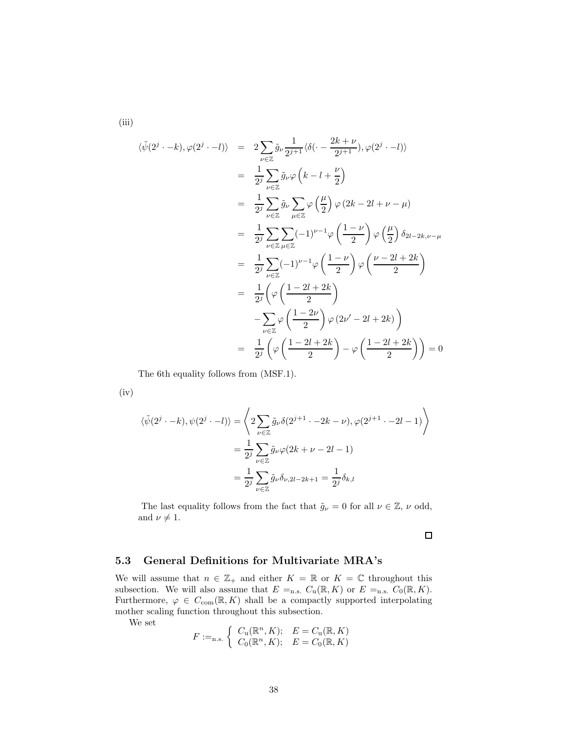(iii)

$$
\langle \tilde{\psi}(2^{j} \cdot -k), \varphi(2^{j} \cdot -l) \rangle = 2 \sum_{\nu \in \mathbb{Z}} \tilde{g}_{\nu} \frac{1}{2^{j+1}} \langle \delta(\cdot - \frac{2k+\nu}{2^{j+1}}), \varphi(2^{j} \cdot -l) \rangle
$$
  
\n
$$
= \frac{1}{2^{j}} \sum_{\nu \in \mathbb{Z}} \tilde{g}_{\nu} \varphi \left(k - l + \frac{\nu}{2}\right)
$$
  
\n
$$
= \frac{1}{2^{j}} \sum_{\nu \in \mathbb{Z}} \tilde{g}_{\nu} \sum_{\mu \in \mathbb{Z}} \varphi \left(\frac{\mu}{2}\right) \varphi (2k - 2l + \nu - \mu)
$$
  
\n
$$
= \frac{1}{2^{j}} \sum_{\nu \in \mathbb{Z}} \sum_{\mu \in \mathbb{Z}} (-1)^{\nu-1} \varphi \left(\frac{1-\nu}{2}\right) \varphi \left(\frac{\mu}{2}\right) \delta_{2l-2k, \nu-\mu}
$$
  
\n
$$
= \frac{1}{2^{j}} \sum_{\nu \in \mathbb{Z}} (-1)^{\nu-1} \varphi \left(\frac{1-\nu}{2}\right) \varphi \left(\frac{\nu-2l+2k}{2}\right)
$$
  
\n
$$
= \frac{1}{2^{j}} \left(\varphi \left(\frac{1-2l+2k}{2}\right) \varphi (2\nu' - 2l + 2k)\right)
$$
  
\n
$$
= \frac{1}{2^{j}} \left(\varphi \left(\frac{1-2l+2k}{2}\right) - \varphi \left(\frac{1-2l+2k}{2}\right) \right) = 0
$$

The 6th equality follows from (MSF.1).

(iv)

$$
\langle \tilde{\psi}(2^j \cdot -k), \psi(2^j \cdot -l) \rangle = \left\langle 2 \sum_{\nu \in \mathbb{Z}} \tilde{g}_{\nu} \delta(2^{j+1} \cdot -2k - \nu), \varphi(2^{j+1} \cdot -2l - 1) \right\rangle
$$

$$
= \frac{1}{2^j} \sum_{\nu \in \mathbb{Z}} \tilde{g}_{\nu} \varphi(2k + \nu - 2l - 1)
$$

$$
= \frac{1}{2^j} \sum_{\nu \in \mathbb{Z}} \tilde{g}_{\nu} \delta_{\nu, 2l - 2k + 1} = \frac{1}{2^j} \delta_{k, l}
$$

The last equality follows from the fact that  $\tilde{g}_{\nu} = 0$  for all  $\nu \in \mathbb{Z}$ ,  $\nu$  odd, and  $\nu \neq 1$ .

 $\Box$ 

### 5.3 General Definitions for Multivariate MRA's

We will assume that  $n \in \mathbb{Z}_+$  and either  $K = \mathbb{R}$  or  $K = \mathbb{C}$  throughout this subsection. We will also assume that  $E =_{n.s.} C_u(\mathbb{R}, K)$  or  $E =_{n.s.} C_0(\mathbb{R}, K)$ . Furthermore,  $\varphi \in C_{\text{com}}(\mathbb{R}, K)$  shall be a compactly supported interpolating mother scaling function throughout this subsection.

We set

$$
F :=_{\text{n.s.}} \begin{cases} C_{\text{u}}(\mathbb{R}^n, K); & E = C_{\text{u}}(\mathbb{R}, K) \\ C_0(\mathbb{R}^n, K); & E = C_0(\mathbb{R}, K) \end{cases}
$$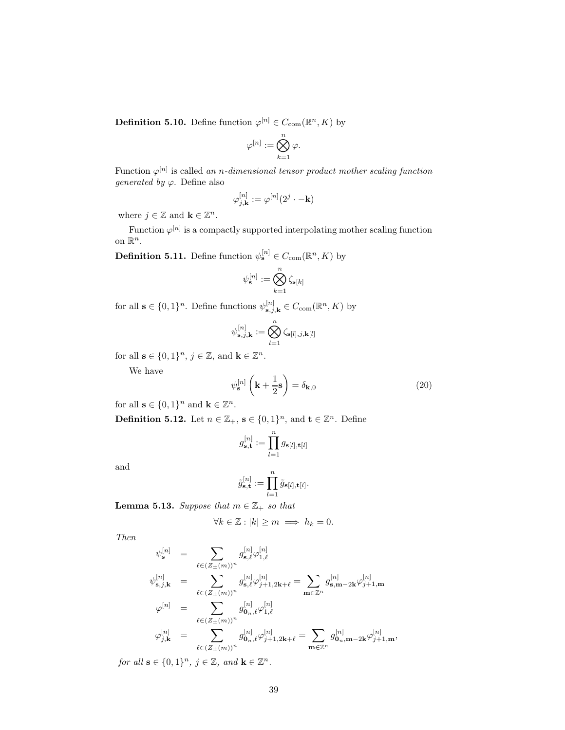**Definition 5.10.** Define function  $\varphi^{[n]} \in C_{com}(\mathbb{R}^n, K)$  by

$$
\varphi^{[n]}:=\bigotimes_{k=1}^n\varphi.
$$

Function  $\varphi^{[n]}$  is called an n-dimensional tensor product mother scaling function *generated by*  $\varphi$ . Define also

$$
\varphi_{j,\mathbf{k}}^{[n]}:=\varphi^{[n]}(2^j\cdot-\mathbf{k})
$$

where  $j \in \mathbb{Z}$  and  $\mathbf{k} \in \mathbb{Z}^n$ .

Function  $\varphi^{[n]}$  is a compactly supported interpolating mother scaling function on  $\mathbb{R}^n$ .

**Definition 5.11.** Define function  $\psi_{\mathbf{s}}^{[n]} \in C_{\text{com}}(\mathbb{R}^n, K)$  by

$$
\psi_{\mathbf{s}}^{[n]} := \bigotimes_{k=1}^n \zeta_{\mathbf{s}[k]}
$$

for all  $\mathbf{s} \in \{0,1\}^n$ . Define functions  $\psi_{\mathbf{s},j,\mathbf{k}}^{[n]} \in C_{\text{com}}(\mathbb{R}^n, K)$  by

$$
\psi_{\mathbf{s},j,\mathbf{k}}^{[n]}:=\bigotimes_{l=1}^n\zeta_{\mathbf{s}[l],j,\mathbf{k}[l]}
$$

for all  $\mathbf{s} \in \{0,1\}^n$ ,  $j \in \mathbb{Z}$ , and  $\mathbf{k} \in \mathbb{Z}^n$ .

We have

$$
\psi_{\mathbf{s}}^{[n]} \left( \mathbf{k} + \frac{1}{2} \mathbf{s} \right) = \delta_{\mathbf{k},0} \tag{20}
$$

for all  $\mathbf{s} \in \{0,1\}^n$  and  $\mathbf{k} \in \mathbb{Z}^n$ .

**Definition 5.12.** Let  $n \in \mathbb{Z}_+$ ,  $\mathbf{s} \in \{0,1\}^n$ , and  $\mathbf{t} \in \mathbb{Z}^n$ . Define

$$
g_{\mathbf{s},\mathbf{t}}^{[n]}:=\prod_{l=1}^n g_{\mathbf{s}[l],\mathbf{t}[l]}
$$

and

$$
\tilde{g}_{\mathbf{s},\mathbf{t}}^{[n]} := \prod_{l=1}^n \tilde{g}_{\mathbf{s}[l],\mathbf{t}[l]}.
$$

**Lemma 5.13.** Suppose that  $m \in \mathbb{Z}_+$  so that

$$
\forall k\in\mathbb{Z}:|k|\ge m\implies h_k=0.
$$

Then

$$
\begin{array}{rcl} \psi^{[n]}_{\mathbf{s}} & = & \displaystyle \sum_{\ell \in (Z_{\pm}(m))^n} g^{[n]}_{\mathbf{s},\ell} \varphi^{[n]}_{1,\ell} \\ \psi^{[n]}_{\mathbf{s},j,\mathbf{k}} & = & \displaystyle \sum_{\ell \in (Z_{\pm}(m))^n} g^{[n]}_{\mathbf{s},\ell} \varphi^{[n]}_{j+1,2\mathbf{k}+\ell} = \sum_{\mathbf{m} \in \mathbb{Z}^n} g^{[n]}_{\mathbf{s},\mathbf{m}-2\mathbf{k}} \varphi^{[n]}_{j+1,\mathbf{m}} \\ \varphi^{[n]} & = & \displaystyle \sum_{\ell \in (Z_{\pm}(m))^n} g^{[n]}_{0_n,\ell} \varphi^{[n]}_{1,\ell} \\ \varphi^{[n]}_{j,\mathbf{k}} & = & \displaystyle \sum_{\ell \in (Z_{\pm}(m))^n} g^{[n]}_{0_n,\ell} \varphi^{[n]}_{j+1,2\mathbf{k}+\ell} = \sum_{\mathbf{m} \in \mathbb{Z}^n} g^{[n]}_{0_n,\mathbf{m}-2\mathbf{k}} \varphi^{[n]}_{j+1,\mathbf{m}}, \end{array}
$$

for all  $\mathbf{s} \in \{0,1\}^n$ ,  $j \in \mathbb{Z}$ , and  $\mathbf{k} \in \mathbb{Z}^n$ .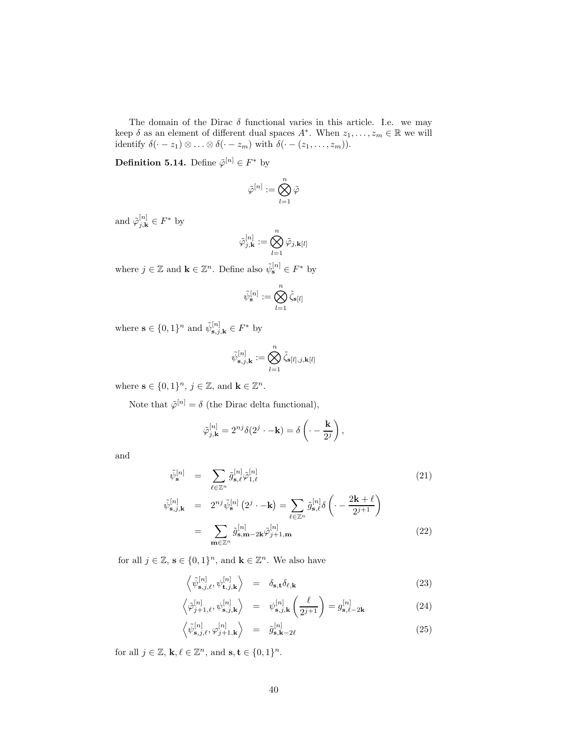The domain of the Dirac  $\delta$  functional varies in this article. I.e. we may keep  $\delta$  as an element of different dual spaces  $A^*$ . When  $z_1, \ldots, z_m \in \mathbb{R}$  we will identify  $\delta(\cdot - z_1) \otimes \ldots \otimes \delta(\cdot - z_m)$  with  $\delta(\cdot - (z_1, \ldots, z_m))$ .

**Definition 5.14.** Define  $\tilde{\varphi}^{[n]} \in F^*$  by

$$
\tilde{\varphi}^{[n]}:=\bigotimes_{l=1}^n\tilde{\varphi}
$$

and  $\tilde{\varphi}_{j,\mathbf{k}}^{[n]} \in F^*$  by

$$
\tilde{\varphi}_{j,\mathbf{k}}^{[n]}:=\bigotimes_{l=1}^n\tilde{\varphi}_{j,\mathbf{k}[l]}
$$

where  $j \in \mathbb{Z}$  and  $\mathbf{k} \in \mathbb{Z}^n$ . Define also  $\tilde{\psi}_s^{[n]} \in F^*$  by

$$
\tilde{\psi}_{\mathbf{s}}^{[n]} := \bigotimes_{l=1}^n \tilde{\zeta}_{\mathbf{s}[l]}
$$

where  $\mathbf{s} \in \{0,1\}^n$  and  $\tilde{\psi}_{\mathbf{s},j,\mathbf{k}}^{[n]} \in F^*$  by

$$
\tilde{\psi}_{\mathbf{s},j,\mathbf{k}}^{[n]} := \bigotimes_{l=1}^n \tilde{\zeta}_{\mathbf{s}[l],j,\mathbf{k}[l]}
$$

where  $\mathbf{s} \in \{0,1\}^n$ ,  $j \in \mathbb{Z}$ , and  $\mathbf{k} \in \mathbb{Z}^n$ .

Note that  $\tilde{\varphi}^{[n]} = \delta$  (the Dirac delta functional),

$$
\tilde{\varphi}_{j,\mathbf{k}}^{[n]} = 2^{nj} \delta(2^j \cdot -\mathbf{k}) = \delta\left(\cdot - \frac{\mathbf{k}}{2^j}\right),\,
$$

and

$$
\tilde{\psi}_{\mathbf{s}}^{[n]} = \sum_{\ell \in \mathbb{Z}^n} \tilde{g}_{\mathbf{s},\ell}^{[n]} \tilde{\varphi}_{1,\ell}^{[n]} \tag{21}
$$
\n
$$
\tilde{\psi}_{\mathbf{s},j,\mathbf{k}}^{[n]} = 2^{nj} \tilde{\psi}_{\mathbf{s}}^{[n]} (2^j \cdot -\mathbf{k}) = \sum_{\ell \in \mathbb{Z}^n} \tilde{g}_{\mathbf{s},\ell}^{[n]} \delta \left( \cdot - \frac{2\mathbf{k} + \ell}{2^{j+1}} \right)
$$
\n
$$
= \sum_{\mathbf{m} \in \mathbb{Z}^n} \tilde{g}_{\mathbf{s},\mathbf{m}-2\mathbf{k}}^{[n]} \tilde{\varphi}_{j+1,\mathbf{m}}^{[n]} \tag{22}
$$

for all  $j \in \mathbb{Z}$ ,  $\mathbf{s} \in \{0,1\}^n$ , and  $\mathbf{k} \in \mathbb{Z}^n$ . We also have

$$
\left\langle \tilde{\psi}_{\mathbf{s},j,\ell}^{[n]}, \psi_{\mathbf{t},j,\mathbf{k}}^{[n]} \right\rangle = \delta_{\mathbf{s},\mathbf{t}} \delta_{\ell,\mathbf{k}} \tag{23}
$$

$$
\left\langle \tilde{\varphi}_{j+1,\ell}^{[n]}, \psi_{\mathbf{s},j,\mathbf{k}}^{[n]} \right\rangle = \psi_{\mathbf{s},j,\mathbf{k}}^{[n]} \left( \frac{\ell}{2^{j+1}} \right) = g_{\mathbf{s},\ell-2\mathbf{k}}^{[n]} \tag{24}
$$

$$
\left\langle \tilde{\psi}_{\mathbf{s},j,\ell}^{[n]}, \varphi_{j+1,\mathbf{k}}^{[n]} \right\rangle = \tilde{g}_{\mathbf{s},\mathbf{k}-2\ell}^{[n]} \tag{25}
$$

for all  $j \in \mathbb{Z}$ ,  $\mathbf{k}, \ell \in \mathbb{Z}^n$ , and  $\mathbf{s}, \mathbf{t} \in \{0, 1\}^n$ .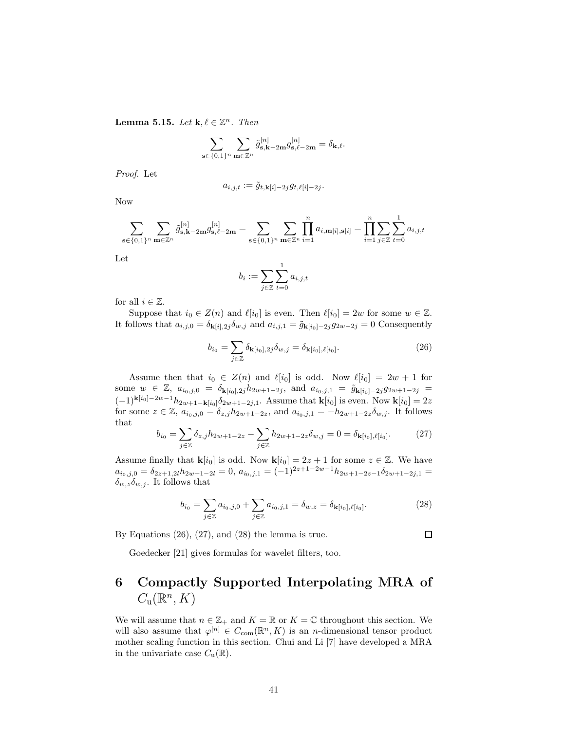**Lemma 5.15.** Let  $\mathbf{k}, \ell \in \mathbb{Z}^n$ . Then

$$
\sum_{\mathbf{s}\in\{0,1\}^n}\sum_{\mathbf{m}\in\mathbb{Z}^n}\tilde{g}^{[n]}_{\mathbf{s},\mathbf{k}-2\mathbf{m}}g^{[n]}_{\mathbf{s},\ell-2\mathbf{m}}=\delta_{\mathbf{k},\ell}.
$$

Proof. Let

$$
a_{i,j,t} := \tilde{g}_{t,\mathbf{k}[i]-2j} g_{t,\ell[i]-2j}.
$$

Now

$$
\sum_{\mathbf{s}\in\{0,1\}^n}\sum_{\mathbf{m}\in\mathbb{Z}^n}\tilde{g}^{[n]}_{\mathbf{s},\mathbf{k}-2\mathbf{m}}g^{[n]}_{\mathbf{s},\ell-2\mathbf{m}}=\sum_{\mathbf{s}\in\{0,1\}^n}\sum_{\mathbf{m}\in\mathbb{Z}^n}\prod_{i=1}^n a_{i,\mathbf{m}[i],\mathbf{s}[i]}=\prod_{i=1}^n\sum_{j\in\mathbb{Z}}\sum_{t=0}^1 a_{i,j,t}
$$

Let

$$
b_i := \sum_{j \in \mathbb{Z}} \sum_{t=0}^1 a_{i,j,t}
$$

for all  $i \in \mathbb{Z}$ .

Suppose that  $i_0 \in Z(n)$  and  $\ell[i_0]$  is even. Then  $\ell[i_0] = 2w$  for some  $w \in \mathbb{Z}$ . It follows that  $a_{i,j,0} = \delta_{\mathbf{k}[i],2j} \delta_{w,j}$  and  $a_{i,j,1} = \tilde{g}_{\mathbf{k}[i_0]-2j} g_{2w-2j} = 0$  Consequently

$$
b_{i_0} = \sum_{j \in \mathbb{Z}} \delta_{\mathbf{k}[i_0], 2j} \delta_{w,j} = \delta_{\mathbf{k}[i_0], \ell[i_0]}.
$$
 (26)

Assume then that  $i_0 \in Z(n)$  and  $\ell[i_0]$  is odd. Now  $\ell[i_0] = 2w + 1$  for some  $w \in \mathbb{Z}$ ,  $a_{i_0,j,0} = \delta_{\mathbf{k}[i_0],2j}h_{2w+1-2j}$ , and  $a_{i_0,j,1} = \tilde{g}_{\mathbf{k}[i_0]-2j}g_{2w+1-2j}$  $(-1)^{\mathbf{k}[i_0]-2w-1}h_{2w+1-\mathbf{k}[i_0]}\delta_{2w+1-2j,1}$ . Assume that  $\mathbf{k}[i_0]$  is even. Now  $\mathbf{k}[i_0] = 2z$ for some  $z \in \mathbb{Z}$ ,  $a_{i_0,j,0} = \delta_{z,j}h_{2w+1-2z}$ , and  $a_{i_0,j,1} = -h_{2w+1-2z}\delta_{w,j}$ . It follows that

$$
b_{i_0} = \sum_{j \in \mathbb{Z}} \delta_{z,j} h_{2w+1-2z} - \sum_{j \in \mathbb{Z}} h_{2w+1-2z} \delta_{w,j} = 0 = \delta_{\mathbf{k}[i_0], \ell[i_0]}.
$$
 (27)

Assume finally that  $\mathbf{k}[i_0]$  is odd. Now  $\mathbf{k}[i_0] = 2z + 1$  for some  $z \in \mathbb{Z}$ . We have  $a_{i_0,j,0} = \delta_{2z+1,2l}h_{2w+1-2l} = 0$ ,  $a_{i_0,j,1} = (-1)^{2z+1-2w-1}h_{2w+1-2z-1}\delta_{2w+1-2j,1} =$  $\delta_{w,z}\delta_{w,j}$ . It follows that

$$
b_{i_0} = \sum_{j \in \mathbb{Z}} a_{i_0, j, 0} + \sum_{j \in \mathbb{Z}} a_{i_0, j, 1} = \delta_{w, z} = \delta_{\mathbf{k}[i_0], \ell[i_0]}.
$$
 (28)

By Equations  $(26)$ ,  $(27)$ , and  $(28)$  the lemma is true.

Goedecker [21] gives formulas for wavelet filters, too.

# 6 Compactly Supported Interpolating MRA of  $C_{\mathrm{u}}(\mathbb{R}^n, K)$

We will assume that  $n \in \mathbb{Z}_+$  and  $K = \mathbb{R}$  or  $K = \mathbb{C}$  throughout this section. We will also assume that  $\varphi^{[n]} \in C_{com}(\mathbb{R}^n, K)$  is an *n*-dimensional tensor product mother scaling function in this section. Chui and Li [7] have developed a MRA in the univariate case  $C_u(\mathbb{R})$ .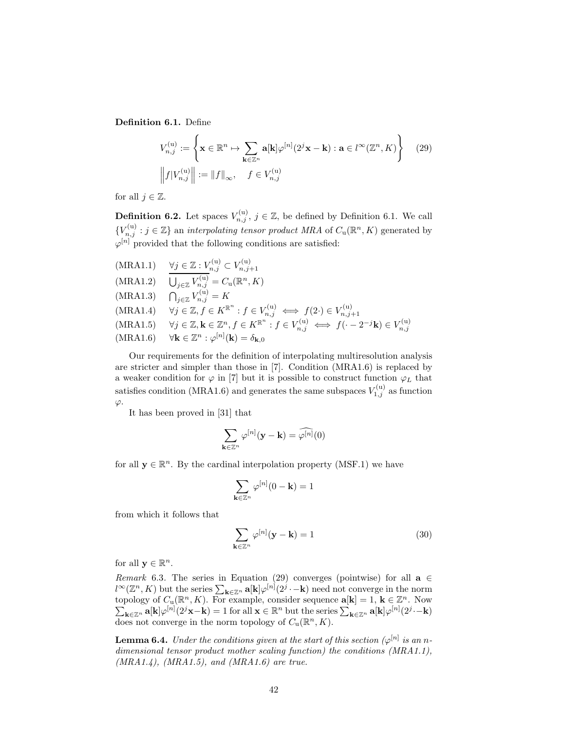Definition 6.1. Define

$$
V_{n,j}^{(u)} := \left\{ \mathbf{x} \in \mathbb{R}^n \mapsto \sum_{\mathbf{k} \in \mathbb{Z}^n} \mathbf{a}[\mathbf{k}] \varphi^{[n]}(2^j \mathbf{x} - \mathbf{k}) : \mathbf{a} \in l^{\infty}(\mathbb{Z}^n, K) \right\}
$$
(29)  

$$
\left\| f | V_{n,j}^{(u)} \right\| := \left\| f \right\|_{\infty}, \quad f \in V_{n,j}^{(u)}
$$

for all  $j \in \mathbb{Z}$ .

**Definition 6.2.** Let spaces  $V_{n,j}^{(u)}$ ,  $j \in \mathbb{Z}$ , be defined by Definition 6.1. We call  ${V}_{n,j}^{(u)}: j \in \mathbb{Z}$  an *interpolating tensor product MRA* of  $C_u(\mathbb{R}^n, K)$  generated by  $\varphi^{[n]}$  provided that the following conditions are satisfied:

 $(MRA1.1) \quad \forall j \in \mathbb{Z} : V_{n,j}^{(u)} \subset V_{n,j+1}^{(u)}$  $(MRA1.2)$  $j \in \mathbb{Z}$   $V_{n,j}^{(u)} = C_u(\mathbb{R}^n, K)$  $(MRA1.3)$  $\sum_{j\in\mathbb{Z}}V_{n,j}^{(\mathrm{u})}=K$  $(MRA1.4)$   $\forall j \in \mathbb{Z}, f \in K^{\mathbb{R}^n} : f \in V_{n,j}^{(u)} \iff f(2 \cdot) \in V_{n,j}^{(u)}$  $n,j+1$ (MRA1.5)  $\forall j \in \mathbb{Z}, \mathbf{k} \in \mathbb{Z}^n, f \in K^{\mathbb{R}^n} : f \in V_{n,j}^{(u)} \iff f(\cdot - 2^{-j}\mathbf{k}) \in V_{n,j}^{(u)}$ <br>(MRA1.6)  $\forall \mathbf{k} \in \mathbb{Z}^n : \varphi^{[n]}(\mathbf{k}) = \delta_{\mathbf{k},0}$ 

Our requirements for the definition of interpolating multiresolution analysis are stricter and simpler than those in [7]. Condition (MRA1.6) is replaced by a weaker condition for  $\varphi$  in [7] but it is possible to construct function  $\varphi_L$  that satisfies condition (MRA1.6) and generates the same subspaces  $V_{1,j}^{(u)}$  as function  $\varphi.$ 

It has been proved in [31] that

$$
\sum_{\mathbf{k}\in\mathbb{Z}^n}\varphi^{[n]}(\mathbf{y}-\mathbf{k})=\widehat{\varphi^{[n]}}(0)
$$

for all  $\mathbf{y} \in \mathbb{R}^n$ . By the cardinal interpolation property (MSF.1) we have

$$
\sum_{\mathbf{k}\in\mathbb{Z}^n}\varphi^{[n]}(0-\mathbf{k})=1
$$

from which it follows that

$$
\sum_{\mathbf{k}\in\mathbb{Z}^n} \varphi^{[n]}(\mathbf{y}-\mathbf{k}) = 1
$$
 (30)

for all  $y \in \mathbb{R}^n$ .

Remark 6.3. The series in Equation (29) converges (pointwise) for all  $a \in$  $l^{\infty}(\mathbb{Z}^n, K)$  but the series  $\sum_{\mathbf{k}\in\mathbb{Z}^n} \mathbf{a}[\mathbf{k}] \varphi^{[n]}(2^j\cdot -\mathbf{k})$  need not converge in the norm topology of  $C_u(\mathbb{R}^n, K)$ . For example, consider sequence  $\mathbf{a}[\mathbf{k}] = 1, \mathbf{k} \in \mathbb{Z}^n$  $\sum$ . Now  $\mathbf{k}_{\in \mathbb{Z}^n}$  a[k] $\varphi^{[n]}(2^j\mathbf{x}-\mathbf{k})=1$  for all  $\mathbf{x} \in \mathbb{R}^n$  but the series  $\sum_{\mathbf{k}\in\mathbb{Z}^n}$  a[k] $\varphi^{[n]}(2^j-\mathbf{k})$ does not converge in the norm topology of  $C_u(\mathbb{R}^n, K)$ .

**Lemma 6.4.** Under the conditions given at the start of this section  $(\varphi^{[n]}$  is an ndimensional tensor product mother scaling function) the conditions (MRA1.1),  $(MRA1.4)$ ,  $(MRA1.5)$ , and  $(MRA1.6)$  are true.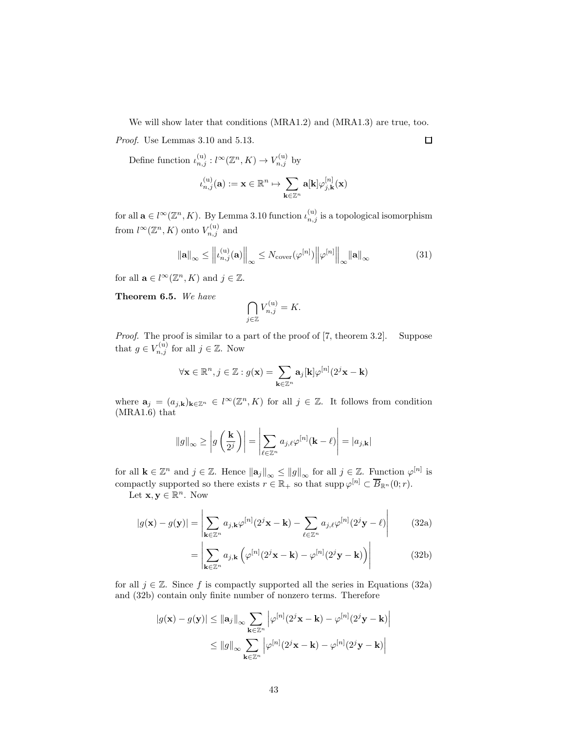We will show later that conditions (MRA1.2) and (MRA1.3) are true, too.

Proof. Use Lemmas 3.10 and 5.13.

Define function  $\iota_{n,j}^{(u)} : l^{\infty}(\mathbb{Z}^n, K) \to V_{n,j}^{(u)}$  by

$$
\iota_{n,j}^{(\mathrm{u})}(\mathbf{a}) := \mathbf{x} \in \mathbb{R}^n \mapsto \sum_{\mathbf{k} \in \mathbb{Z}^n} \mathbf{a}[\mathbf{k}] \varphi_{j,\mathbf{k}}^{[n]}(\mathbf{x})
$$

for all  $\mathbf{a} \in l^{\infty}(\mathbb{Z}^n, K)$ . By Lemma 3.10 function  $\iota_{n,j}^{(u)}$  is a topological isomorphism from  $l^{\infty}(\mathbb{Z}^n, K)$  onto  $V_{n,j}^{(u)}$  and

$$
\|\mathbf{a}\|_{\infty} \le \left\| \iota_{n,j}^{(\mathrm{u})}(\mathbf{a}) \right\|_{\infty} \le N_{\mathrm{cover}}(\varphi^{[n]}) \left\| \varphi^{[n]} \right\|_{\infty} \|\mathbf{a}\|_{\infty} \tag{31}
$$

for all  $\mathbf{a} \in l^{\infty}(\mathbb{Z}^n, K)$  and  $j \in \mathbb{Z}$ .

Theorem 6.5. We have

$$
\bigcap_{j\in\mathbb{Z}}V_{n,j}^{(\mathrm{u})}=K.
$$

Proof. The proof is similar to a part of the proof of [7, theorem 3.2]. Suppose that  $g \in V_{n,j}^{(u)}$  for all  $j \in \mathbb{Z}$ . Now

$$
\forall \mathbf{x} \in \mathbb{R}^n, j \in \mathbb{Z}: g(\mathbf{x}) = \sum_{\mathbf{k} \in \mathbb{Z}^n} \mathbf{a}_j[\mathbf{k}] \varphi^{[n]}(2^j \mathbf{x} - \mathbf{k})
$$

where  $\mathbf{a}_j = (a_{j,k})_{k \in \mathbb{Z}^n} \in l^{\infty}(\mathbb{Z}^n, K)$  for all  $j \in \mathbb{Z}$ . It follows from condition (MRA1.6) that

$$
\|g\|_{\infty} \ge \left| g\left(\frac{\mathbf{k}}{2^j}\right) \right| = \left| \sum_{\ell \in \mathbb{Z}^n} a_{j,\ell} \varphi^{[n]}(\mathbf{k} - \ell) \right| = |a_{j,\mathbf{k}}|
$$

for all  $\mathbf{k} \in \mathbb{Z}^n$  and  $j \in \mathbb{Z}$ . Hence  $\|\mathbf{a}_j\|_{\infty} \leq \|g\|_{\infty}$  for all  $j \in \mathbb{Z}$ . Function  $\varphi^{[n]}$  is compactly supported so there exists  $r \in \mathbb{R}_+$  so that supp  $\varphi^{[n]} \subset \overline{B}_{\mathbb{R}^n}(0; r)$ .

Let  $\mathbf{x}, \mathbf{y} \in \mathbb{R}^n$ . Now

$$
|g(\mathbf{x}) - g(\mathbf{y})| = \left| \sum_{\mathbf{k} \in \mathbb{Z}^n} a_{j,\mathbf{k}} \varphi^{[n]}(2^j \mathbf{x} - \mathbf{k}) - \sum_{\ell \in \mathbb{Z}^n} a_{j,\ell} \varphi^{[n]}(2^j \mathbf{y} - \ell) \right| \tag{32a}
$$

$$
= \left| \sum_{\mathbf{k} \in \mathbb{Z}^n} a_{j,\mathbf{k}} \left( \varphi^{[n]}(2^j \mathbf{x} - \mathbf{k}) - \varphi^{[n]}(2^j \mathbf{y} - \mathbf{k}) \right) \right| \tag{32b}
$$

for all  $j \in \mathbb{Z}$ . Since f is compactly supported all the series in Equations (32a) and (32b) contain only finite number of nonzero terms. Therefore

$$
|g(\mathbf{x}) - g(\mathbf{y})| \le ||\mathbf{a}_j||_{\infty} \sum_{\mathbf{k} \in \mathbb{Z}^n} \left| \varphi^{[n]}(2^j \mathbf{x} - \mathbf{k}) - \varphi^{[n]}(2^j \mathbf{y} - \mathbf{k}) \right|
$$
  

$$
\le ||g||_{\infty} \sum_{\mathbf{k} \in \mathbb{Z}^n} \left| \varphi^{[n]}(2^j \mathbf{x} - \mathbf{k}) - \varphi^{[n]}(2^j \mathbf{y} - \mathbf{k}) \right|
$$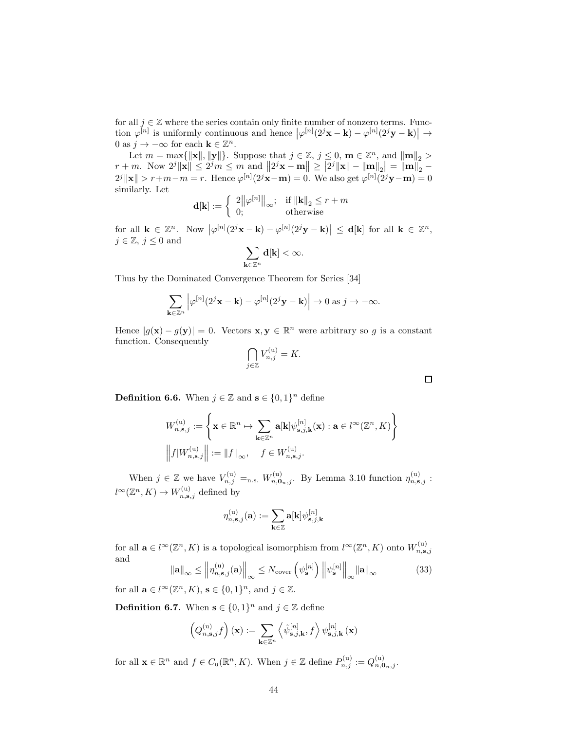for all  $j \in \mathbb{Z}$  where the series contain only finite number of nonzero terms. Function  $\varphi^{[n]}$  is uniformly continuous and hence  $|\varphi^{[n]}(2^j \mathbf{x} - \mathbf{k}) - \varphi^{[n]}(2^j \mathbf{y} - \mathbf{k})| \to$ 0 as  $j \to -\infty$  for each  $\mathbf{k} \in \mathbb{Z}^n$ .

Let  $m = \max\{\|\mathbf{x}\|, \|\mathbf{y}\|\}\$ . Suppose that  $j \in \mathbb{Z}$ ,  $j \leq 0$ ,  $\mathbf{m} \in \mathbb{Z}^n$ , and  $\|\mathbf{m}\|_2 >$  $r+m$ . Now  $2^{j} \|\mathbf{x}\| \leq 2^{j} m \leq m$  and  $||2^{j} \mathbf{x}-\mathbf{m}|| \geq |2^{j} \|\mathbf{x}\| - \|\mathbf{m}\|_{2}| = ||\mathbf{m}||_{2}$  $2^{j} \|\mathbf{x}\| > r+m-m = r$ . Hence  $\varphi^{[n]}(2^{j}\mathbf{x}-\mathbf{m}) = 0$ . We also get  $\varphi^{[n]}(2^{j}\mathbf{y}-\mathbf{m}) = 0$ similarly. Let

$$
\mathbf{d}[\mathbf{k}] := \left\{ \begin{array}{ll} 2\|\varphi^{[n]}\|_{\infty}; & \text{if } \|\mathbf{k}\|_2 \le r+m \\ 0; & \text{otherwise} \end{array} \right.
$$

for all  $\mathbf{k} \in \mathbb{Z}^n$ . Now  $\left|\varphi^{[n]}(2^j\mathbf{x}-\mathbf{k}) - \varphi^{[n]}(2^j\mathbf{y}-\mathbf{k})\right| \leq \mathbf{d}[\mathbf{k}]$  for all  $\mathbf{k} \in \mathbb{Z}^n$ ,  $j \in \mathbb{Z}, j \leq 0$  and

$$
\sum_{\mathbf k\in\mathbb Z^n} \mathbf d[\mathbf k]<\infty.
$$

Thus by the Dominated Convergence Theorem for Series [34]

$$
\sum_{\mathbf{k}\in\mathbb{Z}^n} \left| \varphi^{[n]}(2^j\mathbf{x}-\mathbf{k}) - \varphi^{[n]}(2^j\mathbf{y}-\mathbf{k}) \right| \to 0 \text{ as } j\to -\infty.
$$

Hence  $|g(\mathbf{x}) - g(\mathbf{y})| = 0$ . Vectors  $\mathbf{x}, \mathbf{y} \in \mathbb{R}^n$  were arbitrary so g is a constant function. Consequently

$$
\bigcap_{j\in\mathbb{Z}} V_{n,j}^{(\mathbf{u})} = K.
$$

 $\Box$ 

**Definition 6.6.** When  $j \in \mathbb{Z}$  and  $\mathbf{s} \in \{0,1\}^n$  define

$$
\begin{split} &W_{n,\mathbf{s},j}^{(\mathrm{u})}:=\left\{\mathbf{x}\in\mathbb{R}^n\mapsto\sum_{\mathbf{k}\in\mathbb{Z}^n}\mathbf{a}[\mathbf{k}]\psi_{\mathbf{s},j,\mathbf{k}}^{[n]}(\mathbf{x}):\mathbf{a}\in l^{\infty}(\mathbb{Z}^n,K)\right\} \\ &\left\|f|W_{n,\mathbf{s},j}^{(\mathrm{u})}\right\|:=\left\|f\right\|_{\infty},\quad f\in W_{n,\mathbf{s},j}^{(\mathrm{u})}. \end{split}
$$

When  $j \in \mathbb{Z}$  we have  $V_{n,j}^{(u)} =_{n.s.} W_{n,\mathbf{0}_n,j}^{(u)}$ . By Lemma 3.10 function  $\eta_{n,\mathbf{s},j}^{(u)}$ :  $l^{\infty}(\mathbb{Z}^n, K) \to W_{n, \mathbf{s}, j}^{(u)}$  defined by

$$
\eta_{n,\mathbf{s},j}^{(\mathrm{u})}(\mathbf{a}) := \sum_{\mathbf{k} \in \mathbb{Z}} \mathbf{a}[\mathbf{k}] \psi_{\mathbf{s},j,\mathbf{k}}^{[n]}
$$

for all  $\mathbf{a} \in l^{\infty}(\mathbb{Z}^n, K)$  is a topological isomorphism from  $l^{\infty}(\mathbb{Z}^n, K)$  onto  $W_{n, \mathbf{s}, j}^{(\mathrm{u})}$ and

$$
\|\mathbf{a}\|_{\infty} \le \left\| \eta_{n,\mathbf{s},j}^{(\mathbf{u})}(\mathbf{a}) \right\|_{\infty} \le N_{\text{cover}} \left( \psi_{\mathbf{s}}^{[n]} \right) \left\| \psi_{\mathbf{s}}^{[n]} \right\|_{\infty} \|\mathbf{a}\|_{\infty} \tag{33}
$$

for all  $\mathbf{a} \in l^{\infty}(\mathbb{Z}^n, K)$ ,  $\mathbf{s} \in \{0, 1\}^n$ , and  $j \in \mathbb{Z}$ .

**Definition 6.7.** When  $\mathbf{s} \in \{0,1\}^n$  and  $j \in \mathbb{Z}$  define

$$
\left(Q_{n,\mathbf{s},j}^{(\mathrm{u})}f\right)(\mathbf{x}):=\sum_{\mathbf{k}\in\mathbb{Z}^n}\left\langle\tilde{\psi}_{\mathbf{s},j,\mathbf{k}}^{[n]},f\right\rangle\psi_{\mathbf{s},j,\mathbf{k}}^{[n]}\left(\mathbf{x}\right)
$$

for all  $\mathbf{x} \in \mathbb{R}^n$  and  $f \in C_u(\mathbb{R}^n, K)$ . When  $j \in \mathbb{Z}$  define  $P_{n,j}^{(u)} := Q_{n, \mathbf{0}_n, j}^{(u)}$ .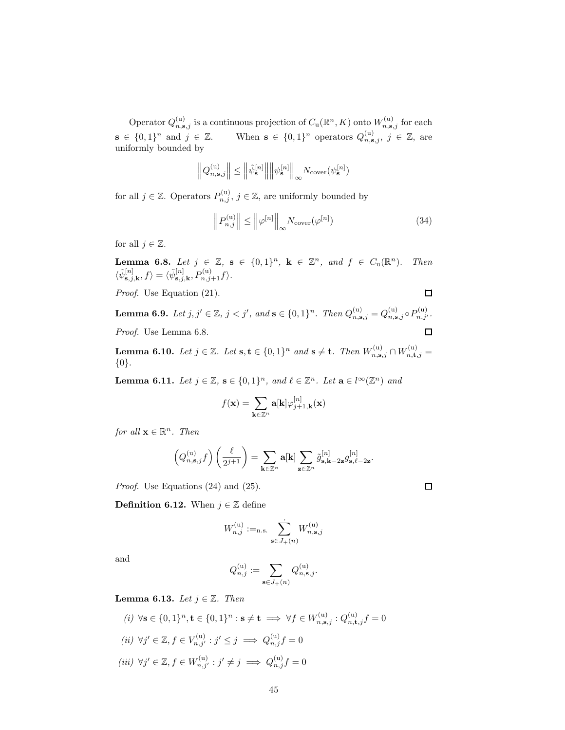Operator  $Q_{n,s,j}^{(u)}$  is a continuous projection of  $C_u(\mathbb{R}^n, K)$  onto  $W_{n,s,j}^{(u)}$  for each  $\mathbf{s} \in \{0,1\}^n$  and  $j \in \mathbb{Z}$ . When  $\mathbf{s} \in \{0,1\}^n$  operators  $Q_{n,\mathbf{s},j}^{(\mathrm{u})}$ ,  $j \in \mathbb{Z}$ , are uniformly bounded by

$$
\left\|Q_{n,\mathbf{s},j}^{(\mathrm{u})}\right\| \leq \left\|\tilde{\psi}_{\mathbf{s}}^{[n]}\right\|\left\|\psi_{\mathbf{s}}^{[n]}\right\|_{\infty} N_{\mathrm{cover}}(\psi_{\mathbf{s}}^{[n]})
$$

for all  $j \in \mathbb{Z}$ . Operators  $P_{n,j}^{(u)}$ ,  $j \in \mathbb{Z}$ , are uniformly bounded by

$$
\left\| P_{n,j}^{(\mathrm{u})} \right\| \le \left\| \varphi^{[n]} \right\|_{\infty} N_{\mathrm{cover}}(\varphi^{[n]}) \tag{34}
$$

for all  $j \in \mathbb{Z}$ .

**Lemma 6.8.** Let  $j \in \mathbb{Z}$ ,  $\mathbf{s} \in \{0,1\}^n$ ,  $\mathbf{k} \in \mathbb{Z}^n$ , and  $f \in C_u(\mathbb{R}^n)$ . Then  $\langle \tilde{\psi}_{\mathbf{s},j,\mathbf{k}}^{[n]},f\rangle = \langle \tilde{\psi}_{\mathbf{s},j,\mathbf{k}}^{[n]},P_{n,j+1}^{(\mathrm{u})}f\rangle.$ 

Proof. Use Equation (21).

**Lemma 6.9.** Let  $j, j' \in \mathbb{Z}$ ,  $j < j'$ , and  $\mathbf{s} \in \{0, 1\}^n$ . Then  $Q_{n, \mathbf{s}, j}^{(\text{u})} = Q_{n, \mathbf{s}, j}^{(\text{u})} \circ P_{n, j'}^{(\text{u})}$ . Proof. Use Lemma 6.8. □

**Lemma 6.10.** Let  $j \in \mathbb{Z}$ . Let  $s, t \in \{0,1\}^n$  and  $s \neq t$ . Then  $W_{n,s,j}^{(u)} \cap W_{n,t,j}^{(u)} =$ {0}.

**Lemma 6.11.** Let  $j \in \mathbb{Z}$ ,  $\mathbf{s} \in \{0,1\}^n$ , and  $\ell \in \mathbb{Z}^n$ . Let  $\mathbf{a} \in l^{\infty}(\mathbb{Z}^n)$  and

$$
f(\mathbf{x}) = \sum_{\mathbf{k} \in \mathbb{Z}^n} \mathbf{a}[\mathbf{k}] \varphi_{j+1,\mathbf{k}}^{[n]}(\mathbf{x})
$$

for all  $\mathbf{x} \in \mathbb{R}^n$ . Then

$$
\left(Q_{n,\mathbf{s},j}^{(\mathrm{u})}f\right)\left(\frac{\ell}{2^{j+1}}\right)=\sum_{\mathbf{k}\in\mathbb{Z}^n}\mathbf{a}[\mathbf{k}]\sum_{\mathbf{z}\in\mathbb{Z}^n}\tilde{g}_{\mathbf{s},\mathbf{k}-2\mathbf{z}}^{[n]}g_{\mathbf{s},\ell-2\mathbf{z}}^{[n]}.
$$

Proof. Use Equations (24) and (25).

**Definition 6.12.** When  $j \in \mathbb{Z}$  define

$$
W_{n,j}^{(\mathrm{u})}:=_{\text{n.s.}} \sum_{\mathbf{s}\in J_+(n)}^{\boldsymbol{\cdot}} W_{n,\mathbf{s},j}^{(\mathrm{u})}
$$

and

$$
Q_{n,j}^{(\mathrm{u})}:=\sum_{\mathbf{s}\in J_+(n)}Q_{n,\mathbf{s},j}^{(\mathrm{u})}.
$$

**Lemma 6.13.** Let  $j \in \mathbb{Z}$ . Then

$$
(i) \ \forall \mathbf{s} \in \{0, 1\}^n, \mathbf{t} \in \{0, 1\}^n : \mathbf{s} \neq \mathbf{t} \implies \forall f \in W_{n, \mathbf{s}, j}^{(u)} : Q_{n, \mathbf{t}, j}^{(u)} f = 0
$$
  
\n
$$
(ii) \ \forall j' \in \mathbb{Z}, f \in V_{n, j'}^{(u)} : j' \leq j \implies Q_{n, j}^{(u)} f = 0
$$
  
\n
$$
(iii) \ \forall j' \in \mathbb{Z}, f \in W_{n, j'}^{(u)} : j' \neq j \implies Q_{n, j}^{(u)} f = 0
$$

 $\Box$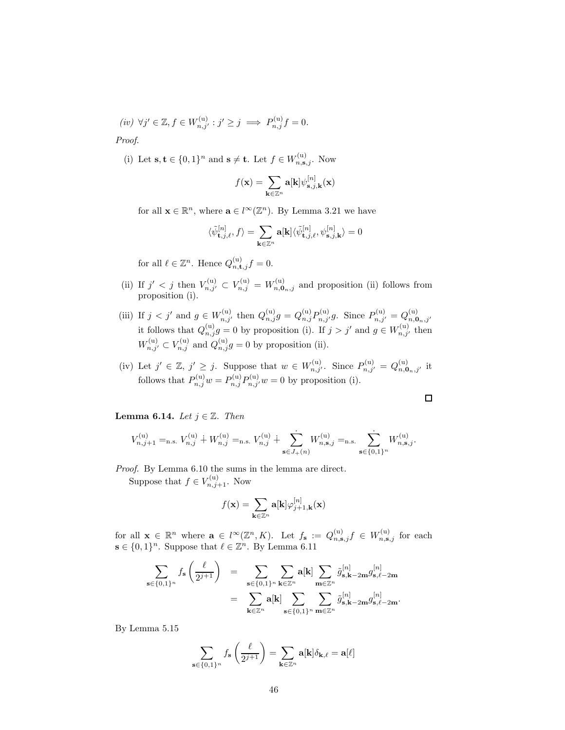$(iv) \ \forall j' \in \mathbb{Z}, f \in W_{n,j'}^{(u)} : j' \geq j \implies P_{n,j}^{(u)} f = 0.$ Proof.

(i) Let  $\mathbf{s}, \mathbf{t} \in \{0,1\}^n$  and  $\mathbf{s} \neq \mathbf{t}$ . Let  $f \in W_{n,\mathbf{s},j}^{(u)}$ . Now

$$
f(\mathbf{x}) = \sum_{\mathbf{k} \in \mathbb{Z}^n} \mathbf{a}[\mathbf{k}] \psi_{\mathbf{s},j,\mathbf{k}}^{[n]}(\mathbf{x})
$$

for all  $\mathbf{x} \in \mathbb{R}^n$ , where  $\mathbf{a} \in l^{\infty}(\mathbb{Z}^n)$ . By Lemma 3.21 we have

$$
\langle \tilde{\psi}^{[n]}_{{\bf t},j,\ell}, f \rangle = \sum_{{\bf k} \in \mathbb{Z}^n} {\bf a}[{\bf k}] \langle \tilde{\psi}^{[n]}_{{\bf t},j,\ell}, \psi^{[n]}_{{\bf s},j,{\bf k}} \rangle = 0
$$

for all  $\ell \in \mathbb{Z}^n$ . Hence  $Q_{n,\mathbf{t},j}^{(\mathrm{u})} f = 0$ .

- (ii) If  $j' < j$  then  $V_{n,j'}^{(u)} \subset V_{n,j}^{(u)} = W_{n,\mathbf{0}_n,j}^{(u)}$  and proposition (ii) follows from proposition (i).
- (iii) If  $j < j'$  and  $g \in W_{n,j'}^{(u)}$  then  $Q_{n,j}^{(u)}g = Q_{n,j}^{(u)}P_{n,j'}^{(u)}g$ . Since  $P_{n,j'}^{(u)} = Q_{n,\mathbf{0}_n,j'}^{(u)}$ it follows that  $Q_{n,j}^{(u)}g = 0$  by proposition (i). If  $j > j'$  and  $g \in W_{n,j'}^{(u)}$  then  $W_{n,j'}^{(u)} \subset V_{n,j}^{(u)}$  and  $Q_{n,j}^{(u)}g = 0$  by proposition (ii).
- (iv) Let  $j' \in \mathbb{Z}$ ,  $j' \geq j$ . Suppose that  $w \in W_{n,j'}^{(u)}$ . Since  $P_{n,j'}^{(u)} = Q_{n,\mathbf{0}_n,j'}^{(u)}$  it follows that  $P_{n,j}^{(u)}w = P_{n,j}^{(u)}P_{n,j}^{(u)}w = 0$  by proposition (i).

 $\Box$ 

**Lemma 6.14.** Let  $j \in \mathbb{Z}$ . Then

$$
V_{n,j+1}^{(\mathrm{u})} =_{\mathrm{n.s.}} V_{n,j}^{(\mathrm{u})} + W_{n,j}^{(\mathrm{u})} =_{\mathrm{n.s.}} V_{n,j}^{(\mathrm{u})} + \sum_{\mathbf{s} \in J_+(n)} W_{n,\mathbf{s},j}^{(\mathrm{u})} =_{\mathrm{n.s.}} \sum_{\mathbf{s} \in \{0,1\}^n} W_{n,\mathbf{s},j}^{(\mathrm{u})}.
$$

Proof. By Lemma 6.10 the sums in the lemma are direct. Suppose that  $f \in V_{n,j+1}^{(u)}$ . Now

$$
f(\mathbf{x}) = \sum_{\mathbf{k} \in \mathbb{Z}^n} \mathbf{a}[\mathbf{k}] \varphi_{j+1,\mathbf{k}}^{[n]}(\mathbf{x})
$$

for all  $\mathbf{x} \in \mathbb{R}^n$  where  $\mathbf{a} \in l^{\infty}(\mathbb{Z}^n, K)$ . Let  $f_{\mathbf{s}} := Q_{n,\mathbf{s},j}^{(\mathrm{u})} f \in W_{n,\mathbf{s},j}^{(\mathrm{u})}$  for each  $\mathbf{s} \in \{0,1\}^n$ . Suppose that  $\ell \in \mathbb{Z}^n$ . By Lemma 6.11

$$
\begin{array}{lcl} \displaystyle\sum_{\mathbf{s}\in\{0,1\}^n}f_{\mathbf{s}}\left(\frac{\ell}{2^{j+1}}\right) & = & \displaystyle\sum_{\mathbf{s}\in\{0,1\}^n}\displaystyle\sum_{\mathbf{k}\in\mathbb{Z}^n}\mathbf{a}[\mathbf{k}] \displaystyle\sum_{\mathbf{m}\in\mathbb{Z}^n}\tilde{g}^{[n]}_{\mathbf{s},\mathbf{k}-2\mathbf{m}}g^{[n]}_{\mathbf{s},\ell-2\mathbf{m}} \\ & = & \displaystyle\sum_{\mathbf{k}\in\mathbb{Z}^n}\mathbf{a}[\mathbf{k}] \displaystyle\sum_{\mathbf{s}\in\{0,1\}^n}\displaystyle\sum_{\mathbf{m}\in\mathbb{Z}^n}\tilde{g}^{[n]}_{\mathbf{s},\mathbf{k}-2\mathbf{m}}g^{[n]}_{\mathbf{s},\ell-2\mathbf{m}}. \end{array}
$$

By Lemma 5.15

$$
\sum_{\mathbf{s}\in\{0,1\}^n}f_{\mathbf{s}}\left(\frac{\ell}{2^{j+1}}\right)=\sum_{\mathbf{k}\in\mathbb{Z}^n}\mathbf{a}[\mathbf{k}]\delta_{\mathbf{k},\ell}=\mathbf{a}[\ell]
$$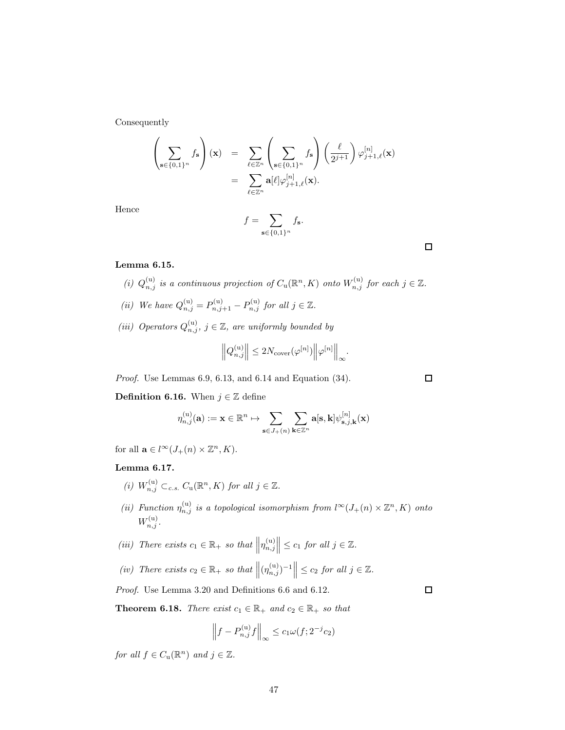Consequently

$$
\left(\sum_{\mathbf{s}\in\{0,1\}^n} f_{\mathbf{s}}\right)(\mathbf{x}) = \sum_{\ell\in\mathbb{Z}^n} \left(\sum_{\mathbf{s}\in\{0,1\}^n} f_{\mathbf{s}}\right) \left(\frac{\ell}{2^{j+1}}\right) \varphi_{j+1,\ell}^{[n]}(\mathbf{x})
$$

$$
= \sum_{\ell\in\mathbb{Z}^n} \mathbf{a}[\ell] \varphi_{j+1,\ell}^{[n]}(\mathbf{x}).
$$

Hence

$$
f = \sum_{\mathbf{s} \in \{0,1\}^n} f_{\mathbf{s}}.
$$

Lemma 6.15.

- (i)  $Q_{n,j}^{(u)}$  is a continuous projection of  $C_u(\mathbb{R}^n, K)$  onto  $W_{n,j}^{(u)}$  for each  $j \in \mathbb{Z}$ .
- (ii) We have  $Q_{n,j}^{(u)} = P_{n,j+1}^{(u)} P_{n,j}^{(u)}$  for all  $j \in \mathbb{Z}$ .
- (iii) Operators  $Q_{n,j}^{(u)}$ ,  $j \in \mathbb{Z}$ , are uniformly bounded by

$$
\left\|Q_{n,j}^{(\text{u})}\right\| \leq 2N_{\text{cover}}(\varphi^{[n]})\left\|\varphi^{[n]}\right\|_\infty.
$$

Proof. Use Lemmas 6.9, 6.13, and 6.14 and Equation (34).

**Definition 6.16.** When  $j \in \mathbb{Z}$  define

$$
\eta_{n,j}^{(\mathrm{u})}(\mathbf{a}) := \mathbf{x} \in \mathbb{R}^n \mapsto \sum_{\mathbf{s} \in J_+(n)} \sum_{\mathbf{k} \in \mathbb{Z}^n} \mathbf{a}[\mathbf{s},\mathbf{k}] \psi_{\mathbf{s},j,\mathbf{k}}^{[n]}(\mathbf{x})
$$

for all  $\mathbf{a} \in l^{\infty}(J_+(n) \times \mathbb{Z}^n, K)$ .

### Lemma 6.17.

- (i)  $W_{n,j}^{(u)} \subset_{c.s.} C_u(\mathbb{R}^n, K)$  for all  $j \in \mathbb{Z}.$
- (ii) Function  $\eta_{n,j}^{(u)}$  is a topological isomorphism from  $l^{\infty}(J_+(n) \times \mathbb{Z}^n, K)$  onto  $W_{n,j}^{(\mathrm{u})}$ .
- (iii) There exists  $c_1 \in \mathbb{R}_+$  so that  $||\eta_{n,j}^{(u)}||$  $\Big\| \leq c_1$  for all  $j \in \mathbb{Z}$ .
- (iv) There exists  $c_2 \in \mathbb{R}_+$  so that  $\left\| (\eta_{n,j}^{(u)})^{-1} \right\| \leq c_2$  for all  $j \in \mathbb{Z}$ .

Proof. Use Lemma 3.20 and Definitions 6.6 and 6.12.

**Theorem 6.18.** There exist  $c_1 \in \mathbb{R}_+$  and  $c_2 \in \mathbb{R}_+$  so that

$$
\left\|f - P_{n,j}^{(u)}f\right\|_{\infty} \le c_1 \omega(f; 2^{-j}c_2)
$$

for all  $f \in C_{\mathbf{u}}(\mathbb{R}^n)$  and  $j \in \mathbb{Z}$ .

 $\Box$ 

 $\Box$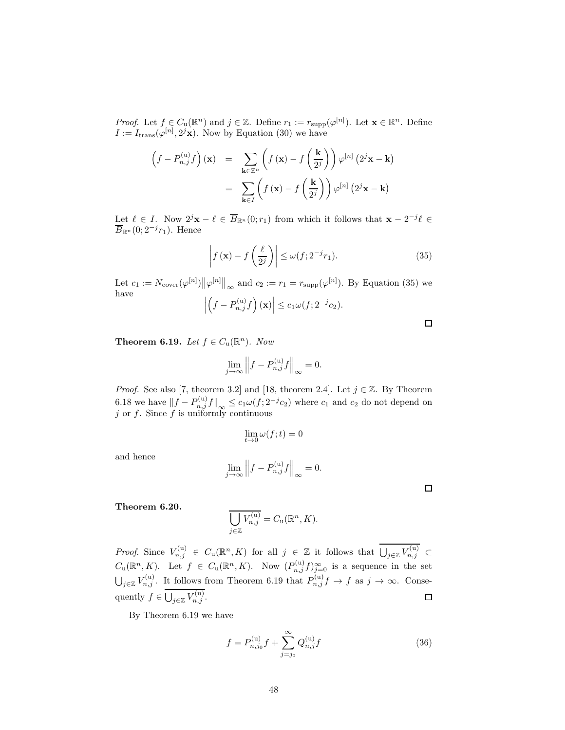*Proof.* Let  $f \in C_u(\mathbb{R}^n)$  and  $j \in \mathbb{Z}$ . Define  $r_1 := r_{\text{supp}}(\varphi^{[n]})$ . Let  $\mathbf{x} \in \mathbb{R}^n$ . Define  $I := I_{trans}(\varphi^{[n]}, 2^j \mathbf{x})$ . Now by Equation (30) we have

$$
\left(f - P_{n,j}^{(u)}f\right)(\mathbf{x}) = \sum_{\mathbf{k} \in \mathbb{Z}^n} \left(f(\mathbf{x}) - f\left(\frac{\mathbf{k}}{2^j}\right)\right) \varphi^{[n]}(2^j \mathbf{x} - \mathbf{k})
$$

$$
= \sum_{\mathbf{k} \in I} \left(f(\mathbf{x}) - f\left(\frac{\mathbf{k}}{2^j}\right)\right) \varphi^{[n]}(2^j \mathbf{x} - \mathbf{k})
$$

Let  $\ell \in I$ . Now  $2^j \mathbf{x} - \ell \in \overline{B}_{\mathbb{R}^n}(0; r_1)$  from which it follows that  $\mathbf{x} - 2^{-j}\ell \in$  $\overline{B}_{\mathbb{R}^n}(0;2^{-j}r_1)$ . Hence

$$
\left| f\left(\mathbf{x}\right) - f\left(\frac{\ell}{2^j}\right) \right| \le \omega(f; 2^{-j}r_1). \tag{35}
$$

Let  $c_1 := N_{\text{cover}}(\varphi^{[n]}) || \varphi^{[n]} ||_{\infty}$  and  $c_2 := r_1 = r_{\text{supp}}(\varphi^{[n]})$ . By Equation (35) we have

$$
\left| \left( f - P_{n,j}^{(\mathrm{u})} f \right) (\mathbf{x}) \right| \leq c_1 \omega(f; 2^{-j} c_2).
$$

**Theorem 6.19.** Let  $f \in C_u(\mathbb{R}^n)$ . Now

$$
\lim_{j \to \infty} \left\| f - P_{n,j}^{(\mathbf{u})} f \right\|_{\infty} = 0.
$$

*Proof.* See also [7, theorem 3.2] and [18, theorem 2.4]. Let  $j \in \mathbb{Z}$ . By Theorem 6.18 we have  $||f - P_{n,j}^{(u)}f||_{\infty} \leq c_1 \omega(f; 2^{-j}c_2)$  where  $c_1$  and  $c_2$  do not depend on j or  $f$ . Since  $f$  is uniformly continuous

$$
\lim_{t \to 0} \omega(f; t) = 0
$$

and hence

$$
\lim_{j \to \infty} \left\| f - P_{n,j}^{(\mathbf{u})} f \right\|_{\infty} = 0.
$$

 $\Box$ 

Theorem 6.20.

$$
\overline{\bigcup_{j\in\mathbb{Z}}V_{n,j}^{(\mathrm{u})}}=C_{\mathrm{u}}(\mathbb{R}^n, K).
$$

*Proof.* Since  $V_{n,j}^{(u)} \in C_u(\mathbb{R}^n, K)$  for all  $j \in \mathbb{Z}$  it follows that  $\bigcup_{j \in \mathbb{Z}} V_{n,j}^{(u)} \subset$  $C_{\mathbf{u}}(\mathbb{R}^n, K)$ . Let  $f \in C_{\mathbf{u}}(\mathbb{R}^n, K)$ . Now  $(P_{n,j}^{(\mathbf{u})}f)_{j=0}^{\infty}$  is a sequence in the set  $\bigcup_{j\in\mathbb{Z}}V_{n,j}^{(u)}$ . It follows from Theorem 6.19 that  $P_{n,j}^{(u)}f\to f$  as  $j\to\infty$ . Consequently  $f \in \bigcup_{j \in \mathbb{Z}} V_{n,j}^{(u)}$ .  $\Box$ 

By Theorem 6.19 we have

$$
f = P_{n,j_0}^{(u)} f + \sum_{j=j_0}^{\infty} Q_{n,j}^{(u)} f
$$
 (36)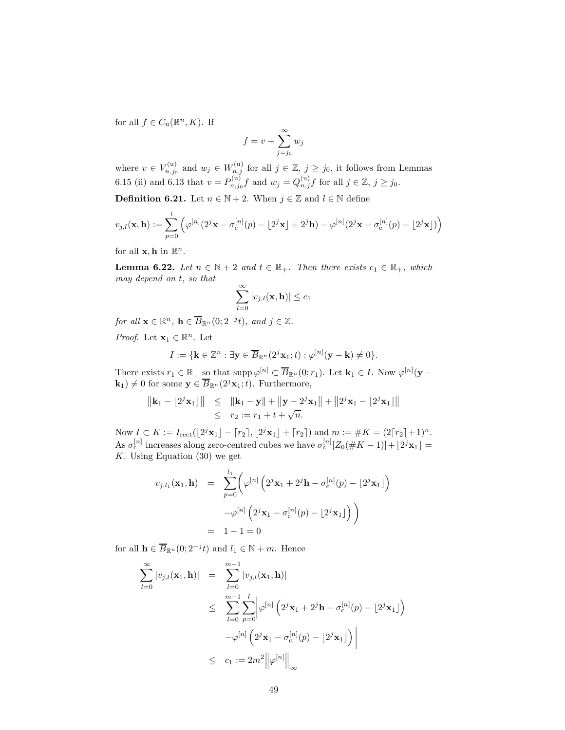for all  $f \in C_{\mathbf{u}}(\mathbb{R}^n, K)$ . If

$$
f = v + \sum_{j=j_0}^{\infty} w_j
$$

where  $v \in V_{n,j_0}^{(u)}$  $v_{n,j_0}^{(u)}$  and  $w_j \in W_{n,j}^{(u)}$  for all  $j \in \mathbb{Z}$ ,  $j \ge j_0$ , it follows from Lemmas 6.15 (ii) and 6.13 that  $v = P_{n,j_0}^{(u)} f$  and  $w_j = Q_{n,j}^{(u)} f$  for all  $j \in \mathbb{Z}, j \ge j_0$ .

**Definition 6.21.** Let  $n \in \mathbb{N} + 2$ . When  $j \in \mathbb{Z}$  and  $l \in \mathbb{N}$  define

$$
v_{j,l}(\mathbf{x}, \mathbf{h}) := \sum_{p=0}^{l} \left( \varphi^{[n]}(2^{j}\mathbf{x} - \sigma_{\mathrm{c}}^{[n]}(p) - \lfloor 2^{j}\mathbf{x} \rfloor + 2^{j}\mathbf{h}) - \varphi^{[n]}(2^{j}\mathbf{x} - \sigma_{\mathrm{c}}^{[n]}(p) - \lfloor 2^{j}\mathbf{x} \rfloor) \right)
$$

for all  $\mathbf{x}, \mathbf{h}$  in  $\mathbb{R}^n$ .

**Lemma 6.22.** Let  $n \in \mathbb{N} + 2$  and  $t \in \mathbb{R}_+$ . Then there exists  $c_1 \in \mathbb{R}_+$ , which may depend on t, so that

$$
\sum_{l=0}^{\infty} |v_{j,l}(\mathbf{x}, \mathbf{h})| \leq c_1
$$

for all  $\mathbf{x} \in \mathbb{R}^n$ ,  $\mathbf{h} \in \overline{B}_{\mathbb{R}^n}(0; 2^{-j}t)$ , and  $j \in \mathbb{Z}$ .

*Proof.* Let  $\mathbf{x}_1 \in \mathbb{R}^n$ . Let

$$
I := \{ \mathbf{k} \in \mathbb{Z}^n : \exists \mathbf{y} \in \overline{B}_{\mathbb{R}^n} (2^j \mathbf{x}_1; t) : \varphi^{[n]}(\mathbf{y} - \mathbf{k}) \neq 0 \}.
$$

There exists  $r_1 \in \mathbb{R}_+$  so that  $\text{supp }\varphi^{[n]} \subset \overline{B}_{\mathbb{R}^n}(0; r_1)$ . Let  $\mathbf{k}_1 \in I$ . Now  $\varphi^{[n]}(\mathbf{y} - \mathbf{k})$  $(\mathbf{k}_1) \neq 0$  for some  $\mathbf{y} \in \overline{B}_{\mathbb{R}^n}(2^j\mathbf{x}_1;t)$ . Furthermore,

$$
||\mathbf{k}_1 - \lfloor 2^j \mathbf{x}_1 \rfloor|| \le ||\mathbf{k}_1 - \mathbf{y}|| + ||\mathbf{y} - 2^j \mathbf{x}_1|| + ||2^j \mathbf{x}_1 - \lfloor 2^j \mathbf{x}_1 \rfloor||
$$
  
 
$$
\le r_2 := r_1 + t + \sqrt{n}.
$$

Now  $I \subset K := I_{\text{rect}}(\lfloor 2^j \mathbf{x}_1 \rfloor - \lceil r_2 \rceil, \lfloor 2^j \mathbf{x}_1 \rfloor + \lceil r_2 \rceil) \text{ and } m := \#K = (2\lceil r_2 \rceil + 1)^n.$ As  $\sigma_c^{[n]}$  increases along zero-centred cubes we have  $\sigma_c^{[n]}[Z_0(\#K-1)] + \lfloor 2^j \mathbf{x}_1 \rfloor =$ K. Using Equation  $(30)$  we get

$$
v_{j,l_1}(\mathbf{x}_1, \mathbf{h}) = \sum_{p=0}^{l_1} \left( \varphi^{[n]} \left( 2^j \mathbf{x}_1 + 2^j \mathbf{h} - \sigma_c^{[n]}(p) - 2^j \mathbf{x}_1 \right) \right)
$$

$$
- \varphi^{[n]} \left( 2^j \mathbf{x}_1 - \sigma_c^{[n]}(p) - 2^j \mathbf{x}_1 \right) \right)
$$

$$
= 1 - 1 = 0
$$

for all  $\mathbf{h} \in \overline{B}_{\mathbb{R}^n}(0; 2^{-j}t)$  and  $l_1 \in \mathbb{N} + m$ . Hence

$$
\sum_{l=0}^{\infty} |v_{j,l}(\mathbf{x}_1, \mathbf{h})| = \sum_{l=0}^{m-1} |v_{j,l}(\mathbf{x}_1, \mathbf{h})|
$$
  
\n
$$
\leq \sum_{l=0}^{m-1} \sum_{p=0}^{l} |\varphi^{[n]} (2^j \mathbf{x}_1 + 2^j \mathbf{h} - \sigma_c^{[n]}(p) - 2^j \mathbf{x}_1|)
$$
  
\n
$$
-\varphi^{[n]} (2^j \mathbf{x}_1 - \sigma_c^{[n]}(p) - 2^j \mathbf{x}_1|)
$$
  
\n
$$
\leq c_1 := 2m^2 ||\varphi^{[n]}||_{\infty}
$$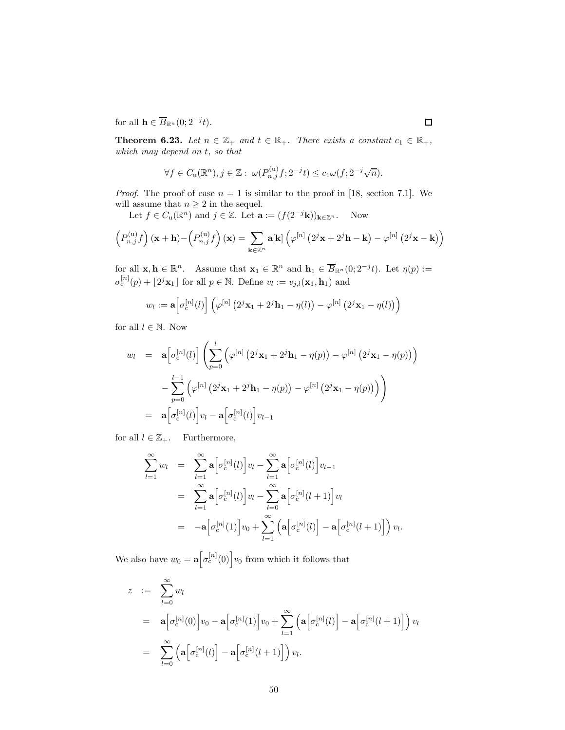for all  $\mathbf{h} \in \overline{B}_{\mathbb{R}^n}(0; 2^{-j}t)$ .

**Theorem 6.23.** Let  $n \in \mathbb{Z}_+$  and  $t \in \mathbb{R}_+$ . There exists a constant  $c_1 \in \mathbb{R}_+$ , which may depend on t, so that

$$
\forall f \in C_{\mathrm{u}}(\mathbb{R}^n), j \in \mathbb{Z}: \ \omega(P_{n,j}^{(\mathrm{u})}f; 2^{-j}t) \leq c_1 \omega(f; 2^{-j}\sqrt{n}).
$$

*Proof.* The proof of case  $n = 1$  is similar to the proof in [18, section 7.1]. We will assume that  $n \geq 2$  in the sequel.

Let  $f \in C_{\mathbf{u}}(\mathbb{R}^n)$  and  $j \in \mathbb{Z}$ . Let  $\mathbf{a} := (f(2^{-j}\mathbf{k}))_{\mathbf{k}\in\mathbb{Z}^n}$ . Now

$$
\left(P_{n,j}^{(u)}f\right)(\mathbf{x}+\mathbf{h})-\left(P_{n,j}^{(u)}f\right)(\mathbf{x})=\sum_{\mathbf{k}\in\mathbb{Z}^n}\mathbf{a}[\mathbf{k}]\left(\varphi^{[n]}\left(2^j\mathbf{x}+2^j\mathbf{h}-\mathbf{k}\right)-\varphi^{[n]}\left(2^j\mathbf{x}-\mathbf{k}\right)\right)
$$

for all  $\mathbf{x}, \mathbf{h} \in \mathbb{R}^n$ . Assume that  $\mathbf{x}_1 \in \mathbb{R}^n$  and  $\mathbf{h}_1 \in \overline{B}_{\mathbb{R}^n}(0; 2^{-j}t)$ . Let  $\eta(p) :=$  $\sigma_c^{[n]}(p) + \lfloor 2^j \mathbf{x}_1 \rfloor$  for all  $p \in \mathbb{N}$ . Define  $v_l := v_{j,l}(\mathbf{x}_1, \mathbf{h}_1)$  and

$$
w_l := \mathbf{a}\bigg[\sigma_c^{[n]}(l)\bigg]\left(\varphi^{[n]}\left(2^j\mathbf{x}_1 + 2^j\mathbf{h}_1 - \eta(l)\right) - \varphi^{[n]}\left(2^j\mathbf{x}_1 - \eta(l)\right)\right)
$$

for all  $l \in \mathbb{N}$ . Now

$$
w_{l} = \mathbf{a} \left[ \sigma_{c}^{[n]}(l) \right] \left( \sum_{p=0}^{l} \left( \varphi^{[n]} \left( 2^{j} \mathbf{x}_{1} + 2^{j} \mathbf{h}_{1} - \eta(p) \right) - \varphi^{[n]} \left( 2^{j} \mathbf{x}_{1} - \eta(p) \right) \right) - \sum_{p=0}^{l-1} \left( \varphi^{[n]} \left( 2^{j} \mathbf{x}_{1} + 2^{j} \mathbf{h}_{1} - \eta(p) \right) - \varphi^{[n]} \left( 2^{j} \mathbf{x}_{1} - \eta(p) \right) \right) \right)
$$
  
= 
$$
\mathbf{a} \left[ \sigma_{c}^{[n]}(l) \right] v_{l} - \mathbf{a} \left[ \sigma_{c}^{[n]}(l) \right] v_{l-1}
$$

for all  $l \in \mathbb{Z}_+$ . Furthermore,

$$
\sum_{l=1}^{\infty} w_l = \sum_{l=1}^{\infty} \mathbf{a} \Big[ \sigma_c^{[n]}(l) \Big] v_l - \sum_{l=1}^{\infty} \mathbf{a} \Big[ \sigma_c^{[n]}(l) \Big] v_{l-1}
$$
\n
$$
= \sum_{l=1}^{\infty} \mathbf{a} \Big[ \sigma_c^{[n]}(l) \Big] v_l - \sum_{l=0}^{\infty} \mathbf{a} \Big[ \sigma_c^{[n]}(l+1) \Big] v_l
$$
\n
$$
= -\mathbf{a} \Big[ \sigma_c^{[n]}(1) \Big] v_0 + \sum_{l=1}^{\infty} \left( \mathbf{a} \Big[ \sigma_c^{[n]}(l) \Big] - \mathbf{a} \Big[ \sigma_c^{[n]}(l+1) \Big] \right) v_l.
$$

We also have  $w_0 = \mathbf{a} \left[ \sigma_c^{[n]}(0) \right] v_0$  from which it follows that

$$
z := \sum_{l=0}^{\infty} w_l
$$
  
\n
$$
= \mathbf{a} \Big[ \sigma_c^{[n]}(0) \Big] v_0 - \mathbf{a} \Big[ \sigma_c^{[n]}(1) \Big] v_0 + \sum_{l=1}^{\infty} \left( \mathbf{a} \Big[ \sigma_c^{[n]}(l) \Big] - \mathbf{a} \Big[ \sigma_c^{[n]}(l+1) \Big] \right) v_l
$$
  
\n
$$
= \sum_{l=0}^{\infty} \left( \mathbf{a} \Big[ \sigma_c^{[n]}(l) \Big] - \mathbf{a} \Big[ \sigma_c^{[n]}(l+1) \Big] \right) v_l.
$$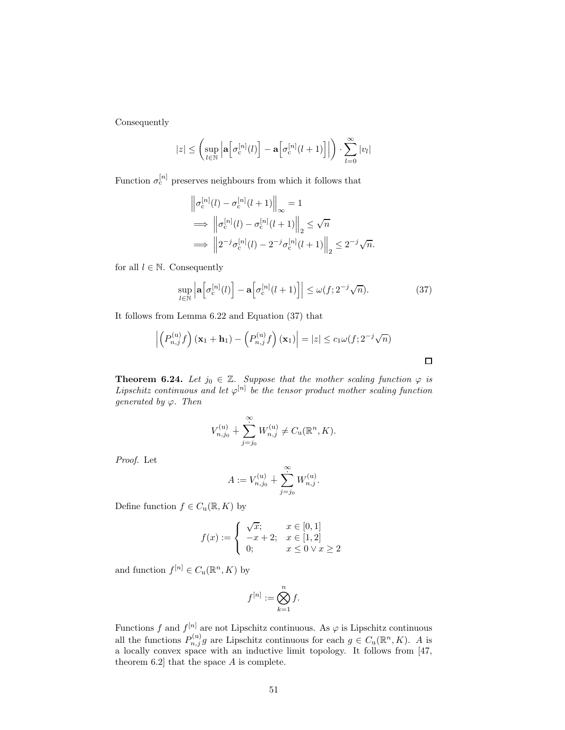Consequently

$$
|z| \leq \left(\sup_{l \in \mathbb{N}} \left| \mathbf{a}\left[\sigma_{\mathrm{c}}^{[n]}(l)\right] - \mathbf{a}\left[\sigma_{\mathrm{c}}^{[n]}(l+1)\right]\right|\right) \cdot \sum_{l=0}^{\infty} |v_l|
$$

Function  $\sigma_c^{[n]}$  preserves neighbours from which it follows that

$$
\begin{aligned}\n\left\|\sigma_{\rm c}^{[n]}(l) - \sigma_{\rm c}^{[n]}(l+1)\right\|_{\infty} &= 1\\ \implies \left\|\sigma_{\rm c}^{[n]}(l) - \sigma_{\rm c}^{[n]}(l+1)\right\|_{2} &\leq \sqrt{n} \\ \implies \left\|2^{-j}\sigma_{\rm c}^{[n]}(l) - 2^{-j}\sigma_{\rm c}^{[n]}(l+1)\right\|_{2} &\leq 2^{-j}\sqrt{n}.\n\end{aligned}
$$

for all  $l \in \mathbb{N}$ . Consequently

$$
\sup_{l \in \mathbb{N}} \left| \mathbf{a} \left[ \sigma_{\mathrm{c}}^{[n]}(l) \right] - \mathbf{a} \left[ \sigma_{\mathrm{c}}^{[n]}(l+1) \right] \right| \le \omega(f; 2^{-j}\sqrt{n}).\tag{37}
$$

 $\Box$ 

It follows from Lemma 6.22 and Equation (37) that

$$
\left| \left( P_{n,j}^{(u)} f \right) (\mathbf{x}_1 + \mathbf{h}_1) - \left( P_{n,j}^{(u)} f \right) (\mathbf{x}_1) \right| = |z| \le c_1 \omega(f; 2^{-j} \sqrt{n})
$$

**Theorem 6.24.** Let  $j_0 \in \mathbb{Z}$ . Suppose that the mother scaling function  $\varphi$  is Lipschitz continuous and let  $\varphi^{[n]}$  be the tensor product mother scaling function generated by  $\varphi$ . Then

$$
V_{n,j_0}^{(u)} + \sum_{j=j_0}^{\infty} W_{n,j}^{(u)} \neq C_u(\mathbb{R}^n, K).
$$

Proof. Let

$$
A := V_{n,j_0}^{(u)} + \sum_{j=j_0}^{\infty} W_{n,j}^{(u)}.
$$

Define function  $f \in C_u(\mathbb{R}, K)$  by

$$
f(x) := \begin{cases} \sqrt{x}; & x \in [0,1] \\ -x+2; & x \in [1,2] \\ 0; & x \le 0 \vee x \ge 2 \end{cases}
$$

and function  $f^{[n]} \in C_u(\mathbb{R}^n, K)$  by

$$
f^{[n]} := \bigotimes_{k=1}^{n} f.
$$

Functions f and  $f^{[n]}$  are not Lipschitz continuous. As  $\varphi$  is Lipschitz continuous all the functions  $P_{n,j}^{(u)}g$  are Lipschitz continuous for each  $g \in C_u(\mathbb{R}^n, K)$ . A is a locally convex space with an inductive limit topology. It follows from [47, theorem 6.2] that the space A is complete.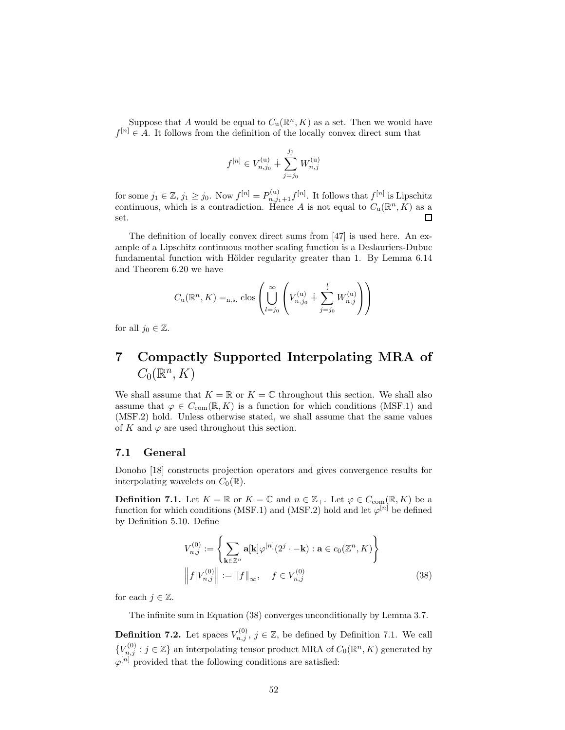Suppose that A would be equal to  $C_u(\mathbb{R}^n, K)$  as a set. Then we would have  $f^{[n]} \in A$ . It follows from the definition of the locally convex direct sum that

$$
f^{[n]} \in V_{n,j_0}^{(\mathbf{u})} + \sum_{j=j_0}^{j_1} W_{n,j}^{(\mathbf{u})}
$$

for some  $j_1 \in \mathbb{Z}, j_1 \geq j_0$ . Now  $f^{[n]} = P^{(u)}_{n,j_1+1} f^{[n]}$ . It follows that  $f^{[n]}$  is Lipschitz continuous, which is a contradiction. Hence A is not equal to  $C_u(\mathbb{R}^n, K)$  as a  $\Box$ set.

The definition of locally convex direct sums from [47] is used here. An example of a Lipschitz continuous mother scaling function is a Deslauriers-Dubuc fundamental function with Hölder regularity greater than 1. By Lemma 6.14 and Theorem 6.20 we have

$$
C_{\mathbf{u}}(\mathbb{R}^n, K) =_{\text{n.s.}} \text{clos}\left(\bigcup_{l=j_0}^{\infty} \left(V_{n,j_0}^{(\mathbf{u})} + \sum_{j=j_0}^{l} W_{n,j}^{(\mathbf{u})}\right)\right)
$$

for all  $j_0 \in \mathbb{Z}$ .

## 7 Compactly Supported Interpolating MRA of  $C_0(\mathbb{R}^n, K)$

We shall assume that  $K = \mathbb{R}$  or  $K = \mathbb{C}$  throughout this section. We shall also assume that  $\varphi \in C_{com}(\mathbb{R}, K)$  is a function for which conditions (MSF.1) and (MSF.2) hold. Unless otherwise stated, we shall assume that the same values of K and  $\varphi$  are used throughout this section.

### 7.1 General

Donoho [18] constructs projection operators and gives convergence results for interpolating wavelets on  $C_0(\mathbb{R})$ .

**Definition 7.1.** Let  $K = \mathbb{R}$  or  $K = \mathbb{C}$  and  $n \in \mathbb{Z}_+$ . Let  $\varphi \in C_{com}(\mathbb{R}, K)$  be a function for which conditions (MSF.1) and (MSF.2) hold and let  $\varphi^{[n]}$  be defined by Definition 5.10. Define

$$
V_{n,j}^{(0)} := \left\{ \sum_{\mathbf{k} \in \mathbb{Z}^n} \mathbf{a}[\mathbf{k}] \varphi^{[n]}(2^j \cdot -\mathbf{k}) : \mathbf{a} \in c_0(\mathbb{Z}^n, K) \right\}
$$

$$
\left\| f | V_{n,j}^{(0)} \right\| := \| f \|_{\infty}, \quad f \in V_{n,j}^{(0)} \tag{38}
$$

for each  $j \in \mathbb{Z}$ .

The infinite sum in Equation (38) converges unconditionally by Lemma 3.7.

**Definition 7.2.** Let spaces  $V_{n,j}^{(0)}$ ,  $j \in \mathbb{Z}$ , be defined by Definition 7.1. We call  ${V}_{n,j}^{(0)}: j \in \mathbb{Z}$  an interpolating tensor product MRA of  $C_0(\mathbb{R}^n, K)$  generated by  $\varphi^{[n]}$  provided that the following conditions are satisfied: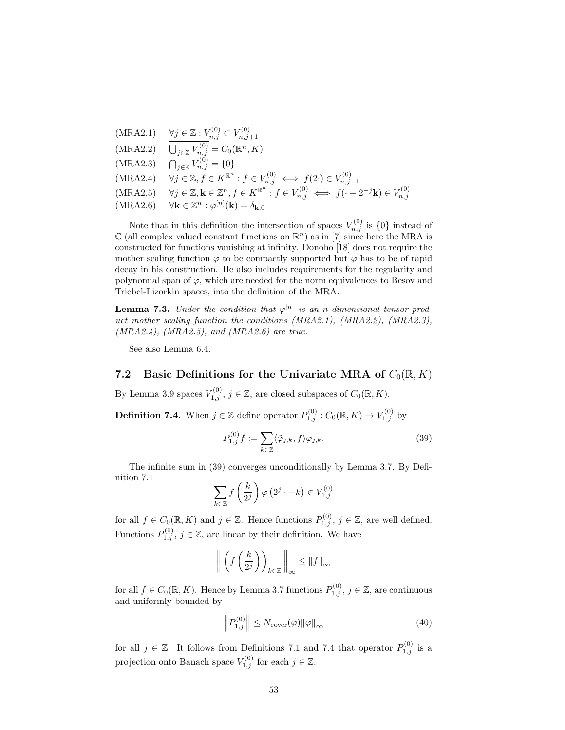(MRA2.1) 
$$
\forall j \in \mathbb{Z} : V_{n,j}^{(0)} \subset V_{n,j+1}^{(0)}
$$
  
\n(MRA2.2)  $\overline{U}_{j \in \mathbb{Z}} V_{n,j}^{(0)} = C_0(\mathbb{R}^n, K)$   
\n(MRA2.3)  $\bigcap_{j \in \mathbb{Z}} V_{n,j}^{(0)} = \{0\}$   
\n(MRA2.4)  $\forall j \in \mathbb{Z}, f \in K^{\mathbb{R}^n} : f \in V_{n,j}^{(0)} \iff f(2 \cdot) \in V_{n,j+1}^{(0)}$   
\n(MRA2.5)  $\forall j \in \mathbb{Z}, \mathbf{k} \in \mathbb{Z}^n, f \in K^{\mathbb{R}^n} : f \in V_{n,j}^{(0)} \iff f(-2^{-j}\mathbf{k}) \in V_{n,j}^{(0)}$   
\n(MRA2.6)  $\forall \mathbf{k} \in \mathbb{Z}^n : \varphi^{[n]}(\mathbf{k}) = \delta_{\mathbf{k},0}$ 

Note that in this definition the intersection of spaces  $V_{n,j}^{(0)}$  is  $\{0\}$  instead of  $\mathbb C$  (all complex valued constant functions on  $\mathbb R^n$ ) as in [7] since here the MRA is constructed for functions vanishing at infinity. Donoho [18] does not require the mother scaling function  $\varphi$  to be compactly supported but  $\varphi$  has to be of rapid decay in his construction. He also includes requirements for the regularity and polynomial span of  $\varphi$ , which are needed for the norm equivalences to Besov and Triebel-Lizorkin spaces, into the definition of the MRA.

**Lemma 7.3.** Under the condition that  $\varphi^{[n]}$  is an n-dimensional tensor product mother scaling function the conditions (MRA2.1), (MRA2.2), (MRA2.3),  $(MRA2.4)$ ,  $(MRA2.5)$ , and  $(MRA2.6)$  are true.

See also Lemma 6.4.

### 7.2 Basic Definitions for the Univariate MRA of  $C_0(\mathbb{R}, K)$

By Lemma 3.9 spaces  $V_{1,j}^{(0)}$ ,  $j \in \mathbb{Z}$ , are closed subspaces of  $C_0(\mathbb{R}, K)$ .

**Definition 7.4.** When  $j \in \mathbb{Z}$  define operator  $P_{1,j}^{(0)}$  :  $C_0(\mathbb{R}, K) \to V_{1,j}^{(0)}$  by

$$
P_{1,j}^{(0)}f := \sum_{k \in \mathbb{Z}} \langle \tilde{\varphi}_{j,k}, f \rangle \varphi_{j,k}.
$$
 (39)

The infinite sum in (39) converges unconditionally by Lemma 3.7. By Definition 7.1

$$
\sum_{k \in \mathbb{Z}} f\left(\frac{k}{2^j}\right) \varphi\left(2^j \cdot -k\right) \in V_{1,j}^{(0)}
$$

for all  $f \in C_0(\mathbb{R}, K)$  and  $j \in \mathbb{Z}$ . Hence functions  $P_{1,j}^{(0)}$ ,  $j \in \mathbb{Z}$ , are well defined. Functions  $P_{1,j}^{(0)}$ ,  $j \in \mathbb{Z}$ , are linear by their definition. We have

$$
\left\| \left( f\left( \frac{k}{2^j} \right) \right)_{k \in \mathbb{Z}} \right\|_\infty \leq \|f\|_\infty
$$

for all  $f \in C_0(\mathbb{R}, K)$ . Hence by Lemma 3.7 functions  $P_{1,j}^{(0)}$ ,  $j \in \mathbb{Z}$ , are continuous and uniformly bounded by

$$
\left\| P_{1,j}^{(0)} \right\| \le N_{\text{cover}}(\varphi) \|\varphi\|_{\infty} \tag{40}
$$

for all  $j \in \mathbb{Z}$ . It follows from Definitions 7.1 and 7.4 that operator  $P_{1,j}^{(0)}$  is a projection onto Banach space  $V_{1,j}^{(0)}$  for each  $j \in \mathbb{Z}$ .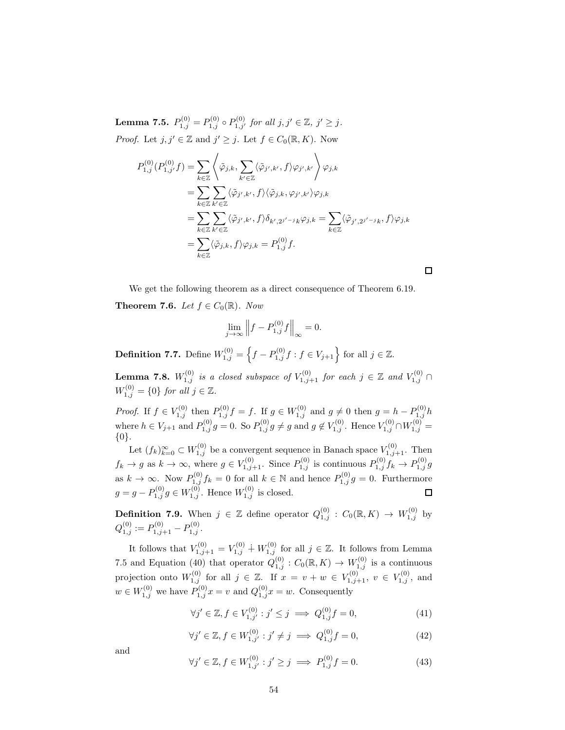**Lemma 7.5.**  $P_{1,j}^{(0)} = P_{1,j}^{(0)} \circ P_{1,j'}^{(0)}$  for all  $j, j' \in \mathbb{Z}$ ,  $j' \geq j$ . *Proof.* Let  $j, j' \in \mathbb{Z}$  and  $j' \geq j$ . Let  $f \in C_0(\mathbb{R}, K)$ . Now

$$
P_{1,j}^{(0)}(P_{1,j'}^{(0)}f) = \sum_{k \in \mathbb{Z}} \left\langle \tilde{\varphi}_{j,k}, \sum_{k' \in \mathbb{Z}} \langle \tilde{\varphi}_{j',k'}, f \rangle \varphi_{j',k'} \right\rangle \varphi_{j,k}
$$
  
\n
$$
= \sum_{k \in \mathbb{Z}} \sum_{k' \in \mathbb{Z}} \langle \tilde{\varphi}_{j',k'}, f \rangle \langle \tilde{\varphi}_{j,k}, \varphi_{j',k'} \rangle \varphi_{j,k}
$$
  
\n
$$
= \sum_{k \in \mathbb{Z}} \sum_{k' \in \mathbb{Z}} \langle \tilde{\varphi}_{j',k'}, f \rangle \delta_{k',2^{j'-j}k} \varphi_{j,k} = \sum_{k \in \mathbb{Z}} \langle \tilde{\varphi}_{j',2^{j'-j}k}, f \rangle \varphi_{j,k}
$$
  
\n
$$
= \sum_{k \in \mathbb{Z}} \langle \tilde{\varphi}_{j,k}, f \rangle \varphi_{j,k} = P_{1,j}^{(0)}f.
$$

We get the following theorem as a direct consequence of Theorem 6.19.

**Theorem 7.6.** Let  $f \in C_0(\mathbb{R})$ . Now

$$
\lim_{j \to \infty} \left\| f - P_{1,j}^{(0)} f \right\|_{\infty} = 0.
$$

**Definition 7.7.** Define  $W_{1,j}^{(0)} = \left\{ f - P_{1,j}^{(0)} f : f \in V_{j+1} \right\}$  for all  $j \in \mathbb{Z}$ .

**Lemma 7.8.**  $W_{1,j}^{(0)}$  is a closed subspace of  $V_{1,j+1}^{(0)}$  for each  $j \in \mathbb{Z}$  and  $V_{1,j}^{(0)} \cap$  $W_{1,j}^{(0)} = \{0\}$  for all  $j \in \mathbb{Z}$ .

*Proof.* If  $f \in V_{1,j}^{(0)}$  then  $P_{1,j}^{(0)} f = f$ . If  $g \in W_{1,j}^{(0)}$  and  $g \neq 0$  then  $g = h - P_{1,j}^{(0)} h$ where  $h \in V_{j+1}$  and  $P_{1,j}^{(0)}g = 0$ . So  $P_{1,j}^{(0)}g \neq g$  and  $g \notin V_{1,j}^{(0)}$ . Hence  $V_{1,j}^{(0)} \cap W_{1,j}^{(0)} =$ {0}.

Let  $(f_k)_{k=0}^{\infty} \subset W_{1,j}^{(0)}$  be a convergent sequence in Banach space  $V_{1,j+1}^{(0)}$ . Then  $f_k \to g$  as  $k \to \infty$ , where  $g \in V_{1,j+1}^{(0)}$ . Since  $P_{1,j}^{(0)}$  is continuous  $P_{1,j}^{(0)} f_k \to P_{1,j}^{(0)} g$ as  $k \to \infty$ . Now  $P_{1,j}^{(0)} f_k = 0$  for all  $k \in \mathbb{N}$  and hence  $P_{1,j}^{(0)} g = 0$ . Furthermore  $g = g - P_{1,j}^{(0)} g \in W_{1,j}^{(0)}$ . Hence  $W_{1,j}^{(0)}$  is closed.

**Definition 7.9.** When  $j \in \mathbb{Z}$  define operator  $Q_{1,j}^{(0)}$  :  $C_0(\mathbb{R}, K) \to W_{1,j}^{(0)}$  by  $Q_{1,j}^{(0)} := P_{1,j+1}^{(0)} - P_{1,j}^{(0)}.$ 

It follows that  $V_{1,j+1}^{(0)} = V_{1,j}^{(0)} + W_{1,j}^{(0)}$  for all  $j \in \mathbb{Z}$ . It follows from Lemma 7.5 and Equation (40) that operator  $Q_{1,j}^{(0)}: C_0(\mathbb{R}, K) \to W_{1,j}^{(0)}$  is a continuous projection onto  $W_{1,j}^{(0)}$  for all  $j \in \mathbb{Z}$ . If  $x = v + w \in V_{1,j+1}^{(0)}$ ,  $v \in V_{1,j}^{(0)}$ , and  $w \in W_{1,j}^{(0)}$  we have  $P_{1,j}^{(0)}x = v$  and  $Q_{1,j}^{(0)}x = w$ . Consequently

$$
\forall j' \in \mathbb{Z}, f \in V_{1,j'}^{(0)} : j' \le j \implies Q_{1,j}^{(0)} f = 0,
$$
\n(41)

$$
\forall j' \in \mathbb{Z}, f \in W^{(0)}_{1,j'} : j' \neq j \implies Q^{(0)}_{1,j} f = 0,
$$
\n(42)

and

$$
\forall j' \in \mathbb{Z}, f \in W_{1,j'}^{(0)} : j' \ge j \implies P_{1,j}^{(0)} f = 0.
$$
 (43)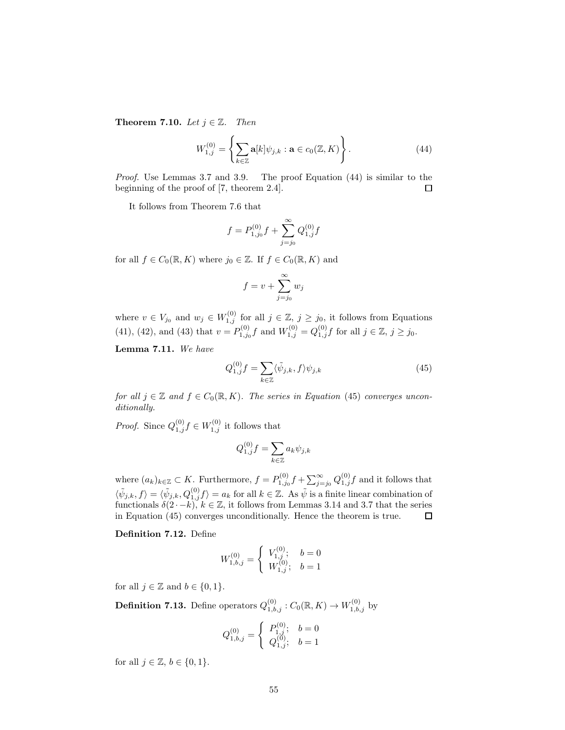Theorem 7.10. Let  $j \in \mathbb{Z}$ . Then

$$
W_{1,j}^{(0)} = \left\{ \sum_{k \in \mathbb{Z}} \mathbf{a}[k] \psi_{j,k} : \mathbf{a} \in c_0(\mathbb{Z}, K) \right\}.
$$
 (44)

Proof. Use Lemmas 3.7 and 3.9. The proof Equation (44) is similar to the beginning of the proof of [7, theorem 2.4].  $\Box$ 

It follows from Theorem 7.6 that

$$
f = P_{1,j_0}^{(0)}f + \sum_{j=j_0}^{\infty} Q_{1,j}^{(0)}f
$$

for all  $f \in C_0(\mathbb{R}, K)$  where  $j_0 \in \mathbb{Z}$ . If  $f \in C_0(\mathbb{R}, K)$  and

$$
f = v + \sum_{j=j_0}^{\infty} w_j
$$

where  $v \in V_{j_0}$  and  $w_j \in W_{1,j}^{(0)}$  for all  $j \in \mathbb{Z}, j \ge j_0$ , it follows from Equations (41), (42), and (43) that  $v = P_{1,j_0}^{(0)} f$  and  $W_{1,j}^{(0)} = Q_{1,j}^{(0)} f$  for all  $j \in \mathbb{Z}, j \ge j_0$ .

Lemma 7.11. We have

$$
Q_{1,j}^{(0)}f = \sum_{k \in \mathbb{Z}} \langle \tilde{\psi}_{j,k}, f \rangle \psi_{j,k} \tag{45}
$$

for all  $j \in \mathbb{Z}$  and  $f \in C_0(\mathbb{R}, K)$ . The series in Equation (45) converges unconditionally.

*Proof.* Since  $Q_{1,j}^{(0)} f \in W_{1,j}^{(0)}$  it follows that

$$
Q_{1,j}^{(0)}f = \sum_{k \in \mathbb{Z}} a_k \psi_{j,k}
$$

where  $(a_k)_{k\in\mathbb{Z}}\subset K$ . Furthermore,  $f=P_{1,j_0}^{(0)}f+\sum_{j=j_0}^{\infty}Q_{1,j}^{(0)}f$  and it follows that  $\langle \tilde{\psi}_{j,k}, f \rangle = \langle \tilde{\psi}_{j,k}, Q_{1,j}^{(0)} f \rangle = a_k$  for all  $k \in \mathbb{Z}$ . As  $\tilde{\psi}$  is a finite linear combination of functionals  $\delta(2 \cdot -k)$ ,  $k \in \mathbb{Z}$ , it follows from Lemmas 3.14 and 3.7 that the series in Equation (45) converges unconditionally. Hence the theorem is true.

Definition 7.12. Define

$$
W_{1,b,j}^{(0)} = \begin{cases} V_{1,j}^{(0)}; & b = 0\\ W_{1,j}^{(0)}; & b = 1 \end{cases}
$$

for all  $j \in \mathbb{Z}$  and  $b \in \{0, 1\}.$ 

**Definition 7.13.** Define operators  $Q_{1,b,j}^{(0)}: C_0(\mathbb{R}, K) \to W_{1,b,j}^{(0)}$  by

$$
Q_{1,b,j}^{(0)} = \begin{cases} P_{1,j}^{(0)}; & b = 0\\ Q_{1,j}^{(0)}; & b = 1 \end{cases}
$$

for all  $j \in \mathbb{Z}$ ,  $b \in \{0, 1\}$ .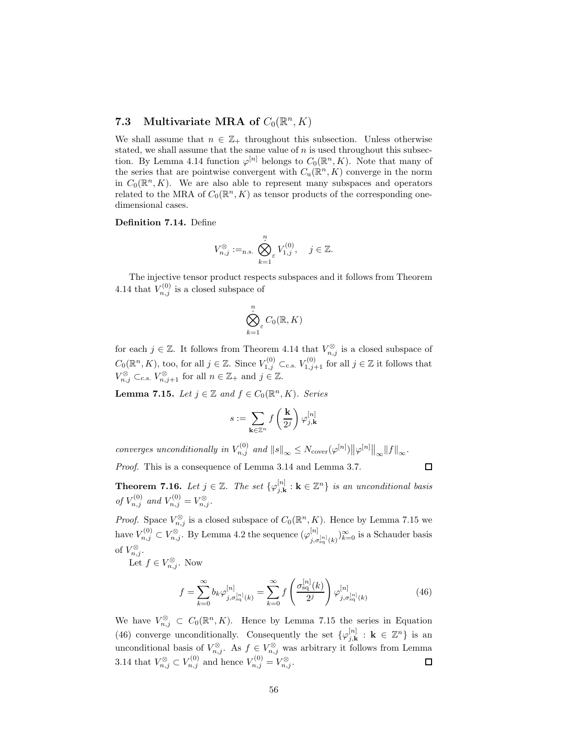## 7.3 Multivariate MRA of  $C_0(\mathbb{R}^n, K)$

We shall assume that  $n \in \mathbb{Z}_+$  throughout this subsection. Unless otherwise stated, we shall assume that the same value of  $n$  is used throughout this subsection. By Lemma 4.14 function  $\varphi^{[n]}$  belongs to  $C_0(\mathbb{R}^n, K)$ . Note that many of the series that are pointwise convergent with  $C_u(\mathbb{R}^n, K)$  converge in the norm in  $C_0(\mathbb{R}^n, K)$ . We are also able to represent many subspaces and operators related to the MRA of  $C_0(\mathbb{R}^n, K)$  as tensor products of the corresponding onedimensional cases.

Definition 7.14. Define

$$
V_{n,j}^{\otimes}:=_{\text{n.s.}} \bigotimes_{k=1}^n V_{1,j}^{(0)}, \quad j \in \mathbb{Z}.
$$

The injective tensor product respects subspaces and it follows from Theorem 4.14 that  $V_{n,j}^{(0)}$  is a closed subspace of

$$
\bigotimes_{k=1}^n \varepsilon C_0(\mathbb{R}, K)
$$

for each  $j \in \mathbb{Z}$ . It follows from Theorem 4.14 that  $V_{n,j}^{\otimes}$  is a closed subspace of  $C_0(\mathbb{R}^n, K)$ , too, for all  $j \in \mathbb{Z}$ . Since  $V_{1,j}^{(0)} \subset_{\text{c.s.}} V_{1,j+1}^{(0)}$  for all  $j \in \mathbb{Z}$  it follows that  $V_{n,j}^{\otimes} \subset_{\text{c.s.}} V_{n,j+1}^{\otimes}$  for all  $n \in \mathbb{Z}_+$  and  $j \in \mathbb{Z}$ .

**Lemma 7.15.** Let  $j \in \mathbb{Z}$  and  $f \in C_0(\mathbb{R}^n, K)$ . Series

$$
s:=\sum_{\mathbf{k}\in\mathbb{Z}^n}f\left(\frac{\mathbf{k}}{2^j}\right)\varphi_{j,\mathbf{k}}^{[n]}
$$

converges unconditionally in  $V_{n,j}^{(0)}$  and  $||s||_{\infty} \leq N_{\text{cover}}(\varphi^{[n]}) ||\varphi^{[n]}||_{\infty} ||f||_{\infty}$ .

Proof. This is a consequence of Lemma 3.14 and Lemma 3.7.

 $\Box$ 

**Theorem 7.16.** Let  $j \in \mathbb{Z}$ . The set  $\{\varphi_{j,k}^{[n]} : k \in \mathbb{Z}^n\}$  is an unconditional basis of  $V_{n,j}^{(0)}$  and  $V_{n,j}^{(0)} = V_{n,j}^{\otimes}$ .

*Proof.* Space  $V_{n,j}^{\otimes}$  is a closed subspace of  $C_0(\mathbb{R}^n, K)$ . Hence by Lemma 7.15 we have  $V_{n,j}^{(0)} \subset V_{n,j}^{\otimes}$ . By Lemma 4.2 the sequence  $(\varphi_{i,\sigma}^{[n]})$  $\sum_{j,\sigma_{\text{sq}}^{[n]}(k)}^{[n]} \rangle_{k=0}^{\infty}$  is a Schauder basis of  $V_{n,j}^{\otimes}$ .

Let  $f \in V_{n,j}^{\otimes}$ . Now

$$
f = \sum_{k=0}^{\infty} b_k \varphi_{j, \sigma_{\rm sq}^{[n]}(k)}^{[n]} = \sum_{k=0}^{\infty} f\left(\frac{\sigma_{\rm sq}^{[n]}(k)}{2^j}\right) \varphi_{j, \sigma_{\rm sq}^{[n]}(k)}^{[n]} \tag{46}
$$

We have  $V_{n,j}^{\otimes} \subset C_0(\mathbb{R}^n, K)$ . Hence by Lemma 7.15 the series in Equation (46) converge unconditionally. Consequently the set  $\{\varphi_{j,k}^{[n]} : \mathbf{k} \in \mathbb{Z}^n\}$  is an unconditional basis of  $V_{n,j}^{\otimes}$ . As  $f \in V_{n,j}^{\otimes}$  was arbitrary it follows from Lemma 3.14 that  $V_{n,j}^{\otimes} \subset V_{n,j}^{(0)}$  and hence  $V_{n,j}^{(0)} = V_{n,j}^{\otimes}$ . 口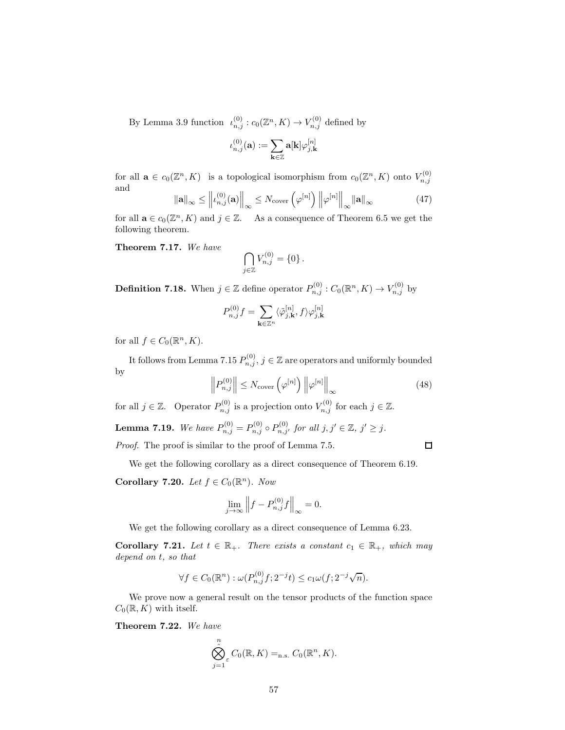By Lemma 3.9 function  $\iota_{n,j}^{(0)}: c_0(\mathbb{Z}^n, K) \to V_{n,j}^{(0)}$  defined by

$$
\iota_{n,j}^{(0)}(\mathbf{a}):=\sum_{\mathbf{k}\in\mathbb{Z}}\mathbf{a}[\mathbf{k}]\varphi_{j,\mathbf{k}}^{[n]}
$$

for all  $\mathbf{a} \in c_0(\mathbb{Z}^n, K)$  is a topological isomorphism from  $c_0(\mathbb{Z}^n, K)$  onto  $V_{n,j}^{(0)}$  $n,j$ and

$$
\|\mathbf{a}\|_{\infty} \le \left\| \iota_{n,j}^{(0)}(\mathbf{a}) \right\|_{\infty} \le N_{\text{cover}} \left( \varphi^{[n]} \right) \left\| \varphi^{[n]} \right\|_{\infty} \|\mathbf{a}\|_{\infty} \tag{47}
$$

for all  $\mathbf{a} \in c_0(\mathbb{Z}^n, K)$  and  $j \in \mathbb{Z}$ . As a consequence of Theorem 6.5 we get the following theorem.

Theorem 7.17. We have

$$
\bigcap_{j\in\mathbb{Z}}V_{n,j}^{(0)}=\{0\}.
$$

**Definition 7.18.** When  $j \in \mathbb{Z}$  define operator  $P_{n,j}^{(0)} : C_0(\mathbb{R}^n, K) \to V_{n,j}^{(0)}$  by

$$
P_{n,j}^{(0)}f = \sum_{\mathbf{k}\in\mathbb{Z}^n} \langle \tilde{\varphi}_{j,\mathbf{k}}^{[n]}, f \rangle \varphi_{j,\mathbf{k}}^{[n]}
$$

for all  $f \in C_0(\mathbb{R}^n, K)$ .

It follows from Lemma 7.15  $P_{n,j}^{(0)}$ ,  $j \in \mathbb{Z}$  are operators and uniformly bounded by

$$
\left\| P_{n,j}^{(0)} \right\| \le N_{\text{cover}} \left( \varphi^{[n]} \right) \left\| \varphi^{[n]} \right\|_{\infty} \tag{48}
$$

 $\Box$ 

for all  $j \in \mathbb{Z}$ . Operator  $P_{n,j}^{(0)}$  is a projection onto  $V_{n,j}^{(0)}$  for each  $j \in \mathbb{Z}$ .

**Lemma 7.19.** We have  $P_{n,j}^{(0)} = P_{n,j}^{(0)} \circ P_{n,j'}^{(0)}$  for all  $j, j' \in \mathbb{Z}, j' \geq j$ .

Proof. The proof is similar to the proof of Lemma 7.5.

We get the following corollary as a direct consequence of Theorem 6.19.

Corollary 7.20. Let  $f \in C_0(\mathbb{R}^n)$ . Now

$$
\lim_{j \to \infty} \left\| f - P_{n,j}^{(0)} f \right\|_{\infty} = 0.
$$

We get the following corollary as a direct consequence of Lemma 6.23.

**Corollary 7.21.** Let  $t \in \mathbb{R}_+$ . There exists a constant  $c_1 \in \mathbb{R}_+$ , which may depend on t, so that

$$
\forall f \in C_0(\mathbb{R}^n) : \omega(P_{n,j}^{(0)}f; 2^{-j}t) \le c_1 \omega(f; 2^{-j}\sqrt{n}).
$$

We prove now a general result on the tensor products of the function space  $C_0(\mathbb{R}, K)$  with itself.

Theorem 7.22. We have

$$
\bigotimes_{j=1}^n \mathcal{C}_0(\mathbb{R}, K) =_{n.s.} C_0(\mathbb{R}^n, K).
$$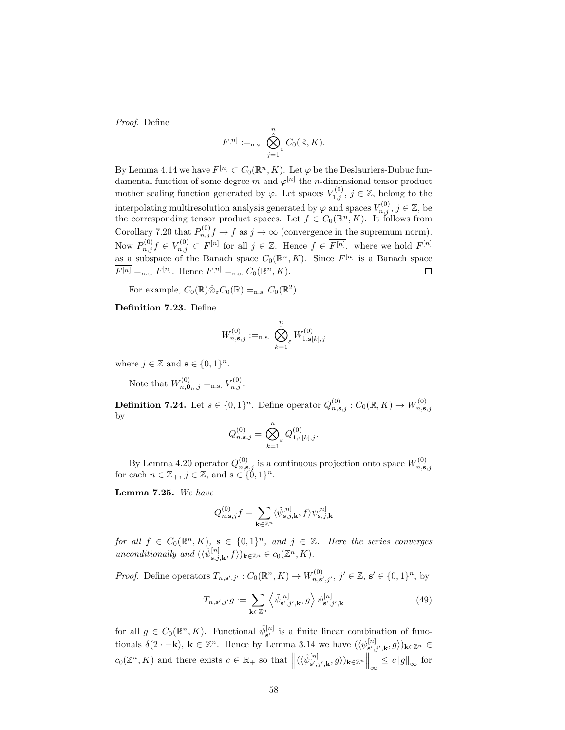Proof. Define

$$
F^{[n]} :=_{\text{n.s.}} \bigotimes_{j=1}^n \varepsilon C_0(\mathbb{R}, K).
$$

By Lemma 4.14 we have  $F^{[n]} \subset C_0(\mathbb{R}^n, K)$ . Let  $\varphi$  be the Deslauriers-Dubuc fundamental function of some degree m and  $\varphi^{[n]}$  the n-dimensional tensor product mother scaling function generated by  $\varphi$ . Let spaces  $V_{1,j}^{(0)}$ ,  $j \in \mathbb{Z}$ , belong to the interpolating multiresolution analysis generated by  $\varphi$  and spaces  $V_{n,j}^{(0)}$ ,  $j \in \mathbb{Z}$ , be the corresponding tensor product spaces. Let  $f \in C_0(\mathbb{R}^n, K)$ . It follows from Corollary 7.20 that  $P_{n,j}^{(0)}f \to f$  as  $j \to \infty$  (convergence in the supremum norm). Now  $P_{n,j}^{(0)}f \in V_{n,j}^{(0)} \subset F^{[n]}$  for all  $j \in \mathbb{Z}$ . Hence  $f \in \overline{F^{[n]}}$ , where we hold  $F^{[n]}$ as a subspace of the Banach space  $C_0(\mathbb{R}^n, K)$ . Since  $F^{[n]}$  is a Banach space  $\overline{F^{[n]}} =_{n.s.} F^{[n]}$ . Hence  $F^{[n]} =_{n.s.} C_0(\mathbb{R}^n, K)$ .  $\Box$ 

For example,  $C_0(\mathbb{R}) \hat{\otimes}_{\varepsilon} C_0(\mathbb{R}) =_{n.s.} C_0(\mathbb{R}^2)$ .

Definition 7.23. Define

$$
W_{n,{\bf s},j}^{(0)}:=_{\rm n.s.} \bigotimes_{k=1}^n {}_{\mathcal{E}} W_{1,{\bf s}[k],j}^{(0)}
$$

where  $j \in \mathbb{Z}$  and  $\mathbf{s} \in \{0,1\}^n$ .

Note that  $W_{n,0_{n,j}}^{(0)} =_{n.s.} V_{n,j}^{(0)}$ .

**Definition 7.24.** Let  $s \in \{0,1\}^n$ . Define operator  $Q_{n,s,j}^{(0)} : C_0(\mathbb{R}, K) \to W_{n,s,j}^{(0)}$ by

$$
Q_{n, \mathbf{s}, j}^{(0)} = \bigotimes_{k=1}^{n} Q_{1, \mathbf{s}[k], j}^{(0)}.
$$

By Lemma 4.20 operator  $Q_{n,s,j}^{(0)}$  is a continuous projection onto space  $W_{n,s,j}^{(0)}$  for each  $n \in \mathbb{Z}_+$ ,  $j \in \mathbb{Z}$ , and  $\mathbf{s} \in \{0,1\}^n$ .

Lemma 7.25. We have

$$
Q_{n,\mathbf{s},j}^{(0)}f=\sum_{\mathbf{k}\in\mathbb{Z}^n}\langle\tilde{\psi}_{\mathbf{s},j,\mathbf{k}}^{[n]},f\rangle\psi_{\mathbf{s},j,\mathbf{k}}^{[n]}
$$

for all  $f \in C_0(\mathbb{R}^n, K)$ ,  $s \in \{0,1\}^n$ , and  $j \in \mathbb{Z}$ . Here the series converges unconditionally and  $(\langle \tilde{\psi}_{\mathbf{s},j,\mathbf{k}}^{[n]}, f \rangle)_{\mathbf{k} \in \mathbb{Z}^n} \in c_0(\mathbb{Z}^n, K)$ .

*Proof.* Define operators  $T_{n,s',j'} : C_0(\mathbb{R}^n, K) \to W_{n,s',j'}^{(0)}, j' \in \mathbb{Z}, s' \in \{0,1\}^n$ , by

$$
T_{n,\mathbf{s}',j'}g := \sum_{\mathbf{k}\in\mathbb{Z}^n} \left\langle \tilde{\psi}_{\mathbf{s}',j',\mathbf{k}}^{[n]}, g \right\rangle \psi_{\mathbf{s}',j',\mathbf{k}}^{[n]} \tag{49}
$$

for all  $g \in C_0(\mathbb{R}^n, K)$ . Functional  $\tilde{\psi}_{s'}^{[n]}$  is a finite linear combination of functionals  $\delta(2 \cdot -\mathbf{k})$ ,  $\mathbf{k} \in \mathbb{Z}^n$ . Hence by Lemma 3.14 we have  $(\langle \tilde{\psi}_{\mathbf{s}',j',\mathbf{k}}^{[n]}, g \rangle)_{\mathbf{k} \in \mathbb{Z}^n} \in$  $c_0(\mathbb{Z}^n, K)$  and there exists  $c \in \mathbb{R}_+$  so that  $\left\| (\langle \tilde{\psi}_{\mathbf{s}',j',\mathbf{k}}^{[n]}, g \rangle)_{\mathbf{k} \in \mathbb{Z}^n} \right\|_{\infty} \leq c \|g\|_{\infty}$  for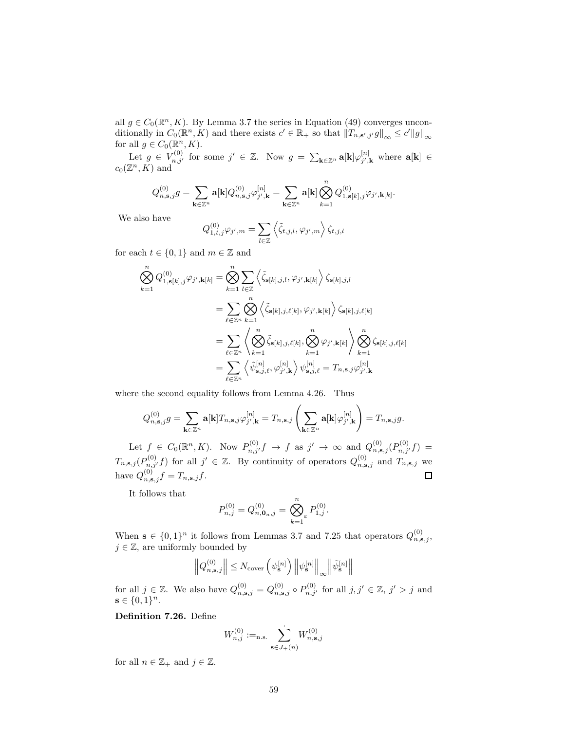all  $g \in C_0(\mathbb{R}^n, K)$ . By Lemma 3.7 the series in Equation (49) converges unconditionally in  $C_0(\mathbb{R}^n, K)$  and there exists  $c' \in \mathbb{R}_+$  so that  $||T_{n, s', j'}g||_{\infty} \le c'||g||_{\infty}$ for all  $g \in C_0(\mathbb{R}^n, K)$ .

Let  $g \in V_{n,j'}^{(0)}$  for some  $j' \in \mathbb{Z}$ . Now  $g = \sum_{\mathbf{k} \in \mathbb{Z}^n} \mathbf{a}[\mathbf{k}] \varphi_{j',k}^{[n]}$  $j^{\prime\prime},\mathbf{k}$  where  $\mathbf{a}[\mathbf{k}] \in$  $c_0(\mathbb{Z}^n, K)$  and

$$
Q_{n,{\bf s},j}^{(0)}g=\sum_{{\bf k}\in\mathbb Z^n}{\bf a}[{\bf k}]Q_{n,{\bf s},j}^{(0)}\varphi_{j',{\bf k}}^{[n]}=\sum_{{\bf k}\in\mathbb Z^n}{\bf a}[{\bf k}]\bigotimes_{k=1}^nQ_{1,{\bf s}[k],j}^{(0)}\varphi_{j',{\bf k}[k]}.
$$

We also have

$$
Q_{1,t,j}^{(0)}\varphi_{j',m} = \sum_{l\in\mathbb{Z}} \left\langle \tilde{\zeta}_{t,j,l}, \varphi_{j',m} \right\rangle \zeta_{t,j,l}
$$

for each  $t \in \{0,1\}$  and  $m \in \mathbb{Z}$  and

$$
\begin{split} \bigotimes_{k=1}^{n} Q_{1,\mathbf{s}[k],j}^{(0)} \varphi_{j',\mathbf{k}[k]} &= \bigotimes_{k=1}^{n} \sum_{l \in \mathbb{Z}} \left\langle \tilde{\zeta}_{\mathbf{s}[k],j,l}, \varphi_{j',\mathbf{k}[k]} \right\rangle \zeta_{\mathbf{s}[k],j,l} \\ &= \sum_{\ell \in \mathbb{Z}^n} \bigotimes_{k=1}^{n} \left\langle \tilde{\zeta}_{\mathbf{s}[k],j,\ell[k]}, \varphi_{j',\mathbf{k}[k]} \right\rangle \zeta_{\mathbf{s}[k],j,\ell[k]} \\ &= \sum_{\ell \in \mathbb{Z}^n} \left\langle \bigotimes_{k=1}^{n} \tilde{\zeta}_{\mathbf{s}[k],j,\ell[k]}, \bigotimes_{k=1}^{n} \varphi_{j',\mathbf{k}[k]} \right\rangle \bigotimes_{k=1}^{n} \zeta_{\mathbf{s}[k],j,\ell[k]} \\ &= \sum_{\ell \in \mathbb{Z}^n} \left\langle \tilde{\psi}_{\mathbf{s},j,\ell}^{[n]}, \varphi_{j',\mathbf{k}}^{[n]} \right\rangle \psi_{\mathbf{s},j,\ell}^{[n]} = T_{n,\mathbf{s},j} \varphi_{j',\mathbf{k}}^{[n]} \end{split}
$$

where the second equality follows from Lemma 4.26. Thus

$$
Q_{n,\mathbf{s},j}^{(0)}g=\sum_{\mathbf{k}\in\mathbb{Z}^n}\mathbf{a}[\mathbf{k}]T_{n,\mathbf{s},j}\varphi_{j',\mathbf{k}}^{[n]}=T_{n,\mathbf{s},j}\left(\sum_{\mathbf{k}\in\mathbb{Z}^n}\mathbf{a}[\mathbf{k}]\varphi_{j',\mathbf{k}}^{[n]}\right)=T_{n,\mathbf{s},j}g.
$$

Let  $f \in C_0(\mathbb{R}^n, K)$ . Now  $P_{n,j'}^{(0)}(f) \to f$  as  $j' \to \infty$  and  $Q_{n,s,j}^{(0)}(P_{n,j'}^{(0)}(f)) =$  $T_{n,\mathbf{s},j}(P_{n,j'}^{(0)},f)$  for all  $j' \in \mathbb{Z}$ . By continuity of operators  $Q_{n,\mathbf{s},j}^{(0)}$  and  $T_{n,\mathbf{s},j}$  we have  $Q_{n,\mathbf{s},j}^{(0)}f=T_{n,\mathbf{s},j}f$ .

It follows that

$$
P_{n,j}^{(0)} = Q_{n,\mathbf{0}_n,j}^{(0)} = \bigotimes_{k=1}^n \varepsilon P_{1,j}^{(0)}.
$$

When  $\mathbf{s} \in \{0,1\}^n$  it follows from Lemmas 3.7 and 7.25 that operators  $Q_{n,\mathbf{s},j}^{(0)}$ ,  $j \in \mathbb{Z}$ , are uniformly bounded by

$$
\left\|Q_{n,{\bf s},j}^{(0)}\right\| \leq N_{\text{cover}}\left(\psi_{\bf s}^{[n]}\right) \left\|\psi_{\bf s}^{[n]}\right\|_\infty \left\|\tilde{\psi}_{\bf s}^{[n]}\right\|
$$

for all  $j \in \mathbb{Z}$ . We also have  $Q_{n,s,j}^{(0)} = Q_{n,s,j}^{(0)} \circ P_{n,j'}^{(0)}$  for all  $j, j' \in \mathbb{Z}$ ,  $j' > j$  and  $s \in \{0,1\}^n$ .

Definition 7.26. Define

$$
W_{n,j}^{(0)} :=_{\text{n.s.}} \sum_{\mathbf{s} \in J_+(n)} W_{n,\mathbf{s},j}^{(0)}
$$

for all  $n \in \mathbb{Z}_+$  and  $j \in \mathbb{Z}$ .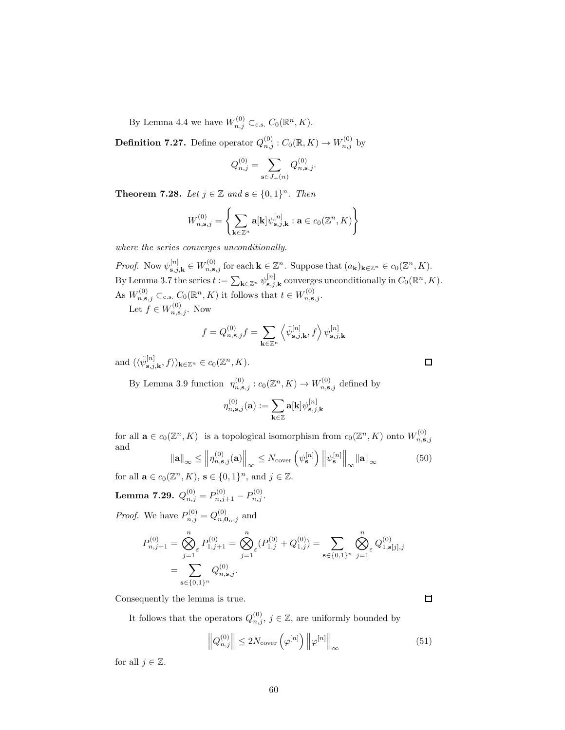By Lemma 4.4 we have  $W_{n,j}^{(0)} \subset_{\text{c.s.}} C_0(\mathbb{R}^n, K)$ .

**Definition 7.27.** Define operator  $Q_{n,j}^{(0)}$  :  $C_0(\mathbb{R}, K) \to W_{n,j}^{(0)}$  by

$$
Q_{n,j}^{(0)} = \sum_{\mathbf{s} \in J_+(n)} Q_{n,\mathbf{s},j}^{(0)}.
$$

**Theorem 7.28.** Let  $j \in \mathbb{Z}$  and  $\mathbf{s} \in \{0,1\}^n$ . Then

$$
W_{n,\mathbf{s},j}^{(0)} = \left\{ \sum_{\mathbf{k}\in\mathbb{Z}^n} \mathbf{a}[\mathbf{k}] \psi_{\mathbf{s},j,\mathbf{k}}^{[n]} : \mathbf{a} \in c_0(\mathbb{Z}^n, K) \right\}
$$

where the series converges unconditionally.

Proof. Now  $\psi_{\mathbf{s},j,\mathbf{k}}^{[n]} \in W_{n,\mathbf{s},j}^{(0)}$  for each  $\mathbf{k} \in \mathbb{Z}^n$ . Suppose that  $(a_{\mathbf{k}})_{\mathbf{k} \in \mathbb{Z}^n} \in c_0(\mathbb{Z}^n, K)$ . By Lemma 3.7 the series  $t := \sum_{\mathbf{k} \in \mathbb{Z}^n} \psi_{\mathbf{s},j}^{[n]}$  $\sum_{\mathbf{s},j,\mathbf{k}}^{[n]}$  converges unconditionally in  $C_0(\mathbb{R}^n, K)$ . As  $W_{n,s,j}^{(0)} \subset_{c.s.} C_0(\mathbb{R}^n, K)$  it follows that  $t \in W_{n,s,j}^{(0)}$ .

Let  $f \in W_{n,\mathbf{s},j}^{(0)}$ . Now

$$
f=Q_{n,{\bf s},j}^{(0)}f=\sum_{\mathbf{k}\in\mathbb{Z}^n}\left\langle \tilde{\psi}_{\mathbf{s},j,\mathbf{k}}^{[n]},f\right\rangle \psi_{\mathbf{s},j,\mathbf{k}}^{[n]}
$$

and  $(\langle \tilde{\psi}_{\mathbf{s},j,\mathbf{k}}^{[n]}, f \rangle)_{\mathbf{k}\in\mathbb{Z}^n} \in c_0(\mathbb{Z}^n, K)$ .

By Lemma 3.9 function  $\eta_{n,s,j}^{(0)}: c_0(\mathbb{Z}^n, K) \to W_{n,s,j}^{(0)}$  defined by

$$
\eta_{n,\mathbf{s},j}^{(0)}(\mathbf{a}):=\sum_{\mathbf{k}\in\mathbb{Z}}\mathbf{a}[\mathbf{k}]\psi_{\mathbf{s},j,\mathbf{k}}^{[n]}
$$

for all  $\mathbf{a} \in c_0(\mathbb{Z}^n, K)$  is a topological isomorphism from  $c_0(\mathbb{Z}^n, K)$  onto  $W_{n, \mathbf{s}, j}^{(0)}$ and

$$
\|\mathbf{a}\|_{\infty} \le \left\| \eta_{n,\mathbf{s},j}^{(0)}(\mathbf{a}) \right\|_{\infty} \le N_{\text{cover}} \left( \psi_{\mathbf{s}}^{[n]} \right) \left\| \psi_{\mathbf{s}}^{[n]} \right\|_{\infty} \|\mathbf{a}\|_{\infty}
$$
(50)

for all  $\mathbf{a} \in c_0(\mathbb{Z}^n, K)$ ,  $\mathbf{s} \in \{0, 1\}^n$ , and  $j \in \mathbb{Z}$ .

 $\textbf{Lemma 7.29.}\ \ Q_{n,j}^{(0)}=P_{n,j+1}^{(0)}-P_{n,j}^{(0)}.$ 

*Proof.* We have  $P_{n,j}^{(0)} = Q_{n,\mathbf{0}_n,j}^{(0)}$  and

$$
P_{n,j+1}^{(0)} = \bigotimes_{j=1}^{n} P_{1,j+1}^{(0)} = \bigotimes_{j=1}^{n} P_{1,j}^{(0)} + Q_{1,j}^{(0)} = \sum_{\mathbf{s} \in \{0,1\}^n} \bigotimes_{j=1}^{n} Q_{1,\mathbf{s}[j],j}^{(0)}
$$
  
= 
$$
\sum_{\mathbf{s} \in \{0,1\}^n} Q_{n,\mathbf{s},j}^{(0)}.
$$

Consequently the lemma is true.

It follows that the operators  $Q_{n,j}^{(0)}$ ,  $j \in \mathbb{Z}$ , are uniformly bounded by

$$
\left\|Q_{n,j}^{(0)}\right\| \le 2N_{\text{cover}}\left(\varphi^{[n]}\right)\left\|\varphi^{[n]}\right\|_{\infty} \tag{51}
$$

for all  $j \in \mathbb{Z}$ .

 $\Box$ 

□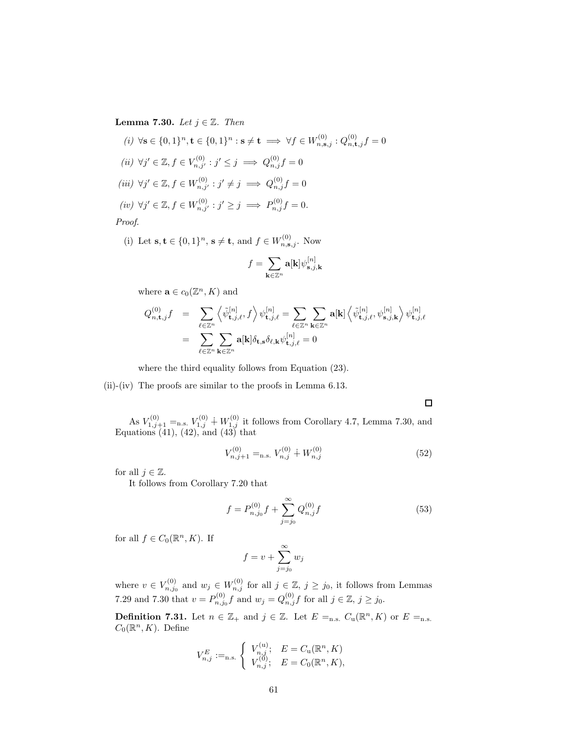Lemma 7.30. Let  $j \in \mathbb{Z}$ . Then

(i) 
$$
\forall s \in \{0, 1\}^n, t \in \{0, 1\}^n : s \neq t \implies \forall f \in W_{n, s, j}^{(0)} : Q_{n, t, j}^{(0)} f = 0
$$
  
\n(ii)  $\forall j' \in \mathbb{Z}, f \in V_{n, j'}^{(0)} : j' \leq j \implies Q_{n, j}^{(0)} f = 0$   
\n(iii)  $\forall j' \in \mathbb{Z}, f \in W_{n, j'}^{(0)} : j' \neq j \implies Q_{n, j}^{(0)} f = 0$   
\n(iv)  $\forall j' \in \mathbb{Z}, f \in W_{n, j'}^{(0)} : j' \geq j \implies P_{n, j}^{(0)} f = 0$ .  
\nProof.

(i) Let 
$$
\mathbf{s}, \mathbf{t} \in \{0, 1\}^n
$$
,  $\mathbf{s} \neq \mathbf{t}$ , and  $f \in W_{n, \mathbf{s}, j}^{(0)}$ . Now

$$
f = \sum_{\mathbf{k} \in \mathbb{Z}^n} \mathbf{a}[\mathbf{k}] \psi_{\mathbf{s},j,\mathbf{k}}^{[n]}
$$

where  $\mathbf{a} \in c_0(\mathbb{Z}^n, K)$  and

$$
\begin{array}{lcl} Q_{n,\mathbf{t},j}^{(0)}f & = & \displaystyle \sum_{\ell \in \mathbb{Z}^n} \left\langle \tilde{\psi}^{[n]}_{\mathbf{t},j,\ell}, f \right\rangle \psi^{[n]}_{\mathbf{t},j,\ell} = \sum_{\ell \in \mathbb{Z}^n} \sum_{\mathbf{k} \in \mathbb{Z}^n} \mathbf{a}[\mathbf{k}] \left\langle \tilde{\psi}^{[n]}_{\mathbf{t},j,\ell}, \psi^{[n]}_{\mathbf{s},j,\mathbf{k}} \right\rangle \psi^{[n]}_{\mathbf{t},j,\ell} \\ & = & \displaystyle \sum_{\ell \in \mathbb{Z}^n} \sum_{\mathbf{k} \in \mathbb{Z}^n} \mathbf{a}[\mathbf{k}] \delta_{\mathbf{t},\mathbf{s}} \delta_{\ell,\mathbf{k}} \psi^{[n]}_{\mathbf{t},j,\ell} = 0 \end{array}
$$

where the third equality follows from Equation (23).

(ii)-(iv) The proofs are similar to the proofs in Lemma 6.13.

 $\Box$ 

As  $V_{1,j+1}^{(0)} =_{\text{n.s.}} V_{1,j}^{(0)} + W_{1,j}^{(0)}$  it follows from Corollary 4.7, Lemma 7.30, and Equations  $(41)$ ,  $(42)$ , and  $(43)$  that

$$
V_{n,j+1}^{(0)} =_{\text{n.s.}} V_{n,j}^{(0)} + W_{n,j}^{(0)} \tag{52}
$$

for all  $j \in \mathbb{Z}$ .

It follows from Corollary 7.20 that

$$
f = P_{n,j_0}^{(0)} f + \sum_{j=j_0}^{\infty} Q_{n,j}^{(0)} f
$$
 (53)

for all  $f \in C_0(\mathbb{R}^n, K)$ . If

$$
f = v + \sum_{j=j_0}^{\infty} w_j
$$

where  $v \in V_{n,j_0}^{(0)}$  and  $w_j \in W_{n,j}^{(0)}$  for all  $j \in \mathbb{Z}$ ,  $j \ge j_0$ , it follows from Lemmas 7.29 and 7.30 that  $v = P_{n,i}^{(0)}$  $p_{n,j_0}^{(0)} f$  and  $w_j = Q_{n,j}^{(0)} f$  for all  $j \in \mathbb{Z}, j \ge j_0$ .

**Definition 7.31.** Let  $n \in \mathbb{Z}_+$  and  $j \in \mathbb{Z}$ . Let  $E =_{n.s.} C_u(\mathbb{R}^n, K)$  or  $E =_{n.s.}$  $C_0(\mathbb{R}^n, K)$ . Define

$$
V_{n,j}^E:=_{\text{n.s.}}\left\{\begin{array}{ll} V_{n,j}^{(\text{u})}; & E=C_\text{u}(\mathbb{R}^n,K) \\ V_{n,j}^{(0)}; & E=C_\text{0}(\mathbb{R}^n,K), \end{array}\right.
$$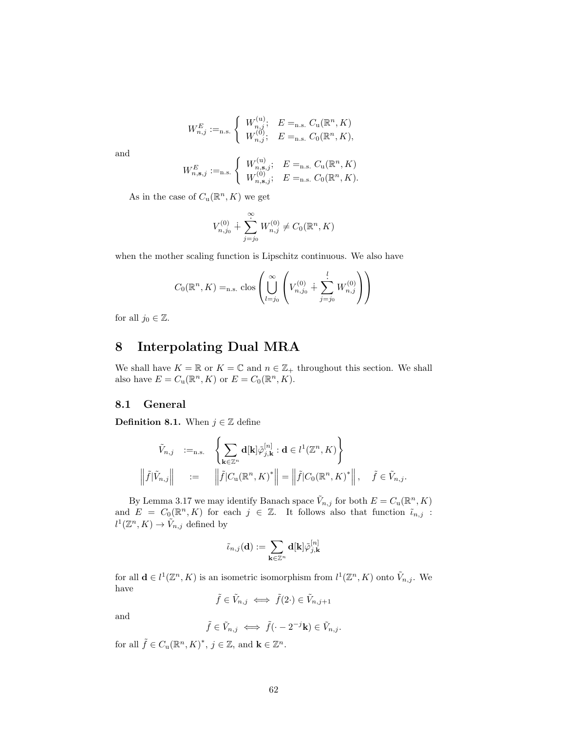$$
W_{n,j}^E :=_{\text{n.s.}} \begin{cases} W_{n,j}^{(u)}; & E =_{\text{n.s.}} C_u(\mathbb{R}^n, K) \\ W_{n,j}^{(0)}; & E =_{\text{n.s.}} C_0(\mathbb{R}^n, K), \end{cases}
$$

and

$$
W_{n,s,j}^E:=_{\text{n.s.}}\left\{\begin{array}{ll} W_{n,s,j}^{(\text{u})}; & E=_{\text{n.s.}}C_\text{u}(\mathbb{R}^n,K)\\ W_{n,s,j}^{(0)}; & E=_{\text{n.s.}}C_0(\mathbb{R}^n,K).\end{array}\right.
$$

As in the case of  $C_u(\mathbb{R}^n, K)$  we get

$$
V_{n,j_0}^{(0)} + \sum_{j=j_0}^{\infty} W_{n,j}^{(0)} \neq C_0(\mathbb{R}^n, K)
$$

when the mother scaling function is Lipschitz continuous. We also have

$$
C_0(\mathbb{R}^n, K) =_{n.s.} \text{clos}\left(\bigcup_{l=j_0}^{\infty} \left(V_{n,j_0}^{(0)} + \sum_{j=j_0}^{l} W_{n,j}^{(0)}\right)\right)
$$

for all  $j_0 \in \mathbb{Z}$ .

## 8 Interpolating Dual MRA

We shall have  $K = \mathbb{R}$  or  $K = \mathbb{C}$  and  $n \in \mathbb{Z}_+$  throughout this section. We shall also have  $E = C_u(\mathbb{R}^n, K)$  or  $E = C_0(\mathbb{R}^n, K)$ .

### 8.1 General

**Definition 8.1.** When  $j \in \mathbb{Z}$  define

$$
\tilde{V}_{n,j} :=_{\text{n.s.}} \left\{ \sum_{\mathbf{k} \in \mathbb{Z}^n} \mathbf{d}[\mathbf{k}] \tilde{\varphi}_{j,\mathbf{k}}^{[n]} : \mathbf{d} \in l^1(\mathbb{Z}^n, K) \right\}
$$
\n
$$
\left\| \tilde{f} | \tilde{V}_{n,j} \right\| := \left\| \tilde{f} | C_{\mathbf{u}}(\mathbb{R}^n, K)^* \right\| = \left\| \tilde{f} | C_0(\mathbb{R}^n, K)^* \right\|, \quad \tilde{f} \in \tilde{V}_{n,j}.
$$

By Lemma 3.17 we may identify Banach space  $\tilde{V}_{n,j}$  for both  $E = C_u(\mathbb{R}^n, K)$ and  $E = C_0(\mathbb{R}^n, K)$  for each  $j \in \mathbb{Z}$ . It follows also that function  $\tilde{\iota}_{n,j}$ :  $l^1(\mathbb{Z}^n, K) \to \tilde{V}_{n,j}$  defined by

$$
\tilde{\iota}_{n,j}(\mathbf{d}):=\sum_{\mathbf{k}\in\mathbb{Z}^n}\mathbf{d}[\mathbf{k}]\tilde{\varphi}^{[n]}_{j,\mathbf{k}}
$$

for all  $\mathbf{d} \in l^1(\mathbb{Z}^n, K)$  is an isometric isomorphism from  $l^1(\mathbb{Z}^n, K)$  onto  $\tilde{V}_{n,j}$ . We have

$$
\tilde{f} \in \tilde{V}_{n,j} \iff \tilde{f}(2 \cdot) \in \tilde{V}_{n,j+1}
$$

and

$$
\tilde{f} \in \tilde{V}_{n,j} \iff \tilde{f}(\cdot - 2^{-j}\mathbf{k}) \in \tilde{V}_{n,j}.
$$

for all  $\tilde{f} \in C_{\mathbf{u}}(\mathbb{R}^n, K)^*, \, j \in \mathbb{Z}$ , and  $\mathbf{k} \in \mathbb{Z}^n$ .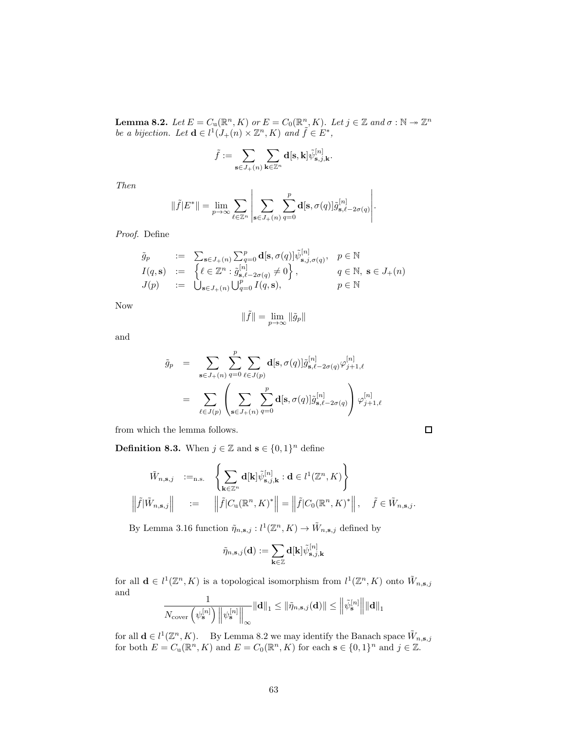**Lemma 8.2.** Let  $E = C_u(\mathbb{R}^n, K)$  or  $E = C_0(\mathbb{R}^n, K)$ . Let  $j \in \mathbb{Z}$  and  $\sigma : \mathbb{N} \to \mathbb{Z}^n$ be a bijection. Let  $\mathbf{d} \in l^1(J_+(n) \times \mathbb{Z}^n, K)$  and  $\tilde{f} \in E^*$ ,

$$
\tilde{f}:=\sum_{\mathbf{s}\in J_+(n)}\sum_{\mathbf{k}\in\mathbb{Z}^n}\mathbf{d}[\mathbf{s},\mathbf{k}]\tilde{\psi}_{\mathbf{s},j,\mathbf{k}}^{[n]}.
$$

Then

$$
\|\tilde{f}|E^*\| = \lim_{p \to \infty} \sum_{\ell \in \mathbb{Z}^n} \left| \sum_{\mathbf{s} \in J_+(n)} \sum_{q=0}^p \mathbf{d}[\mathbf{s}, \sigma(q)] \tilde{g}_{\mathbf{s}, \ell-2\sigma(q)}^{[n]} \right|.
$$

Proof. Define

$$
\tilde{g}_p := \sum_{\mathbf{s} \in J_+(n)} \sum_{q=0}^p \mathbf{d}[\mathbf{s}, \sigma(q)] \tilde{\psi}_{\mathbf{s}, j, \sigma(q)}^{[n]}, \quad p \in \mathbb{N}
$$
  
\n
$$
I(q, \mathbf{s}) := \left\{ \ell \in \mathbb{Z}^n : \tilde{g}_{\mathbf{s}, \ell-2\sigma(q)}^{[n]} \neq 0 \right\}, \quad q \in \mathbb{N}, \ \mathbf{s} \in J_+(n)
$$
  
\n
$$
J(p) := \bigcup_{\mathbf{s} \in J_+(n)} \bigcup_{q=0}^{n} I(q, \mathbf{s}), \quad p \in \mathbb{N}
$$

Now

$$
\|\tilde{f}\| = \lim_{p \to \infty} \|\tilde{g}_p\|
$$

and

$$
\tilde{g}_p = \sum_{\mathbf{s} \in J_+(n)} \sum_{q=0}^p \sum_{\ell \in J(p)} \mathbf{d}[\mathbf{s}, \sigma(q)] \tilde{g}_{\mathbf{s}, \ell-2\sigma(q)}^{[n]} \varphi_{j+1, \ell}^{[n]} \n= \sum_{\ell \in J(p)} \left( \sum_{\mathbf{s} \in J_+(n)} \sum_{q=0}^p \mathbf{d}[\mathbf{s}, \sigma(q)] \tilde{g}_{\mathbf{s}, \ell-2\sigma(q)}^{[n]} \right) \varphi_{j+1, \ell}^{[n]}
$$

from which the lemma follows.

**Definition 8.3.** When  $j \in \mathbb{Z}$  and  $\mathbf{s} \in \{0,1\}^n$  define

$$
\tilde{W}_{n,s,j} :=_{\text{n.s.}} \left\{ \sum_{\mathbf{k} \in \mathbb{Z}^n} \mathbf{d}[\mathbf{k}] \tilde{\psi}_{\mathbf{s},j,\mathbf{k}}^{[n]} : \mathbf{d} \in l^1(\mathbb{Z}^n, K) \right\}
$$
\n
$$
\left\| \tilde{f} | \tilde{W}_{n,\mathbf{s},j} \right\| := \left\| \tilde{f} | C_{\mathbf{u}}(\mathbb{R}^n, K)^* \right\| = \left\| \tilde{f} | C_0(\mathbb{R}^n, K)^* \right\|, \quad \tilde{f} \in \tilde{W}_{n,\mathbf{s},j}.
$$

By Lemma 3.16 function  $\tilde{\eta}_{n,s,j}: l^1(\mathbb{Z}^n, K) \to \tilde{W}_{n,s,j}$  defined by

$$
\tilde{\eta}_{n,\mathbf{s},j}(\mathbf{d}):=\sum_{\mathbf{k}\in\mathbb{Z}}\mathbf{d}[\mathbf{k}]\tilde{\psi}_{\mathbf{s},j,\mathbf{k}}^{[n]}
$$

for all  $\mathbf{d} \in l^1(\mathbb{Z}^n, K)$  is a topological isomorphism from  $l^1(\mathbb{Z}^n, K)$  onto  $\tilde{W}_{n,s,j}$ and 1

$$
\frac{1}{N_{\text{cover}}\left(\psi_{\mathbf{s}}^{[n]}\right) \left\|\psi_{\mathbf{s}}^{[n]}\right\|_{\infty}} \|\mathbf{d}\|_{1} \leq \|\tilde{\eta}_{n,\mathbf{s},j}(\mathbf{d})\| \leq \left\|\tilde{\psi}_{\mathbf{s}}^{[n]}\right\| \|\mathbf{d}\|_{1}
$$

for all  $\mathbf{d} \in l^1(\mathbb{Z}^n, K)$ . By Lemma 8.2 we may identify the Banach space  $\tilde{W}_{n, \mathbf{s}, j}$  for both  $E = C_0(\mathbb{R}^n, K)$  and  $E = C_0(\mathbb{R}^n, K)$  for each  $\mathbf{s} \in \{0, 1\}^n$  and  $j \in \mathbb{Z}$ .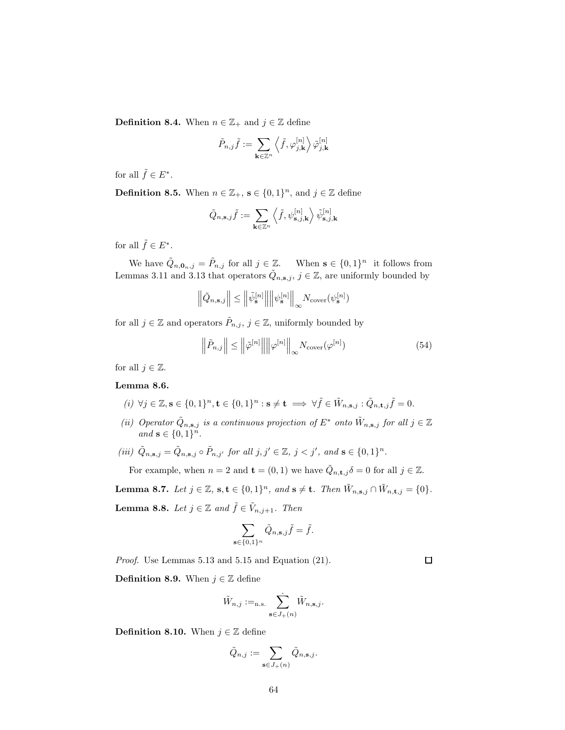**Definition 8.4.** When  $n \in \mathbb{Z}_+$  and  $j \in \mathbb{Z}$  define

$$
\tilde{P}_{n,j}\tilde{f}:=\sum_{\mathbf{k}\in\mathbb{Z}^n}\left\langle \tilde{f},\varphi_{j,\mathbf{k}}^{[n]}\right\rangle \tilde{\varphi}_{j,\mathbf{k}}^{[n]}
$$

for all  $\tilde{f} \in E^*$ .

**Definition 8.5.** When  $n \in \mathbb{Z}_+$ ,  $\mathbf{s} \in \{0,1\}^n$ , and  $j \in \mathbb{Z}$  define

$$
\tilde{Q}_{n,\mathbf{s},j}\tilde{f}:=\sum_{\mathbf{k}\in\mathbb{Z}^n}\left\langle \tilde{f},\psi_{\mathbf{s},j,\mathbf{k}}^{[n]}\right\rangle \tilde{\psi}_{\mathbf{s},j,\mathbf{k}}^{[n]}
$$

for all  $\tilde{f} \in E^*$ .

We have  $\tilde{Q}_{n,0,n,j} = \tilde{P}_{n,j}$  for all  $j \in \mathbb{Z}$ . When  $\mathbf{s} \in \{0,1\}^n$  it follows from Lemmas 3.11 and 3.13 that operators  $\tilde{Q}_{n,s,j}$ ,  $j \in \mathbb{Z}$ , are uniformly bounded by

$$
\left\|\tilde{Q}_{n,\mathbf{s},j}\right\| \leq \left\|\tilde{\psi}_{\mathbf{s}}^{[n]}\right\|\left\|\psi_{\mathbf{s}}^{[n]}\right\|_{\infty} N_{\mathrm{cover}}(\psi_{\mathbf{s}}^{[n]})
$$

for all  $j \in \mathbb{Z}$  and operators  $\tilde{P}_{n,j}$ ,  $j \in \mathbb{Z}$ , uniformly bounded by

$$
\left\|\tilde{P}_{n,j}\right\| \le \left\|\tilde{\varphi}^{[n]}\right\| \left\|\varphi^{[n]}\right\|_{\infty} N_{\text{cover}}(\varphi^{[n]})\tag{54}
$$

for all  $j \in \mathbb{Z}$ . Lemma 8.6.

 $(i) \ \forall j \in \mathbb{Z}, \mathbf{s} \in \{0,1\}^n, \mathbf{t} \in \{0,1\}^n : \mathbf{s} \neq \mathbf{t} \implies \forall \tilde{f} \in \tilde{W}_{n,\mathbf{s},j} : \tilde{Q}_{n,\mathbf{t},j}\tilde{f} = 0.$ 

- (ii) Operator  $\tilde{Q}_{n,s,j}$  is a continuous projection of  $E^*$  onto  $\tilde{W}_{n,s,j}$  for all  $j \in \mathbb{Z}$ and  $\mathbf{s} \in \{0,1\}^n$ .
- (iii)  $\tilde{Q}_{n,s,j} = \tilde{Q}_{n,s,j} \circ \tilde{P}_{n,j'}$  for all  $j, j' \in \mathbb{Z}, j < j'$ , and  $s \in \{0,1\}^n$ .

For example, when  $n = 2$  and  $\mathbf{t} = (0, 1)$  we have  $\tilde{Q}_{n, \mathbf{t}, j} \delta = 0$  for all  $j \in \mathbb{Z}$ .

**Lemma 8.7.** Let  $j \in \mathbb{Z}$ ,  $\mathbf{s}, \mathbf{t} \in \{0,1\}^n$ , and  $\mathbf{s} \neq \mathbf{t}$ . Then  $\tilde{W}_{n,\mathbf{s},j} \cap \tilde{W}_{n,\mathbf{t},j} = \{0\}$ .

**Lemma 8.8.** Let  $j \in \mathbb{Z}$  and  $\tilde{f} \in \tilde{V}_{n,j+1}$ . Then

$$
\sum_{\mathbf{s}\in\{0,1\}^n} \tilde{Q}_{n,\mathbf{s},j}\tilde{f} = \tilde{f}.
$$

Proof. Use Lemmas 5.13 and 5.15 and Equation (21).

**Definition 8.9.** When  $j \in \mathbb{Z}$  define

$$
\tilde{W}_{n,j} :=_{\text{n.s.}} \sum_{\mathbf{s} \in J_+(n)} \tilde{W}_{n,\mathbf{s},j}.
$$

**Definition 8.10.** When  $j \in \mathbb{Z}$  define

$$
\tilde{Q}_{n,j} := \sum_{\mathbf{s} \in J_+(n)} \tilde{Q}_{n,\mathbf{s},j}.
$$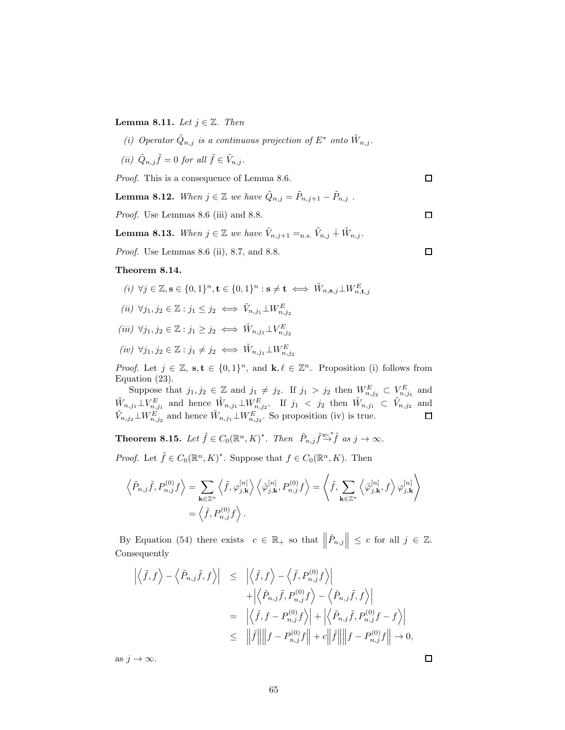Lemma 8.11. Let  $j \in \mathbb{Z}$ . Then

- (i) Operator  $\tilde{Q}_{n,j}$  is a continuous projection of  $E^*$  onto  $\tilde{W}_{n,j}$ .
- (ii)  $\tilde{Q}_{n,j}\tilde{f} = 0$  for all  $\tilde{f} \in \tilde{V}_{n,j}$ .

Proof. This is a consequence of Lemma 8.6.

**Lemma 8.12.** When  $j \in \mathbb{Z}$  we have  $\tilde{Q}_{n,j} = \tilde{P}_{n,j+1} - \tilde{P}_{n,j}$ .

Proof. Use Lemmas 8.6 (iii) and 8.8.

**Lemma 8.13.** When  $j \in \mathbb{Z}$  we have  $\tilde{V}_{n,j+1} =_{n.s.} \tilde{V}_{n,j} + \tilde{W}_{n,j}$ .

Proof. Use Lemmas 8.6 (ii), 8.7, and 8.8.

#### Theorem 8.14.

$$
(i) \ \forall j \in \mathbb{Z}, \mathbf{s} \in \{0, 1\}^n, \mathbf{t} \in \{0, 1\}^n : \mathbf{s} \neq \mathbf{t} \iff \tilde{W}_{n, \mathbf{s}, j} \perp W_{n, \mathbf{t}, j}^E
$$
\n
$$
(ii) \ \forall j_1, j_2 \in \mathbb{Z} : j_1 \leq j_2 \iff \tilde{V}_{n, j_1} \perp W_{n, j_2}^E
$$
\n
$$
(iii) \ \forall j_1, j_2 \in \mathbb{Z} : j_1 \geq j_2 \iff \tilde{W}_{n, j_1} \perp V_{n, j_2}^E
$$
\n
$$
(iv) \ \forall j_1, j_2 \in \mathbb{Z} : j_1 \neq j_2 \iff \tilde{W}_{n, j_1} \perp W_{n, j_2}^E
$$

*Proof.* Let  $j \in \mathbb{Z}$ ,  $s, t \in \{0, 1\}^n$ , and  $k, \ell \in \mathbb{Z}^n$ . Proposition (i) follows from Equation (23).

Suppose that  $j_1, j_2 \in \mathbb{Z}$  and  $j_1 \neq j_2$ . If  $j_1 > j_2$  then  $W_{n,j_2}^E \subset V_{n,j_1}^E$  and  $\tilde{W}_{n,j_1} \perp V_{n,j_1}^E$  and hence  $\tilde{W}_{n,j_1} \perp W_{n,j_2}^E$ . If  $j_1 < j_2$  then  $\tilde{W}_{n,j_1} \subset \tilde{V}_{n,j_2}$  and  $\tilde{V}_{n,j_2} \perp W_{n,j_2}^E$  and hence  $\tilde{W}_{n,j_1} \perp W_{n,j_2}^E$ . So proposition (iv) is true.

**Theorem 8.15.** Let  $\tilde{f} \in C_0(\mathbb{R}^n, K)^*$ . Then  $\tilde{P}_{n,j} \tilde{f} \to \tilde{f}$  as  $j \to \infty$ .

*Proof.* Let  $\tilde{f} \in C_0(\mathbb{R}^n, K)^*$ . Suppose that  $f \in C_0(\mathbb{R}^n, K)$ . Then

$$
\left\langle \tilde{P}_{n,j}\tilde{f},P_{n,j}^{(0)}f\right\rangle =\sum_{\mathbf{k}\in\mathbb{Z}^n}\left\langle \tilde{f},\varphi_{j,\mathbf{k}}^{[n]}\right\rangle \left\langle \tilde{\varphi}_{j,\mathbf{k}}^{[n]},P_{n,j}^{(0)}f\right\rangle =\left\langle \tilde{f},\sum_{\mathbf{k}\in\mathbb{Z}^n}\left\langle \tilde{\varphi}_{j,\mathbf{k}}^{[n]},f\right\rangle \varphi_{j,\mathbf{k}}^{[n]}\right\rangle
$$

$$
=\left\langle \tilde{f},P_{n,j}^{(0)}f\right\rangle .
$$

By Equation (54) there exists  $c \in \mathbb{R}_+$  so that  $\left\| \tilde{P}_{n,j} \right\| \leq c$  for all  $j \in \mathbb{Z}$ . Consequently

$$
\left| \left\langle \tilde{f}, f \right\rangle - \left\langle \tilde{P}_{n,j} \tilde{f}, f \right\rangle \right| \leq \left| \left\langle \tilde{f}, f \right\rangle - \left\langle \tilde{f}, P_{n,j}^{(0)} f \right\rangle \right| \n+ \left| \left\langle \tilde{P}_{n,j} \tilde{f}, P_{n,j}^{(0)} f \right\rangle - \left\langle \tilde{P}_{n,j} \tilde{f}, f \right\rangle \right| \n= \left| \left\langle \tilde{f}, f - P_{n,j}^{(0)} f \right\rangle \right| + \left| \left\langle \tilde{P}_{n,j} \tilde{f}, P_{n,j}^{(0)} f - f \right\rangle \right| \n\leq \left| \left| \tilde{f} \right| \right| \left| f - P_{n,j}^{(0)} f \right| + c \left| \left| \tilde{f} \right| \right| \left| f - P_{n,j}^{(0)} f \right| \to 0,
$$

as  $j \to \infty$ .

 $\Box$ 

 $\Box$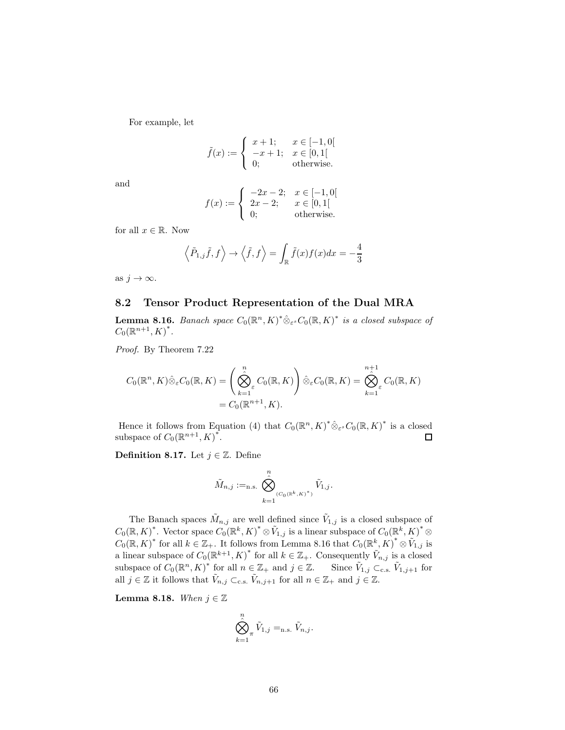For example, let

$$
\tilde{f}(x) := \begin{cases} x+1; & x \in [-1,0[ \\ -x+1; & x \in [0,1[ \\ 0; & \text{otherwise.} \end{cases}
$$

and

$$
f(x) := \begin{cases} \begin{array}{c} -2x - 2; & x \in [-1, 0[ \\ 2x - 2; & x \in [0, 1[ \\ 0; & \text{otherwise.} \end{array} \end{cases}
$$

for all  $x \in \mathbb{R}$ . Now

$$
\left\langle \tilde{P}_{1,j}\tilde{f},f\right\rangle \rightarrow\left\langle \tilde{f},f\right\rangle =\int_{\mathbb{R}}\tilde{f}(x)f(x)dx=-\frac{4}{3}
$$

as  $j \to \infty$ .

### 8.2 Tensor Product Representation of the Dual MRA

**Lemma 8.16.** Banach space  $C_0(\mathbb{R}^n, K)^* \hat{\otimes}_{\varepsilon^s} C_0(\mathbb{R}, K)^*$  is a closed subspace of  $C_0(\mathbb{R}^{n+1}, K)^*$ .

Proof. By Theorem 7.22

$$
C_0(\mathbb{R}^n, K)\hat{\otimes}_{\varepsilon} C_0(\mathbb{R}, K) = \left(\bigotimes_{k=1}^n \varepsilon C_0(\mathbb{R}, K)\right) \hat{\otimes}_{\varepsilon} C_0(\mathbb{R}, K) = \bigotimes_{k=1}^{n+1} \varepsilon C_0(\mathbb{R}, K)
$$
  
=  $C_0(\mathbb{R}^{n+1}, K).$ 

Hence it follows from Equation (4) that  $C_0(\mathbb{R}^n, K)^* \hat{\otimes}_{\varepsilon^s} C_0(\mathbb{R}, K)^*$  is a closed subspace of  $C_0(\mathbb{R}^{n+1}, K)^*$ . □

**Definition 8.17.** Let  $j \in \mathbb{Z}$ . Define

$$
\tilde{M}_{n,j}:=_{\text{n.s.}} \bigotimes_{k=1}^n_{(C_0(\mathbb{R}^k, \kappa)^*)} \tilde{V}_{1,j}.
$$

The Banach spaces  $\tilde{M}_{n,j}$  are well defined since  $\tilde{V}_{1,j}$  is a closed subspace of  $C_0(\mathbb{R}, K)^*$ . Vector space  $C_0(\mathbb{R}^k, K)^* \otimes V_{1,j}$  is a linear subspace of  $C_0(\mathbb{R}^k, K)^* \otimes$  $C_0(\mathbb{R}, K)^*$  for all  $k \in \mathbb{Z}_+$ . It follows from Lemma 8.16 that  $C_0(\mathbb{R}^k, K)^* \otimes V_{1,j}$  is a linear subspace of  $C_0(\mathbb{R}^{k+1}, K)^*$  for all  $k \in \mathbb{Z}_+$ . Consequently  $\tilde{V}_{n,j}$  is a closed subspace of  $C_0(\mathbb{R}^n, K)^*$  for all  $n \in \mathbb{Z}_+$  and  $j \in \mathbb{Z}$ . Since  $\tilde{V}_{1,j} \subset_{\text{c.s.}} \tilde{V}_{1,j+1}$  for all  $j \in \mathbb{Z}$  it follows that  $\tilde{V}_{n,j} \subset_{\text{c.s.}} \tilde{V}_{n,j+1}$  for all  $n \in \mathbb{Z}_+$  and  $j \in \mathbb{Z}$ .

Lemma 8.18. When  $j \in \mathbb{Z}$ 

$$
\bigotimes_{k=1}^n \tilde{V}_{1,j} =_{n.s.} \tilde{V}_{n,j}.
$$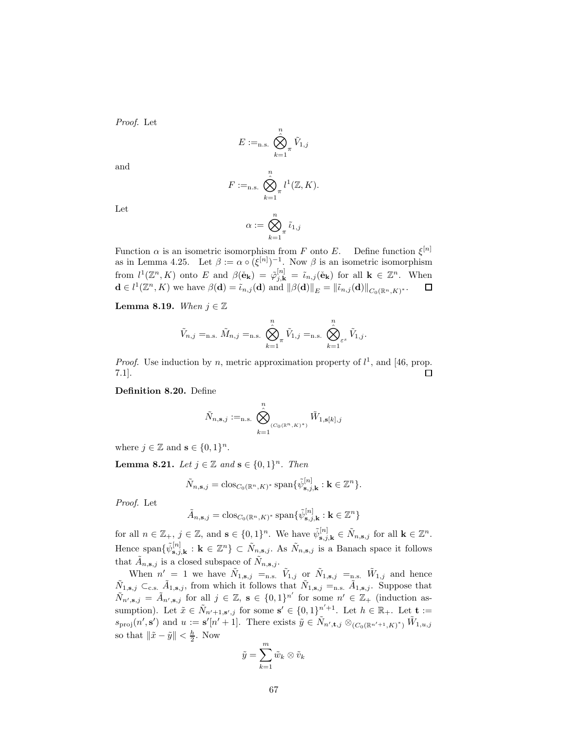Proof. Let

$$
E :=_{\text{n.s.}} \bigotimes_{k=1}^n \tilde{V}_{1,j}
$$

and

$$
F :=_{\text{n.s.}} \bigotimes_{k=1}^n t^1(\mathbb{Z}, K).
$$

Let

$$
\alpha:=\bigotimes_{k=1}^n\tilde\iota_{1,j}
$$

Function  $\alpha$  is an isometric isomorphism from F onto E. Define function  $\xi^{[n]}$ as in Lemma 4.25. Let  $\beta := \alpha \circ (\xi^{[n]})^{-1}$ . Now  $\beta$  is an isometric isomorphism from  $l^1(\mathbb{Z}^n, K)$  onto E and  $\beta(\check{\mathbf{e}}_{\mathbf{k}}) = \tilde{\varphi}_{j,\mathbf{k}}^{[n]} = \tilde{\iota}_{n,j}(\check{\mathbf{e}}_{\mathbf{k}})$  for all  $\mathbf{k} \in \mathbb{Z}^n$ . When  $\mathbf{d} \in l^1(\mathbb{Z}^n, K)$  we have  $\beta(\mathbf{d}) = \tilde{\iota}_{n,j}(\mathbf{d})$  and  $\|\beta(\mathbf{d})\|_E = \|\tilde{\iota}_{n,j}(\mathbf{d})\|_{C_0(\mathbb{R}^n, K)^*}.$  $\Box$ 

**Lemma 8.19.** When  $j \in \mathbb{Z}$ 

$$
\tilde{V}_{n,j} =_{\text{n.s.}} \tilde{M}_{n,j} =_{\text{n.s.}} \bigotimes_{k=1}^{n} \tilde{V}_{1,j} =_{\text{n.s.}} \bigotimes_{k=1}^{n} \tilde{V}_{1,j}.
$$

*Proof.* Use induction by n, metric approximation property of  $l^1$ , and [46, prop. 7.1]. □

Definition 8.20. Define

$$
\tilde{N}_{n,\mathbf{s},j} :=_{\text{n.s.}} \bigotimes_{k=1}^n_{(C_0(\mathbb{R}^n, K)^*)} \tilde{W}_{1,\mathbf{s}[k],j}
$$

where  $j \in \mathbb{Z}$  and  $\mathbf{s} \in \{0,1\}^n$ .

**Lemma 8.21.** Let  $j \in \mathbb{Z}$  and  $\mathbf{s} \in \{0,1\}^n$ . Then

$$
\tilde{N}_{n,\mathbf{s},j} = \text{clos}_{C_0(\mathbb{R}^n, K)^*} \text{span}\{\tilde{\psi}_{\mathbf{s},j,\mathbf{k}}^{[n]} : \mathbf{k} \in \mathbb{Z}^n\}.
$$

Proof. Let

$$
\tilde{A}_{n,s,j} = \text{clos}_{C_0(\mathbb{R}^n, K)^*} \text{span}\{\tilde{\psi}_{s,j,k}^{[n]} : k \in \mathbb{Z}^n\}
$$

for all  $n \in \mathbb{Z}_+$ ,  $j \in \mathbb{Z}$ , and  $\mathbf{s} \in \{0,1\}^n$ . We have  $\tilde{\psi}_{\mathbf{s},j,\mathbf{k}}^{[n]} \in \tilde{N}_{n,\mathbf{s},j}$  for all  $\mathbf{k} \in \mathbb{Z}^n$ . Hence span $\{\tilde{\psi}_{s,j,k}^{[n]} : k \in \mathbb{Z}^n\} \subset \tilde{N}_{n,s,j}$ . As  $\tilde{N}_{n,s,j}$  is a Banach space it follows that  $\tilde{A}_{n,s,j}$  is a closed subspace of  $\tilde{N}_{n,s,j}$ .

When  $n' = 1$  we have  $\tilde{N}_{1,s,j} =$ <sub>n.s.</sub>  $\tilde{V}_{1,j}$  or  $\tilde{N}_{1,s,j} =$ <sub>n.s.</sub>  $\tilde{W}_{1,j}$  and hence  $\tilde{N}_{1,s,j} \subset_{\text{c.s.}} \tilde{A}_{1,s,j}$ , from which it follows that  $\tilde{N}_{1,s,j} =_{\text{n.s.}} \tilde{A}_{1,s,j}$ . Suppose that  $\tilde{N}_{n',\mathbf{s},j} = \tilde{A}_{n',\mathbf{s},j}$  for all  $j \in \mathbb{Z}, \mathbf{s} \in \{0,1\}^{n'}$  for some  $n' \in \mathbb{Z}_+$  (induction assumption). Let  $\tilde{x} \in \tilde{N}_{n'+1,s',j}$  for some  $s' \in \{0,1\}_{s}^{n'+1}$ . Let  $h \in \mathbb{R}_{+}$ . Let  $\mathbf{t} :=$  $s_{\text{proj}}(n', s')$  and  $u := s'[n'+1]$ . There exists  $\tilde{y} \in \tilde{N}_{n', \mathbf{t}, j} \otimes_{(C_0(\mathbb{R}^{n'+1}, K)^*)} \tilde{W}_{1, u, j}$ so that  $\|\tilde{x} - \tilde{y}\| < \frac{h}{2}$ . Now

$$
\tilde{y} = \sum_{k=1}^{m} \tilde{w}_k \otimes \tilde{v}_k
$$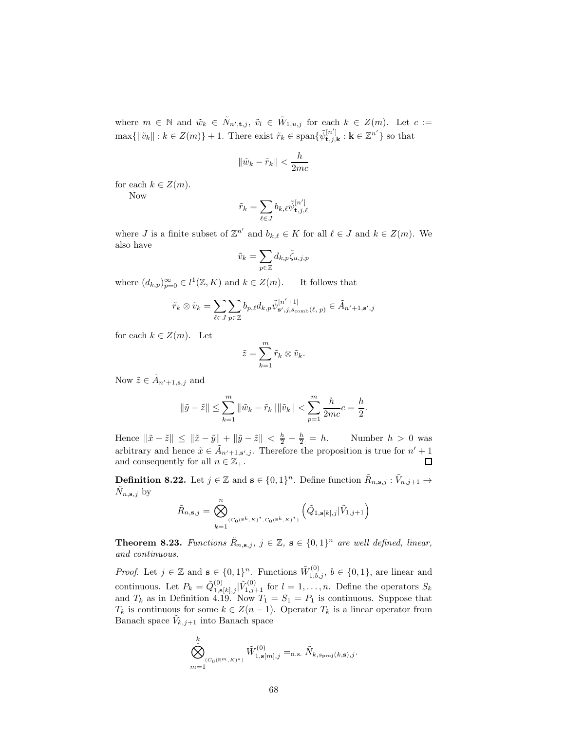where  $m \in \mathbb{N}$  and  $\tilde{w}_k \in \tilde{N}_{n',\mathbf{t},j}, \tilde{v}_l \in \tilde{W}_{1,u,j}$  for each  $k \in Z(m)$ . Let  $c :=$  $\max\{\|\tilde{v}_k\| : k \in Z(m)\} + 1.$  There exist  $\tilde{r}_k \in \text{span}\{\tilde{\psi}_{\mathbf{t},j,\mathbf{k}}^{[n]} : \mathbf{k} \in \mathbb{Z}^{n'}\}$  so that

$$
\|\tilde{w}_k - \tilde{r}_k\| < \frac{h}{2mc}
$$

for each  $k \in \mathbb{Z}(m)$ . Now

$$
\tilde{r}_k = \sum_{\ell \in J} b_{k,\ell} \tilde{\psi}^{[n']}_{\mathbf{t},j,\ell}
$$

where *J* is a finite subset of  $\mathbb{Z}^{n'}$  and  $b_{k,\ell} \in K$  for all  $\ell \in J$  and  $k \in Z(m)$ . We also have

$$
\tilde{v}_k = \sum_{p \in \mathbb{Z}} d_{k,p} \tilde{\zeta}_{u,j,p}
$$

where  $(d_{k,p})_{p=0}^{\infty} \in l^1(\mathbb{Z}, K)$  and  $k \in \mathbb{Z}(m)$ . It follows that

$$
\tilde{r}_k \otimes \tilde{v}_k = \sum_{\ell \in J} \sum_{p \in \mathbb{Z}} b_{p,\ell} d_{k,p} \tilde{\psi}_{\mathbf{s}',j,s_{\text{comb}}(\ell,p)}^{[n'+1]} \in \tilde{A}_{n'+1,\mathbf{s}',j}
$$

for each  $k \in Z(m)$ . Let

$$
\tilde{z} = \sum_{k=1}^m \tilde{r}_k \otimes \tilde{v}_k.
$$

Now  $\tilde{z} \in \tilde{A}_{n'+1, \mathbf{s}, j}$  and

$$
\|\tilde{y} - \tilde{z}\| \le \sum_{k=1}^{m} \|\tilde{w}_k - \tilde{r}_k\| \|\tilde{v}_k\| < \sum_{p=1}^{m} \frac{h}{2mc}c = \frac{h}{2}.
$$

Hence  $\|\tilde{x} - \tilde{z}\| \le \|\tilde{x} - \tilde{y}\| + \|\tilde{y} - \tilde{z}\| < \frac{h}{2} + \frac{h}{2} = h$ . Number  $h > 0$  was arbitrary and hence  $\tilde{x} \in \tilde{A}_{n'+1,s',j}$ . Therefore the proposition is true for  $n'+1$ and consequently for all  $n \in \mathbb{Z}_+$ .  $\Box$ 

**Definition 8.22.** Let  $j \in \mathbb{Z}$  and  $\mathbf{s} \in \{0,1\}^n$ . Define function  $\tilde{R}_{n,\mathbf{s},j} : \tilde{V}_{n,j+1} \to$  $\tilde{N}_{n,s,j}$  by  $\overline{n}$ 

$$
\tilde{R}_{n,s,j} = \bigotimes_{k=1}^{N} (C_0(\mathbb{R}^k, K)^*, C_0(\mathbb{R}^k, K)^*)} \left( \tilde{Q}_{1,s[k],j} | \tilde{V}_{1,j+1} \right)
$$

**Theorem 8.23.** Functions  $\tilde{R}_{n,s,j}$ ,  $j \in \mathbb{Z}$ ,  $s \in \{0,1\}^n$  are well defined, linear, and continuous.

*Proof.* Let  $j \in \mathbb{Z}$  and  $\mathbf{s} \in \{0,1\}^n$ . Functions  $\tilde{W}_{1,b,j}^{(0)}$ ,  $b \in \{0,1\}$ , are linear and continuous. Let  $P_k = \tilde{Q}_{1,s[k],j}^{(0)} | \tilde{V}_{1,j+1}^{(0)}$  for  $l = 1,\ldots,n$ . Define the operators  $S_k$ and  $T_k$  as in Definition 4.19. Now  $T_1 = S_1 = P_1$  is continuous. Suppose that  $T_k$  is continuous for some  $k \in Z(n-1)$ . Operator  $T_k$  is a linear operator from Banach space  $\tilde{V}_{k,j+1}$  into Banach space

$$
\bigotimes_{m=1}^k (C_0(\mathbb{R}^m, K)^*)} \tilde{W}_{1, \mathbf{s}[m], j}^{(0)} =_{\text{n.s.}} \tilde{N}_{k, s_{\text{proj}}(k, \mathbf{s}), j}.
$$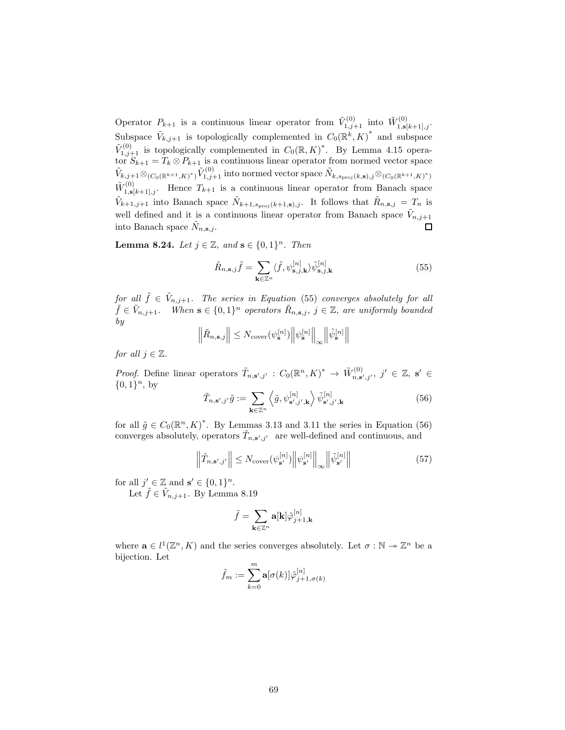Operator  $P_{k+1}$  is a continuous linear operator from  $\tilde{V}_{1,j+1}^{(0)}$  into  $\tilde{W}_{1,\mathbf{s}[k+1],j}^{(0)}$ . Subspace  $\tilde{V}_{k,j+1}$  is topologically complemented in  $C_0(\mathbb{R}^k, K)^*$  and subspace  $\tilde{V}_{1,j+1}^{(0)}$  is topologically complemented in  $C_0(\mathbb{R}, K)^*$ . By Lemma 4.15 operator  $S_{k+1} = T_k \otimes P_{k+1}$  is a continuous linear operator from normed vector space  $\tilde{V}_{k,j+1}\otimes_{(C_0(\mathbb{R}^{k+1},K)^*)}\tilde{V}_{1,j+1}^{(0)}$  into normed vector space  $\tilde{N}_{k,s_{\mathrm{proj}}(k,\mathbf{s}),j}\otimes_{(C_0(\mathbb{R}^{k+1},K)^*)}$  $\tilde{W}^{(0)}_{1,\mathbf{s}[k+1],j}$ . Hence  $T_{k+1}$  is a continuous linear operator from Banach space  $\tilde{V}_{k+1,j+1}$  into Banach space  $\tilde{N}_{k+1,s_{\text{proj}}(k+1,s),j}$ . It follows that  $\tilde{R}_{n,s,j} = T_n$  is well defined and it is a continuous linear operator from Banach space  $\tilde{V}_{n,j+1}$ into Banach space  $\tilde{N}_{n,s,j}$ . □

**Lemma 8.24.** Let  $j \in \mathbb{Z}$ , and  $\mathbf{s} \in \{0,1\}^n$ . Then

$$
\tilde{R}_{n,\mathbf{s},j}\tilde{f} = \sum_{\mathbf{k}\in\mathbb{Z}^n} \langle \tilde{f}, \psi_{\mathbf{s},j,\mathbf{k}}^{[n]} \rangle \tilde{\psi}_{\mathbf{s},j,\mathbf{k}}^{[n]} \tag{55}
$$

for all  $\tilde{f} \in V_{n,j+1}$ . The series in Equation (55) converges absolutely for all  $\tilde{f} \in \tilde{V}_{n,j+1}$ . When  $\mathbf{s} \in \{0,1\}^n$  operators  $\tilde{R}_{n,\mathbf{s},j}$ ,  $j \in \mathbb{Z}$ , are uniformly bounded by

$$
\left\Vert \tilde{R}_{n,\mathbf{s},j}\right\Vert \leq N_{\mathrm{cover}}(\psi_{\mathbf{s}}^{[n]})\left\Vert \psi_{\mathbf{s}}^{[n]}\right\Vert _{\infty}\left\Vert \tilde{\psi}_{\mathbf{s}}^{[n]}\right\Vert
$$

for all  $j \in \mathbb{Z}$ .

*Proof.* Define linear operators  $\tilde{T}_{n,s',j'} : C_0(\mathbb{R}^n, K)^* \to \tilde{W}_{n,s',j'}^{(0)}, j' \in \mathbb{Z}, s' \in$  $\{0,1\}^n$ , by

$$
\tilde{T}_{n,s',j'}\tilde{g} := \sum_{\mathbf{k}\in\mathbb{Z}^n} \left\langle \tilde{g}, \psi^{[n]}_{\mathbf{s}',j',\mathbf{k}} \right\rangle \tilde{\psi}^{[n]}_{\mathbf{s}',j',\mathbf{k}} \tag{56}
$$

for all  $\tilde{g} \in C_0(\mathbb{R}^n, K)^*$ . By Lemmas 3.13 and 3.11 the series in Equation (56) converges absolutely, operators  $\tilde{T}_{n,s',j'}$  are well-defined and continuous, and

$$
\left\| \tilde{T}_{n, \mathbf{s}', j'} \right\| \le N_{\text{cover}}(\psi_{\mathbf{s}'}^{[n]}) \left\| \psi_{\mathbf{s}'}^{[n]} \right\|_{\infty} \left\| \tilde{\psi}_{\mathbf{s}'}^{[n]} \right\| \tag{57}
$$

for all  $j' \in \mathbb{Z}$  and  $\mathbf{s}' \in \{0,1\}^n$ .

Let  $\tilde{f} \in \tilde{V}_{n,j+1}$ . By Lemma 8.19

$$
\tilde{f}=\sum_{\mathbf{k}\in\mathbb{Z}^n}\mathbf{a}[\mathbf{k}]\tilde{\varphi}_{j+1,\mathbf{k}}^{[n]}
$$

where  $\mathbf{a} \in l^1(\mathbb{Z}^n, K)$  and the series converges absolutely. Let  $\sigma : \mathbb{N} \to \mathbb{Z}^n$  be a bijection. Let

$$
\tilde{f}_m := \sum_{k=0}^m \mathbf{a}[\sigma(k)] \tilde{\varphi}_{j+1,\sigma(k)}^{[n]}
$$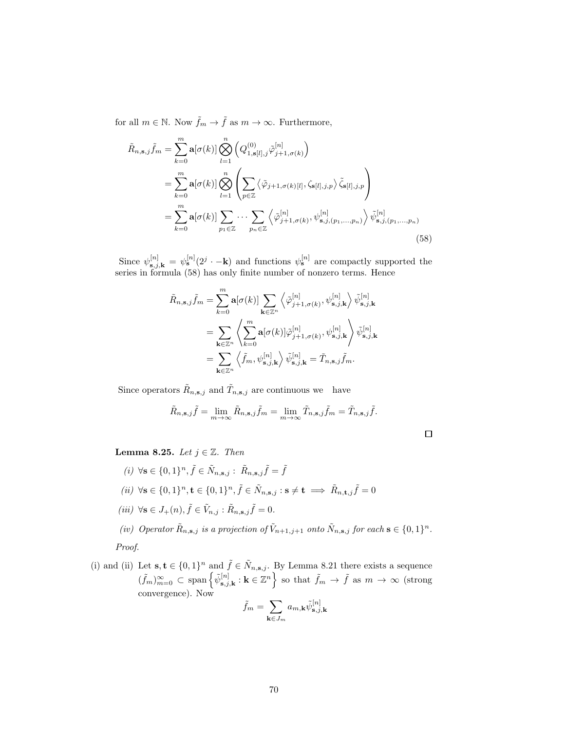for all  $m \in \mathbb{N}$ . Now  $\tilde{f}_m \to \tilde{f}$  as  $m \to \infty$ . Furthermore,

$$
\tilde{R}_{n,s,j}\tilde{f}_m = \sum_{k=0}^m \mathbf{a}[\sigma(k)] \bigotimes_{l=1}^n \left( Q_{1,\mathbf{s}[l],j}^{(0)} \tilde{\varphi}_{j+1,\sigma(k)}^{[n]} \right)
$$
\n
$$
= \sum_{k=0}^m \mathbf{a}[\sigma(k)] \bigotimes_{l=1}^n \left( \sum_{p \in \mathbb{Z}} \left\langle \tilde{\varphi}_{j+1,\sigma(k)[l]}, \zeta_{\mathbf{s}[l],j,p} \right\rangle \tilde{\zeta}_{\mathbf{s}[l],j,p} \right)
$$
\n
$$
= \sum_{k=0}^m \mathbf{a}[\sigma(k)] \sum_{p_1 \in \mathbb{Z}} \cdots \sum_{p_n \in \mathbb{Z}} \left\langle \tilde{\varphi}_{j+1,\sigma(k)}^{[n]}, \psi_{\mathbf{s},j,(p_1,\dots,p_n)}^{[n]} \right\rangle \tilde{\psi}_{\mathbf{s},j,(p_1,\dots,p_n)}^{[n]} \right)
$$
\n(58)

Since  $\psi_{\mathbf{s},j,\mathbf{k}}^{[n]} = \psi_{\mathbf{s}}^{[n]}(2^j \cdot -\mathbf{k})$  and functions  $\psi_{\mathbf{s}}^{[n]}$  are compactly supported the series in formula (58) has only finite number of nonzero terms. Hence

$$
\tilde{R}_{n,s,j}\tilde{f}_m = \sum_{k=0}^m \mathbf{a}[\sigma(k)] \sum_{\mathbf{k}\in\mathbb{Z}^n} \left\langle \tilde{\varphi}_{j+1,\sigma(k)}^{[n]}, \psi_{\mathbf{s},j,\mathbf{k}}^{[n]} \right\rangle \tilde{\psi}_{\mathbf{s},j,\mathbf{k}}^{[n]} \n= \sum_{\mathbf{k}\in\mathbb{Z}^n} \left\langle \sum_{k=0}^m \mathbf{a}[\sigma(k)] \tilde{\varphi}_{j+1,\sigma(k)}^{[n]}, \psi_{\mathbf{s},j,\mathbf{k}}^{[n]} \right\rangle \tilde{\psi}_{\mathbf{s},j,\mathbf{k}}^{[n]} \n= \sum_{\mathbf{k}\in\mathbb{Z}^n} \left\langle \tilde{f}_m, \psi_{\mathbf{s},j,\mathbf{k}}^{[n]} \right\rangle \tilde{\psi}_{\mathbf{s},j,\mathbf{k}}^{[n]} = \tilde{T}_{n,\mathbf{s},j} \tilde{f}_m.
$$

Since operators  $\tilde{R}_{n,s,j}$  and  $\tilde{T}_{n,s,j}$  are continuous we have

$$
\tilde{R}_{n,s,j}\tilde{f} = \lim_{m \to \infty} \tilde{R}_{n,s,j}\tilde{f}_m = \lim_{m \to \infty} \tilde{T}_{n,s,j}\tilde{f}_m = \tilde{T}_{n,s,j}\tilde{f}.
$$

Lemma 8.25. Let  $j \in \mathbb{Z}$ . Then

- (*i*)  $\forall$ **s**  $\in \{0,1\}^n$ ,  $\tilde{f} \in \tilde{N}_{n,s,j}$ :  $\tilde{R}_{n,s,j} \tilde{f} = \tilde{f}$ (*ii*)  $\forall$ **s** ∈ {0, 1}<sup>n</sup>, **t** ∈ {0, 1}<sup>n</sup>, **f** ∈  $\tilde{N}_{n,s,j}$  : **s** ≠ **t**  $\implies \tilde{R}_{n,t,j}$ **f** = 0 (iii)  $\forall$ **s**  $\in$   $J_+(n)$ ,  $\tilde{f} \in \tilde{V}_{n,j}$ :  $\tilde{R}_{n,s,j}$  $\tilde{f} = 0$ .
- (iv) Operator  $\tilde{R}_{n,s,j}$  is a projection of  $\tilde{V}_{n+1,j+1}$  onto  $\tilde{N}_{n,s,j}$  for each  $s \in \{0,1\}^n$ . Proof.
- (i) and (ii) Let  $s, t \in \{0,1\}^n$  and  $\tilde{f} \in \tilde{N}_{n,s,j}$ . By Lemma 8.21 there exists a sequence  $(\tilde{f}_m)_{m=0}^{\infty} \subset \text{span}\left\{\tilde{\psi}_{\mathbf{s},j,\mathbf{k}}^{[n]} : \mathbf{k} \in \mathbb{Z}^n\right\}$  so that  $\tilde{f}_m \to \tilde{f}$  as  $m \to \infty$  (strong convergence). Now

$$
\tilde{f}_m = \sum_{\mathbf{k} \in J_m} a_{m,\mathbf{k}} \tilde{\psi}_{\mathbf{s},j,\mathbf{k}}^{[n]}
$$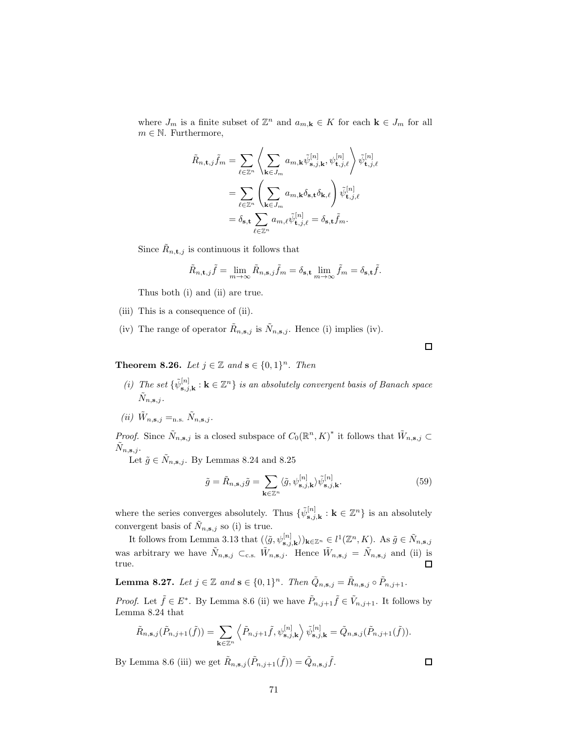where  $J_m$  is a finite subset of  $\mathbb{Z}^n$  and  $a_{m,\mathbf{k}} \in K$  for each  $\mathbf{k} \in J_m$  for all  $m \in \mathbb{N}$ . Furthermore,

$$
\tilde{R}_{n,\mathbf{t},j}\tilde{f}_m = \sum_{\ell \in \mathbb{Z}^n} \left\langle \sum_{\mathbf{k} \in J_m} a_{m,\mathbf{k}} \tilde{\psi}_{\mathbf{s},j,\mathbf{k}}^{[n]}, \psi_{\mathbf{t},j,\ell}^{[n]} \right\rangle \tilde{\psi}_{\mathbf{t},j,\ell}^{[n]} \n= \sum_{\ell \in \mathbb{Z}^n} \left\langle \sum_{\mathbf{k} \in J_m} a_{m,\mathbf{k}} \delta_{\mathbf{s},\mathbf{t}} \delta_{\mathbf{k},\ell} \right\rangle \tilde{\psi}_{\mathbf{t},j,\ell}^{[n]} \n= \delta_{\mathbf{s},\mathbf{t}} \sum_{\ell \in \mathbb{Z}^n} a_{m,\ell} \tilde{\psi}_{\mathbf{t},j,\ell}^{[n]} = \delta_{\mathbf{s},\mathbf{t}} \tilde{f}_m.
$$

Since  $\tilde{R}_{n,\mathbf{t},j}$  is continuous it follows that

$$
\tilde{R}_{n,\mathbf{t},j}\tilde{f} = \lim_{m \to \infty} \tilde{R}_{n,\mathbf{s},j}\tilde{f}_m = \delta_{\mathbf{s},\mathbf{t}} \lim_{m \to \infty} \tilde{f}_m = \delta_{\mathbf{s},\mathbf{t}}\tilde{f}.
$$

Thus both (i) and (ii) are true.

- (iii) This is a consequence of (ii).
- (iv) The range of operator  $\tilde{R}_{n,s,j}$  is  $\tilde{N}_{n,s,j}$ . Hence (i) implies (iv).

**Theorem 8.26.** Let  $j \in \mathbb{Z}$  and  $\mathbf{s} \in \{0,1\}^n$ . Then

- (i) The set  $\{\tilde{\psi}_{s,j,k}^{[n]} : k \in \mathbb{Z}^n\}$  is an absolutely convergent basis of Banach space  $\tilde{N}_{n,s,j}$ .
- (*ii*)  $\tilde{W}_{n,s,j} =_{n.s.} \tilde{N}_{n,s,j}.$

*Proof.* Since  $\tilde{N}_{n,s,j}$  is a closed subspace of  $C_0(\mathbb{R}^n, K)^*$  it follows that  $\tilde{W}_{n,s,j} \subset$  $\tilde{N}_{n,s,j}.$ 

Let  $\tilde{g} \in \tilde{N}_{n,s,j}$ . By Lemmas 8.24 and 8.25

$$
\tilde{g} = \tilde{R}_{n,s,j}\tilde{g} = \sum_{\mathbf{k}\in\mathbb{Z}^n} \langle \tilde{g}, \psi_{\mathbf{s},j,\mathbf{k}}^{[n]} \rangle \tilde{\psi}_{\mathbf{s},j,\mathbf{k}}^{[n]}.
$$
\n(59)

where the series converges absolutely. Thus  $\{\tilde{\psi}_{s,j,k}^{[n]} : k \in \mathbb{Z}^n\}$  is an absolutely convergent basis of  $\tilde{N}_{n,s,j}$  so (i) is true.

It follows from Lemma 3.13 that  $(\langle \tilde{g}, \psi_{\mathbf{s},j,\mathbf{k}}^{[n]} \rangle)_{\mathbf{k} \in \mathbb{Z}^n} \in l^1(\mathbb{Z}^n, K)$ . As  $\tilde{g} \in \tilde{N}_{n,\mathbf{s},j}$ was arbitrary we have  $\tilde{N}_{n,s,j} \subset_{\text{c.s.}} \tilde{W}_{n,s,j}$ . Hence  $\tilde{W}_{n,s,j} = \tilde{N}_{n,s,j}$  and (ii) is true. □

**Lemma 8.27.** Let  $j \in \mathbb{Z}$  and  $\mathbf{s} \in \{0,1\}^n$ . Then  $\tilde{Q}_{n,\mathbf{s},j} = \tilde{R}_{n,\mathbf{s},j} \circ \tilde{P}_{n,j+1}$ .

*Proof.* Let  $\tilde{f} \in E^*$ . By Lemma 8.6 (ii) we have  $\tilde{P}_{n,j+1} \tilde{f} \in \tilde{V}_{n,j+1}$ . It follows by Lemma 8.24 that

$$
\tilde{R}_{n,s,j}(\tilde{P}_{n,j+1}(\tilde{f})) = \sum_{\mathbf{k}\in\mathbb{Z}^n} \left\langle \tilde{P}_{n,j+1}\tilde{f}, \psi_{\mathbf{s},j,\mathbf{k}}^{[n]} \right\rangle \tilde{\psi}_{\mathbf{s},j,\mathbf{k}}^{[n]} = \tilde{Q}_{n,\mathbf{s},j}(\tilde{P}_{n,j+1}(\tilde{f})).
$$

By Lemma 8.6 (iii) we get  $\tilde{R}_{n,s,j}(\tilde{P}_{n,j+1}(\tilde{f})) = \tilde{Q}_{n,s,j}\tilde{f}$ .

 $\Box$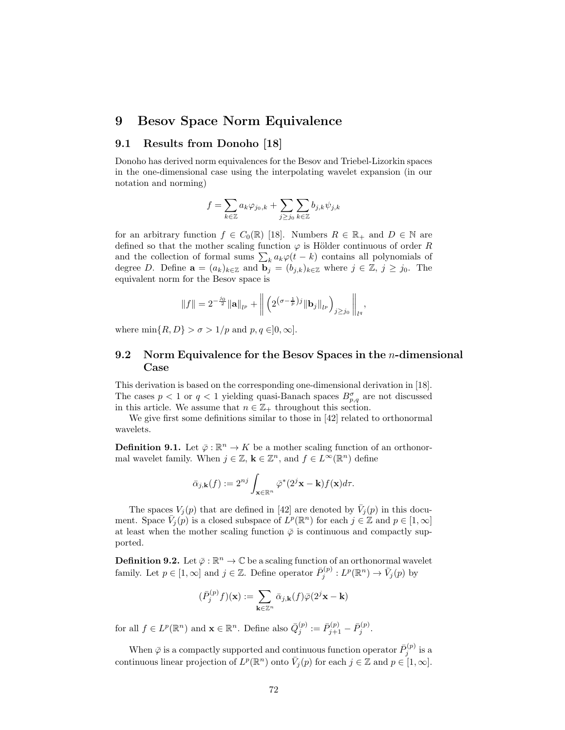### 9 Besov Space Norm Equivalence

### 9.1 Results from Donoho [18]

Donoho has derived norm equivalences for the Besov and Triebel-Lizorkin spaces in the one-dimensional case using the interpolating wavelet expansion (in our notation and norming)

$$
f = \sum_{k \in \mathbb{Z}} a_k \varphi_{j_0,k} + \sum_{j \geq j_0} \sum_{k \in \mathbb{Z}} b_{j,k} \psi_{j,k}
$$

for an arbitrary function  $f \in C_0(\mathbb{R})$  [18]. Numbers  $R \in \mathbb{R}_+$  and  $D \in \mathbb{N}$  are defined so that the mother scaling function  $\varphi$  is Hölder continuous of order R and the collection of formal sums  $\sum_k a_k \varphi(t - k)$  contains all polynomials of degree D. Define  $\mathbf{a} = (a_k)_{k \in \mathbb{Z}}$  and  $\mathbf{b}_j = (b_{j,k})_{k \in \mathbb{Z}}$  where  $j \in \mathbb{Z}, j \geq j_0$ . The equivalent norm for the Besov space is

$$
||f|| = 2^{-\frac{j_0}{2}} ||\mathbf{a}||_{l^p} + \left\| \left( 2^{(\sigma - \frac{1}{p})j} ||\mathbf{b}_j||_{l^p} \right)_{j \ge j_0} \right\|_{l^q},
$$

where  $\min\{R, D\} > \sigma > 1/p$  and  $p, q \in ]0, \infty]$ .

### 9.2 Norm Equivalence for the Besov Spaces in the n-dimensional Case

This derivation is based on the corresponding one-dimensional derivation in [18]. The cases  $p < 1$  or  $q < 1$  yielding quasi-Banach spaces  $B_{p,q}^{\sigma}$  are not discussed in this article. We assume that  $n \in \mathbb{Z}_+$  throughout this section.

We give first some definitions similar to those in [42] related to orthonormal wavelets.

**Definition 9.1.** Let  $\bar{\varphi} : \mathbb{R}^n \to K$  be a mother scaling function of an orthonormal wavelet family. When  $j \in \mathbb{Z}$ ,  $\mathbf{k} \in \mathbb{Z}^n$ , and  $f \in L^{\infty}(\mathbb{R}^n)$  define

$$
\bar{\alpha}_{j,\mathbf{k}}(f) := 2^{nj} \int_{\mathbf{x} \in \mathbb{R}^n} \bar{\varphi}^*(2^j \mathbf{x} - \mathbf{k}) f(\mathbf{x}) d\tau.
$$

The spaces  $V_j(p)$  that are defined in [42] are denoted by  $\bar{V}_j(p)$  in this document. Space  $\bar{V}_j(p)$  is a closed subspace of  $\bar{L}^p(\mathbb{R}^n)$  for each  $j \in \mathbb{Z}$  and  $p \in [1,\infty]$ at least when the mother scaling function  $\bar{\varphi}$  is continuous and compactly supported.

**Definition 9.2.** Let  $\bar{\varphi} : \mathbb{R}^n \to \mathbb{C}$  be a scaling function of an orthonormal wavelet family. Let  $p \in [1,\infty]$  and  $j \in \mathbb{Z}$ . Define operator  $\overline{P}_j^{(p)} : L^p(\mathbb{R}^n) \to \overline{V}_j(p)$  by

$$
(\bar{P}_j^{(p)}f)(\mathbf{x}):=\sum_{\mathbf{k}\in\mathbb{Z}^n}\bar{\alpha}_{j,\mathbf{k}}(f)\bar{\varphi}(2^j\mathbf{x}-\mathbf{k})
$$

for all  $f \in L^p(\mathbb{R}^n)$  and  $\mathbf{x} \in \mathbb{R}^n$ . Define also  $\overline{Q}_j^{(p)} := \overline{P}_{j+1}^{(p)} - \overline{P}_j^{(p)}$ .

When  $\bar{\varphi}$  is a compactly supported and continuous function operator  $\bar{P}_j^{(p)}$  is a continuous linear projection of  $L^p(\mathbb{R}^n)$  onto  $\overline{V}_j(p)$  for each  $j \in \mathbb{Z}$  and  $p \in [1,\infty]$ .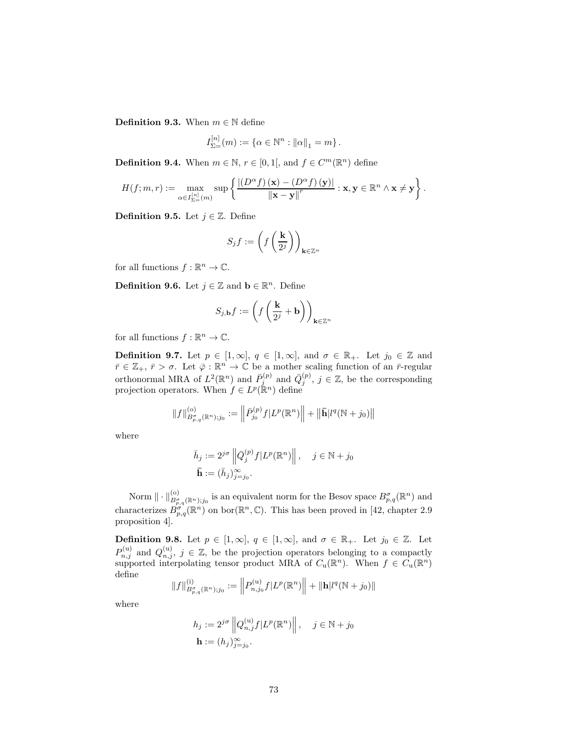**Definition 9.3.** When  $m \in \mathbb{N}$  define

$$
I_{\Sigma=}^{[n]}(m) := \{ \alpha \in \mathbb{N}^n : ||\alpha||_1 = m \}.
$$

**Definition 9.4.** When  $m \in \mathbb{N}$ ,  $r \in [0, 1]$ , and  $f \in C^m(\mathbb{R}^n)$  define

$$
H(f;m,r):=\max_{\alpha\in I_{\Sigma=}^{[n]}(m)}\sup\left\{\frac{\left|\left(D^{\alpha}f\right)\left(\mathbf{x}\right)-\left(D^{\alpha}f\right)\left(\mathbf{y}\right)\right|}{\left\|\mathbf{x}-\mathbf{y}\right\|^{r}}:\mathbf{x},\mathbf{y}\in\mathbb{R}^{n}\wedge\mathbf{x}\neq\mathbf{y}\right\}.
$$

**Definition 9.5.** Let  $j \in \mathbb{Z}$ . Define

$$
S_j f := \left(f\left(\frac{\mathbf{k}}{2^j}\right)\right)_{\mathbf{k}\in\mathbb{Z}^n}
$$

for all functions  $f : \mathbb{R}^n \to \mathbb{C}$ .

**Definition 9.6.** Let  $j \in \mathbb{Z}$  and  $\mathbf{b} \in \mathbb{R}^n$ . Define

$$
S_{j,\mathbf{b}}f := \left(f\left(\frac{\mathbf{k}}{2^j} + \mathbf{b}\right)\right)_{\mathbf{k}\in\mathbb{Z}^n}
$$

for all functions  $f : \mathbb{R}^n \to \mathbb{C}$ .

**Definition 9.7.** Let  $p \in [1,\infty]$ ,  $q \in [1,\infty]$ , and  $\sigma \in \mathbb{R}_+$ . Let  $j_0 \in \mathbb{Z}$  and  $\bar{r} \in \mathbb{Z}_+$ ,  $\bar{r} > \sigma$ . Let  $\bar{\varphi}: \mathbb{R}^n \to \mathbb{C}$  be a mother scaling function of an  $\bar{r}$ -regular orthonormal MRA of  $L^2(\mathbb{R}^n)$  and  $\overline{Q}_j^{(p)}$  and  $\overline{Q}_j^{(p)}$ ,  $j \in \mathbb{Z}$ , be the corresponding projection operators. When  $f \in L^p(\mathbb{R}^n)$  define

$$
||f||_{B^{\sigma}_{p,q}(\mathbb{R}^{n});j_{0}}^{(o)}:=\left\|\bar{P}_{j_{0}}^{(p)}f|L^{p}(\mathbb{R}^{n})\right\|+\left\|\bar{\mathbf{h}}|l^{q}(\mathbb{N}+j_{0})\right\|
$$

where

$$
\bar{h}_j := 2^{j\sigma} \left\| \bar{Q}_j^{(p)} f | L^p(\mathbb{R}^n) \right\|, \quad j \in \mathbb{N} + j_0
$$

$$
\bar{\mathbf{h}} := (\bar{h}_j)_{j=j_0}^{\infty}.
$$

Norm  $\|\cdot\|_{B^{\sigma}_{p,q}(\mathbb{R}^n);j_0}^{(0)}$  is an equivalent norm for the Besov space  $B^{\sigma}_{p,q}(\mathbb{R}^n)$  and characterizes  $B^{\sigma}_{p,q}(\mathbb{R}^n)$  on bor $(\mathbb{R}^n,\mathbb{C})$ . This has been proved in [42, chapter 2.9] proposition 4].

**Definition 9.8.** Let  $p \in [1,\infty]$ ,  $q \in [1,\infty]$ , and  $\sigma \in \mathbb{R}_+$ . Let  $j_0 \in \mathbb{Z}$ . Let  $P_{n,j}^{(u)}$  and  $Q_{n,j}^{(u)}$ ,  $j \in \mathbb{Z}$ , be the projection operators belonging to a compactly supported interpolating tensor product MRA of  $C_u(\mathbb{R}^n)$ . When  $f \in C_u(\mathbb{R}^n)$ define

$$
||f||_{B^{\sigma}_{p,q}(\mathbb{R}^{n});j_{0}}^{(i)} := \left||P_{n,j_{0}}^{(u)}f|L^{p}(\mathbb{R}^{n})\right|| + ||\mathbf{h}|l^{q}(\mathbb{N} + j_{0})||
$$

where

$$
h_j := 2^{j\sigma} \left\| Q_{n,j}^{(\mathbf{u})} f | L^p(\mathbb{R}^n) \right\|, \quad j \in \mathbb{N} + j_0
$$

$$
\mathbf{h} := (h_j)_{j=j_0}^{\infty}.
$$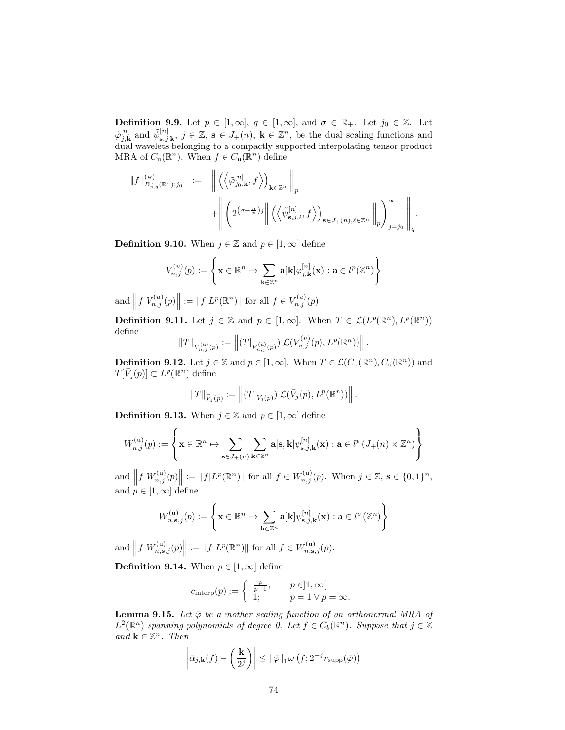**Definition 9.9.** Let  $p \in [1,\infty]$ ,  $q \in [1,\infty]$ , and  $\sigma \in \mathbb{R}_+$ . Let  $j_0 \in \mathbb{Z}$ . Let  $\tilde{\varphi}_{j,k}^{[n]}$  and  $\tilde{\psi}_{\mathbf{s},j,\mathbf{k}}^{[n]}$ ,  $j \in \mathbb{Z}$ ,  $\mathbf{s} \in J_+(n)$ ,  $\mathbf{k} \in \mathbb{Z}^n$ , be the dual scaling functions and dual wavelets belonging to a compactly supported interpolating tensor product MRA of  $C_{\mathbf{u}}(\mathbb{R}^n)$ . When  $f \in C_{\mathbf{u}}(\mathbb{R}^n)$  define

$$
\label{eq:3.1} \begin{array}{rcl} \|f\|^{(\mathrm{w})}_{B^{\sigma}_{p,q}(\mathbb{R}^{n}); j_{0}} & := & \displaystyle \left\|\left(\left\langle \tilde{\varphi}^{[n]}_{j_{0},\mathbf{k}}, f\right\rangle\right)_{\mathbf{k}\in\mathbb{Z}^{n}}\right\|_{p} \\ & & \displaystyle +\left\|\left(2^{(\sigma-\frac{n}{p})j}\right\|\left(\left\langle \tilde{\psi}^{[n]}_{\mathbf{s},j,\ell}, f\right\rangle\right)_{\mathbf{s}\in J_{+}(n),\ell\in\mathbb{Z}^{n}}\left\|_{p}\right\rangle\right)_{j=j_{0}}\right\|_{q}.\end{array}
$$

**Definition 9.10.** When  $j \in \mathbb{Z}$  and  $p \in [1, \infty]$  define

$$
V_{n,j}^{(u)}(p):=\left\{\mathbf{x}\in\mathbb{R}^n\mapsto\sum_{\mathbf{k}\in\mathbb{Z}^n}\mathbf{a}[\mathbf{k}]\varphi_{j,\mathbf{k}}^{[n]}(\mathbf{x}):\mathbf{a}\in l^p(\mathbb{Z}^n)\right\}
$$

and  $||f|V_{n,j}^{(u)}(p)|| := ||f|L^p(\mathbb{R}^n)||$  for all  $f \in V_{n,j}^{(u)}(p)$ .

**Definition 9.11.** Let  $j \in \mathbb{Z}$  and  $p \in [1, \infty]$ . When  $T \in \mathcal{L}(L^p(\mathbb{R}^n), L^p(\mathbb{R}^n))$ define

$$
\|T\|_{V_{n,j}^{(u)}(p)}:=\left\|(T|_{V_{n,j}^{(u)}(p)})|\mathcal{L}(V_{n,j}^{(u)}(p),L^p(\mathbb{R}^n))\right\|.
$$

**Definition 9.12.** Let  $j \in \mathbb{Z}$  and  $p \in [1, \infty]$ . When  $T \in \mathcal{L}(C_u(\mathbb{R}^n), C_u(\mathbb{R}^n))$  and  $T[\bar{V}_j(p)] \subset L^p(\mathbb{R}^n)$  define

$$
||T||_{\bar{V}_j(p)} := ||(T|_{\bar{V}_j(p)})|\mathcal{L}(\bar{V}_j(p), L^p(\mathbb{R}^n))||.
$$

**Definition 9.13.** When  $j \in \mathbb{Z}$  and  $p \in [1, \infty]$  define

$$
W_{n,j}^{(\mathrm{u})}(p) := \left\{\mathbf{x} \in \mathbb{R}^n \mapsto \sum_{\mathbf{s} \in J_+(n)} \sum_{\mathbf{k} \in \mathbb{Z}^n} \mathbf{a}[\mathbf{s},\mathbf{k}] \psi_{\mathbf{s},j,\mathbf{k}}^{[n]}(\mathbf{x}) : \mathbf{a} \in l^p(J_+(n) \times \mathbb{Z}^n) \right\}
$$

and  $||f|W_{n,j}^{(u)}(p)|| := ||f|L^p(\mathbb{R}^n)||$  for all  $f \in W_{n,j}^{(u)}(p)$ . When  $j \in \mathbb{Z}$ ,  $s \in \{0,1\}^n$ , and  $p \in [1,\infty]$  define

$$
W_{n,\mathbf{s},j}^{(\mathrm{u})}(p):=\left\{\mathbf{x}\in\mathbb{R}^n\mapsto\sum_{\mathbf{k}\in\mathbb{Z}^n}\mathbf{a}[\mathbf{k}]\psi_{\mathbf{s},j,\mathbf{k}}^{[n]}(\mathbf{x}):\mathbf{a}\in l^p\left(\mathbb{Z}^n\right)\right\}
$$

and  $||f|W_{n,s,j}^{(u)}(p)|| := ||f|L^p(\mathbb{R}^n)||$  for all  $f \in W_{n,s,j}^{(u)}(p)$ .

**Definition 9.14.** When  $p \in [1, \infty]$  define

$$
c_{\text{interp}}(p) := \begin{cases} \frac{p}{p-1}; & p \in ]1, \infty[ \\ 1; & p = 1 \vee p = \infty. \end{cases}
$$

**Lemma 9.15.** Let  $\bar{\varphi}$  be a mother scaling function of an orthonormal MRA of  $L^2(\mathbb{R}^n)$  spanning polynomials of degree 0. Let  $f \in C_b(\mathbb{R}^n)$ . Suppose that  $j \in \mathbb{Z}$ and  $\mathbf{k} \in \mathbb{Z}^n$ . Then

$$
\left| \bar{\alpha}_{j,\mathbf{k}}(f) - \left(\frac{\mathbf{k}}{2^j}\right) \right| \leq ||\bar{\varphi}||_1 \omega \left(f; 2^{-j} r_{\text{supp}}(\bar{\varphi})\right)
$$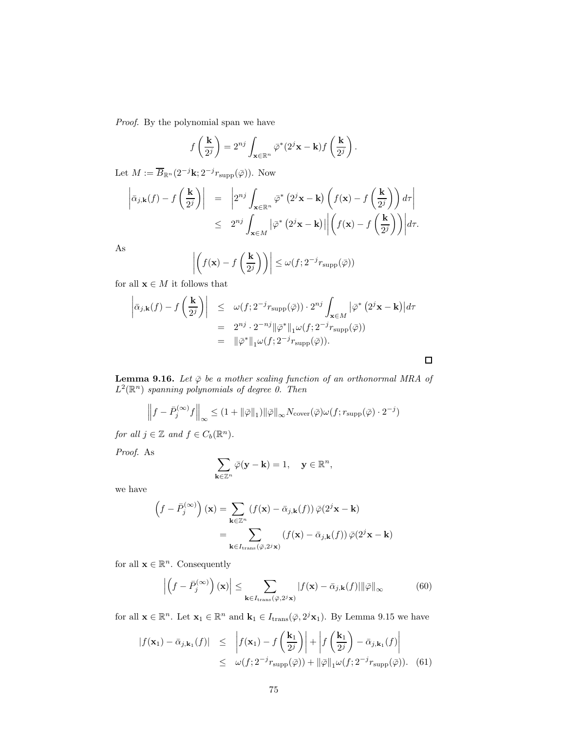Proof. By the polynomial span we have

$$
f\left(\frac{\mathbf{k}}{2^j}\right) = 2^{nj} \int_{\mathbf{x} \in \mathbb{R}^n} \bar{\varphi}^*(2^j \mathbf{x} - \mathbf{k}) f\left(\frac{\mathbf{k}}{2^j}\right).
$$

Let  $M := \overline{B}_{\mathbb{R}^n}(2^{-j}k; 2^{-j}r_{\text{supp}}(\overline{\varphi}))$ . Now

$$
\left| \bar{\alpha}_{j,\mathbf{k}}(f) - f\left(\frac{\mathbf{k}}{2^j}\right) \right| = \left| 2^{nj} \int_{\mathbf{x} \in \mathbb{R}^n} \bar{\varphi}^* \left( 2^j \mathbf{x} - \mathbf{k} \right) \left( f(\mathbf{x}) - f\left(\frac{\mathbf{k}}{2^j}\right) \right) d\tau \right|
$$
  
 
$$
\leq 2^{nj} \int_{\mathbf{x} \in M} \left| \bar{\varphi}^* \left( 2^j \mathbf{x} - \mathbf{k} \right) \right| \left| \left( f(\mathbf{x}) - f\left(\frac{\mathbf{k}}{2^j}\right) \right) \right| d\tau.
$$

As

$$
\left| \left( f(\mathbf{x}) - f\left(\frac{\mathbf{k}}{2^j}\right) \right) \right| \le \omega(f; 2^{-j} r_{\text{supp}}(\bar{\varphi}))
$$

for all  $\mathbf{x} \in M$  it follows that

$$
\left| \bar{\alpha}_{j,\mathbf{k}}(f) - f\left(\frac{\mathbf{k}}{2^j}\right) \right| \leq \omega(f; 2^{-j}r_{\text{supp}}(\bar{\varphi})) \cdot 2^{nj} \int_{\mathbf{x} \in M} \left| \bar{\varphi}^*(2^j \mathbf{x} - \mathbf{k}) \right| d\tau
$$
  
\n
$$
= 2^{nj} \cdot 2^{-nj} \|\bar{\varphi}^*\|_1 \omega(f; 2^{-j}r_{\text{supp}}(\bar{\varphi}))
$$
  
\n
$$
= \|\bar{\varphi}^*\|_1 \omega(f; 2^{-j}r_{\text{supp}}(\bar{\varphi})).
$$

**Lemma 9.16.** Let  $\bar{\varphi}$  be a mother scaling function of an orthonormal MRA of  $L^2(\mathbb{R}^n)$  spanning polynomials of degree 0. Then

 $\Box$ 

$$
\left\|f - \bar{P}_{j}^{(\infty)}f\right\|_{\infty} \leq (1 + \|\bar{\varphi}\|_{1})\|\bar{\varphi}\|_{\infty} N_{\text{cover}}(\bar{\varphi})\omega(f; r_{\text{supp}}(\bar{\varphi}) \cdot 2^{-j})
$$

for all  $j \in \mathbb{Z}$  and  $f \in C_b(\mathbb{R}^n)$ .

Proof. As

$$
\sum_{\mathbf{k}\in\mathbb{Z}^n}\bar{\varphi}(\mathbf{y}-\mathbf{k})=1,\quad \mathbf{y}\in\mathbb{R}^n,
$$

we have

$$
\left(f - \bar{P}_j^{(\infty)}\right)(\mathbf{x}) = \sum_{\mathbf{k} \in \mathbb{Z}^n} \left(f(\mathbf{x}) - \bar{\alpha}_{j,\mathbf{k}}(f)\right) \bar{\varphi}(2^j \mathbf{x} - \mathbf{k})
$$

$$
= \sum_{\mathbf{k} \in I_{\text{trans}}(\bar{\varphi}, 2^j \mathbf{x})} \left(f(\mathbf{x}) - \bar{\alpha}_{j,\mathbf{k}}(f)\right) \bar{\varphi}(2^j \mathbf{x} - \mathbf{k})
$$

for all  $\mathbf{x} \in \mathbb{R}^n$ . Consequently

$$
\left| \left( f - \bar{P}_j^{(\infty)} \right) (\mathbf{x}) \right| \le \sum_{\mathbf{k} \in I_{\text{trans}}(\bar{\varphi}, 2^j \mathbf{x})} |f(\mathbf{x}) - \bar{\alpha}_{j,\mathbf{k}}(f)| ||\bar{\varphi}||_{\infty} \tag{60}
$$

for all  $\mathbf{x} \in \mathbb{R}^n$ . Let  $\mathbf{x}_1 \in \mathbb{R}^n$  and  $\mathbf{k}_1 \in I_{\text{trans}}(\bar{\varphi}, 2^j \mathbf{x}_1)$ . By Lemma 9.15 we have

$$
|f(\mathbf{x}_1) - \bar{\alpha}_{j,\mathbf{k}_1}(f)| \leq |f(\mathbf{x}_1) - f\left(\frac{\mathbf{k}_1}{2^j}\right)| + |f\left(\frac{\mathbf{k}_1}{2^j}\right) - \bar{\alpha}_{j,\mathbf{k}_1}(f)|
$$
  
 
$$
\leq \omega(f; 2^{-j}r_{\text{supp}}(\bar{\varphi})) + ||\bar{\varphi}||_1 \omega(f; 2^{-j}r_{\text{supp}}(\bar{\varphi})). \quad (61)
$$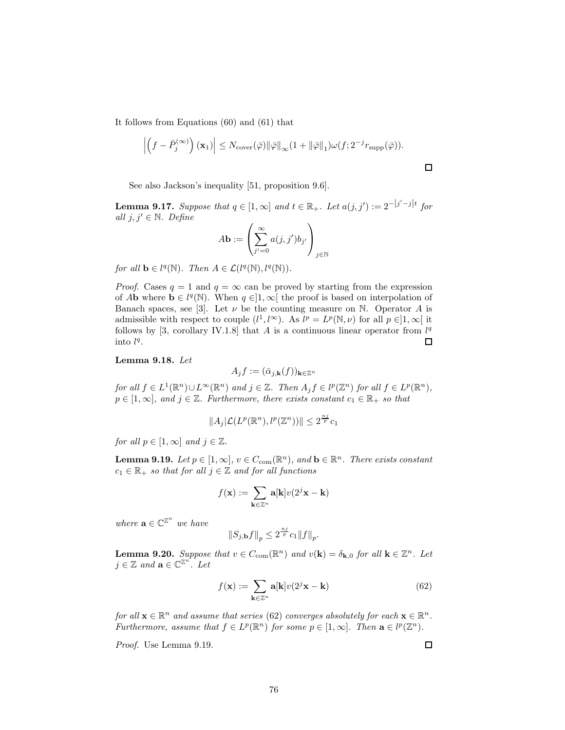It follows from Equations (60) and (61) that

$$
\left| \left( f - \bar{P}_j^{(\infty)} \right) (\mathbf{x}_1) \right| \leq N_{\text{cover}}(\bar{\varphi}) ||\bar{\varphi}||_{\infty} (1 + ||\bar{\varphi}||_1) \omega(f; 2^{-j} r_{\text{supp}}(\bar{\varphi})).
$$

See also Jackson's inequality [51, proposition 9.6].

**Lemma 9.17.** Suppose that  $q \in [1,\infty]$  and  $t \in \mathbb{R}_+$ . Let  $a(j, j') := 2^{-|j'-j|t}$  for all  $j, j' \in \mathbb{N}$ . Define

$$
A\mathbf{b} := \left(\sum_{j'=0}^{\infty} a(j,j')b_{j'}\right)_{j\in\mathbb{N}}
$$

for all  $\mathbf{b} \in l^q(\mathbb{N})$ . Then  $A \in \mathcal{L}(l^q(\mathbb{N}), l^q(\mathbb{N}))$ .

*Proof.* Cases  $q = 1$  and  $q = \infty$  can be proved by starting from the expression of Ab where  $\mathbf{b} \in l^q(\mathbb{N})$ . When  $q \in ]1,\infty[$  the proof is based on interpolation of Banach spaces, see [3]. Let  $\nu$  be the counting measure on N. Operator A is admissible with respect to couple  $(l^1, l^{\infty})$ . As  $l^p = L^p(\mathbb{N}, \nu)$  for all  $p \in ]1, \infty[$  it follows by [3, corollary IV.1.8] that A is a continuous linear operator from  $l^q$ into  $l^q$ .  $\Box$ 

## Lemma 9.18. Let

$$
A_j f := (\bar{\alpha}_{j,\mathbf{k}}(f))_{\mathbf{k}\in\mathbb{Z}^n}
$$

for all  $f \in L^1(\mathbb{R}^n) \cup L^{\infty}(\mathbb{R}^n)$  and  $j \in \mathbb{Z}$ . Then  $A_j f \in l^p(\mathbb{Z}^n)$  for all  $f \in L^p(\mathbb{R}^n)$ ,  $p \in [1,\infty]$ , and  $j \in \mathbb{Z}$ . Furthermore, there exists constant  $c_1 \in \mathbb{R}_+$  so that

$$
||A_j|\mathcal{L}(L^p(\mathbb{R}^n), l^p(\mathbb{Z}^n))|| \leq 2^{\frac{n_j}{p}}c_1
$$

for all  $p \in [1,\infty]$  and  $j \in \mathbb{Z}$ .

**Lemma 9.19.** Let  $p \in [1,\infty], v \in C_{com}(\mathbb{R}^n)$ , and  $\mathbf{b} \in \mathbb{R}^n$ . There exists constant  $c_1 \in \mathbb{R}_+$  so that for all  $j \in \mathbb{Z}$  and for all functions

$$
f(\mathbf{x}) := \sum_{\mathbf{k} \in \mathbb{Z}^n} \mathbf{a}[\mathbf{k}] v(2^j \mathbf{x} - \mathbf{k})
$$

where  $\mathbf{a} \in \mathbb{C}^{\mathbb{Z}^n}$  we have

$$
\left\|S_{j,\mathbf{b}}f\right\|_p \leq 2^{\frac{nj}{p}}c_1\|f\|_p.
$$

**Lemma 9.20.** Suppose that  $v \in C_{com}(\mathbb{R}^n)$  and  $v(\mathbf{k}) = \delta_{\mathbf{k},0}$  for all  $\mathbf{k} \in \mathbb{Z}^n$ . Let  $j \in \mathbb{Z}$  and  $\mathbf{a} \in \mathbb{C}^{\mathbb{Z}^n}$ . Let

$$
f(\mathbf{x}) := \sum_{\mathbf{k} \in \mathbb{Z}^n} \mathbf{a}[\mathbf{k}] v(2^j \mathbf{x} - \mathbf{k}) \tag{62}
$$

for all  $\mathbf{x} \in \mathbb{R}^n$  and assume that series (62) converges absolutely for each  $\mathbf{x} \in \mathbb{R}^n$ . Furthermore, assume that  $f \in L^p(\mathbb{R}^n)$  for some  $p \in [1,\infty]$ . Then  $\mathbf{a} \in l^p(\mathbb{Z}^n)$ .

Proof. Use Lemma 9.19.

 $\Box$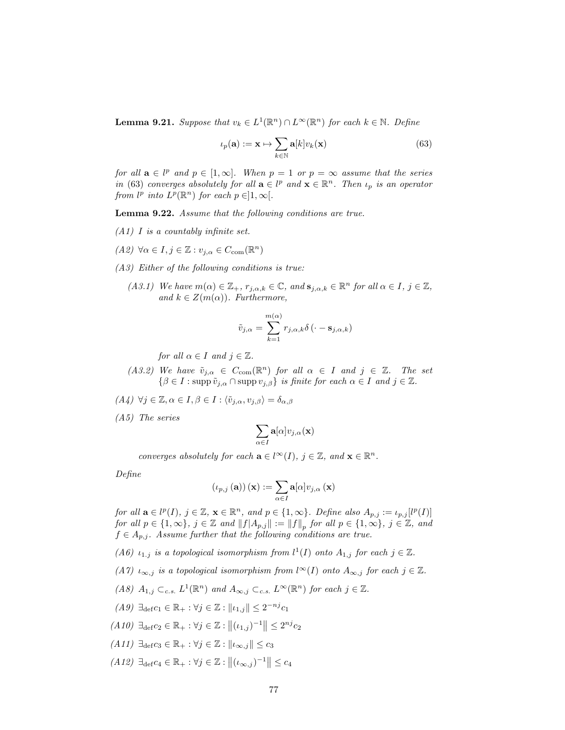**Lemma 9.21.** Suppose that  $v_k \in L^1(\mathbb{R}^n) \cap L^\infty(\mathbb{R}^n)$  for each  $k \in \mathbb{N}$ . Define

$$
\iota_p(\mathbf{a}) := \mathbf{x} \mapsto \sum_{k \in \mathbb{N}} \mathbf{a}[k] v_k(\mathbf{x}) \tag{63}
$$

for all  $\mathbf{a} \in l^p$  and  $p \in [1,\infty]$ . When  $p = 1$  or  $p = \infty$  assume that the series in (63) converges absolutely for all  $\mathbf{a} \in l^p$  and  $\mathbf{x} \in \mathbb{R}^n$ . Then  $\iota_p$  is an operator from  $l^p$  into  $L^p(\mathbb{R}^n)$  for each  $p \in ]1,\infty[$ .

Lemma 9.22. Assume that the following conditions are true.

- $(A1)$  I is a countably infinite set.
- (A2)  $\forall \alpha \in I, j \in \mathbb{Z} : v_{j,\alpha} \in C_{\text{com}}(\mathbb{R}^n)$
- (A3) Either of the following conditions is true:
	- (A3.1) We have  $m(\alpha) \in \mathbb{Z}_+$ ,  $r_{j,\alpha,k} \in \mathbb{C}$ , and  $\mathbf{s}_{j,\alpha,k} \in \mathbb{R}^n$  for all  $\alpha \in I$ ,  $j \in \mathbb{Z}$ , and  $k \in Z(m(\alpha))$ . Furthermore,

$$
\tilde{v}_{j,\alpha} = \sum_{k=1}^{m(\alpha)} r_{j,\alpha,k} \delta\left(\cdot - \mathbf{s}_{j,\alpha,k}\right)
$$

for all  $\alpha \in I$  and  $j \in \mathbb{Z}$ .

- (A3.2) We have  $\tilde{v}_{j,\alpha} \in C_{com}(\mathbb{R}^n)$  for all  $\alpha \in I$  and  $j \in \mathbb{Z}$ . The set  $\{\beta \in I : \operatorname{supp} \tilde{v}_{i,\alpha} \cap \operatorname{supp} v_{i,\beta}\}\$ is finite for each  $\alpha \in I$  and  $j \in \mathbb{Z}$ .
- $(A_4) \ \forall j \in \mathbb{Z}, \alpha \in I, \beta \in I : \langle \tilde{v}_{j,\alpha}, v_{j,\beta} \rangle = \delta_{\alpha,\beta}$
- (A5) The series

$$
\sum_{\alpha\in I}{\bf a}[\alpha]v_{j,\alpha}({\bf x})
$$

converges absolutely for each  $\mathbf{a} \in l^{\infty}(I)$ ,  $j \in \mathbb{Z}$ , and  $\mathbf{x} \in \mathbb{R}^n$ .

Define

$$
\left(\iota_{p,j}\left(\mathbf{a}\right)\right)(\mathbf{x}) := \sum_{\alpha \in I} \mathbf{a}[\alpha] v_{j,\alpha}\left(\mathbf{x}\right)
$$

for all  $\mathbf{a} \in l^p(I)$ ,  $j \in \mathbb{Z}$ ,  $\mathbf{x} \in \mathbb{R}^n$ , and  $p \in \{1, \infty\}$ . Define also  $A_{p,j} := \iota_{p,j}[l^p(I)]$ for all  $p \in \{1, \infty\}$ ,  $j \in \mathbb{Z}$  and  $||f|A_{p,j}|| := ||f||_p$  for all  $p \in \{1, \infty\}$ ,  $j \in \mathbb{Z}$ , and  $f \in A_{p,j}$ . Assume further that the following conditions are true.

(A6)  $\iota_{1,j}$  is a topological isomorphism from  $l^1(I)$  onto  $A_{1,j}$  for each  $j \in \mathbb{Z}$ .

(A7)  $\iota_{\infty,j}$  is a topological isomorphism from  $l^{\infty}(I)$  onto  $A_{\infty,j}$  for each  $j \in \mathbb{Z}$ .

(A8)  $A_{1,j} \subset_{c.s.} L^1(\mathbb{R}^n)$  and  $A_{\infty,j} \subset_{c.s.} L^\infty(\mathbb{R}^n)$  for each  $j \in \mathbb{Z}$ .

$$
(A9) \ \exists_{\text{def}} c_1 \in \mathbb{R}_+ : \forall j \in \mathbb{Z} : ||\iota_{1,j}|| \leq 2^{-nj}c_1
$$

- $(A10) \exists_{def} c_2 \in \mathbb{R}_+ : \forall j \in \mathbb{Z} : ||(i_{1,j})^{-1}|| \leq 2^{nj} c_2$
- $(A11)$   $\exists_{\text{def}} c_3 \in \mathbb{R}_+ : \forall j \in \mathbb{Z} : ||\iota_{\infty,j}|| \leq c_3$
- $(A12) \exists_{\text{def}} c_4 \in \mathbb{R}_+ : \forall j \in \mathbb{Z} : ||(\iota_{\infty,j})^{-1}|| \leq c_4$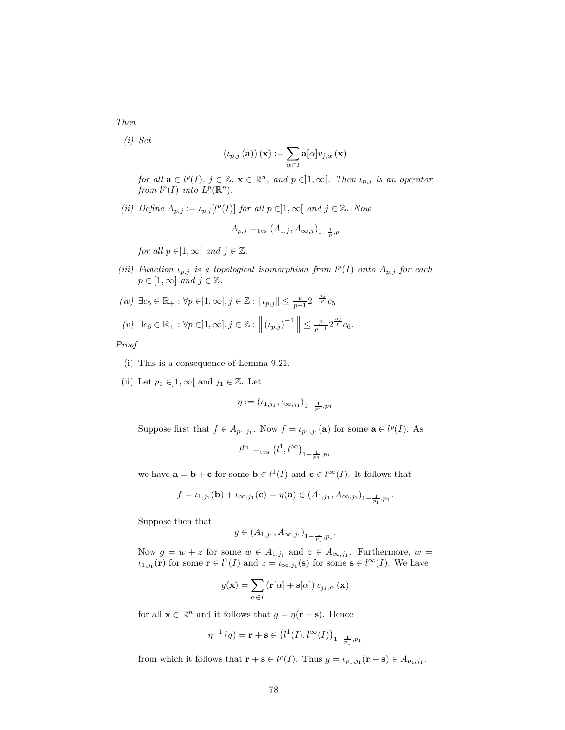Then

(i) Set

$$
\left(\iota_{p,j}\left(\mathbf{a}\right)\right)(\mathbf{x}) := \sum_{\alpha \in I} \mathbf{a}[\alpha] v_{j,\alpha}\left(\mathbf{x}\right)
$$

for all  $\mathbf{a} \in l^p(I), j \in \mathbb{Z}, \mathbf{x} \in \mathbb{R}^n$ , and  $p \in ]1, \infty[$ . Then  $\iota_{p,j}$  is an operator from  $l^p(I)$  into  $L^p(\mathbb{R}^n)$ .

(ii) Define  $A_{p,j} := \iota_{p,j} [l^p(I)]$  for all  $p \in ]1,\infty[$  and  $j \in \mathbb{Z}$ . Now

$$
A_{p,j} =_{\text{tvs}} (A_{1,j}, A_{\infty,j})_{1-\frac{1}{p},p}
$$

for all  $p \in ]1, \infty[$  and  $j \in \mathbb{Z}$ .

(iii) Function  $\iota_{p,j}$  is a topological isomorphism from  $l^p(I)$  onto  $A_{p,j}$  for each  $p \in [1, \infty]$  and  $j \in \mathbb{Z}$ .

$$
(iv) \ \exists c_5 \in \mathbb{R}_+ : \forall p \in ]1, \infty], j \in \mathbb{Z} : \| \iota_{p,j} \| \le \frac{p}{p-1} 2^{-\frac{nj}{p}} c_5
$$
  

$$
(v) \ \exists c_6 \in \mathbb{R}_+ : \forall p \in ]1, \infty], j \in \mathbb{Z} : \left\| \left( \iota_{p,j} \right)^{-1} \right\| \le \frac{p}{p-1} 2^{\frac{n j}{p}} c_6.
$$

Proof.

- (i) This is a consequence of Lemma 9.21.
- (ii) Let  $p_1 \in ]1, \infty[$  and  $j_1 \in \mathbb{Z}$ . Let

$$
\eta := (\iota_{1,j_1}, \iota_{\infty,j_1})_{1-\frac{1}{p_1},p_1}
$$

Suppose first that  $f \in A_{p_1,j_1}$ . Now  $f = \iota_{p_1,j_1}(\mathbf{a})$  for some  $\mathbf{a} \in l^p(I)$ . As

$$
l^{p_1} =_{\rm tvs} \left(l^1,l^\infty\right)_{1-\frac{1}{p_1},p_1}
$$

we have  $\mathbf{a} = \mathbf{b} + \mathbf{c}$  for some  $\mathbf{b} \in l^1(I)$  and  $\mathbf{c} \in l^{\infty}(I)$ . It follows that

$$
f = \iota_{1,j_1}(\mathbf{b}) + \iota_{\infty,j_1}(\mathbf{c}) = \eta(\mathbf{a}) \in (A_{1,j_1}, A_{\infty,j_1})_{1-\frac{1}{p_1},p_1}.
$$

Suppose then that

$$
g \in (A_{1,j_1}, A_{\infty,j_1})_{1-\frac{1}{p_1},p_1}.
$$

Now  $g = w + z$  for some  $w \in A_{1,j_1}$  and  $z \in A_{\infty,j_1}$ . Furthermore,  $w =$  $\iota_{1,j_1}(\mathbf{r})$  for some  $\mathbf{r} \in l^1(I)$  and  $z = \iota_{\infty,j_1}(\mathbf{s})$  for some  $\mathbf{s} \in l^{\infty}(I)$ . We have

$$
g(\mathbf{x}) = \sum_{\alpha \in I} (\mathbf{r}[\alpha] + \mathbf{s}[\alpha]) v_{j_1, \alpha} (\mathbf{x})
$$

for all  $\mathbf{x} \in \mathbb{R}^n$  and it follows that  $g = \eta(\mathbf{r} + \mathbf{s})$ . Hence

$$
\eta^{-1}(g) = \mathbf{r} + \mathbf{s} \in (l^{1}(I), l^{\infty}(I))_{1 - \frac{1}{p_1}, p_1}
$$

from which it follows that  $\mathbf{r} + \mathbf{s} \in l^p(I)$ . Thus  $g = \iota_{p_1,j_1}(\mathbf{r} + \mathbf{s}) \in A_{p_1,j_1}$ .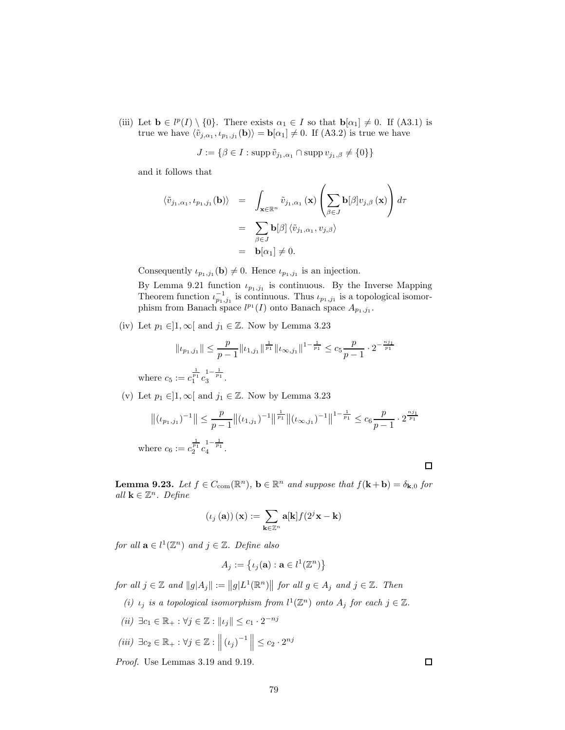(iii) Let  $\mathbf{b} \in l^p(I) \setminus \{0\}$ . There exists  $\alpha_1 \in I$  so that  $\mathbf{b}[\alpha_1] \neq 0$ . If (A3.1) is true we have  $\langle \tilde{v}_{j,\alpha_1}, \iota_{p_1,j_1}(\mathbf{b})\rangle = \mathbf{b}[\alpha_1] \neq 0$ . If  $(A3.2)$  is true we have

$$
J := \{ \beta \in I : \operatorname{supp} \tilde{v}_{j_1, \alpha_1} \cap \operatorname{supp} v_{j_1, \beta} \neq \{0\} \}
$$

and it follows that

$$
\langle \tilde{v}_{j_1,\alpha_1}, \iota_{p_1,j_1}(\mathbf{b}) \rangle = \int_{\mathbf{x} \in \mathbb{R}^n} \tilde{v}_{j_1,\alpha_1}(\mathbf{x}) \left( \sum_{\beta \in J} \mathbf{b}[\beta] v_{j,\beta}(\mathbf{x}) \right) d\tau
$$

$$
= \sum_{\beta \in J} \mathbf{b}[\beta] \langle \tilde{v}_{j_1,\alpha_1}, v_{j,\beta} \rangle
$$

$$
= \mathbf{b}[\alpha_1] \neq 0.
$$

Consequently  $\iota_{p_1,j_1}(\mathbf{b}) \neq 0$ . Hence  $\iota_{p_1,j_1}$  is an injection.

By Lemma 9.21 function  $\iota_{p_1,j_1}$  is continuous. By the Inverse Mapping Theorem function  $\iota_{p_1,j_1}^{-1}$  is continuous. Thus  $\iota_{p_1,j_1}$  is a topological isomorphism from Banach space  $l^{p_1}(I)$  onto Banach space  $A_{p_1,j_1}$ .

(iv) Let  $p_1 \in ]1, \infty[$  and  $j_1 \in \mathbb{Z}$ . Now by Lemma 3.23

$$
\|\iota_{p_1,j_1}\|\leq \frac{p}{p-1}\|\iota_{1,j_1}\|^{\frac{1}{p_1}}\|\iota_{\infty,j_1}\|^{1-\frac{1}{p_1}}\leq c_5\frac{p}{p-1}\cdot 2^{-\frac{n j_1}{p_1}}
$$

where  $c_5 := c_1^{\frac{1}{p_1}} c_3^{1 - \frac{1}{p_1}}$ .

(v) Let  $p_1 \in ]1, \infty[$  and  $j_1 \in \mathbb{Z}$ . Now by Lemma 3.23

$$
\left\| (\iota_{p_1,j_1})^{-1} \right\| \le \frac{p}{p-1} \left\| (\iota_{1,j_1})^{-1} \right\|^{\frac{1}{p_1}} \left\| (\iota_{\infty,j_1})^{-1} \right\|^{1-\frac{1}{p_1}} \le c_6 \frac{p}{p-1} \cdot 2^{\frac{n j_1}{p_1}}
$$
  
where  $c_6 := c_2^{\frac{1}{p_1}} c_4^{1-\frac{1}{p_1}}$ .

**Lemma 9.23.** Let  $f \in C_{com}(\mathbb{R}^n)$ ,  $\mathbf{b} \in \mathbb{R}^n$  and suppose that  $f(\mathbf{k} + \mathbf{b}) = \delta_{\mathbf{k},0}$  for all  $\mathbf{k} \in \mathbb{Z}^n$ . Define

$$
(\iota_j\left(\mathbf{a}\right))\left(\mathbf{x}\right) := \sum_{\mathbf{k}\in\mathbb{Z}^n} \mathbf{a}[\mathbf{k}] f(2^j\mathbf{x} - \mathbf{k})
$$

for all  $\mathbf{a} \in l^1(\mathbb{Z}^n)$  and  $j \in \mathbb{Z}$ . Define also

$$
A_j := \big\{ \iota_j(\mathbf{a}) : \mathbf{a} \in l^1(\mathbb{Z}^n) \big\}
$$

for all  $j \in \mathbb{Z}$  and  $||g|A_j|| := ||g|L^1(\mathbb{R}^n)||$  for all  $g \in A_j$  and  $j \in \mathbb{Z}$ . Then

(i)  $\iota_j$  is a topological isomorphism from  $l^1(\mathbb{Z}^n)$  onto  $A_j$  for each  $j \in \mathbb{Z}$ .

$$
(ii) \ \exists c_1 \in \mathbb{R}_+ : \forall j \in \mathbb{Z} : ||\iota_j|| \le c_1 \cdot 2^{-nj}
$$

$$
(iii) \ \exists c_2 \in \mathbb{R}_+ : \forall j \in \mathbb{Z} : ||(\iota_j)^{-1}|| \le c_2 \cdot 2^{nj}
$$

Proof. Use Lemmas 3.19 and 9.19.

 $\Box$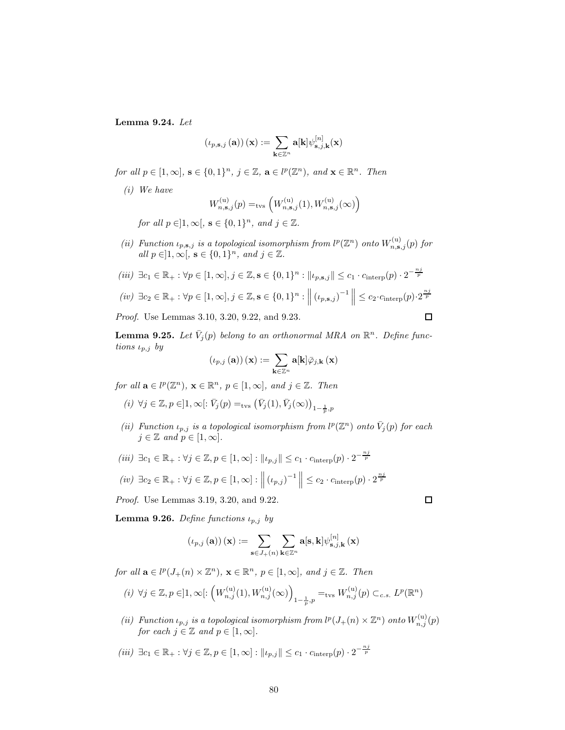Lemma 9.24. Let

$$
\left(\iota_{p,\mathbf{s},j}\left(\mathbf{a}\right)\right)(\mathbf{x}):=\sum_{\mathbf{k}\in\mathbb{Z}^n}\mathbf{a}[\mathbf{k}]\psi_{\mathbf{s},j,\mathbf{k}}^{[n]}(\mathbf{x})
$$

for all  $p \in [1,\infty]$ ,  $\mathbf{s} \in \{0,1\}^n$ ,  $j \in \mathbb{Z}$ ,  $\mathbf{a} \in l^p(\mathbb{Z}^n)$ , and  $\mathbf{x} \in \mathbb{R}^n$ . Then

(i) We have

$$
W_{n,\mathbf{s},j}^{(\mathrm{u})}(p)=_{\mathrm{tvs}}\left(W_{n,\mathbf{s},j}^{(\mathrm{u})}(1),W_{n,\mathbf{s},j}^{(\mathrm{u})}(\infty)\right)
$$

for all  $p \in ]1, \infty[, s \in \{0, 1\}^n, and j \in \mathbb{Z}.$ 

(ii) Function  $\iota_{p,\mathbf{s},j}$  is a topological isomorphism from  $l^p(\mathbb{Z}^n)$  onto  $W_{n,\mathbf{s},j}^{(\mathrm{u})}(p)$  for all  $p \in ]1, \infty[, \mathbf{s} \in \{0, 1\}^n, \text{ and } j \in \mathbb{Z}.$ 

$$
(iii) \ \exists c_1 \in \mathbb{R}_+ : \forall p \in [1, \infty], j \in \mathbb{Z}, \mathbf{s} \in \{0, 1\}^n : \|t_{p, \mathbf{s}, j}\| \le c_1 \cdot c_{\text{interp}}(p) \cdot 2^{-\frac{n j}{p}}
$$

$$
(iv) \ \exists c_2 \in \mathbb{R}_+ : \forall p \in [1, \infty], j \in \mathbb{Z}, \mathbf{s} \in \{0, 1\}^n : \left\| \left(t_{p, \mathbf{s}, j}\right)^{-1} \right\| \le c_2 \cdot c_{\text{interp}}(p) \cdot 2^{\frac{n j}{p}}
$$

Proof. Use Lemmas 3.10, 3.20, 9.22, and 9.23.

**Lemma 9.25.** Let  $\bar{V}_j(p)$  belong to an orthonormal MRA on  $\mathbb{R}^n$ . Define functions  $\iota_{p,j}$  by

$$
\left(\iota_{p,j}\left(\mathbf{a}\right)\right)(\mathbf{x}):=\sum_{\mathbf{k}\in\mathbb{Z}^n}\mathbf{a}[\mathbf{k}]\bar{\varphi}_{j,\mathbf{k}}\left(\mathbf{x}\right)
$$

for all  $\mathbf{a} \in l^p(\mathbb{Z}^n)$ ,  $\mathbf{x} \in \mathbb{R}^n$ ,  $p \in [1, \infty]$ , and  $j \in \mathbb{Z}$ . Then

(i) 
$$
\forall j \in \mathbb{Z}, p \in ]1, \infty[ : \overline{V}_j(p) =_{\text{tvs}} (\overline{V}_j(1), \overline{V}_j(\infty))_{1-\frac{1}{p},p}
$$

- (ii) Function  $\iota_{p,j}$  is a topological isomorphism from  $l^p(\mathbb{Z}^n)$  onto  $\bar{V}_j(p)$  for each  $j \in \mathbb{Z}$  and  $p \in [1,\infty]$ .
- (iii)  $\exists c_1 \in \mathbb{R}_+ : \forall j \in \mathbb{Z}, p \in [1, \infty] : ||\iota_{p,j}|| \leq c_1 \cdot c_{\text{interp}}(p) \cdot 2^{-\frac{nj}{p}}$

$$
(iv) \ \exists c_2 \in \mathbb{R}_+ : \forall j \in \mathbb{Z}, p \in [1, \infty] : \left\| (t_{p,j})^{-1} \right\| \leq c_2 \cdot c_{\text{interp}}(p) \cdot 2^{\frac{n_j}{p}}
$$

Proof. Use Lemmas 3.19, 3.20, and 9.22.

Lemma 9.26. Define functions  $\iota_{p,j}$  by

$$
\left(\iota_{p,j}\left(\mathbf{a}\right)\right)(\mathbf{x}):=\sum_{\mathbf{s}\in J_{+}(n)}\sum_{\mathbf{k}\in\mathbb{Z}^{n}}\mathbf{a}[\mathbf{s},\mathbf{k}]\psi_{\mathbf{s},j,\mathbf{k}}^{[n]}\left(\mathbf{x}\right)
$$

for all  $\mathbf{a} \in l^p(J_+(n) \times \mathbb{Z}^n)$ ,  $\mathbf{x} \in \mathbb{R}^n$ ,  $p \in [1,\infty]$ , and  $j \in \mathbb{Z}$ . Then

(*i*) 
$$
\forall j \in \mathbb{Z}, p \in ]1, \infty[: \left(W_{n,j}^{(u)}(1), W_{n,j}^{(u)}(\infty)\right)_{1-\frac{1}{p}, p} =_{\text{tvs}} W_{n,j}^{(u)}(p) \subset_{c.s.} L^p(\mathbb{R}^n)
$$

- (ii) Function  $\iota_{p,j}$  is a topological isomorphism from  $l^p(J_{+}(n) \times \mathbb{Z}^n)$  onto  $W_{n,j}^{(u)}(p)$ for each  $j \in \mathbb{Z}$  and  $p \in [1, \infty]$ .
- (iii)  $\exists c_1 \in \mathbb{R}_+ : \forall j \in \mathbb{Z}, p \in [1, \infty] : ||\iota_{p,j}|| \leq c_1 \cdot c_{\text{interp}}(p) \cdot 2^{-\frac{nj}{p}}$

 $\Box$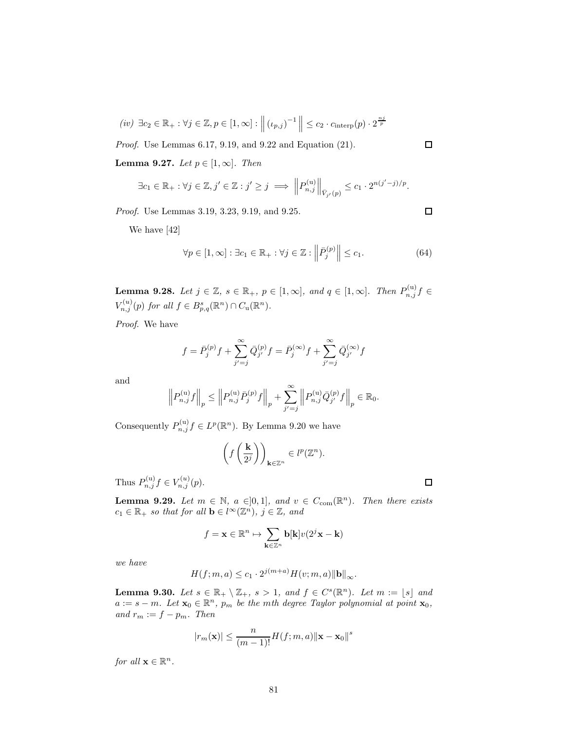$$
(iv) \ \exists c_2 \in \mathbb{R}_+ : \forall j \in \mathbb{Z}, p \in [1, \infty] : \left\| (v_{p,j})^{-1} \right\| \leq c_2 \cdot c_{\text{interp}}(p) \cdot 2^{\frac{nj}{p}}
$$

Proof. Use Lemmas 6.17, 9.19, and 9.22 and Equation (21).

Lemma 9.27. Let  $p \in [1,\infty]$ . Then

$$
\exists c_1 \in \mathbb{R}_+ : \forall j \in \mathbb{Z}, j' \in \mathbb{Z} : j' \geq j \implies \left\| P_{n,j}^{(u)} \right\|_{\bar{V}_{j'}(p)} \leq c_1 \cdot 2^{n(j'-j)/p}.
$$

Proof. Use Lemmas 3.19, 3.23, 9.19, and 9.25.

We have [42]

$$
\forall p \in [1, \infty] : \exists c_1 \in \mathbb{R}_+ : \forall j \in \mathbb{Z} : \left\| \bar{P}_j^{(p)} \right\| \le c_1. \tag{64}
$$

**Lemma 9.28.** Let  $j \in \mathbb{Z}$ ,  $s \in \mathbb{R}_+$ ,  $p \in [1,\infty]$ , and  $q \in [1,\infty]$ . Then  $P_{n,j}^{(u)}f \in$  $V_{n,j}^{(u)}(p)$  for all  $f \in B_{p,q}^{s}(\mathbb{R}^n) \cap C_u(\mathbb{R}^n)$ .

Proof. We have

$$
f = \bar{P}_j^{(p)} f + \sum_{j'=j}^{\infty} \bar{Q}_{j'}^{(p)} f = \bar{P}_j^{(\infty)} f + \sum_{j'=j}^{\infty} \bar{Q}_{j'}^{(\infty)} f
$$

and

$$
\left\|P_{n,j}^{(\mathrm{u})}f\right\|_p \le \left\|P_{n,j}^{(\mathrm{u})}\bar{P}_j^{(p)}f\right\|_p + \sum_{j'=j}^{\infty}\left\|P_{n,j}^{(\mathrm{u})}\bar{Q}_{j'}^{(p)}f\right\|_p \in \mathbb{R}_0.
$$

Consequently  $P_{n,j}^{(u)} f \in L^p(\mathbb{R}^n)$ . By Lemma 9.20 we have

$$
\left(f\left(\frac{\mathbf{k}}{2^j}\right)\right)_{\mathbf{k}\in\mathbb{Z}^n}\in l^p(\mathbb{Z}^n).
$$

Thus  $P_{n,j}^{(u)} f \in V_{n,j}^{(u)}(p)$ .

**Lemma 9.29.** Let  $m \in \mathbb{N}$ ,  $a \in ]0,1]$ , and  $v \in C_{com}(\mathbb{R}^n)$ . Then there exists  $c_1 \in \mathbb{R}_+$  so that for all  $\mathbf{b} \in l^{\infty}(\mathbb{Z}^n)$ ,  $j \in \mathbb{Z}$ , and

$$
f=\mathbf{x}\in\mathbb{R}^n\mapsto\sum_{\mathbf{k}\in\mathbb{Z}^n}\mathbf{b}[\mathbf{k}]v(2^j\mathbf{x}-\mathbf{k})
$$

we have

$$
H(f;m,a) \le c_1 \cdot 2^{j(m+a)} H(v;m,a) \|\mathbf{b}\|_{\infty}.
$$

**Lemma 9.30.** Let  $s \in \mathbb{R}_+ \setminus \mathbb{Z}_+$ ,  $s > 1$ , and  $f \in C^s(\mathbb{R}^n)$ . Let  $m := \lfloor s \rfloor$  and  $a := s - m$ . Let  $\mathbf{x}_0 \in \mathbb{R}^n$ ,  $p_m$  be the mth degree Taylor polynomial at point  $\mathbf{x}_0$ , and  $r_m := f - p_m$ . Then

$$
|r_m(\mathbf{x})| \le \frac{n}{(m-1)!} H(f;m,a) \|\mathbf{x} - \mathbf{x}_0\|^s
$$

for all  $\mathbf{x} \in \mathbb{R}^n$ .

 $\Box$ 

 $\Box$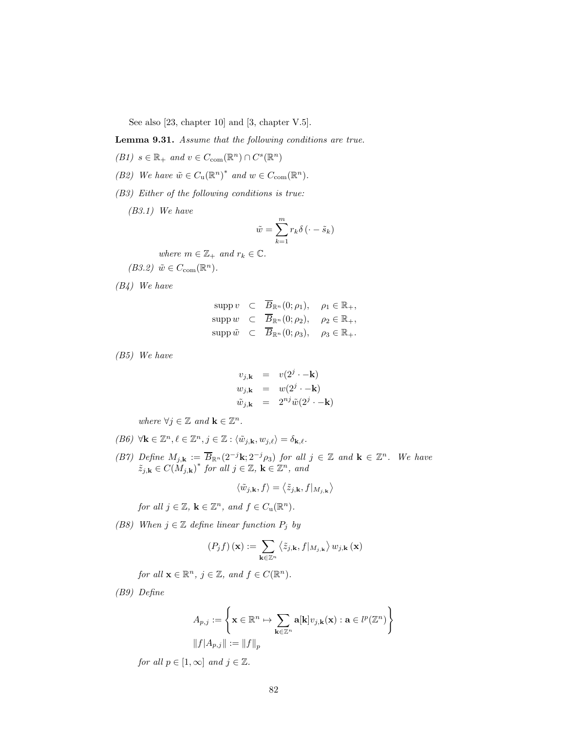See also [23, chapter 10] and [3, chapter V.5].

Lemma 9.31. Assume that the following conditions are true.

- (B1)  $s \in \mathbb{R}_+$  and  $v \in C_{com}(\mathbb{R}^n) \cap C^s(\mathbb{R}^n)$
- (B2) We have  $\tilde{w} \in C_u(\mathbb{R}^n)^*$  and  $w \in C_{com}(\mathbb{R}^n)$ .
- (B3) Either of the following conditions is true:

(B3.1) We have

$$
\tilde{w} = \sum_{k=1}^{m} r_k \delta\left(\cdot - \tilde{s}_k\right)
$$

where  $m \in \mathbb{Z}_+$  and  $r_k \in \mathbb{C}$ .

$$
(B3.2) \ \tilde{w} \in C_{\text{com}}(\mathbb{R}^n).
$$

(B4) We have

$$
\text{supp } v \quad \subset \quad \overline{B}_{\mathbb{R}^n}(0; \rho_1), \quad \rho_1 \in \mathbb{R}_+,
$$
\n
$$
\text{supp } w \quad \subset \quad \overline{B}_{\mathbb{R}^n}(0; \rho_2), \quad \rho_2 \in \mathbb{R}_+,
$$
\n
$$
\text{supp } \tilde{w} \quad \subset \quad \overline{B}_{\mathbb{R}^n}(0; \rho_3), \quad \rho_3 \in \mathbb{R}_+.
$$

(B5) We have

$$
v_{j,\mathbf{k}} = v(2^{j} \cdot -\mathbf{k})
$$
  
\n
$$
w_{j,\mathbf{k}} = w(2^{j} \cdot -\mathbf{k})
$$
  
\n
$$
\tilde{w}_{j,\mathbf{k}} = 2^{nj} \tilde{w}(2^{j} \cdot -\mathbf{k})
$$

where  $\forall j \in \mathbb{Z}$  and  $\mathbf{k} \in \mathbb{Z}^n$ .

- $(B6) \ \ \forall \mathbf{k} \in \mathbb{Z}^n, \ell \in \mathbb{Z}^n, j \in \mathbb{Z}: \langle \tilde{w}_{j, \mathbf{k}}, w_{j, \ell} \rangle = \delta_{\mathbf{k}, \ell}.$
- (B7) Define  $M_{j,k} := \overline{B}_{\mathbb{R}^n}(2^{-j}k; 2^{-j}\rho_3)$  for all  $j \in \mathbb{Z}$  and  $k \in \mathbb{Z}^n$ . We have  $\tilde{z}_{j,\mathbf{k}} \in C(M_{j,\mathbf{k}})^*$  for all  $j \in \mathbb{Z}$ ,  $\mathbf{k} \in \mathbb{Z}^n$ , and

$$
\langle \tilde{w}_{j,\mathbf{k}},f\rangle=\left\langle \tilde{z}_{j,\mathbf{k}},f|_{M_{j,\mathbf{k}}}\right\rangle
$$

for all  $j \in \mathbb{Z}$ ,  $\mathbf{k} \in \mathbb{Z}^n$ , and  $f \in C_u(\mathbb{R}^n)$ .

(B8) When  $j \in \mathbb{Z}$  define linear function  $P_j$  by

$$
\left(P_j f\right)(\mathbf{x}) := \sum_{\mathbf{k} \in \mathbb{Z}^n} \left\langle \tilde{z}_{j,\mathbf{k}}, f|_{M_{j,\mathbf{k}}} \right\rangle w_{j,\mathbf{k}} \left(\mathbf{x}\right)
$$

for all  $\mathbf{x} \in \mathbb{R}^n$ ,  $j \in \mathbb{Z}$ , and  $f \in C(\mathbb{R}^n)$ .

(B9) Define

$$
A_{p,j} := \left\{ \mathbf{x} \in \mathbb{R}^n \mapsto \sum_{\mathbf{k} \in \mathbb{Z}^n} \mathbf{a}[\mathbf{k}] v_{j,\mathbf{k}}(\mathbf{x}) : \mathbf{a} \in l^p(\mathbb{Z}^n) \right\}
$$

$$
||f|A_{p,j}|| := ||f||_p
$$

for all  $p \in [1, \infty]$  and  $j \in \mathbb{Z}$ .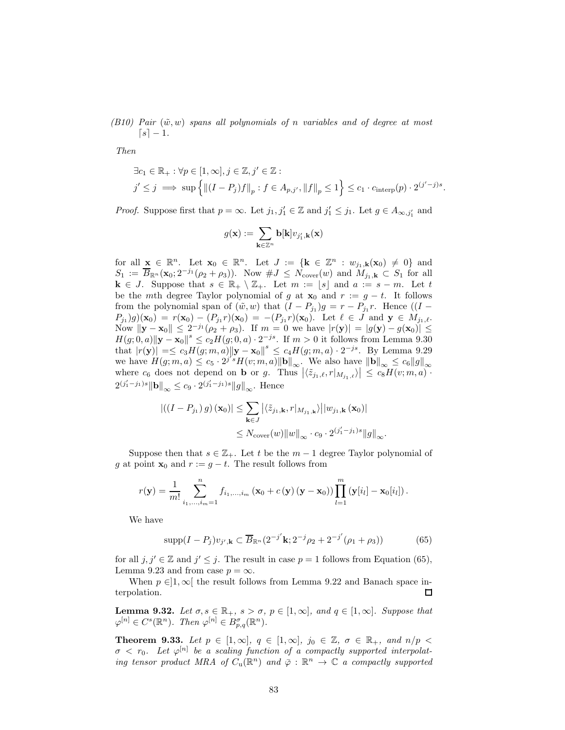(B10) Pair  $(\tilde{w}, w)$  spans all polynomials of n variables and of degree at most  $[s] - 1.$ 

Then

$$
\exists c_1 \in \mathbb{R}_+ : \forall p \in [1, \infty], j \in \mathbb{Z}, j' \in \mathbb{Z} :
$$
  

$$
j' \leq j \implies \sup \left\{ \left\| (I - P_j)f \right\|_p : f \in A_{p,j'}, \left\| f \right\|_p \leq 1 \right\} \leq c_1 \cdot c_{\text{interp}}(p) \cdot 2^{(j'-j)s}.
$$

*Proof.* Suppose first that  $p = \infty$ . Let  $j_1, j'_1 \in \mathbb{Z}$  and  $j'_1 \leq j_1$ . Let  $g \in A_{\infty, j'_1}$  and

$$
g(\mathbf{x}) := \sum_{\mathbf{k} \in \mathbb{Z}^n} \mathbf{b}[\mathbf{k}] v_{j'_1,\mathbf{k}}(\mathbf{x})
$$

for all  $\underline{\mathbf{x}} \in \mathbb{R}^n$ . Let  $\mathbf{x}_0 \in \mathbb{R}^n$ . Let  $J := \{ \mathbf{k} \in \mathbb{Z}^n : w_{j_1, \mathbf{k}}(\mathbf{x}_0) \neq 0 \}$  and  $S_1 := \overline{B}_{\mathbb{R}^n}(\mathbf{x}_0; 2^{-j_1}(\rho_2 + \rho_3)).$  Now  $\#J \leq N_{\text{cover}}(w)$  and  $M_{j_1,\mathbf{k}} \subset S_1$  for all  $k \in J$ . Suppose that  $s \in \mathbb{R}_+ \setminus \mathbb{Z}_+$ . Let  $m := \lfloor s \rfloor$  and  $a := s - m$ . Let t be the mth degree Taylor polynomial of g at  $\mathbf{x}_0$  and  $r := g - t$ . It follows from the polynomial span of  $(\tilde{w}, w)$  that  $(I - P_{j_1})g = r - P_{j_1}r$ . Hence  $((I - P_{j_1})g)$  $P_{j_1}(g)(\mathbf{x}_0) = r(\mathbf{x}_0) - (P_{j_1}r)(\mathbf{x}_0) = -(P_{j_1}r)(\mathbf{x}_0).$  Let  $\ell \in J$  and  $\mathbf{y} \in M_{j_1,\ell}.$ Now  $||\mathbf{y} - \mathbf{x}_0||$  ≤  $2^{-j_1}(\rho_2 + \rho_3)$ . If  $m = 0$  we have  $|r(\mathbf{y})| = |g(\mathbf{y}) - g(\mathbf{x}_0)|$  ≤  $H(g; 0, a) \| \mathbf{y} - \mathbf{x}_0 \|^s \le c_2 H(g; 0, a) \cdot 2^{-js}$ . If  $m > 0$  it follows from Lemma 9.30 that  $|r(\mathbf{y})| = \le c_3 H(g; m, a) ||\mathbf{y} - \mathbf{x}_0||^s \le c_4 H(g; m, a) \cdot 2^{-js}$ . By Lemma 9.29 we have  $H(g;m,a) \leq c_5 \cdot 2^{j's} H(v;m,a) ||\mathbf{b}||_{\infty}$ . We also have  $||\mathbf{b}||_{\infty} \leq c_6 ||g||_{\infty}$ where  $c_6$  does not depend on **b** or g. Thus  $|\langle \tilde{z}_{j_1,\ell}, r |_{M_{j_1,\ell}} \rangle| \leq c_8 H(v; m, a)$ .  $2^{(j'_1 - j_1)s} ||\mathbf{b}||_{\infty} \leq c_9 \cdot 2^{(j'_1 - j_1)s} ||g||_{\infty}$ . Hence

$$
\begin{aligned} \left| \left( \left( I - P_{j_1} \right) g \right) \left( \mathbf{x}_0 \right) \right| &\leq \sum_{\mathbf{k} \in J} \left| \left\langle \tilde{z}_{j_1, \mathbf{k}}, r \right|_{M_{j_1, \mathbf{k}}} \right\rangle \left| \left| w_{j_1, \mathbf{k}} \left( \mathbf{x}_0 \right) \right| \right| \\ &\leq N_{\text{cover}}(w) \|\left\| w \right\|_{\infty} \cdot c_9 \cdot 2^{\left( j_1' - j_1 \right) s} \|g\|_{\infty} . \end{aligned}
$$

Suppose then that  $s \in \mathbb{Z}_+$ . Let t be the  $m-1$  degree Taylor polynomial of g at point  $\mathbf{x}_0$  and  $r := g - t$ . The result follows from

$$
r(\mathbf{y}) = \frac{1}{m!} \sum_{i_1,...,i_m=1}^n f_{i_1,...,i_m} (\mathbf{x}_0 + c(\mathbf{y}) (\mathbf{y} - \mathbf{x}_0)) \prod_{l=1}^m (\mathbf{y}[i_l] - \mathbf{x}_0[i_l]).
$$

We have

$$
supp(I - P_j)v_{j',k} \subset \overline{B}_{\mathbb{R}^n}(2^{-j'}k; 2^{-j}\rho_2 + 2^{-j'}(\rho_1 + \rho_3))
$$
(65)

for all  $j, j' \in \mathbb{Z}$  and  $j' \leq j$ . The result in case  $p = 1$  follows from Equation (65), Lemma 9.23 and from case  $p = \infty$ .

When  $p \in ]1, \infty[$  the result follows from Lemma 9.22 and Banach space in-<br>colation. terpolation.

**Lemma 9.32.** Let  $\sigma, s \in \mathbb{R}_+$ ,  $s > \sigma$ ,  $p \in [1, \infty]$ , and  $q \in [1, \infty]$ . Suppose that  $\varphi^{[n]} \in C^{s}(\mathbb{R}^{n}).$  Then  $\varphi^{[n]} \in B^{\sigma}_{p,q}(\mathbb{R}^{n}).$ 

**Theorem 9.33.** Let  $p \in [1,\infty], q \in [1,\infty], j_0 \in \mathbb{Z}, \sigma \in \mathbb{R}_+$ , and  $n/p <$  $\sigma \langle r_0, L$ et  $\varphi^{[n]}$  be a scaling function of a compactly supported interpolating tensor product MRA of  $C_u(\mathbb{R}^n)$  and  $\overline{\varphi} : \mathbb{R}^n \to \mathbb{C}$  a compactly supported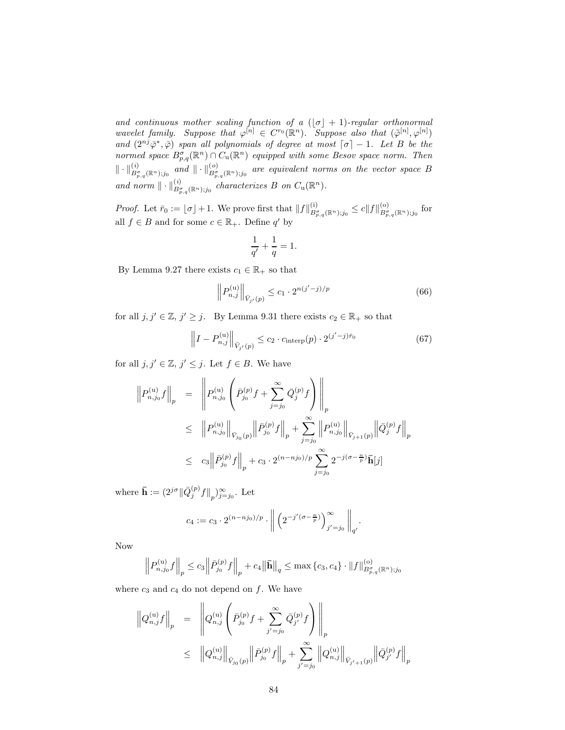and continuous mother scaling function of a  $\lfloor \sigma \rfloor + 1$ )-regular orthonormal wavelet family. Suppose that  $\varphi^{[n]} \in C^{r_0}(\mathbb{R}^n)$ . Suppose also that  $(\tilde{\varphi}^{[n]}, \varphi^{[n]})$ and  $(2^{nj}\bar{\varphi}^*, \bar{\varphi})$  span all polynomials of degree at most  $\lceil \sigma \rceil - 1$ . Let B be the normed space  $B_{p,q}^{\sigma}(\mathbb{R}^n) \cap C_u(\mathbb{R}^n)$  equipped with some Besov space norm. Then  $\|\cdot\|_{B^{\sigma}_{p,q}(\mathbb{R}^n);j_0}^{(i)}$  and  $\|\cdot\|_{B^{\sigma}_{p,q}(\mathbb{R}^n);j_0}^{(o)}$  are equivalent norms on the vector space B and norm  $\|\cdot\|_{B^{\sigma}_{p,q}(\mathbb{R}^n);j_0}^{(i)}$  characterizes B on  $C_u(\mathbb{R}^n)$ .

Proof. Let  $\bar{r}_0 := \lfloor \sigma \rfloor + 1$ . We prove first that  $||f||_{B^{\sigma}_{p,q}(\mathbb{R}^n);j_0}^{(i)} \le c||f||_{B^{\sigma}_{p,q}(\mathbb{R}^n);j_0}^{(o)}$  for all  $f \in B$  and for some  $c \in \mathbb{R}_+$ . Define  $q'$  by

$$
\frac{1}{q'} + \frac{1}{q} = 1.
$$

By Lemma 9.27 there exists  $c_1 \in \mathbb{R}_+$  so that

$$
\left\| P_{n,j}^{(\mathbf{u})} \right\|_{\bar{V}_{j'}(p)} \le c_1 \cdot 2^{n(j'-j)/p} \tag{66}
$$

for all  $j, j' \in \mathbb{Z}, j' \geq j$ . By Lemma 9.31 there exists  $c_2 \in \mathbb{R}_+$  so that

$$
\left\|I - P_{n,j}^{(\mathrm{u})}\right\|_{\bar{V}_{j'}(p)} \le c_2 \cdot c_{\mathrm{interp}}(p) \cdot 2^{(j'-j)\bar{r}_0} \tag{67}
$$

for all  $j, j' \in \mathbb{Z}, j' \leq j$ . Let  $f \in B$ . We have

$$
\left\| P_{n,j_0}^{(u)} f \right\|_p = \left\| P_{n,j_0}^{(u)} \left( \bar{P}_{j_0}^{(p)} f + \sum_{j=j_0}^{\infty} \bar{Q}_j^{(p)} f \right) \right\|_p
$$
  
\n
$$
\leq \left\| P_{n,j_0}^{(u)} \right\|_{\bar{V}_{j_0}(p)} \left\| \bar{P}_{j_0}^{(p)} f \right\|_p + \sum_{j=j_0}^{\infty} \left\| P_{n,j_0}^{(u)} \right\|_{\bar{V}_{j+1}(p)} \left\| \bar{Q}_j^{(p)} f \right\|_p
$$
  
\n
$$
\leq c_3 \left\| \bar{P}_{j_0}^{(p)} f \right\|_p + c_3 \cdot 2^{(n-nj_0)/p} \sum_{j=j_0}^{\infty} 2^{-j(\sigma - \frac{n}{p})} \bar{h}[j]
$$

where  $\bar{\mathbf{h}} := (2^{j\sigma} \|\bar{Q}_j^{(p)}f\|_p)_{j=j_0}^{\infty}$ . Let

$$
c_4 := c_3 \cdot 2^{(n - n j_0)/p} \cdot \left\| \left( 2^{-j'(\sigma - \frac{n}{p})} \right)_{j'=j_0}^{\infty} \right\|_{q'}.
$$

Now

$$
\left\| P_{n,j_0}^{(\mathrm{u})} f \right\|_p \le c_3 \left\| \bar{P}_{j_0}^{(p)} f \right\|_p + c_4 \left\| \bar{\mathbf{h}} \right\|_q \le \max\left\{ c_3, c_4 \right\} \cdot \| f \|_{B_{p,q}^{\sigma}(\mathbb{R}^n); j_0}^{(\mathrm{o})}
$$

where  $c_3$  and  $c_4$  do not depend on f. We have

$$
\left\| Q_{n,j}^{(\mathrm{u})} f \right\|_{p} = \left\| Q_{n,j}^{(\mathrm{u})} \left( \bar{P}_{j_{0}}^{(p)} f + \sum_{j'=j_{0}}^{\infty} \bar{Q}_{j'}^{(p)} f \right) \right\|_{p}
$$
  

$$
\leq \left\| Q_{n,j}^{(\mathrm{u})} \right\|_{\bar{V}_{j_{0}}(p)} \left\| \bar{P}_{j_{0}}^{(p)} f \right\|_{p} + \sum_{j'=j_{0}}^{\infty} \left\| Q_{n,j}^{(\mathrm{u})} \right\|_{\bar{V}_{j'+1}(p)} \left\| \bar{Q}_{j'}^{(p)} f \right\|_{p}
$$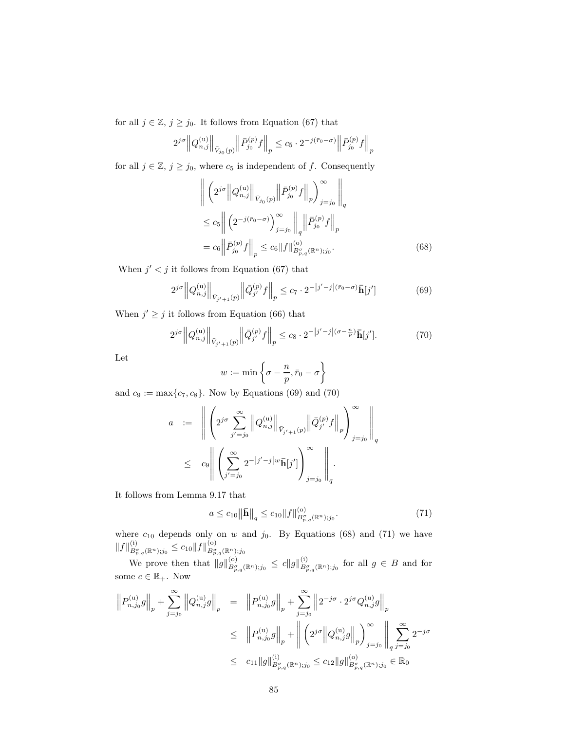for all  $j \in \mathbb{Z}$ ,  $j \geq j_0$ . It follows from Equation (67) that

$$
2^{j\sigma}\Big\|Q_{n,j}^{(\mathrm{u})}\Big\|_{\bar{V}_{j_0}(p)}\Big\|\bar{P}_{j_0}^{(p)}f\Big\|_p\le c_5\cdot 2^{-j(\bar{r}_0-\sigma)}\Big\|\bar{P}_{j_0}^{(p)}f\Big\|_p
$$

for all  $j \in \mathbb{Z}$ ,  $j \ge j_0$ , where  $c_5$  is independent of f. Consequently

$$
\left\| \left( 2^{j\sigma} \left\| Q_{n,j}^{(u)} \right\|_{\bar{V}_{j_0}(p)} \left\| \bar{P}_{j_0}^{(p)} f \right\|_p \right)_{j=j_0}^{\infty} \right\|_q
$$
  
\n
$$
\leq c_5 \left\| \left( 2^{-j(\bar{r}_0 - \sigma)} \right)_{j=j_0}^{\infty} \left\|_q \left\| \bar{P}_{j_0}^{(p)} f \right\|_p
$$
  
\n
$$
= c_6 \left\| \bar{P}_{j_0}^{(p)} f \right\|_p \leq c_6 \|f\|_{B_{p,q}^{\sigma}(\mathbb{R}^n);j_0}^{\left(0, \sigma \right)}.
$$
\n(68)

When  $j' < j$  it follows from Equation (67) that

$$
2^{j\sigma} \|Q_{n,j}^{(\mathrm{u})}\|_{\bar{V}_{j'+1}(p)} \|\bar{Q}_{j'}^{(p)}f\|_{p} \le c_{7} \cdot 2^{-|j'-j|(\bar{r}_{0}-\sigma)}\bar{\mathbf{h}}[j'] \tag{69}
$$

When  $j' \geq j$  it follows from Equation (66) that

$$
2^{j\sigma} \left\| Q_{n,j}^{(\mathrm{u})} \right\|_{\bar{V}_{j'+1}(p)} \left\| \bar{Q}_{j'}^{(p)} f \right\|_{p} \le c_8 \cdot 2^{-|j'-j|(\sigma - \frac{n}{p})} \bar{\mathbf{h}}[j'].
$$
 (70)

Let

$$
w := \min\left\{\sigma - \frac{n}{p}, \bar{r}_0 - \sigma\right\}
$$

and  $c_9 := \max\{c_7, c_8\}$ . Now by Equations (69) and (70)

$$
a := \left\| \left( 2^{j\sigma} \sum_{j'=j_0}^{\infty} \left\| Q_{n,j}^{(u)} \right\|_{\bar{V}_{j'+1}(p)} \left\| \bar{Q}_{j'}^{(p)} f \right\|_p \right)_{j=j_0}^{\infty} \right\|_q
$$
  

$$
\leq c_9 \left\| \left( \sum_{j'=j_0}^{\infty} 2^{-|j'-j|w} \bar{\mathbf{h}}[j'] \right)_{j=j_0}^{\infty} \right\|_q.
$$

It follows from Lemma 9.17 that

$$
a \le c_{10} \|\bar{\mathbf{h}}\|_{q} \le c_{10} \|f\|_{B^{\sigma}_{p,q}(\mathbb{R}^{n});j_{0}}^{(o)}.
$$
\n(71)

where  $c_{10}$  depends only on w and  $j_0$ . By Equations (68) and (71) we have  $||f||_{B^{\sigma}_{p,q}(\mathbb{R}^n);j_0}^{(i)} \leq c_{10} ||f||_{B^{\sigma}_{p,q}(\mathbb{R}^n);j_0}^{(o)}$ 

We prove then that  $||g||_{B_{p,q}^{\sigma}(\mathbb{R}^n);j_0}^{(0)} \leq c||g||_{B_{p,q}^{\sigma}(\mathbb{R}^n);j_0}^{(i)}$  for all  $g \in B$  and for some  $c \in \mathbb{R}_+$ . Now

$$
\left\| P_{n,j_0}^{(\mathrm{u})} g \right\|_p + \sum_{j=j_0}^{\infty} \left\| Q_{n,j}^{(\mathrm{u})} g \right\|_p = \left\| P_{n,j_0}^{(\mathrm{u})} g \right\|_p + \sum_{j=j_0}^{\infty} \left\| 2^{-j\sigma} \cdot 2^{j\sigma} Q_{n,j}^{(\mathrm{u})} g \right\|_p
$$
  

$$
\leq \left\| P_{n,j_0}^{(\mathrm{u})} g \right\|_p + \left\| \left( 2^{j\sigma} \left\| Q_{n,j}^{(\mathrm{u})} g \right\|_p \right)_{j=j_0}^{\infty} \left\| \sum_{q}^{\infty} 2^{-j\sigma} \right\|_p
$$
  

$$
\leq c_{11} \| g \|_{B_{p,q}^{\sigma}(\mathbb{R}^n); j_0}^{(\mathrm{i})} \leq c_{12} \| g \|_{B_{p,q}^{\sigma}(\mathbb{R}^n); j_0}^{(\mathrm{o})} \in \mathbb{R}_0
$$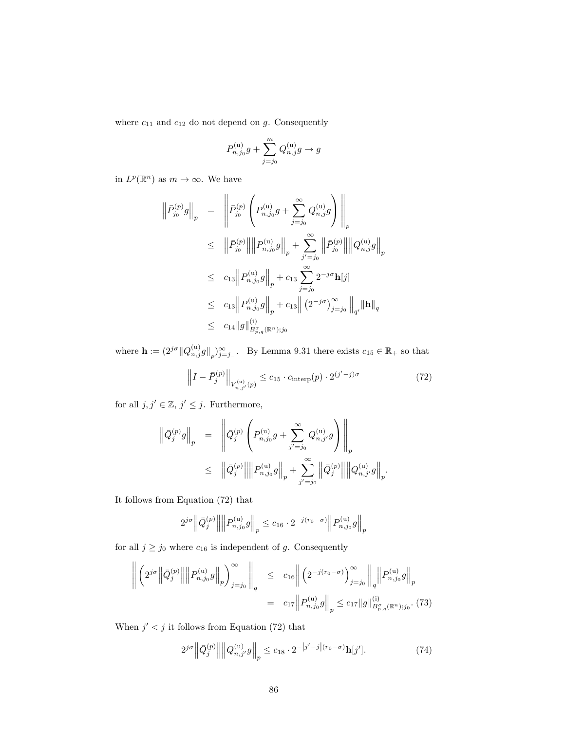where  $c_{11}$  and  $c_{12}$  do not depend on  $g$ . Consequently

$$
P_{n,j_0}^{(u)}g + \sum_{j=j_0}^{m} Q_{n,j}^{(u)}g \to g
$$

in  $L^p(\mathbb{R}^n)$  as  $m \to \infty$ . We have

$$
\begin{aligned}\n\left\|\bar{P}_{j_0}^{(p)}g\right\|_p &= \left\|\bar{P}_{j_0}^{(p)}\left(P_{n,j_0}^{(u)}g + \sum_{j=j_0}^{\infty} Q_{n,j}^{(u)}g\right)\right\|_p \\
&\leq \left\|\bar{P}_{j_0}^{(p)}\right\|\left\|P_{n,j_0}^{(u)}g\right\|_p + \sum_{j'=j_0}^{\infty}\left\|\bar{P}_{j_0}^{(p)}\right\|\left\|Q_{n,j}^{(u)}g\right\|_p \\
&\leq c_{13}\left\|P_{n,j_0}^{(u)}g\right\|_p + c_{13}\sum_{j=j_0}^{\infty} 2^{-j\sigma}h[j] \\
&\leq c_{13}\left\|P_{n,j_0}^{(u)}g\right\|_p + c_{13}\left\|\left(2^{-j\sigma}\right)_{j=j_0}^{\infty}\right\|_{q'}\|\mathbf{h}\|_q \\
&\leq c_{14}\|g\|_{B_{p,q}^{(1)}(\mathbb{R}^n);j_0}^{(i)}\n\end{aligned}
$$

where  $\mathbf{h} := (2^{j\sigma} \|Q_{n,j}^{(u)}g\|_p)_{j=j=1}^{\infty}$ . By Lemma 9.31 there exists  $c_{15} \in \mathbb{R}_+$  so that

$$
\left\| I - \bar{P}_j^{(p)} \right\|_{V_{n,j'}^{(\text{u})}(p)} \le c_{15} \cdot c_{\text{interp}}(p) \cdot 2^{(j'-j)\sigma} \tag{72}
$$

for all  $j, j' \in \mathbb{Z}, j' \leq j$ . Furthermore,

$$
\left\| \bar{Q}_{j}^{(p)} g \right\|_{p} = \left\| \bar{Q}_{j}^{(p)} \left( P_{n,j_{0}}^{(u)} g + \sum_{j'=j_{0}}^{\infty} Q_{n,j'}^{(u)} g \right) \right\|_{p}
$$
  

$$
\leq \left\| \bar{Q}_{j}^{(p)} \right\| \left\| P_{n,j_{0}}^{(u)} g \right\|_{p} + \sum_{j'=j_{0}}^{\infty} \left\| \bar{Q}_{j}^{(p)} \right\| \left\| Q_{n,j'}^{(u)} g \right\|_{p}.
$$

It follows from Equation (72) that

$$
2^{j\sigma} \left\| \bar{Q}_j^{(p)} \right\| \left\| P_{n,j_0}^{(\mathrm{u})} g \right\|_p \leq c_{16} \cdot 2^{-j(r_0 - \sigma)} \left\| P_{n,j_0}^{(\mathrm{u})} g \right\|_p
$$

for all  $j \ge j_0$  where  $c_{16}$  is independent of g. Consequently

$$
\left\| \left( 2^{j\sigma} \left\| \bar{Q}_{j}^{(p)} \right\| \left\| P_{n,j_0}^{(\mathbf{u})} g \right\|_{p} \right)_{j=j_0}^{\infty} \right\|_{q} \leq c_{16} \left\| \left( 2^{-j(r_0-\sigma)} \right)_{j=j_0}^{\infty} \left\|_{q} \left\| P_{n,j_0}^{(\mathbf{u})} g \right\|_{p} \right\|_{p}
$$

$$
= c_{17} \left\| P_{n,j_0}^{(\mathbf{u})} g \right\|_{p} \leq c_{17} \|g\|_{B_{p,q}^{s}(\mathbb{R}^n);j_0}^{(i)}.
$$
(73)

When  $j' < j$  it follows from Equation (72) that

$$
2^{j\sigma} \left\| \bar{Q}_j^{(p)} \right\| \left\| Q_{n,j'}^{(\mathrm{u})} g \right\|_p \le c_{18} \cdot 2^{-|j'-j| (r_0 - \sigma)} \mathbf{h}[j'].
$$
 (74)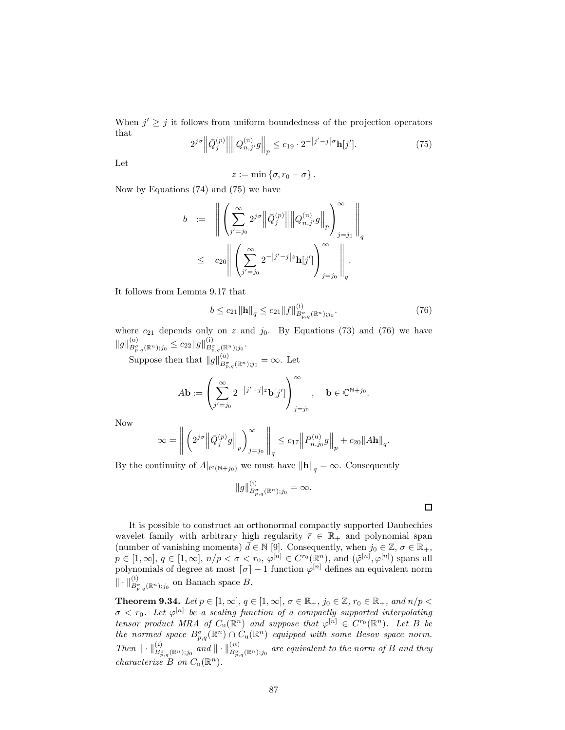When  $j' \geq j$  it follows from uniform boundedness of the projection operators that

$$
2^{j\sigma} \left\| \bar{Q}_j^{(p)} \right\| \left\| Q_{n,j'}^{(\mathbf{u})} g \right\|_p \le c_{19} \cdot 2^{-|j'-j|\sigma} \mathbf{h}[j'].
$$
 (75)

Let

$$
z:=\min\left\{\sigma,r_0-\sigma\right\}.
$$

Now by Equations (74) and (75) we have

$$
b := \left\| \left( \sum_{j'=j_0}^{\infty} 2^{j\sigma} \left\| \bar{Q}_j^{(p)} \right\| \left\| Q_{n,j'}^{(\mathrm{u})} g \right\|_p \right)_{j=j_0}^{\infty} \right\|_q
$$
  

$$
\leq c_{20} \left\| \left( \sum_{j'=j_0}^{\infty} 2^{-|j'-j|z} \mathbf{h}[j'] \right)_{j=j_0}^{\infty} \right\|_q.
$$

It follows from Lemma 9.17 that

$$
b \le c_{21} \|\mathbf{h}\|_{q} \le c_{21} \|f\|_{B^{\sigma}_{p,q}(\mathbb{R}^{n});j_{0}}^{(i)}.
$$
\n(76)

where  $c_{21}$  depends only on z and  $j_0$ . By Equations (73) and (76) we have  $||g||_{B^{\sigma}_{p,q}(\mathbb{R}^n);j_0}^{(0)} \leq c_{22} ||g||_{B^{\sigma}_{p,q}(\mathbb{R}^n);j_0}^{(i)}.$ 

Suppose then that  $||g||_{B^{\sigma}_{p,q}(\mathbb{R}^{n});j_{0}}^{(o)} = \infty$ . Let

$$
A\mathbf{b} := \left(\sum_{j'=j_0}^{\infty} 2^{-|j'-j|z} \mathbf{b}[j']\right)_{j=j_0}^{\infty}, \quad \mathbf{b} \in \mathbb{C}^{\mathbb{N}+j_0}.
$$

Now

$$
\infty = \left\| \left( 2^{j\sigma} \left\| \bar{Q}_j^{(p)} g \right\|_p \right)_{j=j_0}^{\infty} \right\|_q \leq c_{17} \left\| P_{n,j_0}^{(\mathrm{u})} g \right\|_p + c_{20} \|A\mathbf{h}\|_q.
$$

By the continuity of  $A|_{l^q(\mathbb{N}+j_0)}$  we must have  $\|\mathbf{h}\|_q = \infty$ . Consequently

$$
\|g\|_{B^{\sigma}_{p,q}(\mathbb{R}^{n});j_{0}}^{(i)}=\infty.
$$

 $\Box$ 

It is possible to construct an orthonormal compactly supported Daubechies wavelet family with arbitrary high regularity  $\bar{r} \in \mathbb{R}_+$  and polynomial span (number of vanishing moments)  $\bar{d} \in \mathbb{N}$  [9]. Consequently, when  $j_0 \in \mathbb{Z}, \sigma \in \mathbb{R}_+$ ,  $p \in [1,\infty], q \in [1,\infty], n/p < \sigma < r_0, \varphi^{[n]} \in C^{r_0}(\mathbb{R}^n), \text{ and } (\tilde{\varphi}^{[n]}, \varphi^{[n]}) \text{ spans all}$ polynomials of degree at most  $\lceil \sigma \rceil - 1$  function  $\varphi^{[n]}$  defines an equivalent norm  $\| \cdot \|_{B^{\sigma}_{p,q}(\mathbb{R}^n);j_0}^{(i)}\}$  on Banach space B.

**Theorem 9.34.** Let  $p \in [1,\infty]$ ,  $q \in [1,\infty]$ ,  $\sigma \in \mathbb{R}_+$ ,  $j_0 \in \mathbb{Z}$ ,  $r_0 \in \mathbb{R}_+$ , and  $n/p <$  $\sigma < r_0$ . Let  $\varphi^{[n]}$  be a scaling function of a compactly supported interpolating tensor product MRA of  $C_{\mathbf{u}}(\mathbb{R}^n)$  and suppose that  $\varphi^{[n]} \in C^{r_0}(\mathbb{R}^n)$ . Let B be the normed space  $B^{\sigma}_{p,q}(\mathbb{R}^n) \cap C_u(\mathbb{R}^n)$  equipped with some Besov space norm. Then  $\|\cdot\|_{B^{\sigma}_{p,q}(\mathbb{R}^n);j_0}^{(i)}$  and  $\|\cdot\|_{B^{\sigma}_{p,q}(\mathbb{R}^n);j_0}^{(w)}$  are equivalent to the norm of B and they characterize  $B$  on  $C_u(\mathbb{R}^n)$ .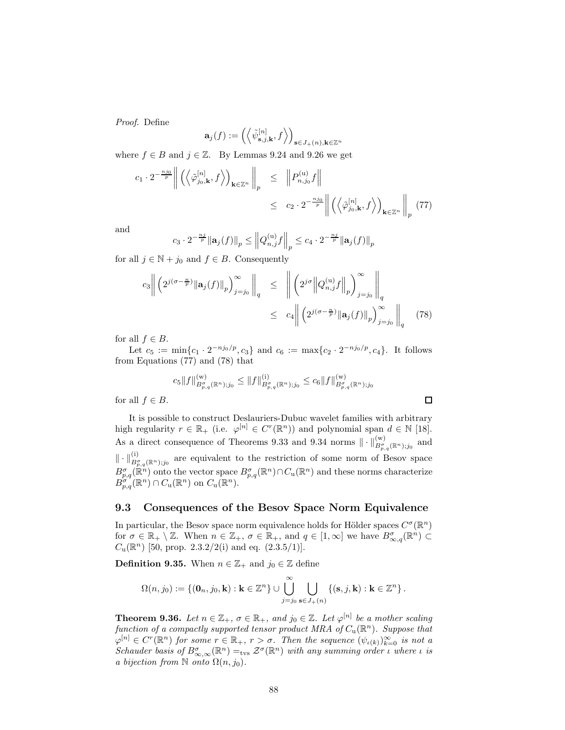Proof. Define

$$
\mathbf{a}_j(f) := \left( \left\langle \tilde{\psi}_{\mathbf{s},j,\mathbf{k}}^{[n]}, f \right\rangle \right)_{\mathbf{s} \in J_+(n), \mathbf{k} \in \mathbb{Z}^n}
$$

where  $f \in B$  and  $j \in \mathbb{Z}$ . By Lemmas 9.24 and 9.26 we get

$$
c_1 \cdot 2^{-\frac{n j_0}{p}} \left\| \left( \left\langle \tilde{\varphi}_{j_0, \mathbf{k}}^{[n]}, f \right\rangle \right)_{\mathbf{k} \in \mathbb{Z}^n} \right\|_p \leq \| P_{n,j_0}^{(u)} f \| \n\leq c_2 \cdot 2^{-\frac{n j_0}{p}} \left\| \left( \left\langle \tilde{\varphi}_{j_0, \mathbf{k}}^{[n]}, f \right\rangle \right)_{\mathbf{k} \in \mathbb{Z}^n} \right\|_p (77)
$$

and

$$
c_3 \cdot 2^{-\frac{n_j}{p}} \|\mathbf{a}_j(f)\|_p \leq \left\|Q_{n,j}^{(\mathbf{u})}f\right\|_p \leq c_4 \cdot 2^{-\frac{n_j}{p}} \|\mathbf{a}_j(f)\|_p
$$

for all  $j \in \mathbb{N} + j_0$  and  $f \in B$ . Consequently

$$
c_3 \left\| \left( 2^{j(\sigma - \frac{n}{p})} \|\mathbf{a}_j(f)\|_p \right)_{j=j_0}^{\infty} \right\|_q \le \left\| \left( 2^{j\sigma} \left\| Q_{n,j}^{(\mathrm{u})} f \right\|_p \right)_{j=j_0}^{\infty} \right\|_q
$$
  

$$
\le c_4 \left\| \left( 2^{j(\sigma - \frac{n}{p})} \|\mathbf{a}_j(f)\|_p \right)_{j=j_0}^{\infty} \right\|_q
$$
(78)

for all  $f \in B$ .

Let  $c_5 := \min\{c_1 \cdot 2^{-nj_0/p}, c_3\}$  and  $c_6 := \max\{c_2 \cdot 2^{-nj_0/p}, c_4\}$ . It follows from Equations (77) and (78) that

$$
c_5\|f\|^{(w)}_{B^{\sigma}_{p,q}(\mathbb{R}^n);j_0}\leq\|f\|^{(i)}_{B^{\sigma}_{p,q}(\mathbb{R}^n);j_0}\leq c_6\|f\|^{(w)}_{B^{\sigma}_{p,q}(\mathbb{R}^n);j_0}
$$

 $\Box$ 

for all  $f \in B$ .

It is possible to construct Deslauriers-Dubuc wavelet families with arbitrary high regularity  $r \in \mathbb{R}_+$  (i.e.  $\varphi^{[n]} \in C^r(\mathbb{R}^n)$ ) and polynomial span  $d \in \mathbb{N}$  [18]. As a direct consequence of Theorems 9.33 and 9.34 norms  $\|\cdot\|_{B^{\sigma}_{p,q}(\mathbb{R}^n);j_0}^{(w)}$  and  $\|\cdot\|_{B^{\sigma}_{p,q}(\mathbb{R}^n);j_0}^{(i)}\|$  are equivalent to the restriction of some norm of Besov space  $B_{p,q}^{\sigma}(\mathbb{R}^n)$  onto the vector space  $B_{p,q}^{\sigma}(\mathbb{R}^n) \cap C_u(\mathbb{R}^n)$  and these norms characterize  $B_{p,q}^{\sigma}(\mathbb{R}^n) \cap C_{\mathbf{u}}(\mathbb{R}^n)$  on  $C_{\mathbf{u}}(\mathbb{R}^n)$ .

## 9.3 Consequences of the Besov Space Norm Equivalence

In particular, the Besov space norm equivalence holds for Hölder spaces  $C^{\sigma}(\mathbb{R}^n)$ for  $\sigma \in \mathbb{R}_+ \setminus \mathbb{Z}$ . When  $n \in \mathbb{Z}_+$ ,  $\sigma \in \mathbb{R}_+$ , and  $q \in [1, \infty]$  we have  $B^{\sigma}_{\infty,q}(\mathbb{R}^n) \subset$  $C_u(\mathbb{R}^n)$  [50, prop. 2.3.2/2(i) and eq.  $(2.3.5/1)$ ].

**Definition 9.35.** When  $n \in \mathbb{Z}_+$  and  $j_0 \in \mathbb{Z}$  define

$$
\Omega(n,j_0) := \{(\mathbf{0}_n, j_0, \mathbf{k}) : \mathbf{k} \in \mathbb{Z}^n\} \cup \bigcup_{j=j_0}^{\infty} \bigcup_{\mathbf{s} \in J_+(n)} \{(\mathbf{s}, j, \mathbf{k}) : \mathbf{k} \in \mathbb{Z}^n\}.
$$

**Theorem 9.36.** Let  $n \in \mathbb{Z}_+$ ,  $\sigma \in \mathbb{R}_+$ , and  $j_0 \in \mathbb{Z}$ . Let  $\varphi^{[n]}$  be a mother scaling function of a compactly supported tensor product MRA of  $C_{\mathrm{u}}(\mathbb{R}^n)$ . Suppose that  $\varphi^{[n]} \in C^r(\mathbb{R}^n)$  for some  $r \in \mathbb{R}_+$ ,  $r > \sigma$ . Then the sequence  $(\psi_{\iota(k)})_{k=0}^{\infty}$  is not a Schauder basis of  $B^{\sigma}_{\infty,\infty}(\mathbb{R}^n) =_{\text{tvs}} \mathcal{Z}^{\sigma}(\mathbb{R}^n)$  with any summing order *i* where *i* is a bijection from  $\mathbb N$  onto  $\Omega(n, j_0)$ .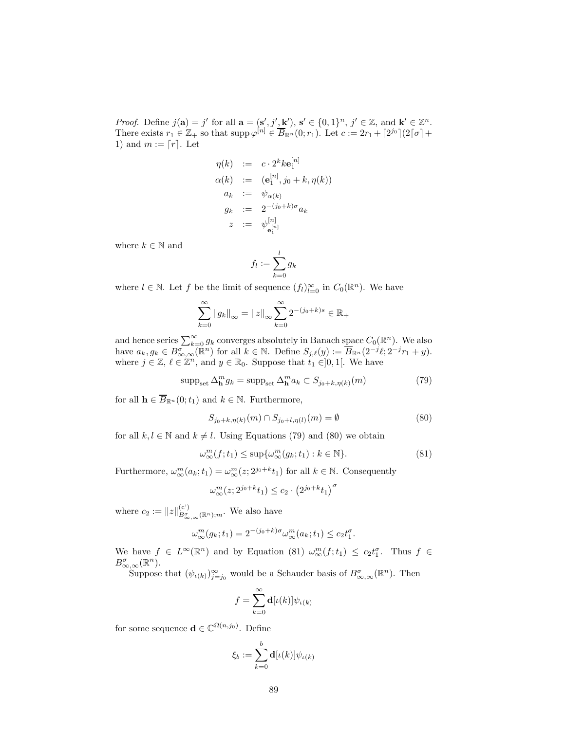*Proof.* Define  $j(\mathbf{a}) = j'$  for all  $\mathbf{a} = (\mathbf{s}', j', \mathbf{k}'), \mathbf{s}' \in \{0, 1\}^n, j' \in \mathbb{Z}$ , and  $\mathbf{k}' \in \mathbb{Z}^n$ . There exists  $r_1 \in \mathbb{Z}_+$  so that  $\text{supp }\varphi^{[n]} \in \overline{B}_{\mathbb{R}^n}(0;r_1)$ . Let  $c := 2r_1 + \lceil 2^{j_0} \rceil (2\lceil \sigma \rceil + \lceil \sigma \rceil + \lceil \sigma \rceil + \lceil \sigma \rceil + \lceil \sigma \rceil + \lceil \sigma \rceil + \lceil \sigma \rceil + \lceil \sigma \rceil + \lceil \sigma \rceil + \lceil \sigma \rceil + \lceil \sigma \rceil + \lceil \sigma \rceil + \lceil \sigma \rceil + \l$ 1) and  $m := [r]$ . Let

$$
\eta(k) := c \cdot 2^{k} k \mathbf{e}_{1}^{[n]}
$$
  
\n
$$
\alpha(k) := (\mathbf{e}_{1}^{[n]}, j_{0} + k, \eta(k))
$$
  
\n
$$
a_{k} := \psi_{\alpha(k)}
$$
  
\n
$$
g_{k} := 2^{-(j_{0} + k)\sigma} a_{k}
$$
  
\n
$$
z := \psi_{\mathbf{e}_{1}^{[n]}}^{[n]}
$$

where  $k \in \mathbb{N}$  and

$$
f_l := \sum_{k=0}^l g_k
$$

where  $l \in \mathbb{N}$ . Let f be the limit of sequence  $(f_l)_{l=0}^{\infty}$  in  $C_0(\mathbb{R}^n)$ . We have

$$
\sum_{k=0}^{\infty} \|g_k\|_{\infty} = \|z\|_{\infty} \sum_{k=0}^{\infty} 2^{-(j_0+k)s} \in \mathbb{R}_+
$$

and hence series  $\sum_{k=0}^{\infty} g_k$  converges absolutely in Banach space  $C_0(\mathbb{R}^n)$ . We also have  $a_k, g_k \in B^{\sigma}_{\infty,\infty}(\mathbb{R}^n)$  for all  $k \in \mathbb{N}$ . Define  $S_{j,\ell}(y) := \overline{B}_{\mathbb{R}^n}(2^{-j}\ell; 2^{-j}r_1 + y)$ . where  $j \in \mathbb{Z}, \ell \in \mathbb{Z}^n$ , and  $y \in \mathbb{R}_0$ . Suppose that  $t_1 \in ]0,1[$ . We have

$$
supp_{\text{set}} \Delta_{\mathbf{h}}^{m} g_{k} = supp_{\text{set}} \Delta_{\mathbf{h}}^{m} a_{k} \subset S_{j_{0}+k, \eta(k)}(m)
$$
\n(79)

for all  $\mathbf{h} \in \overline{B}_{\mathbb{R}^n}(0; t_1)$  and  $k \in \mathbb{N}$ . Furthermore,

$$
S_{j_0+k,\eta(k)}(m) \cap S_{j_0+l,\eta(l)}(m) = \emptyset
$$
\n(80)

for all  $k, l \in \mathbb{N}$  and  $k \neq l$ . Using Equations (79) and (80) we obtain

$$
\omega_{\infty}^{m}(f; t_{1}) \leq \sup \{\omega_{\infty}^{m}(g_{k}; t_{1}) : k \in \mathbb{N}\}.
$$
\n(81)

Furthermore,  $\omega_{\infty}^{m}(a_k; t_1) = \omega_{\infty}^{m}(z; 2^{j_0+k}t_1)$  for all  $k \in \mathbb{N}$ . Consequently

$$
\omega_\infty^m(z; 2^{j_0+k}t_1) \le c_2 \cdot \left(2^{j_0+k}t_1\right)^\sigma
$$

where  $c_2 := ||z||_{B^{\sigma}_{\infty,\infty}(\mathbb{R}^n);m}^{(c)}$ . We also have

$$
\omega_{\infty}^m(g_k; t_1) = 2^{-(j_0+k)\sigma} \omega_{\infty}^m(a_k; t_1) \le c_2 t_1^{\sigma}.
$$

We have  $f \in L^{\infty}(\mathbb{R}^n)$  and by Equation (81)  $\omega_{\infty}^m(f; t_1) \leq c_2 t_1^{\sigma}$ . Thus  $f \in$  $B^{\sigma}_{\infty,\infty}(\mathbb{R}^n)$ .

Suppose that  $(\psi_{\iota(k)})_{j=j_0}^{\infty}$  would be a Schauder basis of  $B^{\sigma}_{\infty,\infty}(\mathbb{R}^n)$ . Then

$$
f = \sum_{k=0}^{\infty} \mathbf{d}[\iota(k)] \psi_{\iota(k)}
$$

for some sequence  $\mathbf{d} \in \mathbb{C}^{\Omega(n,j_0)}$ . Define

$$
\xi_b := \sum_{k=0}^b \mathbf{d}[\iota(k)] \psi_{\iota(k)}
$$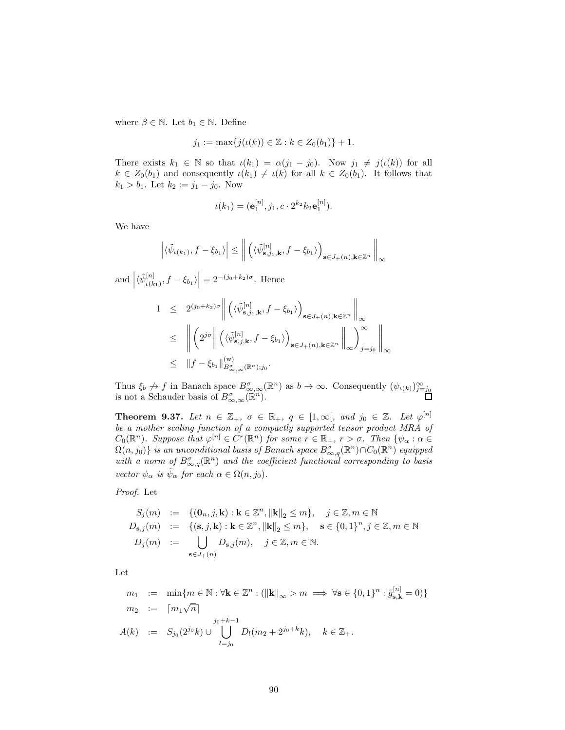where  $\beta \in \mathbb{N}.$  Let  $b_1 \in \mathbb{N}.$  Define

$$
j_1 := \max\{j(\iota(k)) \in \mathbb{Z} : k \in Z_0(b_1)\} + 1.
$$

There exists  $k_1 \in \mathbb{N}$  so that  $\iota(k_1) = \alpha(j_1 - j_0)$ . Now  $j_1 \neq j(\iota(k))$  for all  $k \in Z_0(b_1)$  and consequently  $\iota(k_1) \neq \iota(k)$  for all  $k \in Z_0(b_1)$ . It follows that  $k_1 > b_1$ . Let  $k_2 := j_1 - j_0$ . Now

$$
\iota(k_1) = (\mathbf{e}_1^{[n]}, j_1, c \cdot 2^{k_2} k_2 \mathbf{e}_1^{[n]}).
$$

We have

$$
\left| \langle \tilde{\psi}_{\iota(k_1)}, f - \xi_{b_1} \rangle \right| \leq \left\| \left( \langle \tilde{\psi}_{\mathbf{s},j_1,\mathbf{k}}^{[n]}, f - \xi_{b_1} \rangle \right)_{\mathbf{s} \in J_+(n), \mathbf{k} \in \mathbb{Z}^n} \right\|_{\infty}
$$

and  $\left|\langle \tilde{\psi}_{\iota(k)}^{[n]} \right|$  $\binom{[n]}{\iota(k_1)}, f - \xi_{b_1}$  $\vert = 2^{-(j_0+k_2)\sigma}$ . Hence

$$
1 \leq 2^{(j_0+k_2)\sigma} \left\| \left( \langle \tilde{\psi}_{\mathbf{s},j_1,\mathbf{k}}^{[n]}, f - \xi_{b_1} \rangle \right)_{\mathbf{s} \in J_+(n), \mathbf{k} \in \mathbb{Z}^n} \right\|_{\infty}
$$
  
\n
$$
\leq \left\| \left( 2^{j\sigma} \right\| \left( \langle \tilde{\psi}_{\mathbf{s},j,\mathbf{k}}^{[n]}, f - \xi_{b_1} \rangle \right)_{\mathbf{s} \in J_+(n), \mathbf{k} \in \mathbb{Z}^n} \right\|_{\infty} \right\|_{\infty}
$$
  
\n
$$
\leq ||f - \xi_{b_1}||_{B^{\sigma}_{\infty,\infty}(\mathbb{R}^n); j_0}^{(\mathbf{w})}.
$$

Thus  $\xi_b \nrightarrow f$  in Banach space  $B_{\infty,\infty}^{\sigma}(\mathbb{R}^n)$  as  $b \to \infty$ . Consequently  $(\psi_{\iota(k)})_{j=j_0}^{\infty}$ <br>is not a Schauder basis of  $B_{\infty,\infty}^{\sigma}(\mathbb{R}^n)$ .

**Theorem 9.37.** Let  $n \in \mathbb{Z}_+$ ,  $\sigma \in \mathbb{R}_+$ ,  $q \in [1,\infty[$ , and  $j_0 \in \mathbb{Z}$ . Let  $\varphi^{[n]}$ be a mother scaling function of a compactly supported tensor product MRA of  $C_0(\mathbb{R}^n)$ . Suppose that  $\varphi^{[n]} \in C^r(\mathbb{R}^n)$  for some  $r \in \mathbb{R}_+$ ,  $r > \sigma$ . Then  $\{\psi_\alpha : \alpha \in$  $\Omega(n, j_0)$  is an unconditional basis of Banach space  $B^{\sigma}_{\infty,q}(\mathbb{R}^n) \cap C_0(\mathbb{R}^n)$  equipped with a norm of  $B^{\sigma}_{\infty,q}(\mathbb{R}^n)$  and the coefficient functional corresponding to basis vector  $\psi_{\alpha}$  is  $\tilde{\psi}_{\alpha}$  for each  $\alpha \in \Omega(n, j_0)$ .

Proof. Let

$$
S_j(m) := \{(\mathbf{0}_n, j, \mathbf{k}) : \mathbf{k} \in \mathbb{Z}^n, \|\mathbf{k}\|_2 \le m\}, \quad j \in \mathbb{Z}, m \in \mathbb{N}
$$
  
\n
$$
D_{\mathbf{s},j}(m) := \{(\mathbf{s}, j, \mathbf{k}) : \mathbf{k} \in \mathbb{Z}^n, \|\mathbf{k}\|_2 \le m\}, \quad \mathbf{s} \in \{0, 1\}^n, j \in \mathbb{Z}, m \in \mathbb{N}
$$
  
\n
$$
D_j(m) := \bigcup_{\mathbf{s} \in J_+(n)} D_{\mathbf{s},j}(m), \quad j \in \mathbb{Z}, m \in \mathbb{N}.
$$

Let

$$
m_1 := \min\{m \in \mathbb{N} : \forall \mathbf{k} \in \mathbb{Z}^n : (\|\mathbf{k}\|_{\infty} > m \implies \forall \mathbf{s} \in \{0, 1\}^n : \tilde{g}_{\mathbf{s}, \mathbf{k}}^{[n]} = 0)\}
$$
  
\n
$$
m_2 := [m_1\sqrt{n}]
$$
  
\n
$$
A(k) := S_{j_0}(2^{j_0}k) \cup \bigcup_{l=j_0}^{j_0+k-1} D_l(m_2 + 2^{j_0+k}k), \quad k \in \mathbb{Z}_+.
$$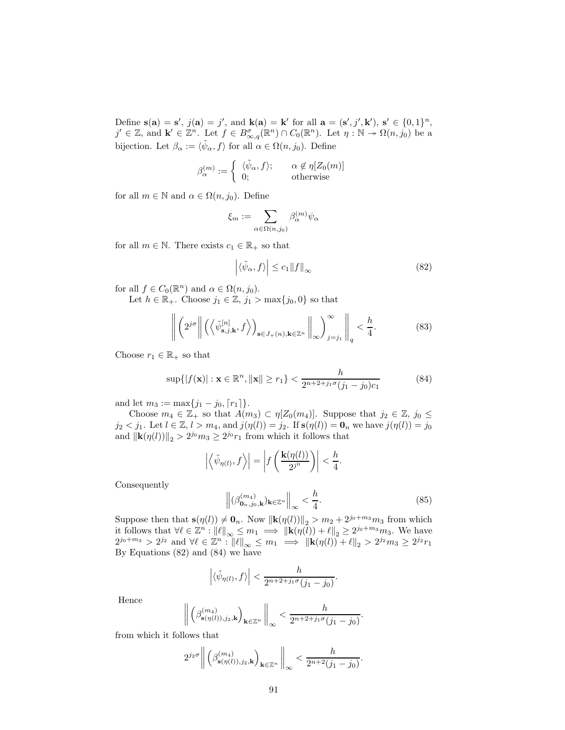Define  $\mathbf{s}(\mathbf{a}) = \mathbf{s}'$ ,  $j(\mathbf{a}) = j'$ , and  $\mathbf{k}(\mathbf{a}) = \mathbf{k}'$  for all  $\mathbf{a} = (\mathbf{s}', j', \mathbf{k}')$ ,  $\mathbf{s}' \in \{0, 1\}^n$ ,  $j' \in \mathbb{Z}$ , and  $\mathbf{k}' \in \mathbb{Z}^n$ . Let  $f \in B^{\sigma}_{\infty,q}(\mathbb{R}^n) \cap C_0(\mathbb{R}^n)$ . Let  $\eta : \mathbb{N} \to \Omega(n, j_0)$  be a bijection. Let  $\beta_{\alpha} := \langle \tilde{\psi}_{\alpha}, f \rangle$  for all  $\alpha \in \Omega(n, j_0)$ . Define

$$
\beta_{\alpha}^{(m)} := \begin{cases} \langle \tilde{\psi}_{\alpha}, f \rangle; & \alpha \notin \eta[Z_0(m)] \\ 0; & \text{otherwise} \end{cases}
$$

for all  $m \in \mathbb{N}$  and  $\alpha \in \Omega(n, j_0)$ . Define

$$
\xi_m := \sum_{\alpha \in \Omega(n,j_0)} \beta_{\alpha}^{(m)} \psi_{\alpha}
$$

for all  $m \in \mathbb{N}$ . There exists  $c_1 \in \mathbb{R}_+$  so that

$$
\left| \langle \tilde{\psi}_{\alpha}, f \rangle \right| \leq c_1 \| f \|_{\infty} \tag{82}
$$

for all  $f \in C_0(\mathbb{R}^n)$  and  $\alpha \in \Omega(n, j_0)$ .

Let  $h \in \mathbb{R}_+$ . Choose  $j_1 \in \mathbb{Z}$ ,  $j_1 > \max\{j_0, 0\}$  so that

$$
\left\| \left( 2^{j\sigma} \right\| \left( \left\langle \tilde{\psi}_{\mathbf{s},j,\mathbf{k}}^{[n]}, f \right\rangle \right)_{\mathbf{s} \in J_+(n), \mathbf{k} \in \mathbb{Z}^n} \right\|_{\infty} \right\|_{j=j_1} \left\|_q < \frac{h}{4}.
$$
 (83)

Choose  $r_1 \in \mathbb{R}_+$  so that

$$
\sup\{|f(\mathbf{x})| : \mathbf{x} \in \mathbb{R}^n, \|\mathbf{x}\| \ge r_1\} < \frac{h}{2^{n+2+j_1\sigma}(j_1-j_0)c_1}
$$
(84)

and let  $m_3 := \max\{j_1 - j_0, \lceil r_1 \rceil\}.$ 

Choose  $m_4 \in \mathbb{Z}_+$  so that  $A(m_3) \subset \eta[Z_0(m_4)]$ . Suppose that  $j_2 \in \mathbb{Z}$ ,  $j_0 \leq$  $j_2 < j_1$ . Let  $l \in \mathbb{Z}, l > m_4$ , and  $j(\eta(l)) = j_2$ . If  $s(\eta(l)) = \mathbf{0}_n$  we have  $j(\eta(l)) = j_0$ and  $\|\mathbf{k}(\eta(l))\|_2 > 2^{j_0}m_3 \ge 2^{j_0}r_1$  from which it follows that

$$
\left| \left\langle \tilde{\psi}_{\eta(l)}, f \right\rangle \right| = \left| f\left(\frac{\mathbf{k}(\eta(l))}{2^{j^0}}\right) \right| < \frac{h}{4}.
$$

Consequently

$$
\left\| (\beta_{\mathbf{0}_n,j_0,\mathbf{k}}^{(m_4)})_{\mathbf{k}\in\mathbb{Z}^n} \right\|_{\infty} < \frac{h}{4}.\tag{85}
$$

.

Suppose then that  $\mathbf{s}(\eta(l)) \neq \mathbf{0}_n$ . Now  $\|\mathbf{k}(\eta(l))\|_2 > m_2 + 2^{j_0+m_3}m_3$  from which it follows that  $\forall \ell \in \mathbb{Z}^n : ||\ell||_{\infty} \leq m_1 \implies ||\mathbf{k}(\eta(\ell)) + \ell||_2 \geq 2^{j_0 + m_3} m_3$ . We have  $2^{j_0+m_3} > 2^{j_2}$  and  $\forall \ell \in \mathbb{Z}^n : ||\ell||_{\infty} \leq m_1 \implies ||\mathbf{k}(\eta(l)) + \ell||_2 > 2^{j_2} m_3 \geq 2^{j_2} r_1$ By Equations (82) and (84) we have

$$
\left| \langle \tilde{\psi}_{\eta(l)}, f \rangle \right| < \frac{h}{2^{n+2+j_1\sigma}(j_1-j_0)}.
$$

Hence

$$
\left\| \left( \beta_{\mathbf{s}(\eta(l)),j_2,\mathbf{k}}^{(m_4)} \right)_{\mathbf{k} \in \mathbb{Z}^n} \right\|_{\infty} < \frac{h}{2^{n+2+j_1\sigma}(j_1-j_0)}.
$$

from which it follows that

$$
2^{j_2\sigma}\Bigg\|\left(\beta^{(m_4)}_{{\bf s}(\eta(l)),j_2,{\bf k}}\right)_{{\bf k}\in\mathbb{Z}^n}\Bigg\|_{\infty}<\frac{h}{2^{n+2}(j_1-j_0)}
$$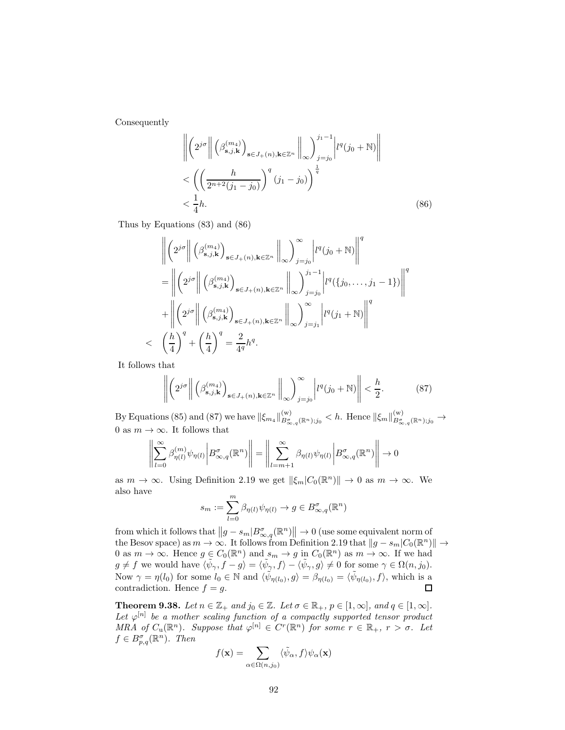Consequently

$$
\left\| \left( 2^{j\sigma} \right\| \left( \beta_{\mathbf{s},j,\mathbf{k}}^{(m_4)} \right)_{\mathbf{s} \in J_+(n),\mathbf{k} \in \mathbb{Z}^n} \right\|_{\infty} \right)^{j_1 - 1} \left| l^q(j_0 + \mathbb{N}) \right\|
$$
  

$$
< \left( \left( \frac{h}{2^{n+2}(j_1 - j_0)} \right)^q (j_1 - j_0) \right)^{\frac{1}{q}}
$$
  

$$
< \frac{1}{4}h.
$$
 (86)

Thus by Equations (83) and (86)

$$
\begin{split}\n&\left\|\left(2^{j\sigma}\right\|\left(\beta_{\mathbf{s},j,\mathbf{k}}^{(m_{4})}\right)_{\mathbf{s}\in J_{+}(n),\mathbf{k}\in\mathbb{Z}^{n}}\right\|_{\infty}\right)_{j=j_{0}}^{\infty}\left|l^{q}(j_{0}+\mathbb{N})\right\|^{q} \\
&=\left\|\left(2^{j\sigma}\right\|\left(\beta_{\mathbf{s},j,\mathbf{k}}^{(m_{4})}\right)_{\mathbf{s}\in J_{+}(n),\mathbf{k}\in\mathbb{Z}^{n}}\right\|_{\infty}\right)^{j_{1}-1}\left|l^{q}(\{j_{0},\ldots,j_{1}-1\})\right\|^{q} \\
&+\left\|\left(2^{j\sigma}\right\|\left(\beta_{\mathbf{s},j,\mathbf{k}}^{(m_{4})}\right)_{\mathbf{s}\in J_{+}(n),\mathbf{k}\in\mathbb{Z}^{n}}\right\|_{\infty}\right)_{j=j_{1}}^{\infty}\left|l^{q}(j_{1}+\mathbb{N})\right\|^{q} \\
&<\left(\frac{h}{4}\right)^{q}+\left(\frac{h}{4}\right)^{q}=\frac{2}{4^{q}}h^{q}.\n\end{split}
$$

It follows that

$$
\left\| \left( 2^{j\sigma} \right\| \left( \beta_{\mathbf{s},j,\mathbf{k}}^{(m_4)} \right)_{\mathbf{s} \in J_+(n),\mathbf{k} \in \mathbb{Z}^n} \left\|_{\infty} \right)_{j=j_0}^{\infty} \left| l^q(j_0 + \mathbb{N}) \right| \right| < \frac{h}{2}.
$$
 (87)

By Equations (85) and (87) we have  $\|\xi_{m_4}\|_{B^{\sigma}_{\infty,q}(\mathbb{R}^n);j_0}^{(w)} < h$ . Hence  $\|\xi_m\|_{B^{\sigma}_{\infty,q}(\mathbb{R}^n);j_0}^{(w)} \to$ 0 as  $m \to \infty$ . It follows that

$$
\left\| \sum_{l=0}^{\infty} \beta_{\eta(l)}^{(m)} \psi_{\eta(l)} \middle| B_{\infty,q}^{\sigma}(\mathbb{R}^n) \right\| = \left\| \sum_{l=m+1}^{\infty} \beta_{\eta(l)} \psi_{\eta(l)} \middle| B_{\infty,q}^{\sigma}(\mathbb{R}^n) \right\| \to 0
$$

as  $m \to \infty$ . Using Definition 2.19 we get  $\|\xi_m|C_0(\mathbb{R}^n)\| \to 0$  as  $m \to \infty$ . We also have

$$
s_m:=\sum_{l=0}^m\beta_{\eta(l)}\psi_{\eta(l)}\to g\in B^{\sigma}_{\infty,q}(\mathbb{R}^n)
$$

from which it follows that  $||g - s_m| B^{\sigma}_{\infty,q}(\mathbb{R}^n) || \to 0$  (use some equivalent norm of the Besov space) as  $m \to \infty$ . It follows from Definition 2.19 that  $||g - s_m|C_0(\mathbb{R}^n)|| \to$ 0 as  $m \to \infty$ . Hence  $g \in C_0(\mathbb{R}^n)$  and  $s_m \to g$  in  $C_0(\mathbb{R}^n)$  as  $m \to \infty$ . If we had  $g \neq f$  we would have  $\langle \tilde{\psi}_{\gamma}, f - g \rangle = \langle \tilde{\psi}_{\gamma}, f \rangle - \langle \tilde{\psi}_{\gamma}, g \rangle \neq 0$  for some  $\gamma \in \Omega(n, j_0)$ . Now  $\gamma = \eta(l_0)$  for some  $l_0 \in \mathbb{N}$  and  $\langle \tilde{\psi}_{\eta(l_0)}, g \rangle = \beta_{\eta(l_0)} = \langle \tilde{\psi}_{\eta(l_0)}, f \rangle$ , which is a contradiction. Hence  $f = g$ .

**Theorem 9.38.** Let  $n \in \mathbb{Z}_+$  and  $j_0 \in \mathbb{Z}$ . Let  $\sigma \in \mathbb{R}_+$ ,  $p \in [1, \infty]$ , and  $q \in [1, \infty]$ . Let  $\varphi^{[n]}$  be a mother scaling function of a compactly supported tensor product MRA of  $C_u(\mathbb{R}^n)$ . Suppose that  $\varphi^{[n]} \in C^r(\mathbb{R}^n)$  for some  $r \in \mathbb{R}_+$ ,  $r > \sigma$ . Let  $f \in B^{\sigma}_{p,q}(\mathbb{R}^n)$ . Then

$$
f(\mathbf{x}) = \sum_{\alpha \in \Omega(n,j_0)} \langle \tilde{\psi}_{\alpha}, f \rangle \psi_{\alpha}(\mathbf{x})
$$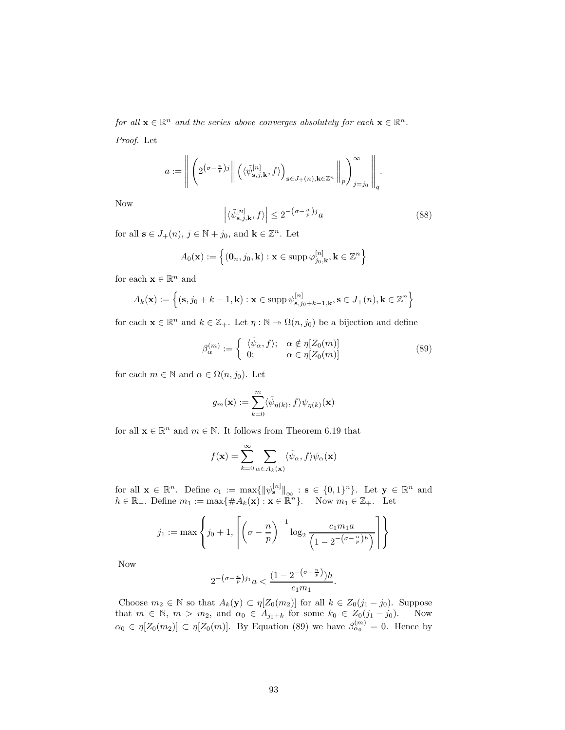for all  $\mathbf{x} \in \mathbb{R}^n$  and the series above converges absolutely for each  $\mathbf{x} \in \mathbb{R}^n$ . Proof. Let

$$
a:=\left\|\left(2^{\left(\sigma-\frac{n}{p}\right)j}\right\|\left(\langle\tilde{\psi}_{\mathbf{s},j,\mathbf{k}}^{[n]},f\rangle\right)_{\mathbf{s}\in J_+(n),\mathbf{k}\in\mathbb{Z}^n}\left\|_p\right\rangle_{j=j_0}^{\infty}\right\|_q.
$$

Now

$$
\left| \langle \tilde{\psi}_{\mathbf{s},j,\mathbf{k}}^{[n]}, f \rangle \right| \leq 2^{-\left(\sigma - \frac{n}{p}\right)j} a \tag{88}
$$

for all  $\mathbf{s} \in J_+(n)$ ,  $j \in \mathbb{N} + j_0$ , and  $\mathbf{k} \in \mathbb{Z}^n$ . Let

$$
A_0(\mathbf{x}) := \left\{ (\mathbf{0}_n, j_0, \mathbf{k}) : \mathbf{x} \in \text{supp } \varphi_{j_0, \mathbf{k}}^{[n]}, \mathbf{k} \in \mathbb{Z}^n \right\}
$$

for each  $\mathbf{x} \in \mathbb{R}^n$  and

$$
A_k(\mathbf{x}) := \left\{ (\mathbf{s}, j_0 + k - 1, \mathbf{k}) : \mathbf{x} \in \text{supp } \psi_{\mathbf{s}, j_0 + k - 1, \mathbf{k}}^{[n]}, \mathbf{s} \in J_+(n), \mathbf{k} \in \mathbb{Z}^n \right\}
$$

for each  $\mathbf{x} \in \mathbb{R}^n$  and  $k \in \mathbb{Z}_+$ . Let  $\eta : \mathbb{N} \to \Omega(n, j_0)$  be a bijection and define

$$
\beta_{\alpha}^{(m)} := \begin{cases} \langle \tilde{\psi}_{\alpha}, f \rangle; & \alpha \notin \eta[Z_0(m)] \\ 0; & \alpha \in \eta[Z_0(m)] \end{cases}
$$
(89)

for each  $m \in \mathbb{N}$  and  $\alpha \in \Omega(n, j_0)$ . Let

$$
g_m(\mathbf{x}) := \sum_{k=0}^m \langle \tilde{\psi}_{\eta(k)}, f \rangle \psi_{\eta(k)}(\mathbf{x})
$$

for all  $\mathbf{x} \in \mathbb{R}^n$  and  $m \in \mathbb{N}$ . It follows from Theorem 6.19 that

$$
f(\mathbf{x}) = \sum_{k=0}^{\infty} \sum_{\alpha \in A_k(\mathbf{x})} \langle \tilde{\psi}_{\alpha}, f \rangle \psi_{\alpha}(\mathbf{x})
$$

for all  $\mathbf{x} \in \mathbb{R}^n$ . Define  $c_1 := \max\{ ||\psi_{\mathbf{s}}^{[n]}||_{\infty} : \mathbf{s} \in \{0,1\}^n \}$ . Let  $\mathbf{y} \in \mathbb{R}^n$  and  $h \in \mathbb{R}_+$ . Define  $m_1 := \max\{\#A_k(\mathbf{x}) : \mathbf{x} \in \mathbb{R}^n\}$ . Now  $m_1 \in \mathbb{Z}_+$ . Let

$$
j_1 := \max\left\{j_0 + 1, \left\lceil \left(\sigma - \frac{n}{p}\right)^{-1} \log_2 \frac{c_1 m_1 a}{\left(1 - 2^{-\left(\sigma - \frac{n}{p}\right)h}\right)}\right\rceil\right\}
$$

Now

$$
2^{-\left(\sigma-\frac{n}{p}\right)j_1}a < \frac{\left(1 - 2^{-\left(\sigma-\frac{n}{p}\right)}\right)h}{c_1m_1}.
$$

Choose  $m_2 \in \mathbb{N}$  so that  $A_k(\mathbf{y}) \subset \eta[Z_0(m_2)]$  for all  $k \in Z_0(j_1 - j_0)$ . Suppose that  $m \in \mathbb{N}$ ,  $m > m_2$ , and  $\alpha_0 \in A_{j_0+k}$  for some  $k_0 \in Z_0(j_1 - j_0)$ . Now  $\alpha_0 \in \eta[Z_0(m_2)] \subset \eta[Z_0(m)]$ . By Equation (89) we have  $\beta_{\alpha_0}^{(m)} = 0$ . Hence by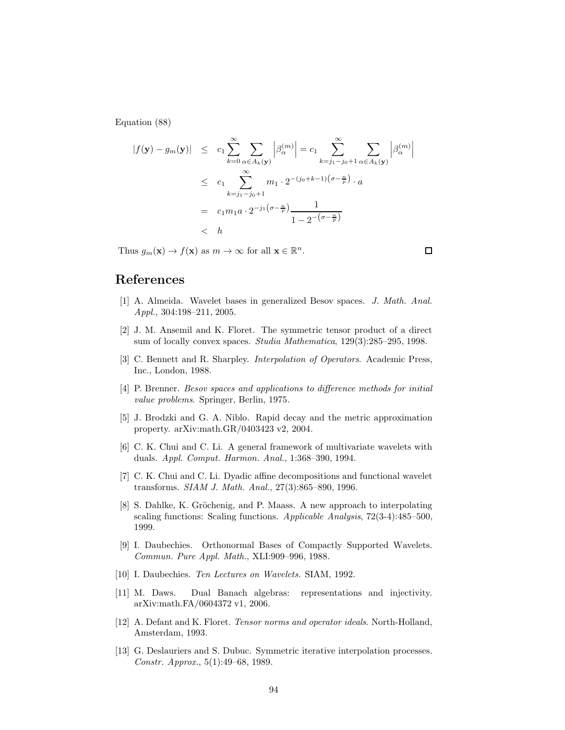Equation (88)

$$
|f(\mathbf{y}) - g_m(\mathbf{y})| \le c_1 \sum_{k=0}^{\infty} \sum_{\alpha \in A_k(\mathbf{y})} \left| \beta_{\alpha}^{(m)} \right| = c_1 \sum_{k=j_1-j_0+1}^{\infty} \sum_{\alpha \in A_k(\mathbf{y})} \left| \beta_{\alpha}^{(m)} \right|
$$
  

$$
\le c_1 \sum_{k=j_1-j_0+1}^{\infty} m_1 \cdot 2^{-(j_0+k-1)(\sigma - \frac{n}{p})} \cdot a
$$
  

$$
= c_1 m_1 a \cdot 2^{-j_1(\sigma - \frac{n}{p})} \frac{1}{1 - 2^{-(\sigma - \frac{n}{p})}}
$$
  

$$
< h
$$

Thus  $g_m(\mathbf{x}) \to f(\mathbf{x})$  as  $m \to \infty$  for all  $\mathbf{x} \in \mathbb{R}^n$ .

References

- [1] A. Almeida. Wavelet bases in generalized Besov spaces. J. Math. Anal. Appl., 304:198–211, 2005.
- [2] J. M. Ansemil and K. Floret. The symmetric tensor product of a direct sum of locally convex spaces. Studia Mathematica, 129(3):285–295, 1998.
- [3] C. Bennett and R. Sharpley. Interpolation of Operators. Academic Press, Inc., London, 1988.
- [4] P. Brenner. Besov spaces and applications to difference methods for initial value problems. Springer, Berlin, 1975.
- [5] J. Brodzki and G. A. Niblo. Rapid decay and the metric approximation property. arXiv:math.GR/0403423 v2, 2004.
- [6] C. K. Chui and C. Li. A general framework of multivariate wavelets with duals. Appl. Comput. Harmon. Anal., 1:368–390, 1994.
- [7] C. K. Chui and C. Li. Dyadic affine decompositions and functional wavelet transforms. SIAM J. Math. Anal., 27(3):865–890, 1996.
- [8] S. Dahlke, K. Gröchenig, and P. Maass. A new approach to interpolating scaling functions: Scaling functions. Applicable Analysis, 72(3-4):485–500, 1999.
- [9] I. Daubechies. Orthonormal Bases of Compactly Supported Wavelets. Commun. Pure Appl. Math., XLI:909–996, 1988.
- [10] I. Daubechies. Ten Lectures on Wavelets. SIAM, 1992.
- [11] M. Daws. Dual Banach algebras: representations and injectivity. arXiv:math.FA/0604372 v1, 2006.
- [12] A. Defant and K. Floret. Tensor norms and operator ideals. North-Holland, Amsterdam, 1993.
- [13] G. Deslauriers and S. Dubuc. Symmetric iterative interpolation processes. Constr. Approx., 5(1):49–68, 1989.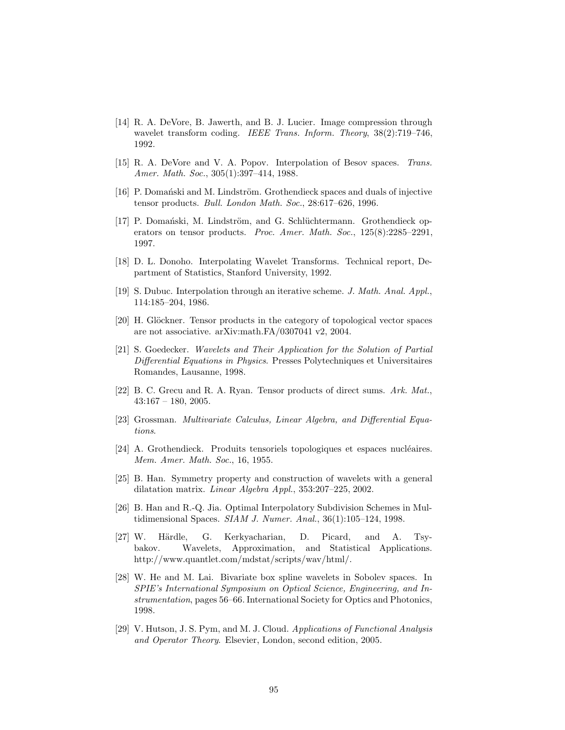- [14] R. A. DeVore, B. Jawerth, and B. J. Lucier. Image compression through wavelet transform coding. *IEEE Trans. Inform. Theory*,  $38(2)$ :719–746, 1992.
- [15] R. A. DeVore and V. A. Popov. Interpolation of Besov spaces. Trans. Amer. Math. Soc., 305(1):397–414, 1988.
- [16] P. Domański and M. Lindström. Grothendieck spaces and duals of injective tensor products. Bull. London Math. Soc., 28:617–626, 1996.
- [17] P. Domański, M. Lindström, and G. Schlüchtermann. Grothendieck operators on tensor products. Proc. Amer. Math. Soc., 125(8):2285–2291, 1997.
- [18] D. L. Donoho. Interpolating Wavelet Transforms. Technical report, Department of Statistics, Stanford University, 1992.
- [19] S. Dubuc. Interpolation through an iterative scheme. J. Math. Anal. Appl., 114:185–204, 1986.
- [20] H. Glöckner. Tensor products in the category of topological vector spaces are not associative. arXiv:math.FA/0307041 v2, 2004.
- [21] S. Goedecker. Wavelets and Their Application for the Solution of Partial Differential Equations in Physics. Presses Polytechniques et Universitaires Romandes, Lausanne, 1998.
- [22] B. C. Grecu and R. A. Ryan. Tensor products of direct sums. Ark. Mat.,  $43:167 - 180, 2005.$
- [23] Grossman. Multivariate Calculus, Linear Algebra, and Differential Equations.
- [24] A. Grothendieck. Produits tensoriels topologiques et espaces nucléaires. Mem. Amer. Math. Soc., 16, 1955.
- [25] B. Han. Symmetry property and construction of wavelets with a general dilatation matrix. Linear Algebra Appl., 353:207–225, 2002.
- [26] B. Han and R.-Q. Jia. Optimal Interpolatory Subdivision Schemes in Multidimensional Spaces. SIAM J. Numer. Anal., 36(1):105–124, 1998.
- [27] W. Härdle, G. Kerkyacharian, D. Picard, and A. Tsybakov. Wavelets, Approximation, and Statistical Applications. http://www.quantlet.com/mdstat/scripts/wav/html/.
- [28] W. He and M. Lai. Bivariate box spline wavelets in Sobolev spaces. In SPIE's International Symposium on Optical Science, Engineering, and Instrumentation, pages 56–66. International Society for Optics and Photonics, 1998.
- [29] V. Hutson, J. S. Pym, and M. J. Cloud. Applications of Functional Analysis and Operator Theory. Elsevier, London, second edition, 2005.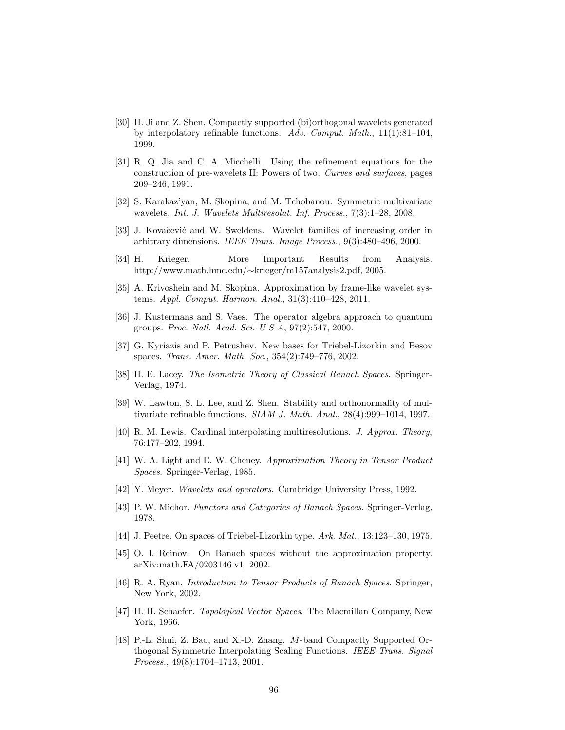- [30] H. Ji and Z. Shen. Compactly supported (bi)orthogonal wavelets generated by interpolatory refinable functions. Adv. Comput. Math.,  $11(1):81-104$ , 1999.
- [31] R. Q. Jia and C. A. Micchelli. Using the refinement equations for the construction of pre-wavelets II: Powers of two. Curves and surfaces, pages 209–246, 1991.
- [32] S. Karakaz'yan, M. Skopina, and M. Tchobanou. Symmetric multivariate wavelets. Int. J. Wavelets Multiresolut. Inf. Process., 7(3):1–28, 2008.
- [33] J. Kovačević and W. Sweldens. Wavelet families of increasing order in arbitrary dimensions. IEEE Trans. Image Process., 9(3):480–496, 2000.
- [34] H. Krieger. More Important Results from Analysis. http://www.math.hmc.edu/∼krieger/m157analysis2.pdf, 2005.
- [35] A. Krivoshein and M. Skopina. Approximation by frame-like wavelet systems. Appl. Comput. Harmon. Anal., 31(3):410–428, 2011.
- [36] J. Kustermans and S. Vaes. The operator algebra approach to quantum groups. Proc. Natl. Acad. Sci. U S A, 97(2):547, 2000.
- [37] G. Kyriazis and P. Petrushev. New bases for Triebel-Lizorkin and Besov spaces. Trans. Amer. Math. Soc., 354(2):749–776, 2002.
- [38] H. E. Lacey. The Isometric Theory of Classical Banach Spaces. Springer-Verlag, 1974.
- [39] W. Lawton, S. L. Lee, and Z. Shen. Stability and orthonormality of multivariate refinable functions. SIAM J. Math. Anal., 28(4):999–1014, 1997.
- [40] R. M. Lewis. Cardinal interpolating multiresolutions. J. Approx. Theory, 76:177–202, 1994.
- [41] W. A. Light and E. W. Cheney. Approximation Theory in Tensor Product Spaces. Springer-Verlag, 1985.
- [42] Y. Meyer. Wavelets and operators. Cambridge University Press, 1992.
- [43] P. W. Michor. Functors and Categories of Banach Spaces. Springer-Verlag, 1978.
- [44] J. Peetre. On spaces of Triebel-Lizorkin type. Ark. Mat., 13:123-130, 1975.
- [45] O. I. Reinov. On Banach spaces without the approximation property. arXiv:math.FA/0203146 v1, 2002.
- [46] R. A. Ryan. *Introduction to Tensor Products of Banach Spaces*. Springer, New York, 2002.
- [47] H. H. Schaefer. *Topological Vector Spaces*. The Macmillan Company, New York, 1966.
- [48] P.-L. Shui, Z. Bao, and X.-D. Zhang. M-band Compactly Supported Orthogonal Symmetric Interpolating Scaling Functions. IEEE Trans. Signal Process., 49(8):1704–1713, 2001.